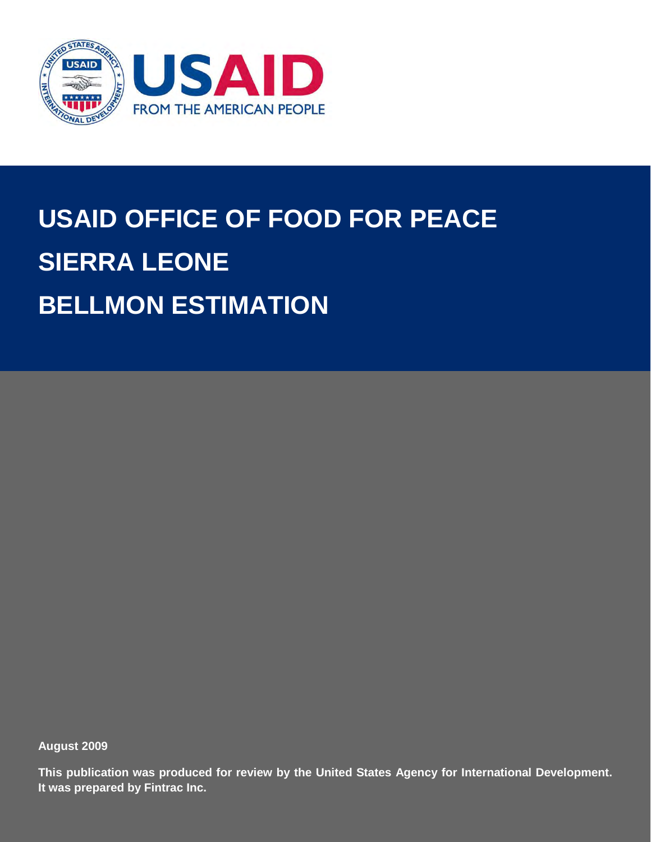

# **USAID OFFICE OF FOOD FOR PEACE SIERRA LEONE BELLMON ESTIMATION**

**August 2009**

**This publication was produced for review by the United States Agency for International Development. It was prepared by Fintrac Inc.**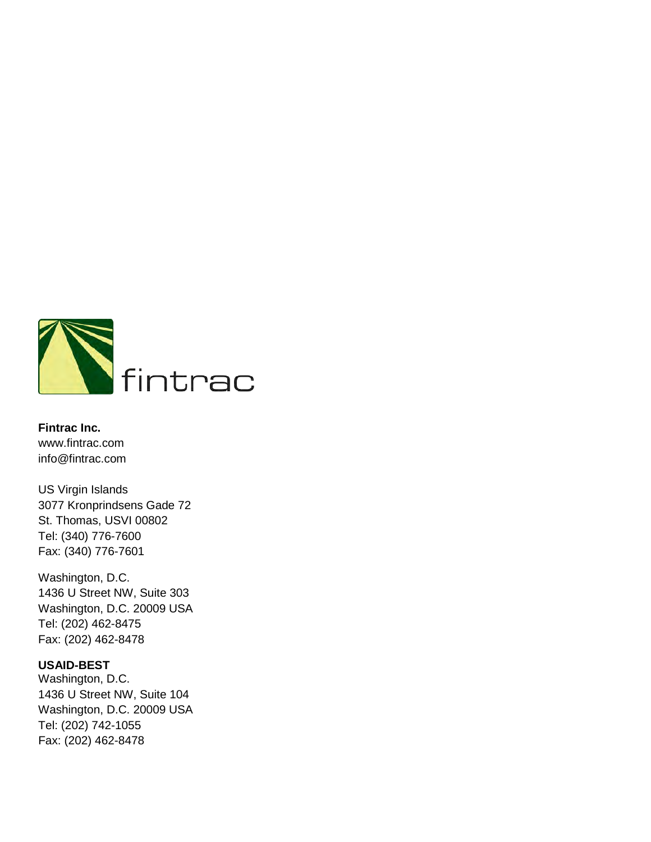

**Fintrac Inc.** [www.fintrac.com](http://www.fintrac.com/) [info@fintrac.com](mailto:info@fintrac.com)

US Virgin Islands 3077 Kronprindsens Gade 72 St. Thomas, USVI 00802 Tel: (340) 776-7600 Fax: (340) 776-7601

Washington, D.C. 1436 U Street NW, Suite 303 Washington, D.C. 20009 USA Tel: (202) 462-8475 Fax: (202) 462-8478

#### **USAID-BEST**

Washington, D.C. 1436 U Street NW, Suite 104 Washington, D.C. 20009 USA Tel: (202) 742-1055 Fax: (202) 462-8478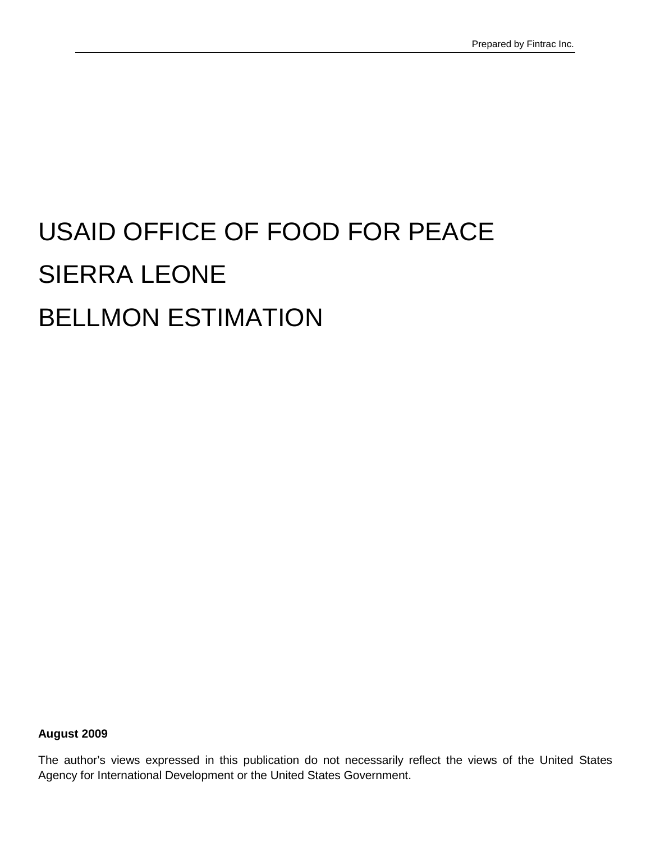# USAID OFFICE OF FOOD FOR PEACE SIERRA LEONE BELLMON ESTIMATION

**August 2009**

The author's views expressed in this publication do not necessarily reflect the views of the United States Agency for International Development or the United States Government.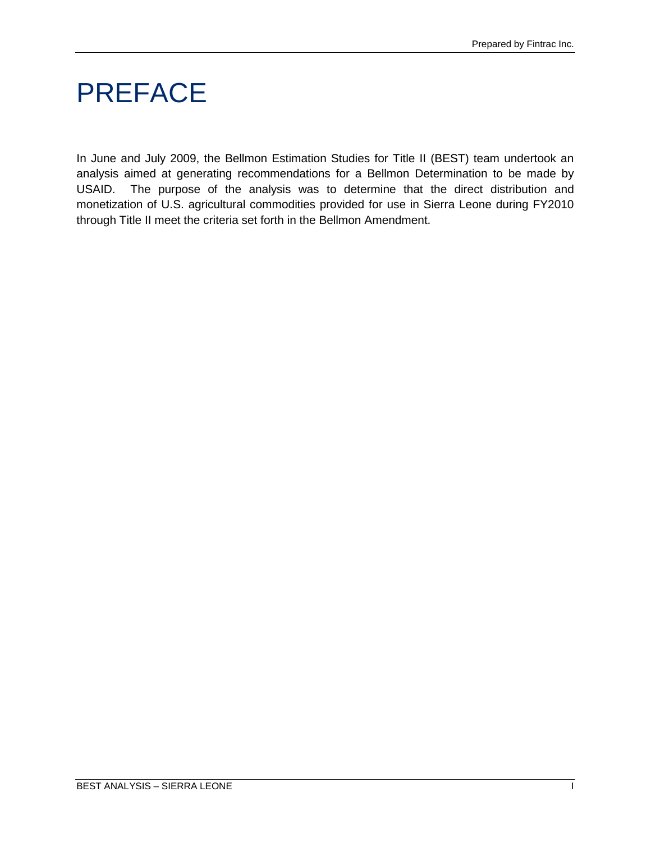### <span id="page-4-0"></span>PREFACE

In June and July 2009, the Bellmon Estimation Studies for Title II (BEST) team undertook an analysis aimed at generating recommendations for a Bellmon Determination to be made by USAID. The purpose of the analysis was to determine that the direct distribution and monetization of U.S. agricultural commodities provided for use in Sierra Leone during FY2010 through Title II meet the criteria set forth in the Bellmon Amendment.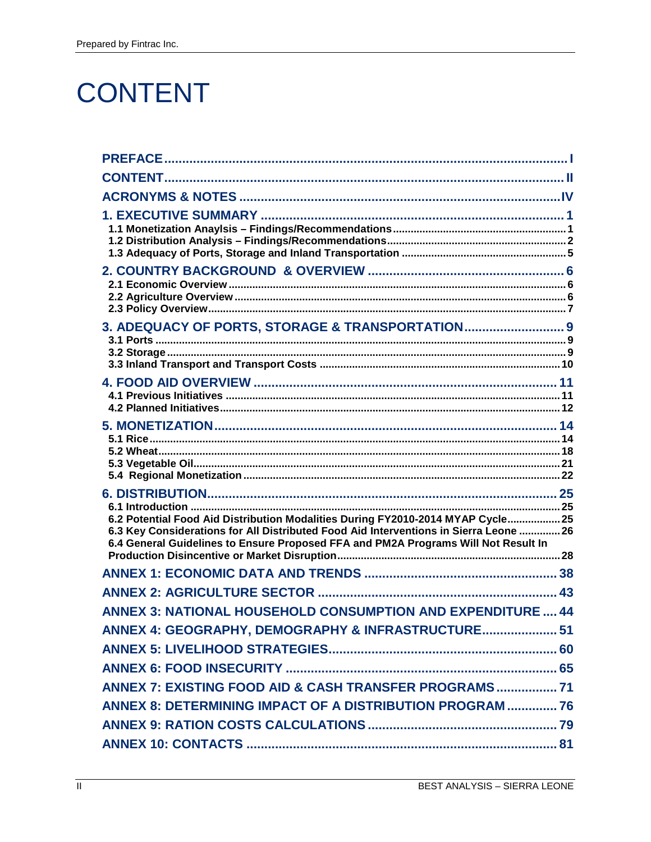### <span id="page-5-0"></span>**CONTENT**

| 3. ADEQUACY OF PORTS, STORAGE & TRANSPORTATION 9                                                                                                                                                                                                               |  |
|----------------------------------------------------------------------------------------------------------------------------------------------------------------------------------------------------------------------------------------------------------------|--|
|                                                                                                                                                                                                                                                                |  |
|                                                                                                                                                                                                                                                                |  |
| 6.2 Potential Food Aid Distribution Modalities During FY2010-2014 MYAP Cycle 25<br>6.3 Key Considerations for All Distributed Food Aid Interventions in Sierra Leone  26<br>6.4 General Guidelines to Ensure Proposed FFA and PM2A Programs Will Not Result In |  |
|                                                                                                                                                                                                                                                                |  |
|                                                                                                                                                                                                                                                                |  |
| <b>ANNEX 3: NATIONAL HOUSEHOLD CONSUMPTION AND EXPENDITURE  44</b>                                                                                                                                                                                             |  |
| ANNEX 4: GEOGRAPHY, DEMOGRAPHY & INFRASTRUCTURE 51                                                                                                                                                                                                             |  |
|                                                                                                                                                                                                                                                                |  |
|                                                                                                                                                                                                                                                                |  |
|                                                                                                                                                                                                                                                                |  |
| ANNEX 8: DETERMINING IMPACT OF A DISTRIBUTION PROGRAM  76                                                                                                                                                                                                      |  |
|                                                                                                                                                                                                                                                                |  |
|                                                                                                                                                                                                                                                                |  |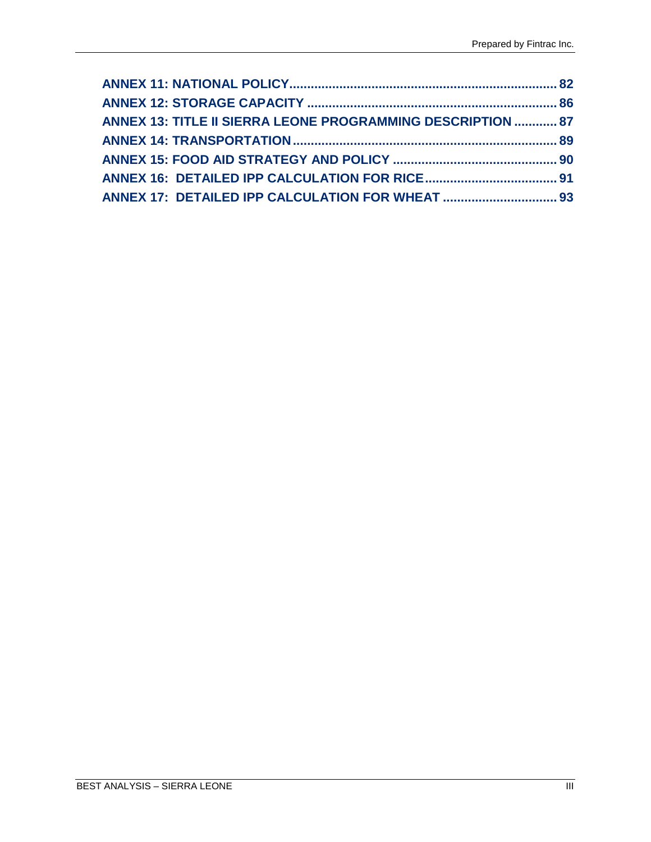| <b>ANNEX 13: TITLE II SIERRA LEONE PROGRAMMING DESCRIPTION  87</b> |  |
|--------------------------------------------------------------------|--|
|                                                                    |  |
|                                                                    |  |
|                                                                    |  |
|                                                                    |  |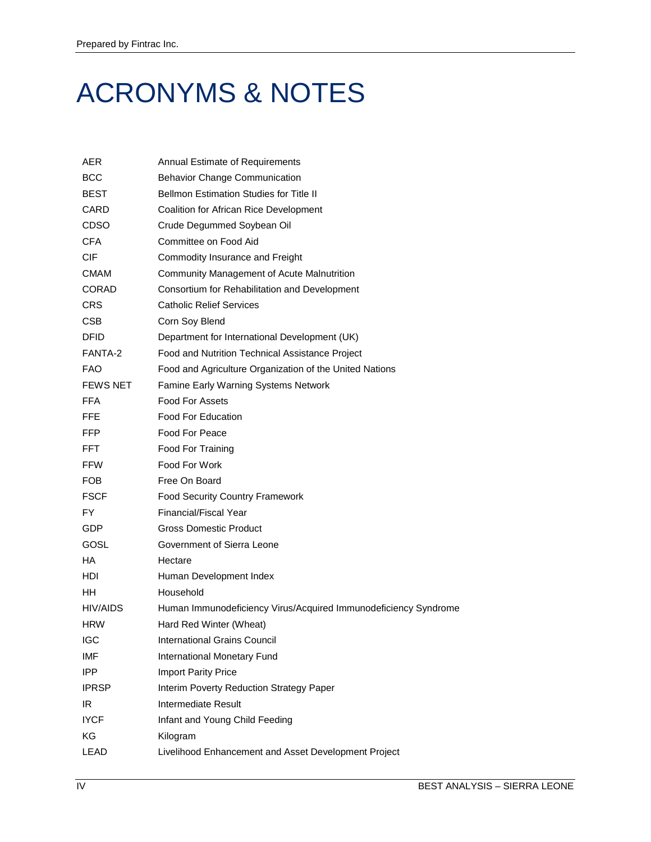### <span id="page-7-0"></span>ACRONYMS & NOTES

| AER             | <b>Annual Estimate of Requirements</b>                          |
|-----------------|-----------------------------------------------------------------|
| <b>BCC</b>      | <b>Behavior Change Communication</b>                            |
| <b>BEST</b>     | <b>Bellmon Estimation Studies for Title II</b>                  |
| CARD            | Coalition for African Rice Development                          |
| CDSO            | Crude Degummed Soybean Oil                                      |
| <b>CFA</b>      | Committee on Food Aid                                           |
| CIF             | Commodity Insurance and Freight                                 |
| <b>CMAM</b>     | Community Management of Acute Malnutrition                      |
| CORAD           | Consortium for Rehabilitation and Development                   |
| <b>CRS</b>      | <b>Catholic Relief Services</b>                                 |
| CSB             | Corn Soy Blend                                                  |
| <b>DFID</b>     | Department for International Development (UK)                   |
| FANTA-2         | Food and Nutrition Technical Assistance Project                 |
| <b>FAO</b>      | Food and Agriculture Organization of the United Nations         |
| <b>FEWS NET</b> | Famine Early Warning Systems Network                            |
| <b>FFA</b>      | <b>Food For Assets</b>                                          |
| FFE             | Food For Education                                              |
| <b>FFP</b>      | Food For Peace                                                  |
| FFT.            | Food For Training                                               |
| <b>FFW</b>      | Food For Work                                                   |
| FOB             | Free On Board                                                   |
| <b>FSCF</b>     | <b>Food Security Country Framework</b>                          |
| <b>FY</b>       | <b>Financial/Fiscal Year</b>                                    |
| <b>GDP</b>      | <b>Gross Domestic Product</b>                                   |
| GOSL            | Government of Sierra Leone                                      |
| HA              | Hectare                                                         |
| HDI             | Human Development Index                                         |
| HH.             | Household                                                       |
| HIV/AIDS        | Human Immunodeficiency Virus/Acquired Immunodeficiency Syndrome |
| <b>HRW</b>      | Hard Red Winter (Wheat)                                         |
| <b>IGC</b>      | <b>International Grains Council</b>                             |
| IMF             | International Monetary Fund                                     |
| <b>IPP</b>      | <b>Import Parity Price</b>                                      |
| <b>IPRSP</b>    | Interim Poverty Reduction Strategy Paper                        |
| IR              | Intermediate Result                                             |
| <b>IYCF</b>     | Infant and Young Child Feeding                                  |
| ΚG              | Kilogram                                                        |
| LEAD            | Livelihood Enhancement and Asset Development Project            |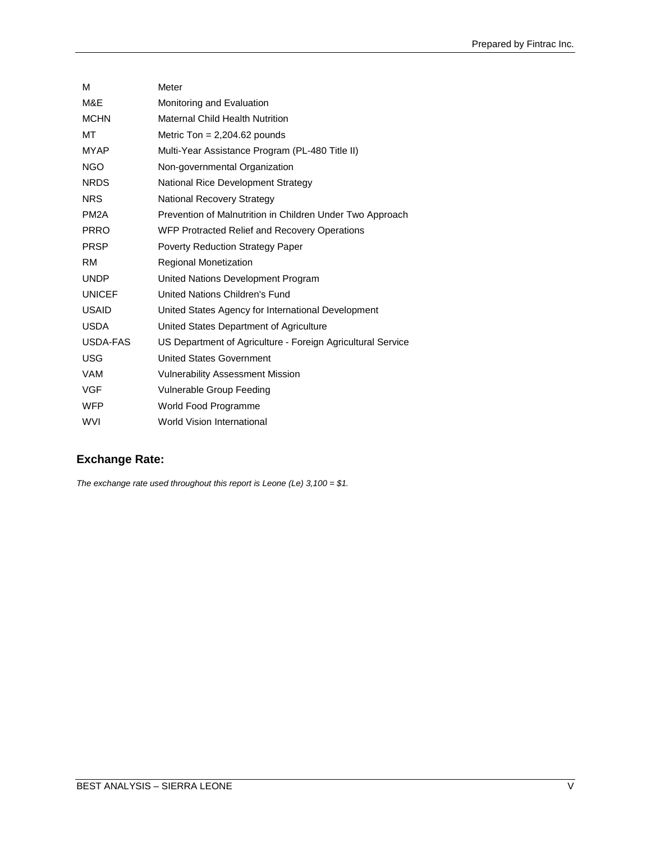| M                 | Meter                                                       |
|-------------------|-------------------------------------------------------------|
| M&E               | Monitoring and Evaluation                                   |
| <b>MCHN</b>       | Maternal Child Health Nutrition                             |
| МT                | Metric Ton = $2,204.62$ pounds                              |
| <b>MYAP</b>       | Multi-Year Assistance Program (PL-480 Title II)             |
| <b>NGO</b>        | Non-governmental Organization                               |
| <b>NRDS</b>       | National Rice Development Strategy                          |
| <b>NRS</b>        | National Recovery Strategy                                  |
| PM <sub>2</sub> A | Prevention of Malnutrition in Children Under Two Approach   |
| <b>PRRO</b>       | WFP Protracted Relief and Recovery Operations               |
| <b>PRSP</b>       | <b>Poverty Reduction Strategy Paper</b>                     |
| <b>RM</b>         | <b>Regional Monetization</b>                                |
| <b>UNDP</b>       | United Nations Development Program                          |
| <b>UNICEF</b>     | United Nations Children's Fund                              |
| <b>USAID</b>      | United States Agency for International Development          |
| <b>USDA</b>       | United States Department of Agriculture                     |
| USDA-FAS          | US Department of Agriculture - Foreign Agricultural Service |
| <b>USG</b>        | <b>United States Government</b>                             |
| <b>VAM</b>        | <b>Vulnerability Assessment Mission</b>                     |
| <b>VGF</b>        | Vulnerable Group Feeding                                    |
| <b>WFP</b>        | World Food Programme                                        |
| <b>WVI</b>        | <b>World Vision International</b>                           |

#### **Exchange Rate:**

*The exchange rate used throughout this report is Leone (Le) 3,100 = \$1.*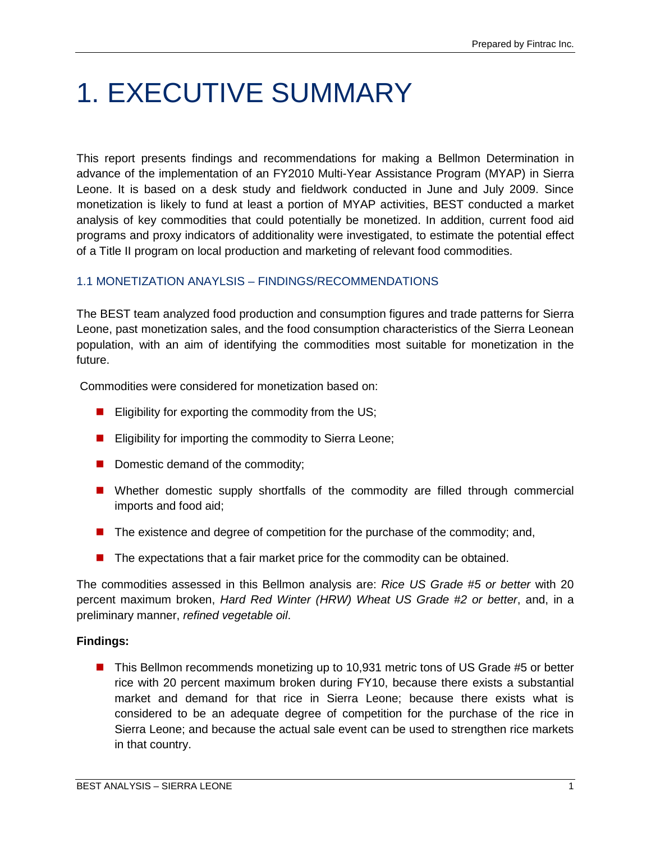### <span id="page-10-0"></span>1. EXECUTIVE SUMMARY

This report presents findings and recommendations for making a Bellmon Determination in advance of the implementation of an FY2010 Multi-Year Assistance Program (MYAP) in Sierra Leone. It is based on a desk study and fieldwork conducted in June and July 2009. Since monetization is likely to fund at least a portion of MYAP activities, BEST conducted a market analysis of key commodities that could potentially be monetized. In addition, current food aid programs and proxy indicators of additionality were investigated, to estimate the potential effect of a Title II program on local production and marketing of relevant food commodities.

#### <span id="page-10-1"></span>1.1 MONETIZATION ANAYLSIS – FINDINGS/RECOMMENDATIONS

The BEST team analyzed food production and consumption figures and trade patterns for Sierra Leone, past monetization sales, and the food consumption characteristics of the Sierra Leonean population, with an aim of identifying the commodities most suitable for monetization in the future.

Commodities were considered for monetization based on:

- **Eligibility for exporting the commodity from the US;**
- **E** Eligibility for importing the commodity to Sierra Leone;
- Domestic demand of the commodity;
- **Number Mether domestic supply shortfalls of the commodity are filled through commercial** imports and food aid;
- $\blacksquare$  The existence and degree of competition for the purchase of the commodity; and,
- **The expectations that a fair market price for the commodity can be obtained.**

The commodities assessed in this Bellmon analysis are: *Rice US Grade #5 or better* with 20 percent maximum broken, *Hard Red Winter (HRW) Wheat US Grade #2 or better*, and, in a preliminary manner, *refined vegetable oil*.

#### **Findings:**

■ This Bellmon recommends monetizing up to 10,931 metric tons of US Grade #5 or better rice with 20 percent maximum broken during FY10, because there exists a substantial market and demand for that rice in Sierra Leone; because there exists what is considered to be an adequate degree of competition for the purchase of the rice in Sierra Leone; and because the actual sale event can be used to strengthen rice markets in that country.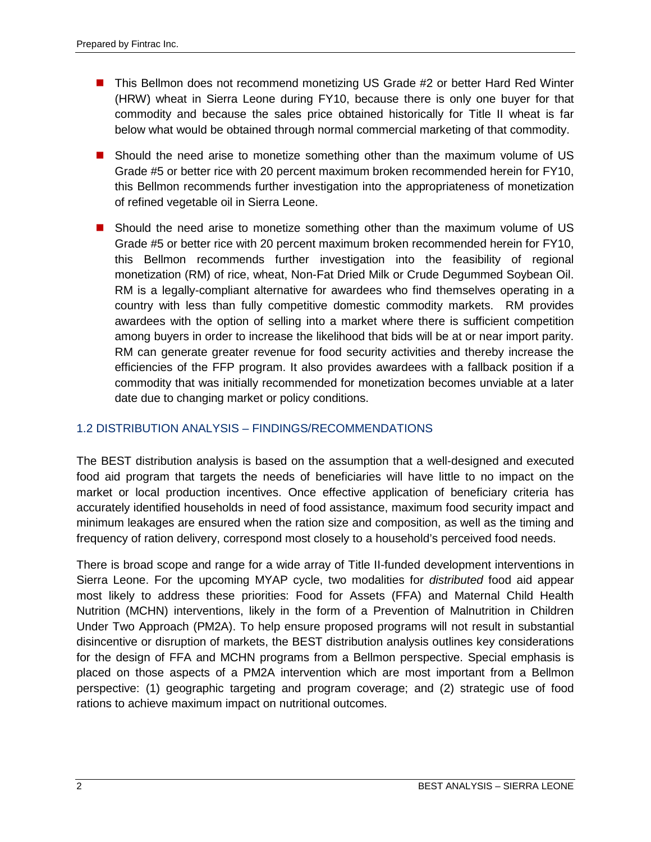- This Bellmon does not recommend monetizing US Grade #2 or better Hard Red Winter (HRW) wheat in Sierra Leone during FY10, because there is only one buyer for that commodity and because the sales price obtained historically for Title II wheat is far below what would be obtained through normal commercial marketing of that commodity.
- Should the need arise to monetize something other than the maximum volume of US Grade #5 or better rice with 20 percent maximum broken recommended herein for FY10, this Bellmon recommends further investigation into the appropriateness of monetization of refined vegetable oil in Sierra Leone.
- Should the need arise to monetize something other than the maximum volume of US Grade #5 or better rice with 20 percent maximum broken recommended herein for FY10, this Bellmon recommends further investigation into the feasibility of regional monetization (RM) of rice, wheat, Non-Fat Dried Milk or Crude Degummed Soybean Oil. RM is a legally-compliant alternative for awardees who find themselves operating in a country with less than fully competitive domestic commodity markets. RM provides awardees with the option of selling into a market where there is sufficient competition among buyers in order to increase the likelihood that bids will be at or near import parity. RM can generate greater revenue for food security activities and thereby increase the efficiencies of the FFP program. It also provides awardees with a fallback position if a commodity that was initially recommended for monetization becomes unviable at a later date due to changing market or policy conditions.

#### <span id="page-11-0"></span>1.2 DISTRIBUTION ANALYSIS – FINDINGS/RECOMMENDATIONS

The BEST distribution analysis is based on the assumption that a well-designed and executed food aid program that targets the needs of beneficiaries will have little to no impact on the market or local production incentives. Once effective application of beneficiary criteria has accurately identified households in need of food assistance, maximum food security impact and minimum leakages are ensured when the ration size and composition, as well as the timing and frequency of ration delivery, correspond most closely to a household's perceived food needs.

There is broad scope and range for a wide array of Title II-funded development interventions in Sierra Leone. For the upcoming MYAP cycle, two modalities for *distributed* food aid appear most likely to address these priorities: Food for Assets (FFA) and Maternal Child Health Nutrition (MCHN) interventions, likely in the form of a Prevention of Malnutrition in Children Under Two Approach (PM2A). To help ensure proposed programs will not result in substantial disincentive or disruption of markets, the BEST distribution analysis outlines key considerations for the design of FFA and MCHN programs from a Bellmon perspective. Special emphasis is placed on those aspects of a PM2A intervention which are most important from a Bellmon perspective: (1) geographic targeting and program coverage; and (2) strategic use of food rations to achieve maximum impact on nutritional outcomes.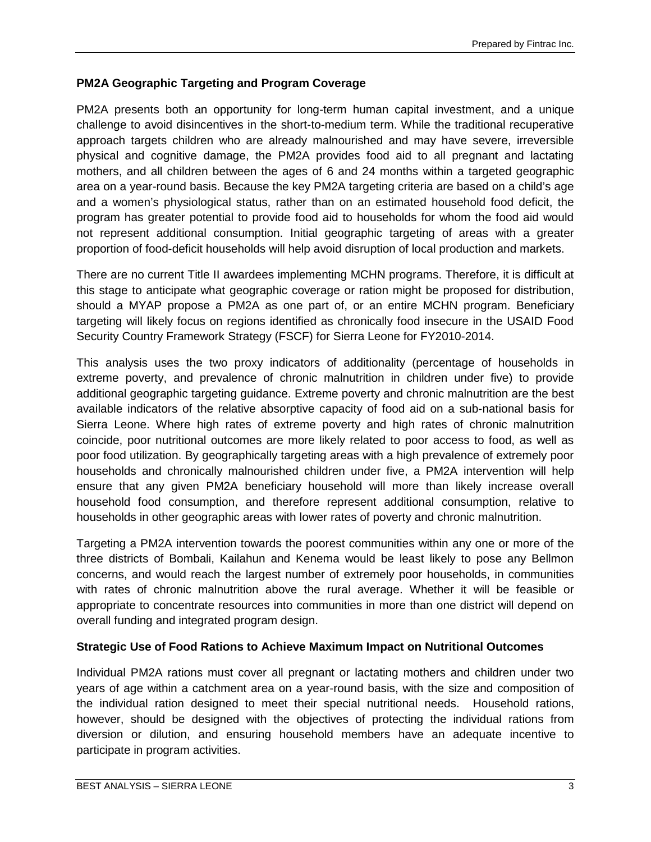#### **PM2A Geographic Targeting and Program Coverage**

PM2A presents both an opportunity for long-term human capital investment, and a unique challenge to avoid disincentives in the short-to-medium term. While the traditional recuperative approach targets children who are already malnourished and may have severe, irreversible physical and cognitive damage, the PM2A provides food aid to all pregnant and lactating mothers, and all children between the ages of 6 and 24 months within a targeted geographic area on a year-round basis. Because the key PM2A targeting criteria are based on a child's age and a women's physiological status, rather than on an estimated household food deficit, the program has greater potential to provide food aid to households for whom the food aid would not represent additional consumption. Initial geographic targeting of areas with a greater proportion of food-deficit households will help avoid disruption of local production and markets.

There are no current Title II awardees implementing MCHN programs. Therefore, it is difficult at this stage to anticipate what geographic coverage or ration might be proposed for distribution, should a MYAP propose a PM2A as one part of, or an entire MCHN program. Beneficiary targeting will likely focus on regions identified as chronically food insecure in the USAID Food Security Country Framework Strategy (FSCF) for Sierra Leone for FY2010-2014.

This analysis uses the two proxy indicators of additionality (percentage of households in extreme poverty, and prevalence of chronic malnutrition in children under five) to provide additional geographic targeting guidance. Extreme poverty and chronic malnutrition are the best available indicators of the relative absorptive capacity of food aid on a sub-national basis for Sierra Leone. Where high rates of extreme poverty and high rates of chronic malnutrition coincide, poor nutritional outcomes are more likely related to poor access to food, as well as poor food utilization. By geographically targeting areas with a high prevalence of extremely poor households and chronically malnourished children under five, a PM2A intervention will help ensure that any given PM2A beneficiary household will more than likely increase overall household food consumption, and therefore represent additional consumption, relative to households in other geographic areas with lower rates of poverty and chronic malnutrition.

Targeting a PM2A intervention towards the poorest communities within any one or more of the three districts of Bombali, Kailahun and Kenema would be least likely to pose any Bellmon concerns, and would reach the largest number of extremely poor households, in communities with rates of chronic malnutrition above the rural average. Whether it will be feasible or appropriate to concentrate resources into communities in more than one district will depend on overall funding and integrated program design.

#### **Strategic Use of Food Rations to Achieve Maximum Impact on Nutritional Outcomes**

Individual PM2A rations must cover all pregnant or lactating mothers and children under two years of age within a catchment area on a year-round basis, with the size and composition of the individual ration designed to meet their special nutritional needs. Household rations, however, should be designed with the objectives of protecting the individual rations from diversion or dilution, and ensuring household members have an adequate incentive to participate in program activities.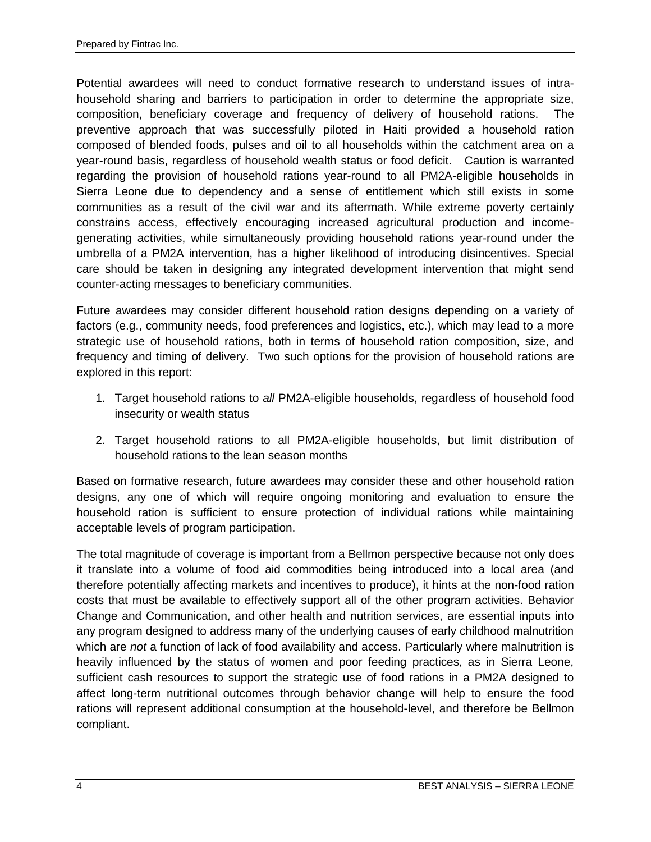Potential awardees will need to conduct formative research to understand issues of intrahousehold sharing and barriers to participation in order to determine the appropriate size, composition, beneficiary coverage and frequency of delivery of household rations. The preventive approach that was successfully piloted in Haiti provided a household ration composed of blended foods, pulses and oil to all households within the catchment area on a year-round basis, regardless of household wealth status or food deficit. Caution is warranted regarding the provision of household rations year-round to all PM2A-eligible households in Sierra Leone due to dependency and a sense of entitlement which still exists in some communities as a result of the civil war and its aftermath. While extreme poverty certainly constrains access, effectively encouraging increased agricultural production and incomegenerating activities, while simultaneously providing household rations year-round under the umbrella of a PM2A intervention, has a higher likelihood of introducing disincentives. Special care should be taken in designing any integrated development intervention that might send counter-acting messages to beneficiary communities.

Future awardees may consider different household ration designs depending on a variety of factors (e.g., community needs, food preferences and logistics, etc.), which may lead to a more strategic use of household rations, both in terms of household ration composition, size, and frequency and timing of delivery. Two such options for the provision of household rations are explored in this report:

- 1. Target household rations to *all* PM2A-eligible households, regardless of household food insecurity or wealth status
- 2. Target household rations to all PM2A-eligible households, but limit distribution of household rations to the lean season months

Based on formative research, future awardees may consider these and other household ration designs, any one of which will require ongoing monitoring and evaluation to ensure the household ration is sufficient to ensure protection of individual rations while maintaining acceptable levels of program participation.

The total magnitude of coverage is important from a Bellmon perspective because not only does it translate into a volume of food aid commodities being introduced into a local area (and therefore potentially affecting markets and incentives to produce), it hints at the non-food ration costs that must be available to effectively support all of the other program activities. Behavior Change and Communication, and other health and nutrition services, are essential inputs into any program designed to address many of the underlying causes of early childhood malnutrition which are *not* a function of lack of food availability and access. Particularly where malnutrition is heavily influenced by the status of women and poor feeding practices, as in Sierra Leone, sufficient cash resources to support the strategic use of food rations in a PM2A designed to affect long-term nutritional outcomes through behavior change will help to ensure the food rations will represent additional consumption at the household-level, and therefore be Bellmon compliant.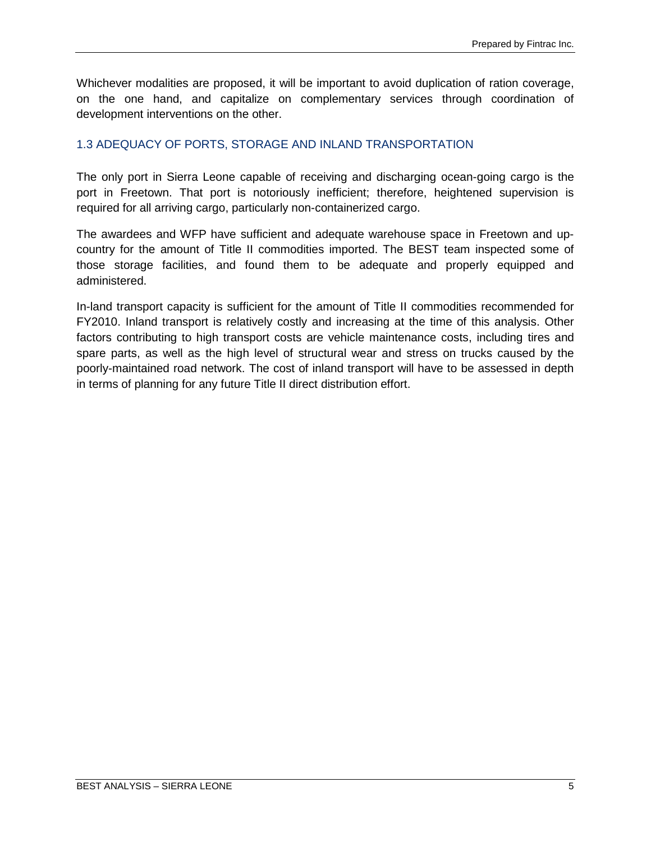Whichever modalities are proposed, it will be important to avoid duplication of ration coverage, on the one hand, and capitalize on complementary services through coordination of development interventions on the other.

#### <span id="page-14-0"></span>1.3 ADEQUACY OF PORTS, STORAGE AND INLAND TRANSPORTATION

The only port in Sierra Leone capable of receiving and discharging ocean-going cargo is the port in Freetown. That port is notoriously inefficient; therefore, heightened supervision is required for all arriving cargo, particularly non-containerized cargo.

The awardees and WFP have sufficient and adequate warehouse space in Freetown and upcountry for the amount of Title II commodities imported. The BEST team inspected some of those storage facilities, and found them to be adequate and properly equipped and administered.

In-land transport capacity is sufficient for the amount of Title II commodities recommended for FY2010. Inland transport is relatively costly and increasing at the time of this analysis. Other factors contributing to high transport costs are vehicle maintenance costs, including tires and spare parts, as well as the high level of structural wear and stress on trucks caused by the poorly-maintained road network. The cost of inland transport will have to be assessed in depth in terms of planning for any future Title II direct distribution effort.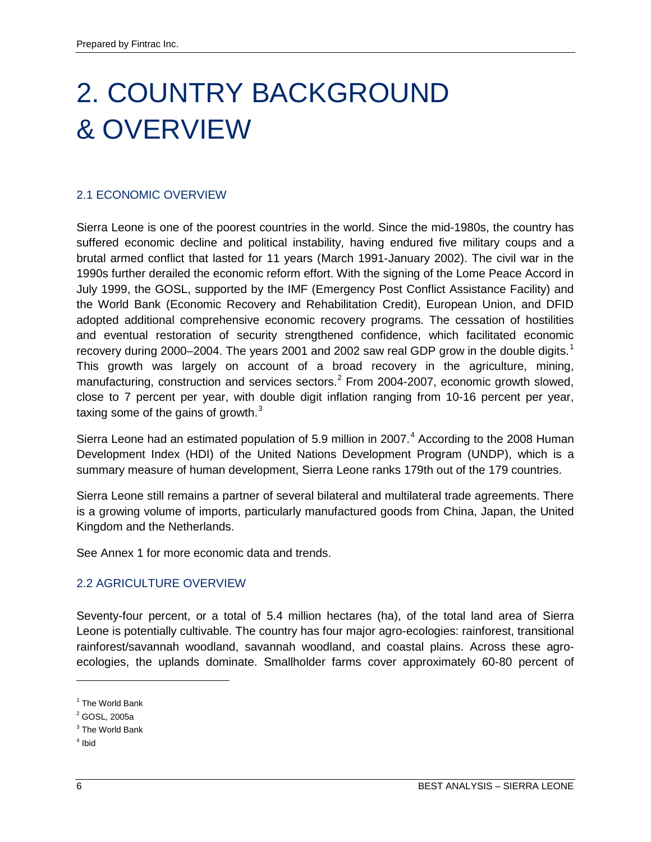## <span id="page-15-0"></span>2. COUNTRY BACKGROUND & OVERVIEW

#### <span id="page-15-1"></span>2.1 ECONOMIC OVERVIEW

Sierra Leone is one of the poorest countries in the world. Since the mid-1980s, the country has suffered economic decline and political instability, having endured five military coups and a brutal armed conflict that lasted for 11 years (March 1991-January 2002). The civil war in the 1990s further derailed the economic reform effort. With the signing of the Lome Peace Accord in July 1999, the GOSL, supported by the IMF (Emergency Post Conflict Assistance Facility) and the World Bank (Economic Recovery and Rehabilitation Credit), European Union, and DFID adopted additional comprehensive economic recovery programs. The cessation of hostilities and eventual restoration of security strengthened confidence, which facilitated economic recovery during 2000–2004. The years 200[1](#page-15-3) and 2002 saw real GDP grow in the double digits.<sup>1</sup> This growth was largely on account of a broad recovery in the agriculture, mining, manufacturing, construction and services sectors.<sup>[2](#page-15-4)</sup> From 2004-2007, economic growth slowed, close to 7 percent per year, with double digit inflation ranging from 10-16 percent per year, taxing some of the gains of growth. $3$ 

Sierra Leone had an estimated population of 5.9 million in 2007.<sup>[4](#page-15-6)</sup> According to the 2008 Human Development Index (HDI) of the United Nations Development Program (UNDP), which is a summary measure of human development, Sierra Leone ranks 179th out of the 179 countries.

Sierra Leone still remains a partner of several bilateral and multilateral trade agreements. There is a growing volume of imports, particularly manufactured goods from China, Japan, the United Kingdom and the Netherlands.

See Annex 1 for more economic data and trends.

#### <span id="page-15-2"></span>2.2 AGRICULTURE OVERVIEW

Seventy-four percent, or a total of 5.4 million hectares (ha), of the total land area of Sierra Leone is potentially cultivable. The country has four major agro-ecologies: rainforest, transitional rainforest/savannah woodland, savannah woodland, and coastal plains. Across these agroecologies, the uplands dominate. Smallholder farms cover approximately 60-80 percent of

- <span id="page-15-5"></span><sup>3</sup> The World Bank
- <span id="page-15-6"></span> $4$  Ibid

 $\ddot{\phantom{a}}$ 

<span id="page-15-3"></span><sup>&</sup>lt;sup>1</sup> The World Bank

<span id="page-15-4"></span><sup>2</sup> GOSL, 2005a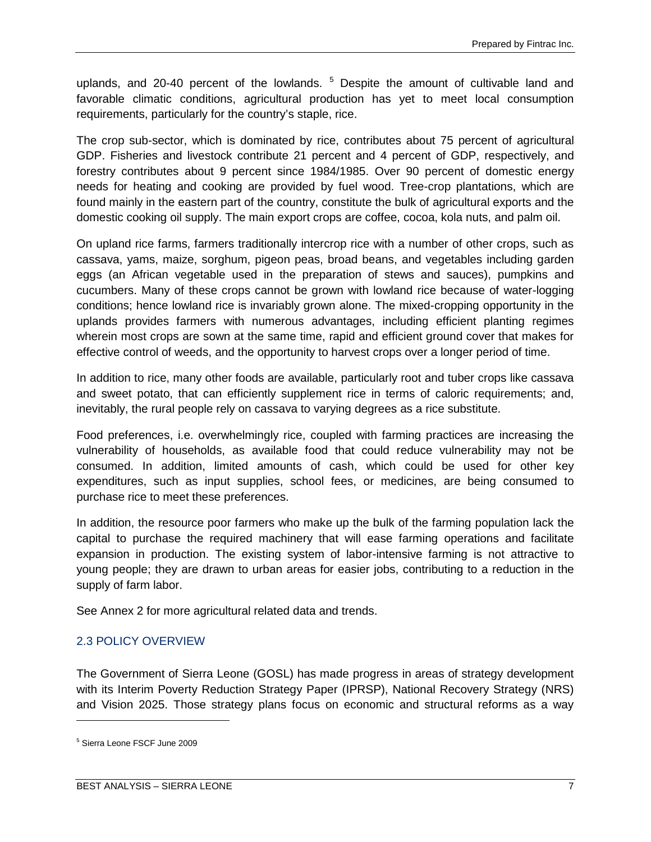uplands, and 20-40 percent of the lowlands. <sup>[5](#page-16-1)</sup> Despite the amount of cultivable land and favorable climatic conditions, agricultural production has yet to meet local consumption requirements, particularly for the country's staple, rice.

The crop sub-sector, which is dominated by rice, contributes about 75 percent of agricultural GDP. Fisheries and livestock contribute 21 percent and 4 percent of GDP, respectively, and forestry contributes about 9 percent since 1984/1985. Over 90 percent of domestic energy needs for heating and cooking are provided by fuel wood. Tree-crop plantations, which are found mainly in the eastern part of the country, constitute the bulk of agricultural exports and the domestic cooking oil supply. The main export crops are coffee, cocoa, kola nuts, and palm oil.

On upland rice farms, farmers traditionally intercrop rice with a number of other crops, such as cassava, yams, maize, sorghum, pigeon peas, broad beans, and vegetables including garden eggs (an African vegetable used in the preparation of stews and sauces), pumpkins and cucumbers. Many of these crops cannot be grown with lowland rice because of water-logging conditions; hence lowland rice is invariably grown alone. The mixed-cropping opportunity in the uplands provides farmers with numerous advantages, including efficient planting regimes wherein most crops are sown at the same time, rapid and efficient ground cover that makes for effective control of weeds, and the opportunity to harvest crops over a longer period of time.

In addition to rice, many other foods are available, particularly root and tuber crops like cassava and sweet potato, that can efficiently supplement rice in terms of caloric requirements; and, inevitably, the rural people rely on cassava to varying degrees as a rice substitute.

Food preferences, i.e. overwhelmingly rice, coupled with farming practices are increasing the vulnerability of households, as available food that could reduce vulnerability may not be consumed. In addition, limited amounts of cash, which could be used for other key expenditures, such as input supplies, school fees, or medicines, are being consumed to purchase rice to meet these preferences.

In addition, the resource poor farmers who make up the bulk of the farming population lack the capital to purchase the required machinery that will ease farming operations and facilitate expansion in production. The existing system of labor-intensive farming is not attractive to young people; they are drawn to urban areas for easier jobs, contributing to a reduction in the supply of farm labor.

See Annex 2 for more agricultural related data and trends.

#### <span id="page-16-0"></span>2.3 POLICY OVERVIEW

The Government of Sierra Leone (GOSL) has made progress in areas of strategy development with its Interim Poverty Reduction Strategy Paper (IPRSP), National Recovery Strategy (NRS) and Vision 2025. Those strategy plans focus on economic and structural reforms as a way

 $\overline{a}$ 

<span id="page-16-1"></span><sup>5</sup> Sierra Leone FSCF June 2009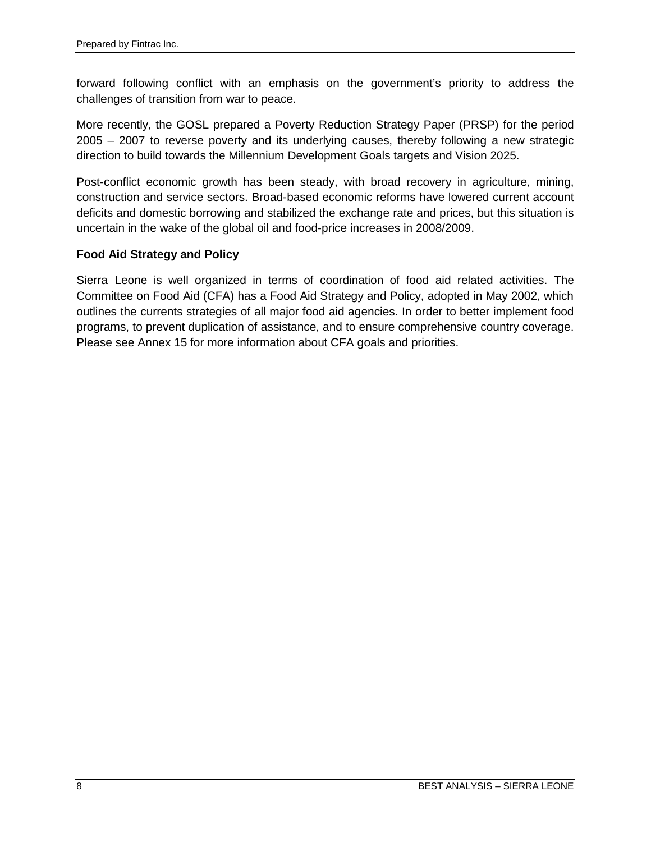forward following conflict with an emphasis on the government's priority to address the challenges of transition from war to peace.

More recently, the GOSL prepared a Poverty Reduction Strategy Paper (PRSP) for the period 2005 – 2007 to reverse poverty and its underlying causes, thereby following a new strategic direction to build towards the Millennium Development Goals targets and Vision 2025.

Post-conflict economic growth has been steady, with broad recovery in agriculture, mining, construction and service sectors. Broad-based economic reforms have lowered current account deficits and domestic borrowing and stabilized the exchange rate and prices, but this situation is uncertain in the wake of the global oil and food-price increases in 2008/2009.

#### **Food Aid Strategy and Policy**

Sierra Leone is well organized in terms of coordination of food aid related activities. The Committee on Food Aid (CFA) has a Food Aid Strategy and Policy, adopted in May 2002, which outlines the currents strategies of all major food aid agencies. In order to better implement food programs, to prevent duplication of assistance, and to ensure comprehensive country coverage. Please see Annex 15 for more information about CFA goals and priorities.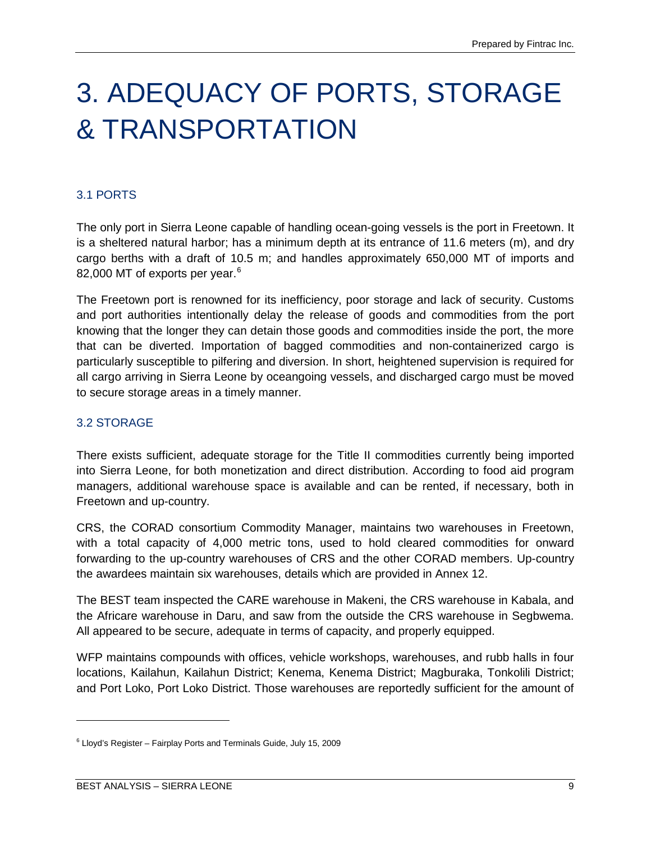### <span id="page-18-0"></span>3. ADEQUACY OF PORTS, STORAGE & TRANSPORTATION

#### <span id="page-18-1"></span>3.1 PORTS

The only port in Sierra Leone capable of handling ocean-going vessels is the port in Freetown. It is a sheltered natural harbor; has a minimum depth at its entrance of 11.6 meters (m), and dry cargo berths with a draft of 10.5 m; and handles approximately 650,000 MT of imports and 82,000 MT of exports per year.<sup>[6](#page-18-3)</sup>

The Freetown port is renowned for its inefficiency, poor storage and lack of security. Customs and port authorities intentionally delay the release of goods and commodities from the port knowing that the longer they can detain those goods and commodities inside the port, the more that can be diverted. Importation of bagged commodities and non-containerized cargo is particularly susceptible to pilfering and diversion. In short, heightened supervision is required for all cargo arriving in Sierra Leone by oceangoing vessels, and discharged cargo must be moved to secure storage areas in a timely manner.

#### <span id="page-18-2"></span>3.2 STORAGE

There exists sufficient, adequate storage for the Title II commodities currently being imported into Sierra Leone, for both monetization and direct distribution. According to food aid program managers, additional warehouse space is available and can be rented, if necessary, both in Freetown and up-country.

CRS, the CORAD consortium Commodity Manager, maintains two warehouses in Freetown, with a total capacity of 4,000 metric tons, used to hold cleared commodities for onward forwarding to the up-country warehouses of CRS and the other CORAD members. Up-country the awardees maintain six warehouses, details which are provided in Annex 12.

The BEST team inspected the CARE warehouse in Makeni, the CRS warehouse in Kabala, and the Africare warehouse in Daru, and saw from the outside the CRS warehouse in Segbwema. All appeared to be secure, adequate in terms of capacity, and properly equipped.

WFP maintains compounds with offices, vehicle workshops, warehouses, and rubb halls in four locations, Kailahun, Kailahun District; Kenema, Kenema District; Magburaka, Tonkolili District; and Port Loko, Port Loko District. Those warehouses are reportedly sufficient for the amount of

 $\overline{a}$ 

<span id="page-18-3"></span> $6$  Lloyd's Register - Fairplay Ports and Terminals Guide, July 15, 2009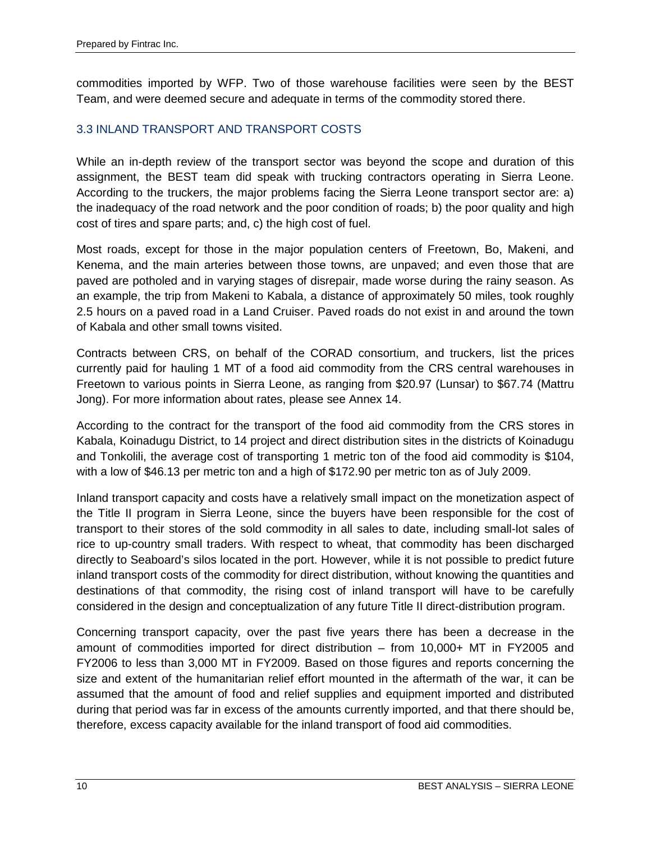commodities imported by WFP. Two of those warehouse facilities were seen by the BEST Team, and were deemed secure and adequate in terms of the commodity stored there.

#### <span id="page-19-0"></span>3.3 INLAND TRANSPORT AND TRANSPORT COSTS

While an in-depth review of the transport sector was beyond the scope and duration of this assignment, the BEST team did speak with trucking contractors operating in Sierra Leone. According to the truckers, the major problems facing the Sierra Leone transport sector are: a) the inadequacy of the road network and the poor condition of roads; b) the poor quality and high cost of tires and spare parts; and, c) the high cost of fuel.

Most roads, except for those in the major population centers of Freetown, Bo, Makeni, and Kenema, and the main arteries between those towns, are unpaved; and even those that are paved are potholed and in varying stages of disrepair, made worse during the rainy season. As an example, the trip from Makeni to Kabala, a distance of approximately 50 miles, took roughly 2.5 hours on a paved road in a Land Cruiser. Paved roads do not exist in and around the town of Kabala and other small towns visited.

Contracts between CRS, on behalf of the CORAD consortium, and truckers, list the prices currently paid for hauling 1 MT of a food aid commodity from the CRS central warehouses in Freetown to various points in Sierra Leone, as ranging from \$20.97 (Lunsar) to \$67.74 (Mattru Jong). For more information about rates, please see Annex 14.

According to the contract for the transport of the food aid commodity from the CRS stores in Kabala, Koinadugu District, to 14 project and direct distribution sites in the districts of Koinadugu and Tonkolili, the average cost of transporting 1 metric ton of the food aid commodity is \$104, with a low of \$46.13 per metric ton and a high of \$172.90 per metric ton as of July 2009.

Inland transport capacity and costs have a relatively small impact on the monetization aspect of the Title II program in Sierra Leone, since the buyers have been responsible for the cost of transport to their stores of the sold commodity in all sales to date, including small-lot sales of rice to up-country small traders. With respect to wheat, that commodity has been discharged directly to Seaboard's silos located in the port. However, while it is not possible to predict future inland transport costs of the commodity for direct distribution, without knowing the quantities and destinations of that commodity, the rising cost of inland transport will have to be carefully considered in the design and conceptualization of any future Title II direct-distribution program.

Concerning transport capacity, over the past five years there has been a decrease in the amount of commodities imported for direct distribution – from 10,000+ MT in FY2005 and FY2006 to less than 3,000 MT in FY2009. Based on those figures and reports concerning the size and extent of the humanitarian relief effort mounted in the aftermath of the war, it can be assumed that the amount of food and relief supplies and equipment imported and distributed during that period was far in excess of the amounts currently imported, and that there should be, therefore, excess capacity available for the inland transport of food aid commodities.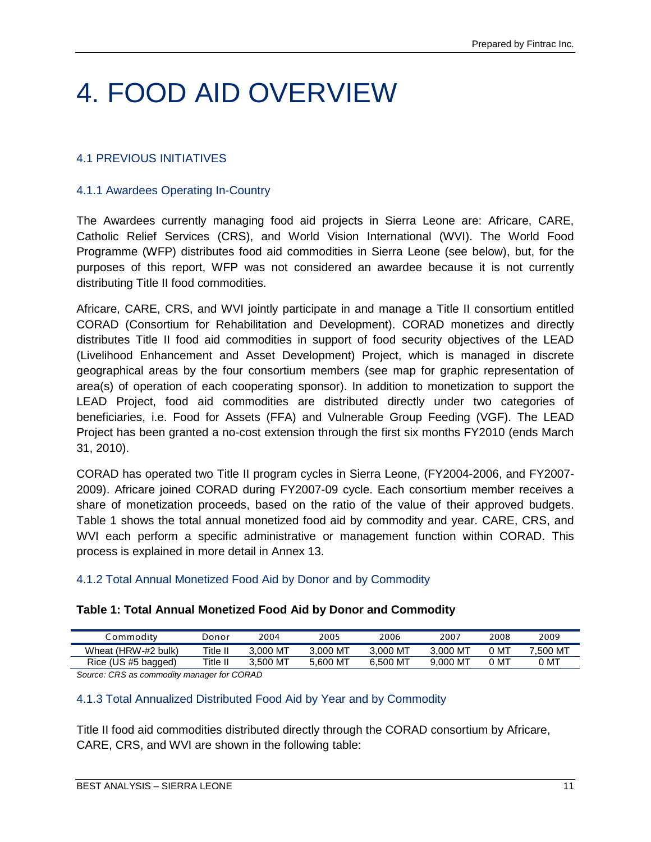## <span id="page-20-0"></span>4. FOOD AID OVERVIEW

#### <span id="page-20-1"></span>4.1 PREVIOUS INITIATIVES

#### 4.1.1 Awardees Operating In-Country

The Awardees currently managing food aid projects in Sierra Leone are: Africare, CARE, Catholic Relief Services (CRS), and World Vision International (WVI). The World Food Programme (WFP) distributes food aid commodities in Sierra Leone (see below), but, for the purposes of this report, WFP was not considered an awardee because it is not currently distributing Title II food commodities.

Africare, CARE, CRS, and WVI jointly participate in and manage a Title II consortium entitled CORAD (Consortium for Rehabilitation and Development). CORAD monetizes and directly distributes Title II food aid commodities in support of food security objectives of the LEAD (Livelihood Enhancement and Asset Development) Project, which is managed in discrete geographical areas by the four consortium members (see map for graphic representation of area(s) of operation of each cooperating sponsor). In addition to monetization to support the LEAD Project, food aid commodities are distributed directly under two categories of beneficiaries, i.e. Food for Assets (FFA) and Vulnerable Group Feeding (VGF). The LEAD Project has been granted a no-cost extension through the first six months FY2010 (ends March 31, 2010).

CORAD has operated two Title II program cycles in Sierra Leone, (FY2004-2006, and FY2007- 2009). Africare joined CORAD during FY2007-09 cycle. Each consortium member receives a share of monetization proceeds, based on the ratio of the value of their approved budgets. Table 1 shows the total annual monetized food aid by commodity and year. CARE, CRS, and WVI each perform a specific administrative or management function within CORAD. This process is explained in more detail in Annex 13.

#### 4.1.2 Total Annual Monetized Food Aid by Donor and by Commodity

#### **Table 1: Total Annual Monetized Food Aid by Donor and Commodity**

| . ommoditv          | Jonor    | 2004          | 2005      | 2006     | 2007          | 2008 | 2009     |
|---------------------|----------|---------------|-----------|----------|---------------|------|----------|
| Wheat (HRW-#2 bulk) | Title II | , MT<br>3.000 | $.000$ MT | 3.000 MT | ת ∫<br>3.000  | MT ر | 7.500 MT |
| Rice (US #5 bagged) | Title II | ת (<br>3.500  | 600 MT.د  | 6.500 MT | МТ ر<br>9.000 | MT   | 0 MT     |

*Source: CRS as commodity manager for CORAD*

#### 4.1.3 Total Annualized Distributed Food Aid by Year and by Commodity

Title II food aid commodities distributed directly through the CORAD consortium by Africare, CARE, CRS, and WVI are shown in the following table: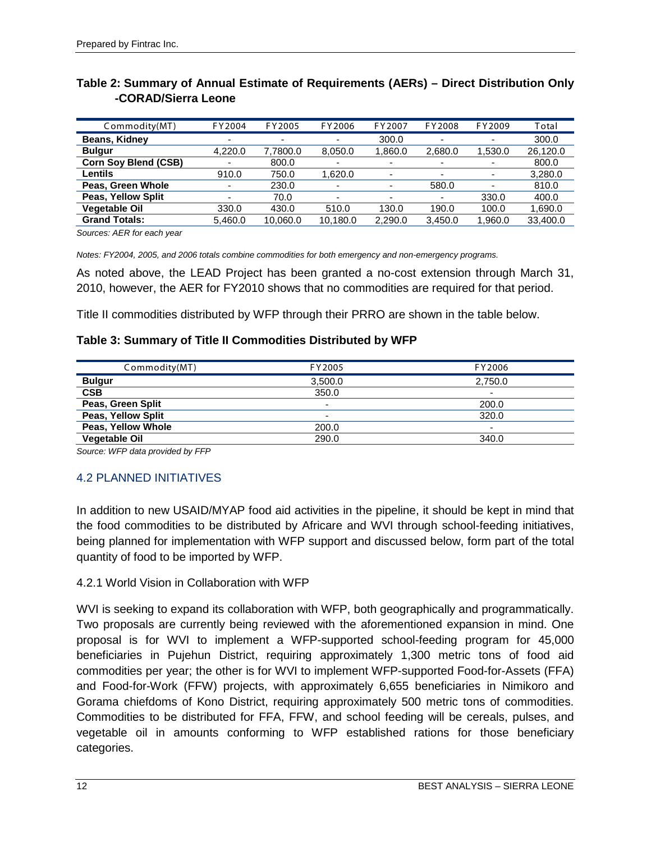| Commodity(MT)               | FY2004                   | FY2005                   | FY2006                   | FY2007                   | FY2008                   | FY2009                   | Total    |
|-----------------------------|--------------------------|--------------------------|--------------------------|--------------------------|--------------------------|--------------------------|----------|
| Beans, Kidney               | $\overline{\phantom{a}}$ | $\overline{\phantom{0}}$ | ۰                        | 300.0                    | -                        | $\overline{\phantom{0}}$ | 300.0    |
| <b>Bulgur</b>               | 4,220.0                  | 7,7800.0                 | 8,050.0                  | 1,860.0                  | 2,680.0                  | 1,530.0                  | 26,120.0 |
| <b>Corn Soy Blend (CSB)</b> |                          | 800.0                    | $\overline{\phantom{0}}$ | $\overline{\phantom{0}}$ | $\overline{\phantom{0}}$ | ٠                        | 800.0    |
| Lentils                     | 910.0                    | 750.0                    | 1.620.0                  | $\overline{\phantom{a}}$ | $\overline{\phantom{0}}$ | $\overline{\phantom{a}}$ | 3,280.0  |
| Peas, Green Whole           | -                        | 230.0                    | ٠                        | ۰                        | 580.0                    | ۰                        | 810.0    |
| Peas, Yellow Split          |                          | 70.0                     |                          | $\overline{\phantom{0}}$ |                          | 330.0                    | 400.0    |
| <b>Vegetable Oil</b>        | 330.0                    | 430.0                    | 510.0                    | 130.0                    | 190.0                    | 100.0                    | 1.690.0  |
| <b>Grand Totals:</b>        | 5,460.0                  | 10,060.0                 | 10,180.0                 | 2.290.0                  | 3.450.0                  | 1,960.0                  | 33,400.0 |

#### **Table 2: Summary of Annual Estimate of Requirements (AERs) – Direct Distribution Only -CORAD/Sierra Leone**

*Sources: AER for each year*

*Notes: FY2004, 2005, and 2006 totals combine commodities for both emergency and non-emergency programs.*

As noted above, the LEAD Project has been granted a no-cost extension through March 31, 2010, however, the AER for FY2010 shows that no commodities are required for that period.

Title II commodities distributed by WFP through their PRRO are shown in the table below.

#### **Table 3: Summary of Title II Commodities Distributed by WFP**

| Commodity(MT)        | FY2005                   | FY2006                   |
|----------------------|--------------------------|--------------------------|
| <b>Bulgur</b>        | 3.500.0                  | 2.750.0                  |
| <b>CSB</b>           | 350.0                    | $\overline{\phantom{0}}$ |
| Peas, Green Split    | $\overline{\phantom{a}}$ | 200.0                    |
| Peas, Yellow Split   | $\overline{\phantom{a}}$ | 320.0                    |
| Peas, Yellow Whole   | 200.0                    | $\overline{\phantom{0}}$ |
| <b>Vegetable Oil</b> | 290.0                    | 340.0                    |

*Source: WFP data provided by FFP*

#### <span id="page-21-0"></span>4.2 PLANNED INITIATIVES

In addition to new USAID/MYAP food aid activities in the pipeline, it should be kept in mind that the food commodities to be distributed by Africare and WVI through school-feeding initiatives, being planned for implementation with WFP support and discussed below, form part of the total quantity of food to be imported by WFP.

#### 4.2.1 World Vision in Collaboration with WFP

WVI is seeking to expand its collaboration with WFP, both geographically and programmatically. Two proposals are currently being reviewed with the aforementioned expansion in mind. One proposal is for WVI to implement a WFP-supported school-feeding program for 45,000 beneficiaries in Pujehun District, requiring approximately 1,300 metric tons of food aid commodities per year; the other is for WVI to implement WFP-supported Food-for-Assets (FFA) and Food-for-Work (FFW) projects, with approximately 6,655 beneficiaries in Nimikoro and Gorama chiefdoms of Kono District, requiring approximately 500 metric tons of commodities. Commodities to be distributed for FFA, FFW, and school feeding will be cereals, pulses, and vegetable oil in amounts conforming to WFP established rations for those beneficiary categories.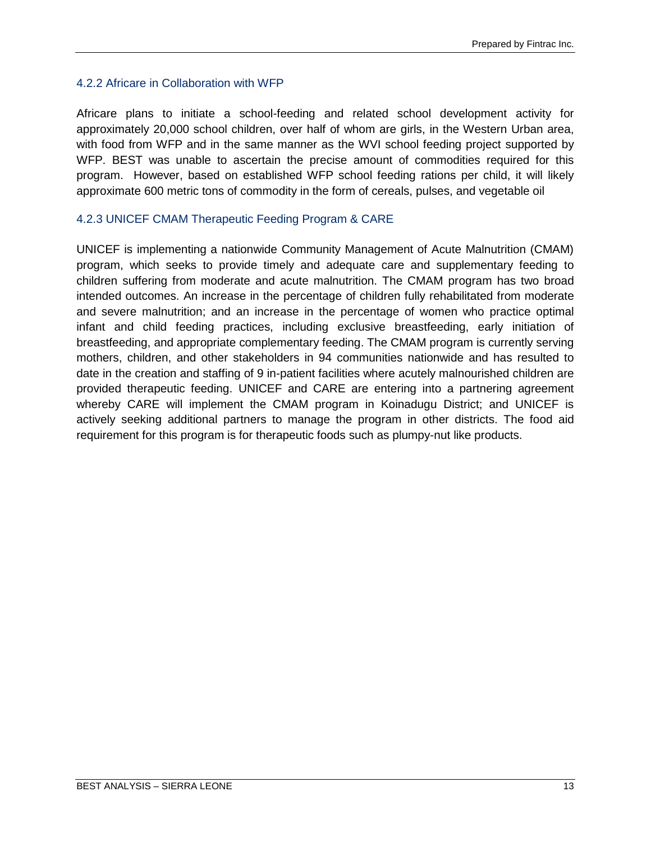#### 4.2.2 Africare in Collaboration with WFP

Africare plans to initiate a school-feeding and related school development activity for approximately 20,000 school children, over half of whom are girls, in the Western Urban area, with food from WFP and in the same manner as the WVI school feeding project supported by WFP. BEST was unable to ascertain the precise amount of commodities required for this program. However, based on established WFP school feeding rations per child, it will likely approximate 600 metric tons of commodity in the form of cereals, pulses, and vegetable oil

#### 4.2.3 UNICEF CMAM Therapeutic Feeding Program & CARE

UNICEF is implementing a nationwide Community Management of Acute Malnutrition (CMAM) program, which seeks to provide timely and adequate care and supplementary feeding to children suffering from moderate and acute malnutrition. The CMAM program has two broad intended outcomes. An increase in the percentage of children fully rehabilitated from moderate and severe malnutrition; and an increase in the percentage of women who practice optimal infant and child feeding practices, including exclusive breastfeeding, early initiation of breastfeeding, and appropriate complementary feeding. The CMAM program is currently serving mothers, children, and other stakeholders in 94 communities nationwide and has resulted to date in the creation and staffing of 9 in-patient facilities where acutely malnourished children are provided therapeutic feeding. UNICEF and CARE are entering into a partnering agreement whereby CARE will implement the CMAM program in Koinadugu District; and UNICEF is actively seeking additional partners to manage the program in other districts. The food aid requirement for this program is for therapeutic foods such as plumpy-nut like products.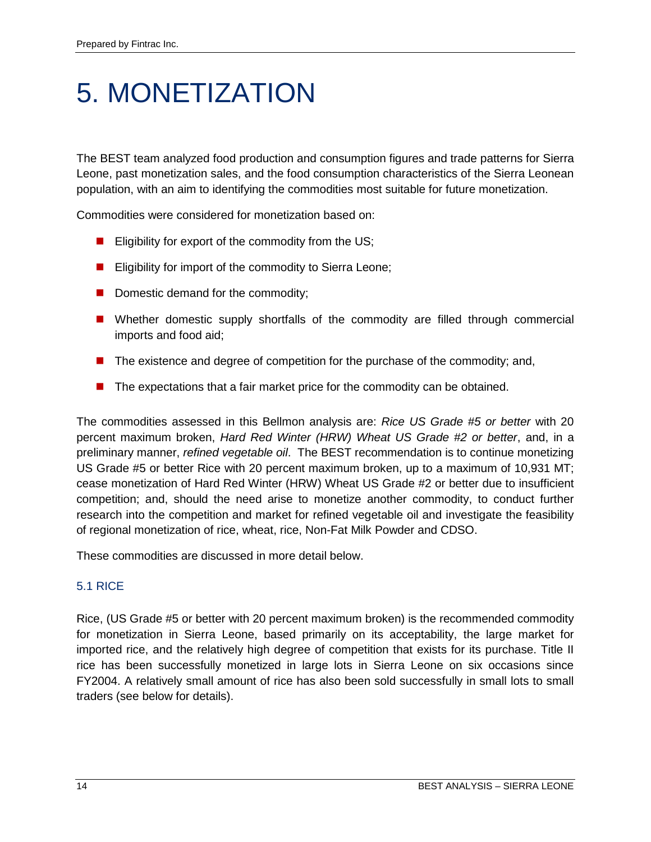### <span id="page-23-0"></span>5. MONETIZATION

The BEST team analyzed food production and consumption figures and trade patterns for Sierra Leone, past monetization sales, and the food consumption characteristics of the Sierra Leonean population, with an aim to identifying the commodities most suitable for future monetization.

Commodities were considered for monetization based on:

- Eligibility for export of the commodity from the US;
- **Eligibility for import of the commodity to Sierra Leone;**
- Domestic demand for the commodity;
- Whether domestic supply shortfalls of the commodity are filled through commercial imports and food aid;
- The existence and degree of competition for the purchase of the commodity; and,
- **The expectations that a fair market price for the commodity can be obtained.**

The commodities assessed in this Bellmon analysis are: *Rice US Grade #5 or better* with 20 percent maximum broken, *Hard Red Winter (HRW) Wheat US Grade #2 or better*, and, in a preliminary manner, *refined vegetable oil*. The BEST recommendation is to continue monetizing US Grade #5 or better Rice with 20 percent maximum broken, up to a maximum of 10,931 MT; cease monetization of Hard Red Winter (HRW) Wheat US Grade #2 or better due to insufficient competition; and, should the need arise to monetize another commodity, to conduct further research into the competition and market for refined vegetable oil and investigate the feasibility of regional monetization of rice, wheat, rice, Non-Fat Milk Powder and CDSO.

These commodities are discussed in more detail below.

#### <span id="page-23-1"></span>5.1 RICE

Rice, (US Grade #5 or better with 20 percent maximum broken) is the recommended commodity for monetization in Sierra Leone, based primarily on its acceptability, the large market for imported rice, and the relatively high degree of competition that exists for its purchase. Title II rice has been successfully monetized in large lots in Sierra Leone on six occasions since FY2004. A relatively small amount of rice has also been sold successfully in small lots to small traders (see below for details).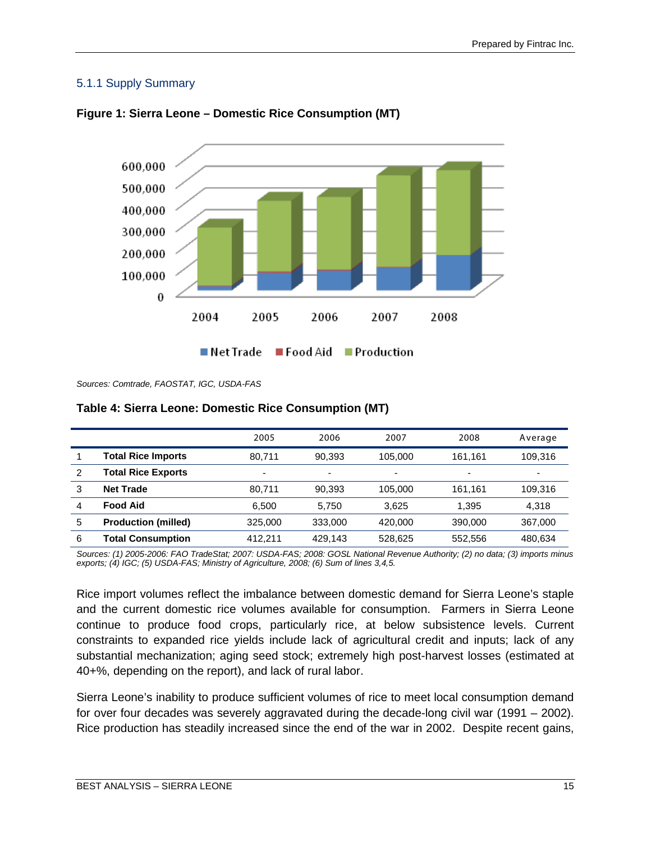#### 5.1.1 Supply Summary





*Sources: Comtrade, FAOSTAT, IGC, USDA-FAS*

| Table 4: Sierra Leone: Domestic Rice Consumption (MT) |  |
|-------------------------------------------------------|--|
|-------------------------------------------------------|--|

|   |                            | 2005    | 2006                     | 2007                     | 2008    | Average                  |
|---|----------------------------|---------|--------------------------|--------------------------|---------|--------------------------|
|   | <b>Total Rice Imports</b>  | 80.711  | 90.393                   | 105.000                  | 161.161 | 109.316                  |
| 2 | <b>Total Rice Exports</b>  | -       | $\overline{\phantom{0}}$ | $\overline{\phantom{0}}$ |         | $\overline{\phantom{0}}$ |
| 3 | <b>Net Trade</b>           | 80.711  | 90.393                   | 105.000                  | 161.161 | 109.316                  |
| 4 | <b>Food Aid</b>            | 6.500   | 5.750                    | 3.625                    | 1.395   | 4.318                    |
| 5 | <b>Production (milled)</b> | 325,000 | 333,000                  | 420,000                  | 390,000 | 367.000                  |
| 6 | <b>Total Consumption</b>   | 412.211 | 429,143                  | 528,625                  | 552,556 | 480,634                  |

*Sources: (1) 2005-2006: FAO TradeStat; 2007: USDA-FAS; 2008: GOSL National Revenue Authority; (2) no data; (3) imports minus exports; (4) IGC; (5) USDA-FAS; Ministry of Agriculture, 2008; (6) Sum of lines 3,4,5.* 

Rice import volumes reflect the imbalance between domestic demand for Sierra Leone's staple and the current domestic rice volumes available for consumption. Farmers in Sierra Leone continue to produce food crops, particularly rice, at below subsistence levels. Current constraints to expanded rice yields include lack of agricultural credit and inputs; lack of any substantial mechanization; aging seed stock; extremely high post-harvest losses (estimated at 40+%, depending on the report), and lack of rural labor.

Sierra Leone's inability to produce sufficient volumes of rice to meet local consumption demand for over four decades was severely aggravated during the decade-long civil war (1991 – 2002). Rice production has steadily increased since the end of the war in 2002. Despite recent gains,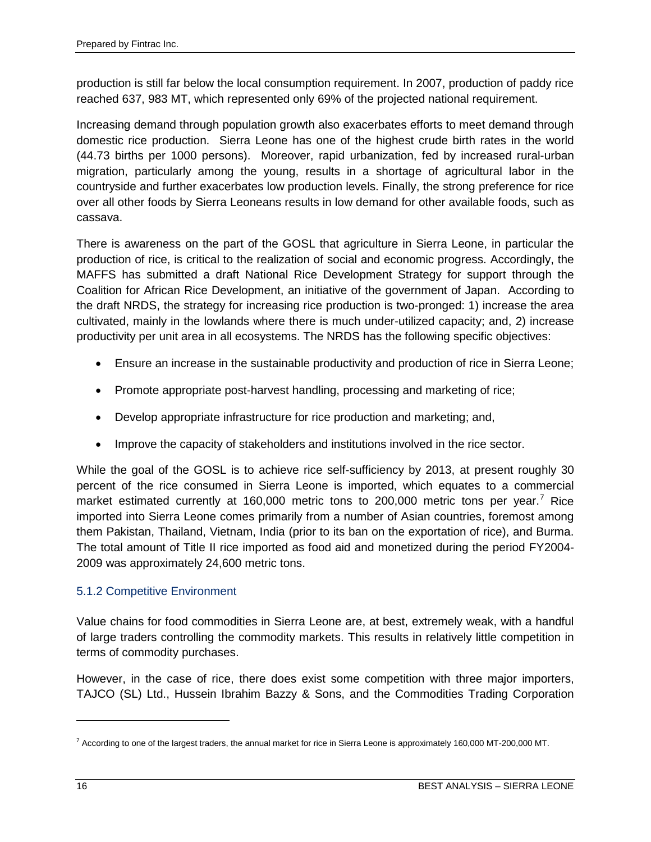production is still far below the local consumption requirement. In 2007, production of paddy rice reached 637, 983 MT, which represented only 69% of the projected national requirement.

Increasing demand through population growth also exacerbates efforts to meet demand through domestic rice production. Sierra Leone has one of the highest crude birth rates in the world (44.73 births per 1000 persons). Moreover, rapid urbanization, fed by increased rural-urban migration, particularly among the young, results in a shortage of agricultural labor in the countryside and further exacerbates low production levels. Finally, the strong preference for rice over all other foods by Sierra Leoneans results in low demand for other available foods, such as cassava.

There is awareness on the part of the GOSL that agriculture in Sierra Leone, in particular the production of rice, is critical to the realization of social and economic progress. Accordingly, the MAFFS has submitted a draft National Rice Development Strategy for support through the Coalition for African Rice Development, an initiative of the government of Japan. According to the draft NRDS, the strategy for increasing rice production is two-pronged: 1) increase the area cultivated, mainly in the lowlands where there is much under-utilized capacity; and, 2) increase productivity per unit area in all ecosystems. The NRDS has the following specific objectives:

- Ensure an increase in the sustainable productivity and production of rice in Sierra Leone;
- Promote appropriate post-harvest handling, processing and marketing of rice;
- Develop appropriate infrastructure for rice production and marketing; and,
- Improve the capacity of stakeholders and institutions involved in the rice sector.

While the goal of the GOSL is to achieve rice self-sufficiency by 2013, at present roughly 30 percent of the rice consumed in Sierra Leone is imported, which equates to a commercial market estimated currently at 160,000 metric tons to 200,000 metric tons per year.<sup>[7](#page-25-0)</sup> Rice imported into Sierra Leone comes primarily from a number of Asian countries, foremost among them Pakistan, Thailand, Vietnam, India (prior to its ban on the exportation of rice), and Burma. The total amount of Title II rice imported as food aid and monetized during the period FY2004- 2009 was approximately 24,600 metric tons.

#### 5.1.2 Competitive Environment

Value chains for food commodities in Sierra Leone are, at best, extremely weak, with a handful of large traders controlling the commodity markets. This results in relatively little competition in terms of commodity purchases.

However, in the case of rice, there does exist some competition with three major importers, TAJCO (SL) Ltd., Hussein Ibrahim Bazzy & Sons, and the Commodities Trading Corporation

 $\overline{a}$ 

<span id="page-25-0"></span> $^7$  According to one of the largest traders, the annual market for rice in Sierra Leone is approximately 160,000 MT-200,000 MT.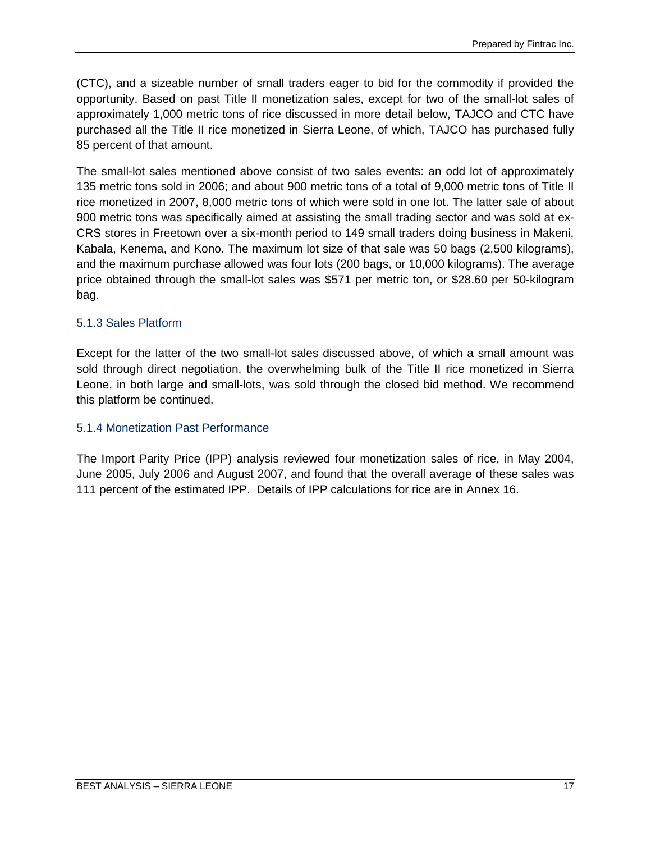(CTC), and a sizeable number of small traders eager to bid for the commodity if provided the opportunity. Based on past Title II monetization sales, except for two of the small-lot sales of approximately 1,000 metric tons of rice discussed in more detail below, TAJCO and CTC have purchased all the Title II rice monetized in Sierra Leone, of which, TAJCO has purchased fully 85 percent of that amount.

The small-lot sales mentioned above consist of two sales events: an odd lot of approximately 135 metric tons sold in 2006; and about 900 metric tons of a total of 9,000 metric tons of Title II rice monetized in 2007, 8,000 metric tons of which were sold in one lot. The latter sale of about 900 metric tons was specifically aimed at assisting the small trading sector and was sold at ex-CRS stores in Freetown over a six-month period to 149 small traders doing business in Makeni, Kabala, Kenema, and Kono. The maximum lot size of that sale was 50 bags (2,500 kilograms), and the maximum purchase allowed was four lots (200 bags, or 10,000 kilograms). The average price obtained through the small-lot sales was \$571 per metric ton, or \$28.60 per 50-kilogram bag.

#### 5.1.3 Sales Platform

Except for the latter of the two small-lot sales discussed above, of which a small amount was sold through direct negotiation, the overwhelming bulk of the Title II rice monetized in Sierra Leone, in both large and small-lots, was sold through the closed bid method. We recommend this platform be continued.

#### 5.1.4 Monetization Past Performance

The Import Parity Price (IPP) analysis reviewed four monetization sales of rice, in May 2004, June 2005, July 2006 and August 2007, and found that the overall average of these sales was 111 percent of the estimated IPP. Details of IPP calculations for rice are in Annex 16.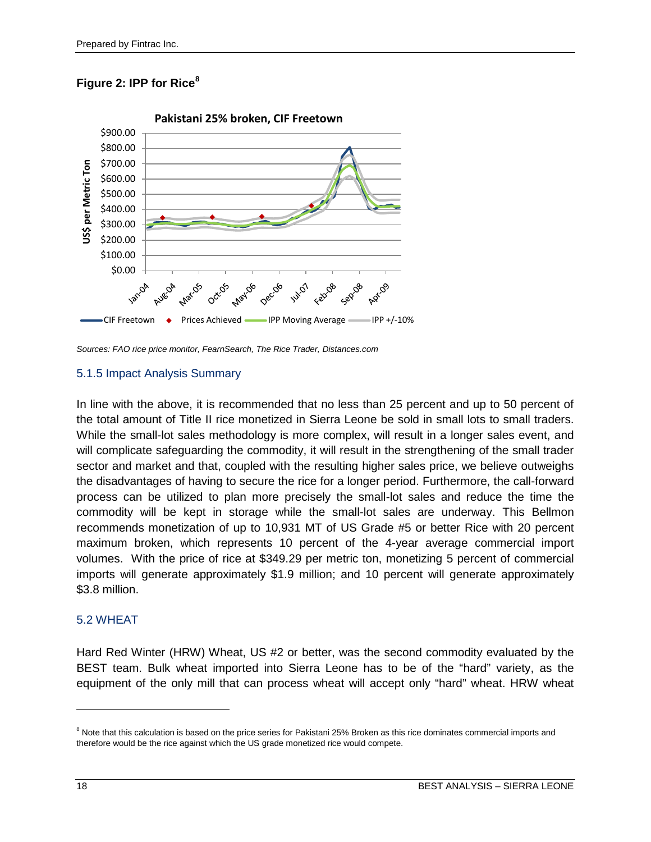#### **Figure 2: IPP for Rice[8](#page-27-1)**



*Sources: FAO rice price monitor, FearnSearch, The Rice Trader, Distances.com*

#### 5.1.5 Impact Analysis Summary

In line with the above, it is recommended that no less than 25 percent and up to 50 percent of the total amount of Title II rice monetized in Sierra Leone be sold in small lots to small traders. While the small-lot sales methodology is more complex, will result in a longer sales event, and will complicate safeguarding the commodity, it will result in the strengthening of the small trader sector and market and that, coupled with the resulting higher sales price, we believe outweighs the disadvantages of having to secure the rice for a longer period. Furthermore, the call-forward process can be utilized to plan more precisely the small-lot sales and reduce the time the commodity will be kept in storage while the small-lot sales are underway. This Bellmon recommends monetization of up to 10,931 MT of US Grade #5 or better Rice with 20 percent maximum broken, which represents 10 percent of the 4-year average commercial import volumes. With the price of rice at \$349.29 per metric ton, monetizing 5 percent of commercial imports will generate approximately \$1.9 million; and 10 percent will generate approximately \$3.8 million.

#### <span id="page-27-0"></span>5.2 WHEAT

Hard Red Winter (HRW) Wheat, US #2 or better, was the second commodity evaluated by the BEST team. Bulk wheat imported into Sierra Leone has to be of the "hard" variety, as the equipment of the only mill that can process wheat will accept only "hard" wheat. HRW wheat

 $\ddot{\phantom{a}}$ 

<span id="page-27-1"></span><sup>&</sup>lt;sup>8</sup> Note that this calculation is based on the price series for Pakistani 25% Broken as this rice dominates commercial imports and therefore would be the rice against which the US grade monetized rice would compete.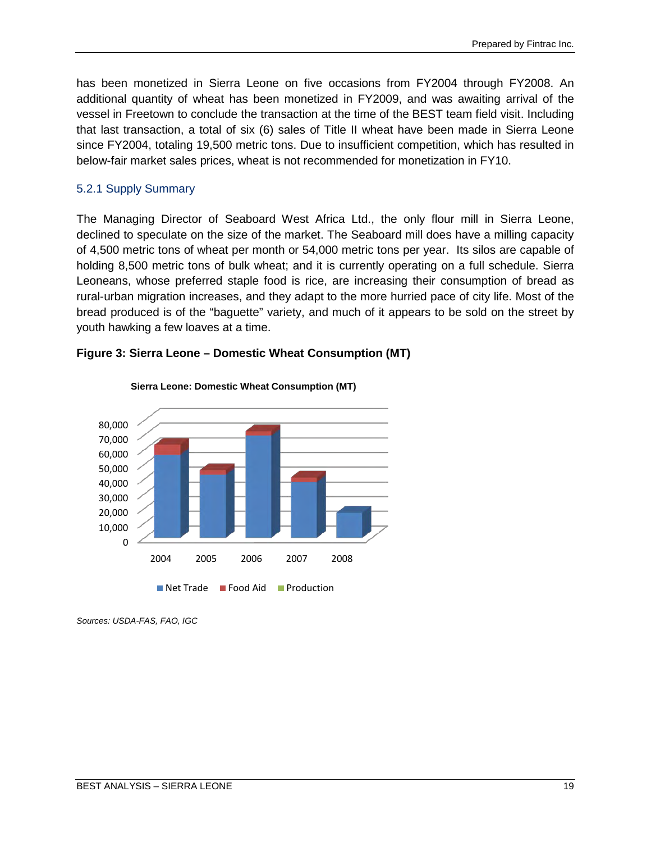has been monetized in Sierra Leone on five occasions from FY2004 through FY2008. An additional quantity of wheat has been monetized in FY2009, and was awaiting arrival of the vessel in Freetown to conclude the transaction at the time of the BEST team field visit. Including that last transaction, a total of six (6) sales of Title II wheat have been made in Sierra Leone since FY2004, totaling 19,500 metric tons. Due to insufficient competition, which has resulted in below-fair market sales prices, wheat is not recommended for monetization in FY10.

#### 5.2.1 Supply Summary

The Managing Director of Seaboard West Africa Ltd., the only flour mill in Sierra Leone, declined to speculate on the size of the market. The Seaboard mill does have a milling capacity of 4,500 metric tons of wheat per month or 54,000 metric tons per year. Its silos are capable of holding 8,500 metric tons of bulk wheat; and it is currently operating on a full schedule. Sierra Leoneans, whose preferred staple food is rice, are increasing their consumption of bread as rural-urban migration increases, and they adapt to the more hurried pace of city life. Most of the bread produced is of the "baguette" variety, and much of it appears to be sold on the street by youth hawking a few loaves at a time.



#### **Figure 3: Sierra Leone – Domestic Wheat Consumption (MT)**

*Sources: USDA-FAS, FAO, IGC*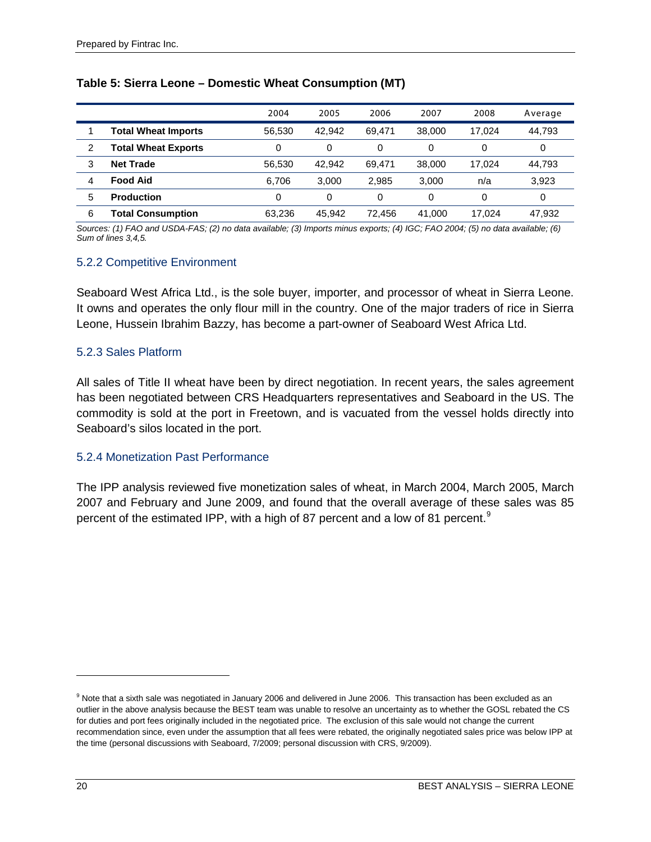|   |                            | 2004   | 2005   | 2006   | 2007     | 2008     | Average |
|---|----------------------------|--------|--------|--------|----------|----------|---------|
|   | <b>Total Wheat Imports</b> | 56.530 | 42.942 | 69.471 | 38,000   | 17.024   | 44,793  |
| 2 | <b>Total Wheat Exports</b> | 0      | 0      | 0      | 0        |          | 0       |
| 3 | <b>Net Trade</b>           | 56,530 | 42.942 | 69.471 | 38,000   | 17.024   | 44,793  |
| 4 | <b>Food Aid</b>            | 6.706  | 3.000  | 2.985  | 3.000    | n/a      | 3,923   |
| 5 | <b>Production</b>          | 0      | 0      | 0      | $\Omega$ | $\Omega$ | 0       |
| 6 | <b>Total Consumption</b>   | 63,236 | 45.942 | 72.456 | 41.000   | 17.024   | 47,932  |

#### **Table 5: Sierra Leone – Domestic Wheat Consumption (MT)**

*Sources: (1) FAO and USDA-FAS; (2) no data available; (3) Imports minus exports; (4) IGC; FAO 2004; (5) no data available; (6) Sum of lines 3,4,5.* 

#### 5.2.2 Competitive Environment

Seaboard West Africa Ltd., is the sole buyer, importer, and processor of wheat in Sierra Leone. It owns and operates the only flour mill in the country. One of the major traders of rice in Sierra Leone, Hussein Ibrahim Bazzy, has become a part-owner of Seaboard West Africa Ltd.

#### 5.2.3 Sales Platform

All sales of Title II wheat have been by direct negotiation. In recent years, the sales agreement has been negotiated between CRS Headquarters representatives and Seaboard in the US. The commodity is sold at the port in Freetown, and is vacuated from the vessel holds directly into Seaboard's silos located in the port.

#### 5.2.4 Monetization Past Performance

The IPP analysis reviewed five monetization sales of wheat, in March 2004, March 2005, March 2007 and February and June 2009, and found that the overall average of these sales was 85 percent of the estimated IPP, with a high of 87 percent and a low of 81 percent.<sup>[9](#page-29-0)</sup>

 $\overline{a}$ 

<span id="page-29-0"></span><sup>&</sup>lt;sup>9</sup> Note that a sixth sale was negotiated in January 2006 and delivered in June 2006. This transaction has been excluded as an outlier in the above analysis because the BEST team was unable to resolve an uncertainty as to whether the GOSL rebated the CS for duties and port fees originally included in the negotiated price. The exclusion of this sale would not change the current recommendation since, even under the assumption that all fees were rebated, the originally negotiated sales price was below IPP at the time (personal discussions with Seaboard, 7/2009; personal discussion with CRS, 9/2009).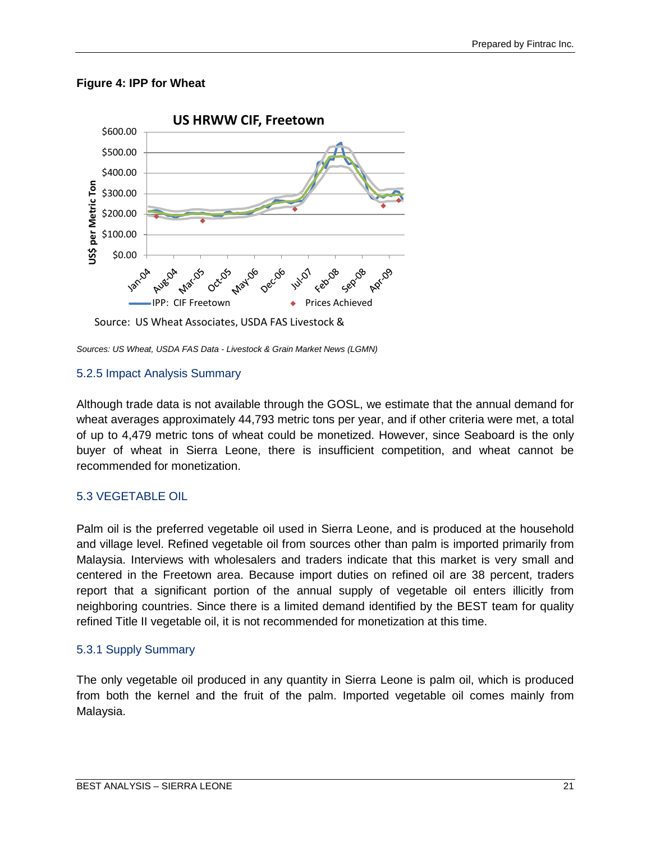#### **Figure 4: IPP for Wheat**



Source: US Wheat Associates, USDA FAS Livestock &

*Sources: US Wheat, USDA FAS Data - Livestock & Grain Market News (LGMN)*

#### 5.2.5 Impact Analysis Summary

Although trade data is not available through the GOSL, we estimate that the annual demand for wheat averages approximately 44,793 metric tons per year, and if other criteria were met, a total of up to 4,479 metric tons of wheat could be monetized. However, since Seaboard is the only buyer of wheat in Sierra Leone, there is insufficient competition, and wheat cannot be recommended for monetization.

#### <span id="page-30-0"></span>5.3 VEGETABLE OIL

Palm oil is the preferred vegetable oil used in Sierra Leone, and is produced at the household and village level. Refined vegetable oil from sources other than palm is imported primarily from Malaysia. Interviews with wholesalers and traders indicate that this market is very small and centered in the Freetown area. Because import duties on refined oil are 38 percent, traders report that a significant portion of the annual supply of vegetable oil enters illicitly from neighboring countries. Since there is a limited demand identified by the BEST team for quality refined Title II vegetable oil, it is not recommended for monetization at this time.

#### 5.3.1 Supply Summary

The only vegetable oil produced in any quantity in Sierra Leone is palm oil, which is produced from both the kernel and the fruit of the palm. Imported vegetable oil comes mainly from Malaysia.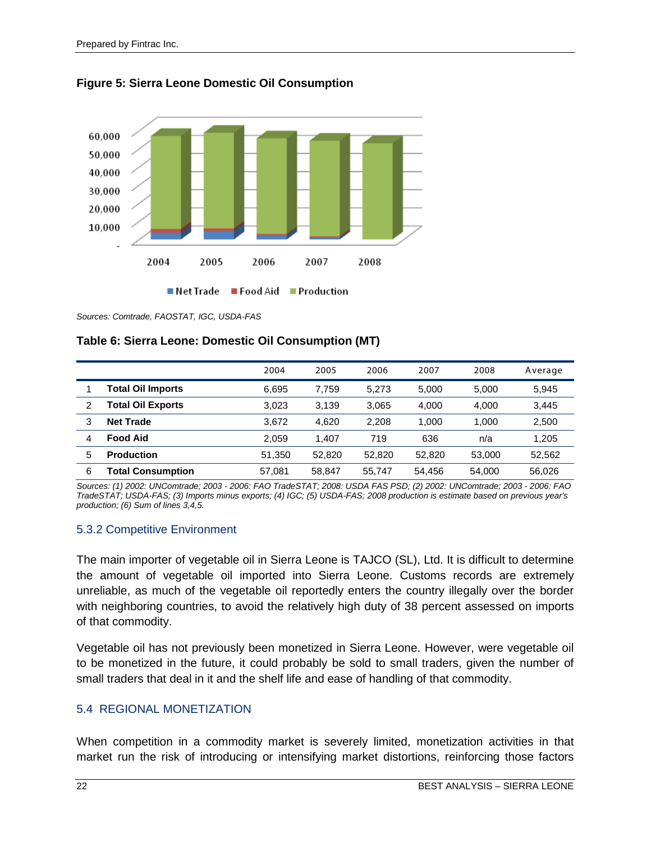



*Sources: Comtrade, FAOSTAT, IGC, USDA-FAS*

#### **Table 6: Sierra Leone: Domestic Oil Consumption (MT)**

|   |                          | 2004   | 2005   | 2006   | 2007   | 2008   | Average |
|---|--------------------------|--------|--------|--------|--------|--------|---------|
|   | <b>Total Oil Imports</b> | 6.695  | 7.759  | 5.273  | 5.000  | 5.000  | 5.945   |
| 2 | <b>Total Oil Exports</b> | 3.023  | 3.139  | 3.065  | 4.000  | 4.000  | 3.445   |
| 3 | <b>Net Trade</b>         | 3.672  | 4.620  | 2.208  | 1.000  | 1.000  | 2,500   |
| 4 | <b>Food Aid</b>          | 2.059  | .407   | 719    | 636    | n/a    | 1.205   |
| 5 | <b>Production</b>        | 51.350 | 52.820 | 52.820 | 52,820 | 53,000 | 52,562  |
| 6 | <b>Total Consumption</b> | 57.081 | 58.847 | 55.747 | 54.456 | 54.000 | 56,026  |

*Sources: (1) 2002: UNComtrade; 2003 - 2006: FAO TradeSTAT; 2008: USDA FAS PSD; (2) 2002: UNComtrade; 2003 - 2006: FAO TradeSTAT; USDA-FAS; (3) Imports minus exports; (4) IGC; (5) USDA-FAS; 2008 production is estimate based on previous year's production; (6) Sum of lines 3,4,5.*

#### 5.3.2 Competitive Environment

The main importer of vegetable oil in Sierra Leone is TAJCO (SL), Ltd. It is difficult to determine the amount of vegetable oil imported into Sierra Leone. Customs records are extremely unreliable, as much of the vegetable oil reportedly enters the country illegally over the border with neighboring countries, to avoid the relatively high duty of 38 percent assessed on imports of that commodity.

Vegetable oil has not previously been monetized in Sierra Leone. However, were vegetable oil to be monetized in the future, it could probably be sold to small traders, given the number of small traders that deal in it and the shelf life and ease of handling of that commodity.

#### <span id="page-31-0"></span>5.4 REGIONAL MONETIZATION

When competition in a commodity market is severely limited, monetization activities in that market run the risk of introducing or intensifying market distortions, reinforcing those factors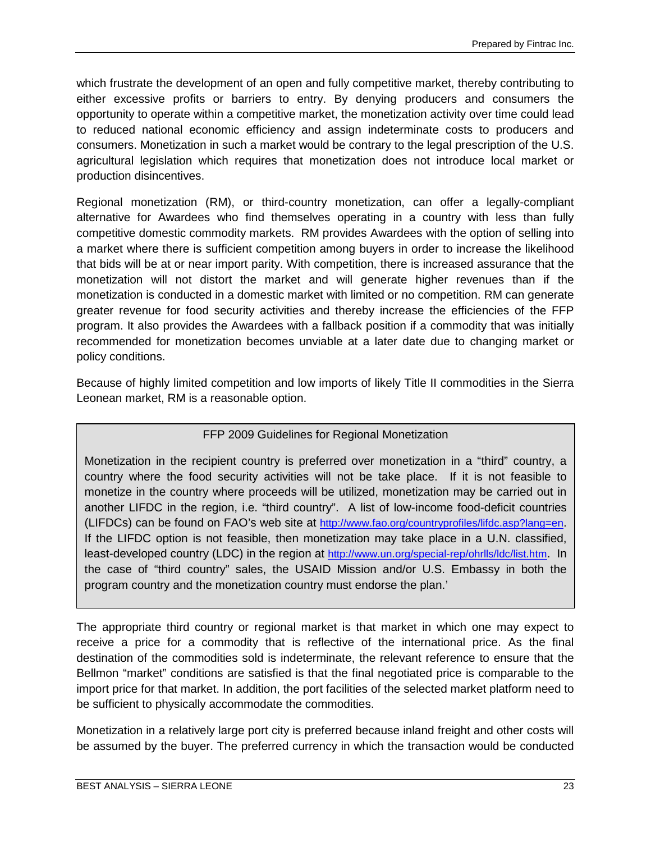which frustrate the development of an open and fully competitive market, thereby contributing to either excessive profits or barriers to entry. By denying producers and consumers the opportunity to operate within a competitive market, the monetization activity over time could lead to reduced national economic efficiency and assign indeterminate costs to producers and consumers. Monetization in such a market would be contrary to the legal prescription of the U.S. agricultural legislation which requires that monetization does not introduce local market or production disincentives.

Regional monetization (RM), or third-country monetization, can offer a legally-compliant alternative for Awardees who find themselves operating in a country with less than fully competitive domestic commodity markets. RM provides Awardees with the option of selling into a market where there is sufficient competition among buyers in order to increase the likelihood that bids will be at or near import parity. With competition, there is increased assurance that the monetization will not distort the market and will generate higher revenues than if the monetization is conducted in a domestic market with limited or no competition. RM can generate greater revenue for food security activities and thereby increase the efficiencies of the FFP program. It also provides the Awardees with a fallback position if a commodity that was initially recommended for monetization becomes unviable at a later date due to changing market or policy conditions.

Because of highly limited competition and low imports of likely Title II commodities in the Sierra Leonean market, RM is a reasonable option.

#### FFP 2009 Guidelines for Regional Monetization

Monetization in the recipient country is preferred over monetization in a "third" country, a country where the food security activities will not be take place. If it is not feasible to monetize in the country where proceeds will be utilized, monetization may be carried out in another LIFDC in the region, i.e. "third country". A list of low-income food-deficit countries (LIFDCs) can be found on FAO's web site at [http://www.fao.org/countryprofiles/lifdc.asp?lang=en.](http://www.fao.org/countryprofiles/lifdc.asp?lang=en) If the LIFDC option is not feasible, then monetization may take place in a U.N. classified, least-developed country (LDC) in the region at [http://www.un.org/special-rep/ohrlls/ldc/list.htm.](http://www.un.org/special-rep/ohrlls/ldc/list.htm) In the case of "third country" sales, the USAID Mission and/or U.S. Embassy in both the program country and the monetization country must endorse the plan.'

The appropriate third country or regional market is that market in which one may expect to receive a price for a commodity that is reflective of the international price. As the final destination of the commodities sold is indeterminate, the relevant reference to ensure that the Bellmon "market" conditions are satisfied is that the final negotiated price is comparable to the import price for that market. In addition, the port facilities of the selected market platform need to be sufficient to physically accommodate the commodities.

Monetization in a relatively large port city is preferred because inland freight and other costs will be assumed by the buyer. The preferred currency in which the transaction would be conducted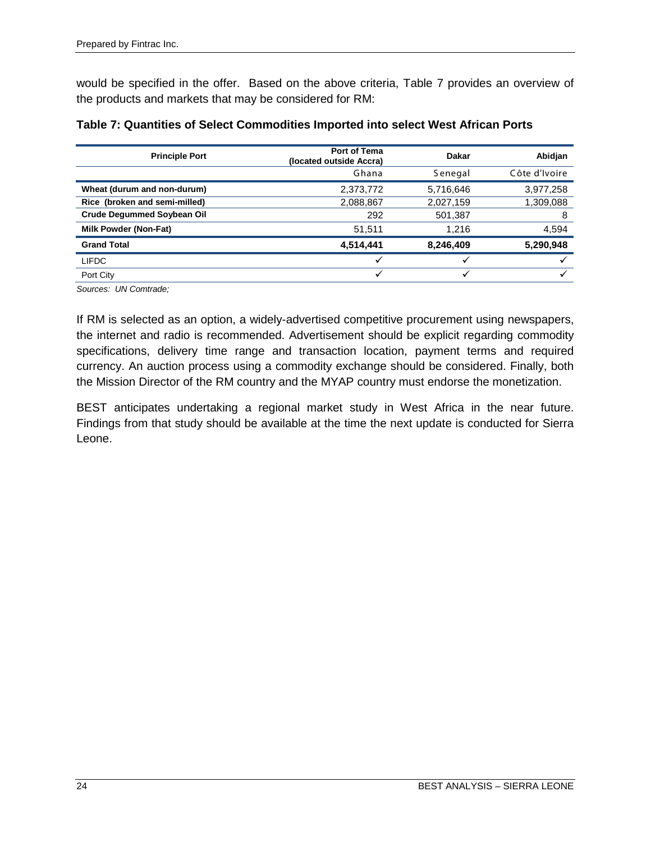would be specified in the offer. Based on the above criteria, Table 7 provides an overview of the products and markets that may be considered for RM:

| <b>Principle Port</b>             | <b>Port of Tema</b><br>(located outside Accra) | Dakar     | Abidjan       |
|-----------------------------------|------------------------------------------------|-----------|---------------|
|                                   | Ghana                                          | Senegal   | Côte d'Ivoire |
| Wheat (durum and non-durum)       | 2,373,772                                      | 5,716,646 | 3,977,258     |
| Rice (broken and semi-milled)     | 2,088,867                                      | 2,027,159 | 1,309,088     |
| <b>Crude Degummed Soybean Oil</b> | 292                                            | 501,387   | 8             |
| <b>Milk Powder (Non-Fat)</b>      | 51.511                                         | 1.216     | 4,594         |
| <b>Grand Total</b>                | 4,514,441                                      | 8,246,409 | 5,290,948     |
| <b>LIFDC</b>                      |                                                | ✓         |               |
| Port City                         | v                                              | v         |               |

| Table 7: Quantities of Select Commodities Imported into select West African Ports |  |
|-----------------------------------------------------------------------------------|--|
|-----------------------------------------------------------------------------------|--|

*Sources: UN Comtrade;* 

If RM is selected as an option, a widely-advertised competitive procurement using newspapers, the internet and radio is recommended. Advertisement should be explicit regarding commodity specifications, delivery time range and transaction location, payment terms and required currency. An auction process using a commodity exchange should be considered. Finally, both the Mission Director of the RM country and the MYAP country must endorse the monetization.

BEST anticipates undertaking a regional market study in West Africa in the near future. Findings from that study should be available at the time the next update is conducted for Sierra Leone.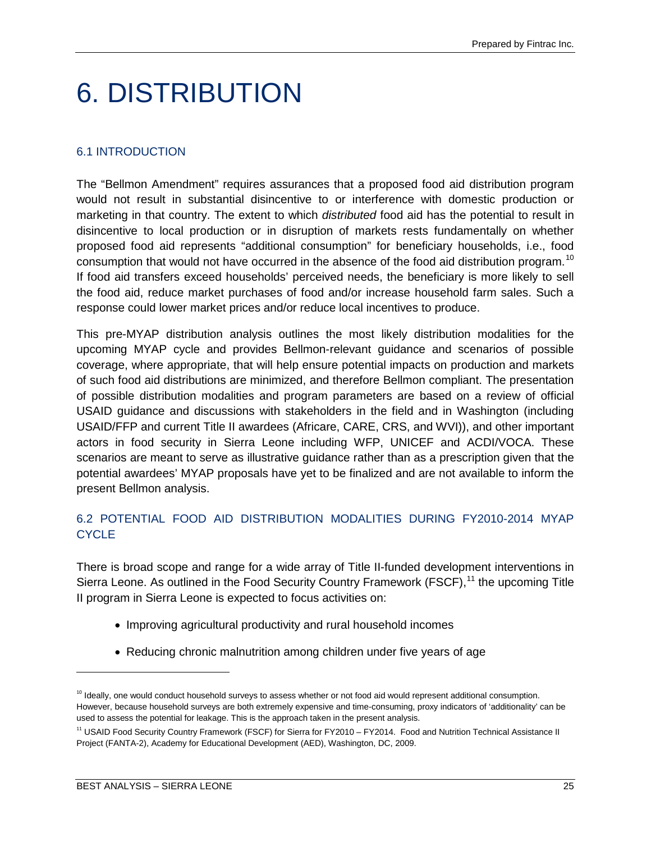### <span id="page-34-0"></span>6. DISTRIBUTION

#### <span id="page-34-1"></span>6.1 INTRODUCTION

The "Bellmon Amendment" requires assurances that a proposed food aid distribution program would not result in substantial disincentive to or interference with domestic production or marketing in that country. The extent to which *distributed* food aid has the potential to result in disincentive to local production or in disruption of markets rests fundamentally on whether proposed food aid represents "additional consumption" for beneficiary households, i.e., food consumption that would not have occurred in the absence of the food aid distribution program.<sup>[10](#page-34-3)</sup> If food aid transfers exceed households' perceived needs, the beneficiary is more likely to sell the food aid, reduce market purchases of food and/or increase household farm sales. Such a response could lower market prices and/or reduce local incentives to produce.

This pre-MYAP distribution analysis outlines the most likely distribution modalities for the upcoming MYAP cycle and provides Bellmon-relevant guidance and scenarios of possible coverage, where appropriate, that will help ensure potential impacts on production and markets of such food aid distributions are minimized, and therefore Bellmon compliant. The presentation of possible distribution modalities and program parameters are based on a review of official USAID guidance and discussions with stakeholders in the field and in Washington (including USAID/FFP and current Title II awardees (Africare, CARE, CRS, and WVI)), and other important actors in food security in Sierra Leone including WFP, UNICEF and ACDI/VOCA. These scenarios are meant to serve as illustrative guidance rather than as a prescription given that the potential awardees' MYAP proposals have yet to be finalized and are not available to inform the present Bellmon analysis.

#### <span id="page-34-2"></span>6.2 POTENTIAL FOOD AID DISTRIBUTION MODALITIES DURING FY2010-2014 MYAP CYCLE<sub></sub>

There is broad scope and range for a wide array of Title II-funded development interventions in Sierra Leone. As outlined in the Food Security Country Framework (FSCF),<sup>[11](#page-34-4)</sup> the upcoming Title II program in Sierra Leone is expected to focus activities on:

- Improving agricultural productivity and rural household incomes
- Reducing chronic malnutrition among children under five years of age

 $\ddot{\phantom{a}}$ 

<span id="page-34-3"></span><sup>&</sup>lt;sup>10</sup> Ideally, one would conduct household surveys to assess whether or not food aid would represent additional consumption. However, because household surveys are both extremely expensive and time-consuming, proxy indicators of 'additionality' can be used to assess the potential for leakage. This is the approach taken in the present analysis.

<span id="page-34-4"></span><sup>&</sup>lt;sup>11</sup> USAID Food Security Country Framework (FSCF) for Sierra for FY2010 - FY2014. Food and Nutrition Technical Assistance II Project (FANTA-2), Academy for Educational Development (AED), Washington, DC, 2009.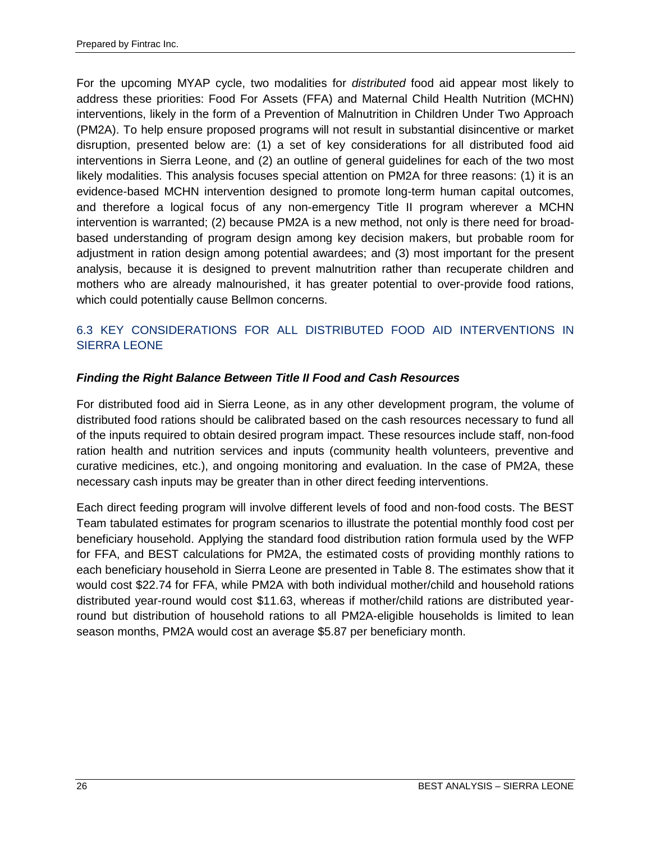For the upcoming MYAP cycle, two modalities for *distributed* food aid appear most likely to address these priorities: Food For Assets (FFA) and Maternal Child Health Nutrition (MCHN) interventions, likely in the form of a Prevention of Malnutrition in Children Under Two Approach (PM2A). To help ensure proposed programs will not result in substantial disincentive or market disruption, presented below are: (1) a set of key considerations for all distributed food aid interventions in Sierra Leone, and (2) an outline of general guidelines for each of the two most likely modalities. This analysis focuses special attention on PM2A for three reasons: (1) it is an evidence-based MCHN intervention designed to promote long-term human capital outcomes, and therefore a logical focus of any non-emergency Title II program wherever a MCHN intervention is warranted; (2) because PM2A is a new method, not only is there need for broadbased understanding of program design among key decision makers, but probable room for adjustment in ration design among potential awardees; and (3) most important for the present analysis, because it is designed to prevent malnutrition rather than recuperate children and mothers who are already malnourished, it has greater potential to over-provide food rations, which could potentially cause Bellmon concerns.

#### <span id="page-35-0"></span>6.3 KEY CONSIDERATIONS FOR ALL DISTRIBUTED FOOD AID INTERVENTIONS IN SIERRA LEONE

#### *Finding the Right Balance Between Title II Food and Cash Resources*

For distributed food aid in Sierra Leone, as in any other development program, the volume of distributed food rations should be calibrated based on the cash resources necessary to fund all of the inputs required to obtain desired program impact. These resources include staff, non-food ration health and nutrition services and inputs (community health volunteers, preventive and curative medicines, etc.), and ongoing monitoring and evaluation. In the case of PM2A, these necessary cash inputs may be greater than in other direct feeding interventions.

Each direct feeding program will involve different levels of food and non-food costs. The BEST Team tabulated estimates for program scenarios to illustrate the potential monthly food cost per beneficiary household. Applying the standard food distribution ration formula used by the WFP for FFA, and BEST calculations for PM2A, the estimated costs of providing monthly rations to each beneficiary household in Sierra Leone are presented in Table 8. The estimates show that it would cost \$22.74 for FFA, while PM2A with both individual mother/child and household rations distributed year-round would cost \$11.63, whereas if mother/child rations are distributed yearround but distribution of household rations to all PM2A-eligible households is limited to lean season months, PM2A would cost an average \$5.87 per beneficiary month.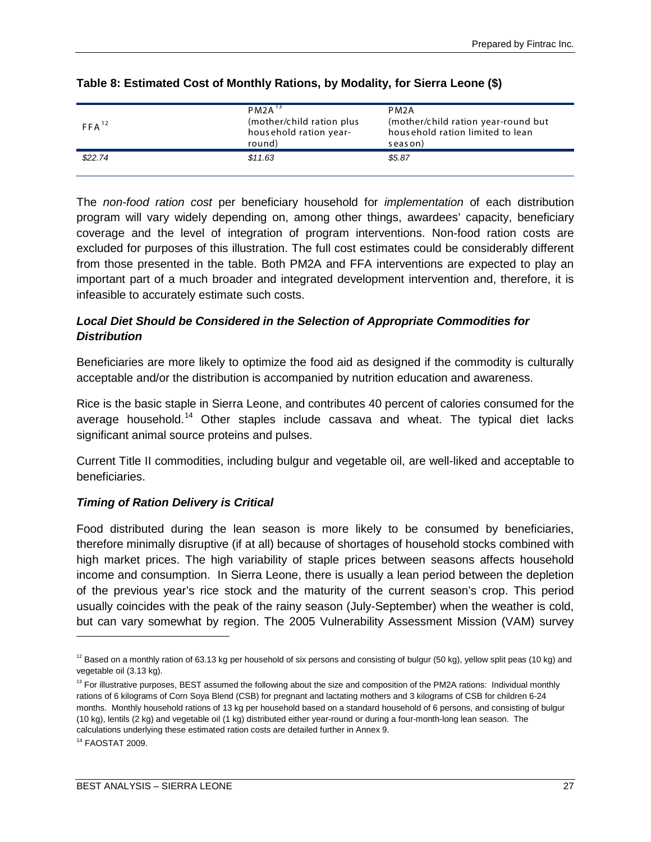| $FFA^{12}$ | $PM2A$ <sup>13</sup><br>(mother/child ration plus)<br>household ration year-<br>round) | PM2A<br>(mother/child ration year-round but<br>household ration limited to lean<br>season) |
|------------|----------------------------------------------------------------------------------------|--------------------------------------------------------------------------------------------|
| \$22.74    | \$11.63                                                                                | \$5.87                                                                                     |

#### **Table 8: Estimated Cost of Monthly Rations, by Modality, for Sierra Leone (\$)**

The *non-food ration cost* per beneficiary household for *implementation* of each distribution program will vary widely depending on, among other things, awardees' capacity, beneficiary coverage and the level of integration of program interventions. Non-food ration costs are excluded for purposes of this illustration. The full cost estimates could be considerably different from those presented in the table. Both PM2A and FFA interventions are expected to play an important part of a much broader and integrated development intervention and, therefore, it is infeasible to accurately estimate such costs.

# *Local Diet Should be Considered in the Selection of Appropriate Commodities for Distribution*

Beneficiaries are more likely to optimize the food aid as designed if the commodity is culturally acceptable and/or the distribution is accompanied by nutrition education and awareness.

Rice is the basic staple in Sierra Leone, and contributes 40 percent of calories consumed for the average household.<sup>[14](#page-36-2)</sup> Other staples include cassava and wheat. The typical diet lacks significant animal source proteins and pulses.

Current Title II commodities, including bulgur and vegetable oil, are well-liked and acceptable to beneficiaries.

# *Timing of Ration Delivery is Critical*

Food distributed during the lean season is more likely to be consumed by beneficiaries, therefore minimally disruptive (if at all) because of shortages of household stocks combined with high market prices. The high variability of staple prices between seasons affects household income and consumption. In Sierra Leone, there is usually a lean period between the depletion of the previous year's rice stock and the maturity of the current season's crop. This period usually coincides with the peak of the rainy season (July-September) when the weather is cold, but can vary somewhat by region. The 2005 Vulnerability Assessment Mission (VAM) survey

 $\ddot{\phantom{a}}$ 

<span id="page-36-0"></span> $12$  Based on a monthly ration of 63.13 kg per household of six persons and consisting of bulgur (50 kg), yellow split peas (10 kg) and vegetable oil (3.13 kg).

<span id="page-36-1"></span><sup>&</sup>lt;sup>13</sup> For illustrative purposes, BEST assumed the following about the size and composition of the PM2A rations: Individual monthly rations of 6 kilograms of Corn Soya Blend (CSB) for pregnant and lactating mothers and 3 kilograms of CSB for children 6-24 months. Monthly household rations of 13 kg per household based on a standard household of 6 persons, and consisting of bulgur (10 kg), lentils (2 kg) and vegetable oil (1 kg) distributed either year-round or during a four-month-long lean season. The calculations underlying these estimated ration costs are detailed further in Annex 9.

<span id="page-36-2"></span><sup>14</sup> FAOSTAT 2009.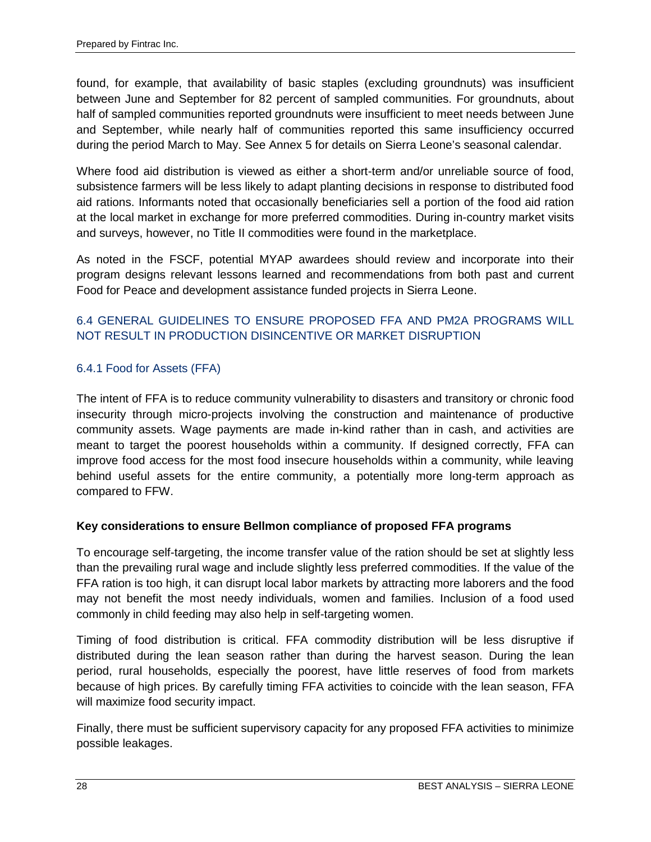found, for example, that availability of basic staples (excluding groundnuts) was insufficient between June and September for 82 percent of sampled communities. For groundnuts, about half of sampled communities reported groundnuts were insufficient to meet needs between June and September, while nearly half of communities reported this same insufficiency occurred during the period March to May. See Annex 5 for details on Sierra Leone's seasonal calendar.

Where food aid distribution is viewed as either a short-term and/or unreliable source of food, subsistence farmers will be less likely to adapt planting decisions in response to distributed food aid rations. Informants noted that occasionally beneficiaries sell a portion of the food aid ration at the local market in exchange for more preferred commodities. During in-country market visits and surveys, however, no Title II commodities were found in the marketplace.

As noted in the FSCF, potential MYAP awardees should review and incorporate into their program designs relevant lessons learned and recommendations from both past and current Food for Peace and development assistance funded projects in Sierra Leone.

# 6.4 GENERAL GUIDELINES TO ENSURE PROPOSED FFA AND PM2A PROGRAMS WILL NOT RESULT IN PRODUCTION DISINCENTIVE OR MARKET DISRUPTION

# 6.4.1 Food for Assets (FFA)

The intent of FFA is to reduce community vulnerability to disasters and transitory or chronic food insecurity through micro-projects involving the construction and maintenance of productive community assets. Wage payments are made in-kind rather than in cash, and activities are meant to target the poorest households within a community. If designed correctly, FFA can improve food access for the most food insecure households within a community, while leaving behind useful assets for the entire community, a potentially more long-term approach as compared to FFW.

# **Key considerations to ensure Bellmon compliance of proposed FFA programs**

To encourage self-targeting, the income transfer value of the ration should be set at slightly less than the prevailing rural wage and include slightly less preferred commodities. If the value of the FFA ration is too high, it can disrupt local labor markets by attracting more laborers and the food may not benefit the most needy individuals, women and families. Inclusion of a food used commonly in child feeding may also help in self-targeting women.

Timing of food distribution is critical. FFA commodity distribution will be less disruptive if distributed during the lean season rather than during the harvest season. During the lean period, rural households, especially the poorest, have little reserves of food from markets because of high prices. By carefully timing FFA activities to coincide with the lean season, FFA will maximize food security impact.

Finally, there must be sufficient supervisory capacity for any proposed FFA activities to minimize possible leakages.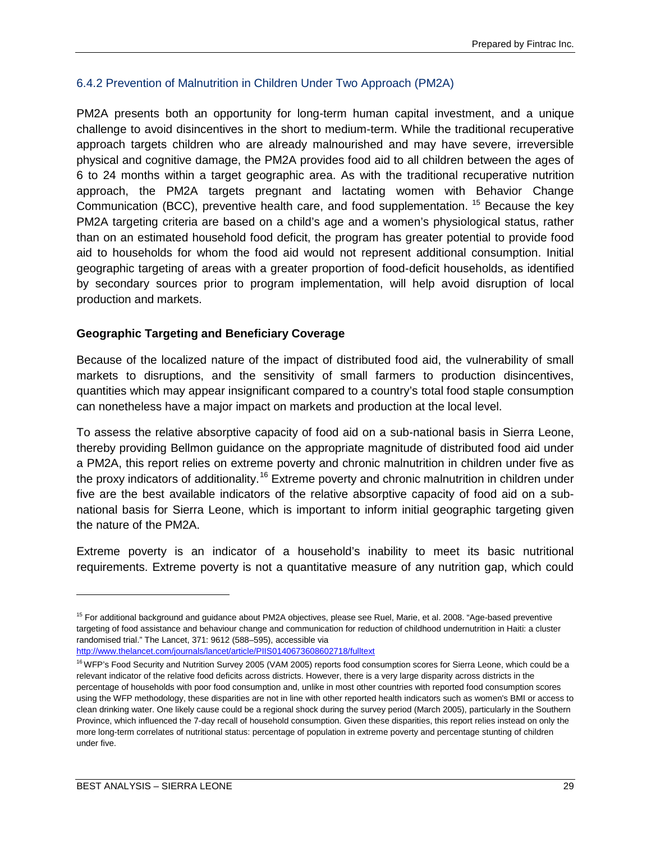#### 6.4.2 Prevention of Malnutrition in Children Under Two Approach (PM2A)

PM2A presents both an opportunity for long-term human capital investment, and a unique challenge to avoid disincentives in the short to medium-term. While the traditional recuperative approach targets children who are already malnourished and may have severe, irreversible physical and cognitive damage, the PM2A provides food aid to all children between the ages of 6 to 24 months within a target geographic area. As with the traditional recuperative nutrition approach, the PM2A targets pregnant and lactating women with Behavior Change Communication (BCC), preventive health care, and food supplementation. <sup>[15](#page-38-0)</sup> Because the key PM2A targeting criteria are based on a child's age and a women's physiological status, rather than on an estimated household food deficit, the program has greater potential to provide food aid to households for whom the food aid would not represent additional consumption. Initial geographic targeting of areas with a greater proportion of food-deficit households, as identified by secondary sources prior to program implementation, will help avoid disruption of local production and markets.

### **Geographic Targeting and Beneficiary Coverage**

Because of the localized nature of the impact of distributed food aid, the vulnerability of small markets to disruptions, and the sensitivity of small farmers to production disincentives, quantities which may appear insignificant compared to a country's total food staple consumption can nonetheless have a major impact on markets and production at the local level.

To assess the relative absorptive capacity of food aid on a sub-national basis in Sierra Leone, thereby providing Bellmon guidance on the appropriate magnitude of distributed food aid under a PM2A, this report relies on extreme poverty and chronic malnutrition in children under five as the proxy indicators of additionality.<sup>[16](#page-38-1)</sup> Extreme poverty and chronic malnutrition in children under five are the best available indicators of the relative absorptive capacity of food aid on a subnational basis for Sierra Leone, which is important to inform initial geographic targeting given the nature of the PM2A.

Extreme poverty is an indicator of a household's inability to meet its basic nutritional requirements. Extreme poverty is not a quantitative measure of any nutrition gap, which could

 $\ddot{\phantom{a}}$ 

<span id="page-38-0"></span><sup>&</sup>lt;sup>15</sup> For additional background and guidance about PM2A objectives, please see Ruel, Marie, et al. 2008. "Age-based preventive targeting of food assistance and behaviour change and communication for reduction of childhood undernutrition in Haiti: a cluster randomised trial." The Lancet[, 371: 9612](http://www.thelancet.com/journals/lancet/issue/vol371no9612/PIIS0140-6736(08)X6008-8) (588–595), accessible via <http://www.thelancet.com/journals/lancet/article/PIIS0140673608602718/fulltext>

<span id="page-38-1"></span><sup>&</sup>lt;sup>16</sup> WFP's Food Security and Nutrition Survey 2005 (VAM 2005) reports food consumption scores for Sierra Leone, which could be a relevant indicator of the relative food deficits across districts. However, there is a very large disparity across districts in the percentage of households with poor food consumption and, unlike in most other countries with reported food consumption scores using the WFP methodology, these disparities are not in line with other reported health indicators such as women's BMI or access to clean drinking water. One likely cause could be a regional shock during the survey period (March 2005), particularly in the Southern Province, which influenced the 7-day recall of household consumption. Given these disparities, this report relies instead on only the more long-term correlates of nutritional status: percentage of population in extreme poverty and percentage stunting of children under five.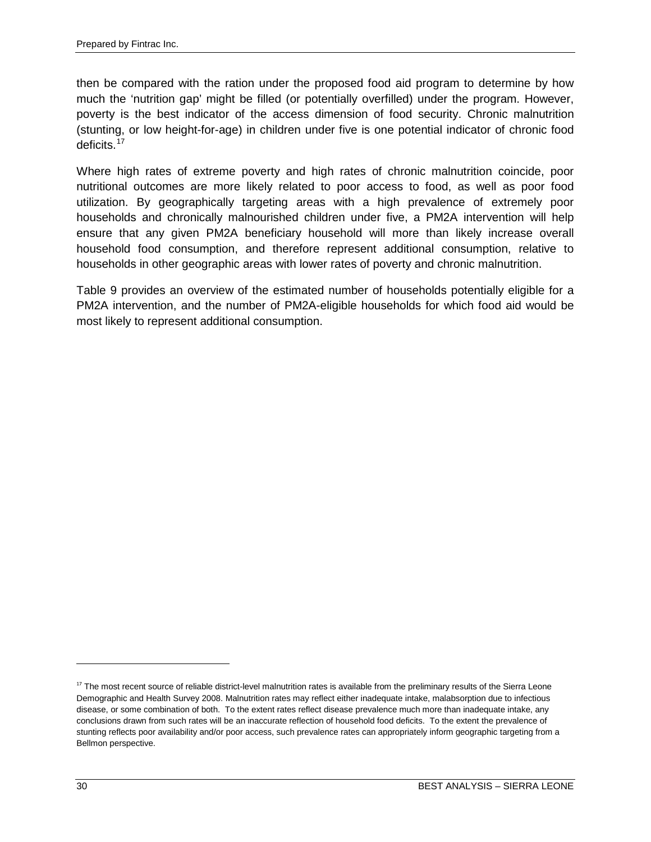then be compared with the ration under the proposed food aid program to determine by how much the 'nutrition gap' might be filled (or potentially overfilled) under the program. However, poverty is the best indicator of the access dimension of food security. Chronic malnutrition (stunting, or low height-for-age) in children under five is one potential indicator of chronic food deficits.<sup>[17](#page-39-0)</sup>

Where high rates of extreme poverty and high rates of chronic malnutrition coincide, poor nutritional outcomes are more likely related to poor access to food, as well as poor food utilization. By geographically targeting areas with a high prevalence of extremely poor households and chronically malnourished children under five, a PM2A intervention will help ensure that any given PM2A beneficiary household will more than likely increase overall household food consumption, and therefore represent additional consumption, relative to households in other geographic areas with lower rates of poverty and chronic malnutrition.

Table 9 provides an overview of the estimated number of households potentially eligible for a PM2A intervention, and the number of PM2A-eligible households for which food aid would be most likely to represent additional consumption.

 $\ddot{\phantom{a}}$ 

<span id="page-39-0"></span><sup>&</sup>lt;sup>17</sup> The most recent source of reliable district-level malnutrition rates is available from the preliminary results of the Sierra Leone Demographic and Health Survey 2008. Malnutrition rates may reflect either inadequate intake, malabsorption due to infectious disease, or some combination of both. To the extent rates reflect disease prevalence much more than inadequate intake, any conclusions drawn from such rates will be an inaccurate reflection of household food deficits. To the extent the prevalence of stunting reflects poor availability and/or poor access, such prevalence rates can appropriately inform geographic targeting from a Bellmon perspective.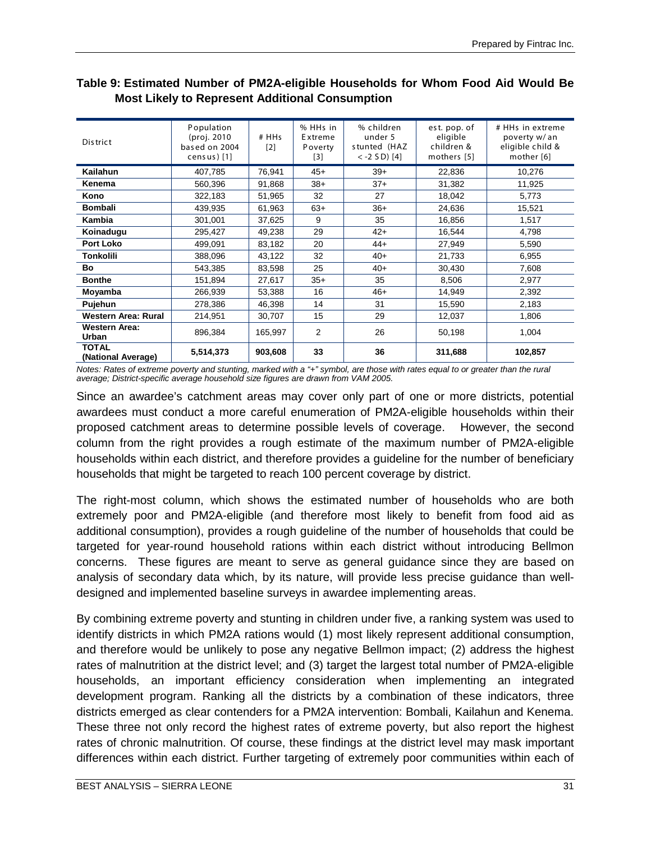| Dis trict                          | Population<br>(proj. 2010<br>based on 2004<br>census)[1] | # HHs<br>[2] | % HHs in<br>Extreme<br>Poverty<br>$[3]$ | % children<br>under 5<br>stunted (HAZ<br>$< -2$ SD) [4] | est. pop. of<br>eligible<br>children &<br>mothers [5] | # HHs in extreme<br>poverty w/ an<br>eligible child &<br>mother [6] |
|------------------------------------|----------------------------------------------------------|--------------|-----------------------------------------|---------------------------------------------------------|-------------------------------------------------------|---------------------------------------------------------------------|
| <b>Kailahun</b>                    | 407,785                                                  | 76,941       | $45+$                                   | $39+$                                                   | 22,836                                                | 10,276                                                              |
| Kenema                             | 560,396                                                  | 91,868       | $38+$                                   | $37+$                                                   | 31,382                                                | 11,925                                                              |
| Kono                               | 322,183                                                  | 51,965       | 32                                      | 27                                                      | 18,042                                                | 5,773                                                               |
| <b>Bombali</b>                     | 439,935                                                  | 61,963       | $63+$                                   | $36+$                                                   | 24,636                                                | 15,521                                                              |
| Kambia                             | 301,001                                                  | 37,625       | 9                                       | 35                                                      | 16,856                                                | 1,517                                                               |
| Koinadugu                          | 295,427                                                  | 49,238       | 29                                      | $42+$                                                   | 16,544                                                | 4,798                                                               |
| <b>Port Loko</b>                   | 499,091                                                  | 83,182       | 20                                      | $44+$                                                   | 27,949                                                | 5,590                                                               |
| Tonkolili                          | 388,096                                                  | 43,122       | 32                                      | $40+$                                                   | 21,733                                                | 6,955                                                               |
| Bo                                 | 543,385                                                  | 83,598       | 25                                      | $40+$                                                   | 30,430                                                | 7,608                                                               |
| <b>Bonthe</b>                      | 151,894                                                  | 27,617       | $35+$                                   | 35                                                      | 8,506                                                 | 2,977                                                               |
| Moyamba                            | 266,939                                                  | 53,388       | 16                                      | $46+$                                                   | 14,949                                                | 2,392                                                               |
| Pujehun                            | 278,386                                                  | 46,398       | 14                                      | 31                                                      | 15,590                                                | 2,183                                                               |
| Western Area: Rural                | 214,951                                                  | 30,707       | 15                                      | 29                                                      | 12,037                                                | 1,806                                                               |
| <b>Western Area:</b><br>Urban      | 896,384                                                  | 165,997      | 2                                       | 26                                                      | 50,198                                                | 1,004                                                               |
| <b>TOTAL</b><br>(National Average) | 5,514,373                                                | 903,608      | 33                                      | 36                                                      | 311,688                                               | 102,857                                                             |

# **Table 9: Estimated Number of PM2A-eligible Households for Whom Food Aid Would Be Most Likely to Represent Additional Consumption**

*Notes: Rates of extreme poverty and stunting, marked with a "+" symbol, are those with rates equal to or greater than the rural average; District-specific average household size figures are drawn from VAM 2005.*

Since an awardee's catchment areas may cover only part of one or more districts, potential awardees must conduct a more careful enumeration of PM2A-eligible households within their proposed catchment areas to determine possible levels of coverage. However, the second column from the right provides a rough estimate of the maximum number of PM2A-eligible households within each district, and therefore provides a guideline for the number of beneficiary households that might be targeted to reach 100 percent coverage by district.

The right-most column, which shows the estimated number of households who are both extremely poor and PM2A-eligible (and therefore most likely to benefit from food aid as additional consumption), provides a rough guideline of the number of households that could be targeted for year-round household rations within each district without introducing Bellmon concerns. These figures are meant to serve as general guidance since they are based on analysis of secondary data which, by its nature, will provide less precise guidance than welldesigned and implemented baseline surveys in awardee implementing areas.

By combining extreme poverty and stunting in children under five, a ranking system was used to identify districts in which PM2A rations would (1) most likely represent additional consumption, and therefore would be unlikely to pose any negative Bellmon impact; (2) address the highest rates of malnutrition at the district level; and (3) target the largest total number of PM2A-eligible households, an important efficiency consideration when implementing an integrated development program. Ranking all the districts by a combination of these indicators, three districts emerged as clear contenders for a PM2A intervention: Bombali, Kailahun and Kenema. These three not only record the highest rates of extreme poverty, but also report the highest rates of chronic malnutrition. Of course, these findings at the district level may mask important differences within each district. Further targeting of extremely poor communities within each of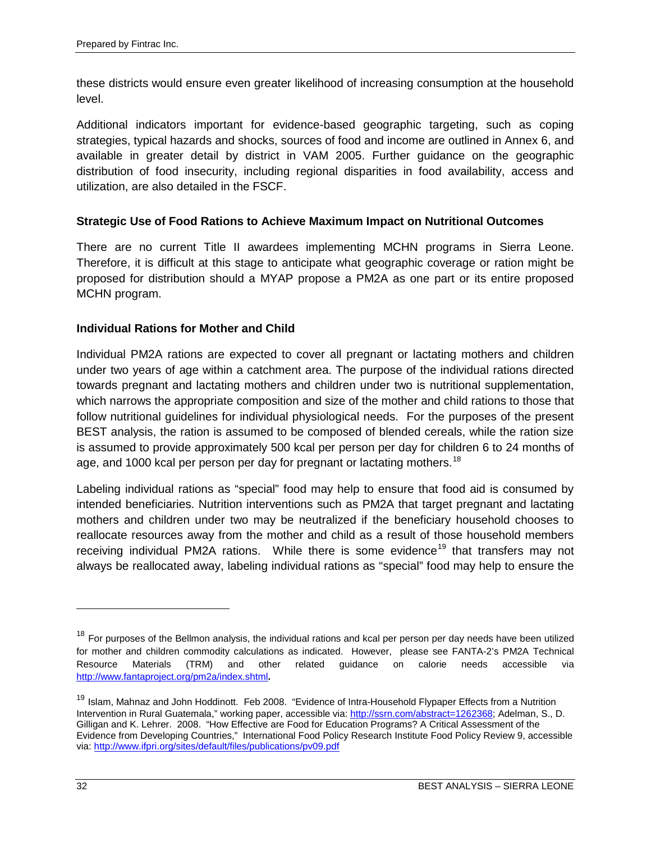these districts would ensure even greater likelihood of increasing consumption at the household level.

Additional indicators important for evidence-based geographic targeting, such as coping strategies, typical hazards and shocks, sources of food and income are outlined in Annex 6, and available in greater detail by district in VAM 2005. Further guidance on the geographic distribution of food insecurity, including regional disparities in food availability, access and utilization, are also detailed in the FSCF.

# **Strategic Use of Food Rations to Achieve Maximum Impact on Nutritional Outcomes**

There are no current Title II awardees implementing MCHN programs in Sierra Leone. Therefore, it is difficult at this stage to anticipate what geographic coverage or ration might be proposed for distribution should a MYAP propose a PM2A as one part or its entire proposed MCHN program.

# **Individual Rations for Mother and Child**

Individual PM2A rations are expected to cover all pregnant or lactating mothers and children under two years of age within a catchment area. The purpose of the individual rations directed towards pregnant and lactating mothers and children under two is nutritional supplementation, which narrows the appropriate composition and size of the mother and child rations to those that follow nutritional guidelines for individual physiological needs. For the purposes of the present BEST analysis, the ration is assumed to be composed of blended cereals, while the ration size is assumed to provide approximately 500 kcal per person per day for children 6 to 24 months of age, and 1000 kcal per person per day for pregnant or lactating mothers.<sup>[18](#page-41-0)</sup>

Labeling individual rations as "special" food may help to ensure that food aid is consumed by intended beneficiaries. Nutrition interventions such as PM2A that target pregnant and lactating mothers and children under two may be neutralized if the beneficiary household chooses to reallocate resources away from the mother and child as a result of those household members receiving individual PM2A rations. While there is some evidence<sup>[19](#page-41-1)</sup> that transfers may not always be reallocated away, labeling individual rations as "special" food may help to ensure the

 $\overline{a}$ 

<span id="page-41-0"></span><sup>&</sup>lt;sup>18</sup> For purposes of the Bellmon analysis, the individual rations and kcal per person per day needs have been utilized for mother and children commodity calculations as indicated. However, please see FANTA-2's PM2A Technical Resource Materials (TRM) and other related guidance on calorie needs accessible via <http://www.fantaproject.org/pm2a/index.shtml>**.**

<span id="page-41-1"></span><sup>&</sup>lt;sup>19</sup> Islam, Mahnaz and John Hoddinott. Feb 2008. "Evidence of Intra-Household Flypaper Effects from a Nutrition Intervention in Rural Guatemala," working paper, accessible via[: http://ssrn.com/abstract=1262368;](http://ssrn.com/abstract=1262368) Adelman, S., D. Gilligan and K. Lehrer. 2008. "How Effective are Food for Education Programs? A Critical Assessment of the Evidence from Developing Countries," International Food Policy Research Institute Food Policy Review 9, accessible via[: http://www.ifpri.org/sites/default/files/publications/pv09.pdf](http://www.ifpri.org/sites/default/files/publications/pv09.pdf)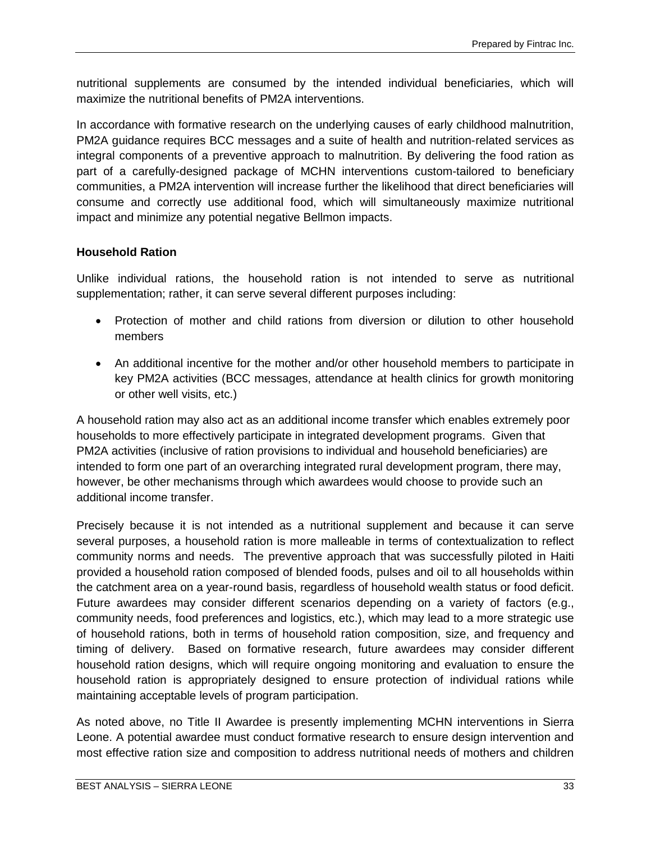nutritional supplements are consumed by the intended individual beneficiaries, which will maximize the nutritional benefits of PM2A interventions.

In accordance with formative research on the underlying causes of early childhood malnutrition, PM2A guidance requires BCC messages and a suite of health and nutrition-related services as integral components of a preventive approach to malnutrition. By delivering the food ration as part of a carefully-designed package of MCHN interventions custom-tailored to beneficiary communities, a PM2A intervention will increase further the likelihood that direct beneficiaries will consume and correctly use additional food, which will simultaneously maximize nutritional impact and minimize any potential negative Bellmon impacts.

### **Household Ration**

Unlike individual rations, the household ration is not intended to serve as nutritional supplementation; rather, it can serve several different purposes including:

- Protection of mother and child rations from diversion or dilution to other household members
- An additional incentive for the mother and/or other household members to participate in key PM2A activities (BCC messages, attendance at health clinics for growth monitoring or other well visits, etc.)

A household ration may also act as an additional income transfer which enables extremely poor households to more effectively participate in integrated development programs. Given that PM2A activities (inclusive of ration provisions to individual and household beneficiaries) are intended to form one part of an overarching integrated rural development program, there may, however, be other mechanisms through which awardees would choose to provide such an additional income transfer.

Precisely because it is not intended as a nutritional supplement and because it can serve several purposes, a household ration is more malleable in terms of contextualization to reflect community norms and needs. The preventive approach that was successfully piloted in Haiti provided a household ration composed of blended foods, pulses and oil to all households within the catchment area on a year-round basis, regardless of household wealth status or food deficit. Future awardees may consider different scenarios depending on a variety of factors (e.g., community needs, food preferences and logistics, etc.), which may lead to a more strategic use of household rations, both in terms of household ration composition, size, and frequency and timing of delivery. Based on formative research, future awardees may consider different household ration designs, which will require ongoing monitoring and evaluation to ensure the household ration is appropriately designed to ensure protection of individual rations while maintaining acceptable levels of program participation.

As noted above, no Title II Awardee is presently implementing MCHN interventions in Sierra Leone. A potential awardee must conduct formative research to ensure design intervention and most effective ration size and composition to address nutritional needs of mothers and children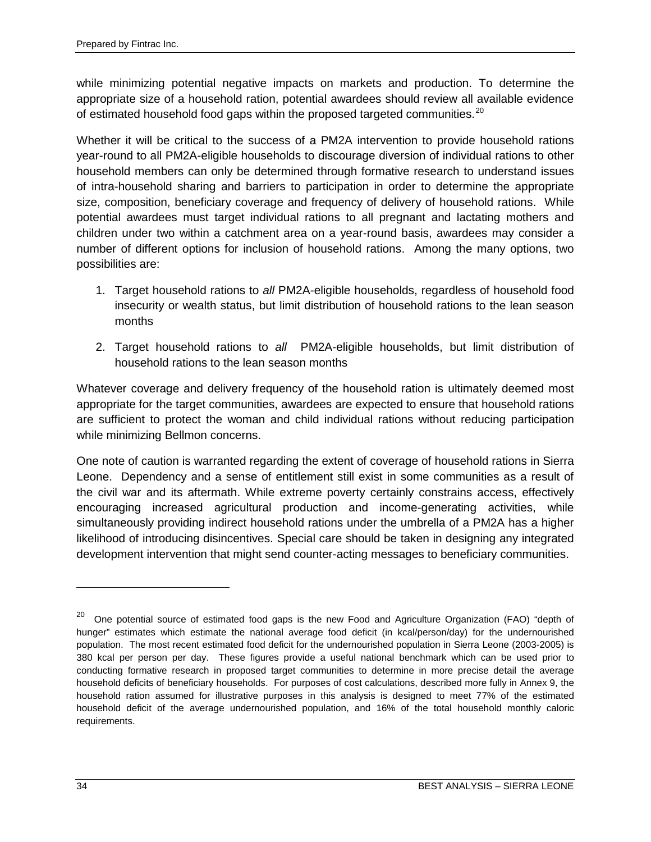while minimizing potential negative impacts on markets and production. To determine the appropriate size of a household ration, potential awardees should review all available evidence of estimated household food gaps within the proposed targeted communities.<sup>[20](#page-43-0)</sup>

Whether it will be critical to the success of a PM2A intervention to provide household rations year-round to all PM2A-eligible households to discourage diversion of individual rations to other household members can only be determined through formative research to understand issues of intra-household sharing and barriers to participation in order to determine the appropriate size, composition, beneficiary coverage and frequency of delivery of household rations. While potential awardees must target individual rations to all pregnant and lactating mothers and children under two within a catchment area on a year-round basis, awardees may consider a number of different options for inclusion of household rations. Among the many options, two possibilities are:

- 1. Target household rations to *all* PM2A-eligible households, regardless of household food insecurity or wealth status, but limit distribution of household rations to the lean season months
- 2. Target household rations to *all* PM2A-eligible households, but limit distribution of household rations to the lean season months

Whatever coverage and delivery frequency of the household ration is ultimately deemed most appropriate for the target communities, awardees are expected to ensure that household rations are sufficient to protect the woman and child individual rations without reducing participation while minimizing Bellmon concerns.

One note of caution is warranted regarding the extent of coverage of household rations in Sierra Leone. Dependency and a sense of entitlement still exist in some communities as a result of the civil war and its aftermath. While extreme poverty certainly constrains access, effectively encouraging increased agricultural production and income-generating activities, while simultaneously providing indirect household rations under the umbrella of a PM2A has a higher likelihood of introducing disincentives. Special care should be taken in designing any integrated development intervention that might send counter-acting messages to beneficiary communities.

 $\ddot{\phantom{a}}$ 

<span id="page-43-0"></span><sup>20</sup> One potential source of estimated food gaps is the new Food and Agriculture Organization (FAO) "depth of hunger" estimates which estimate the national average food deficit (in kcal/person/day) for the undernourished population. The most recent estimated food deficit for the undernourished population in Sierra Leone (2003-2005) is 380 kcal per person per day. These figures provide a useful national benchmark which can be used prior to conducting formative research in proposed target communities to determine in more precise detail the average household deficits of beneficiary households. For purposes of cost calculations, described more fully in Annex 9, the household ration assumed for illustrative purposes in this analysis is designed to meet 77% of the estimated household deficit of the average undernourished population, and 16% of the total household monthly caloric requirements.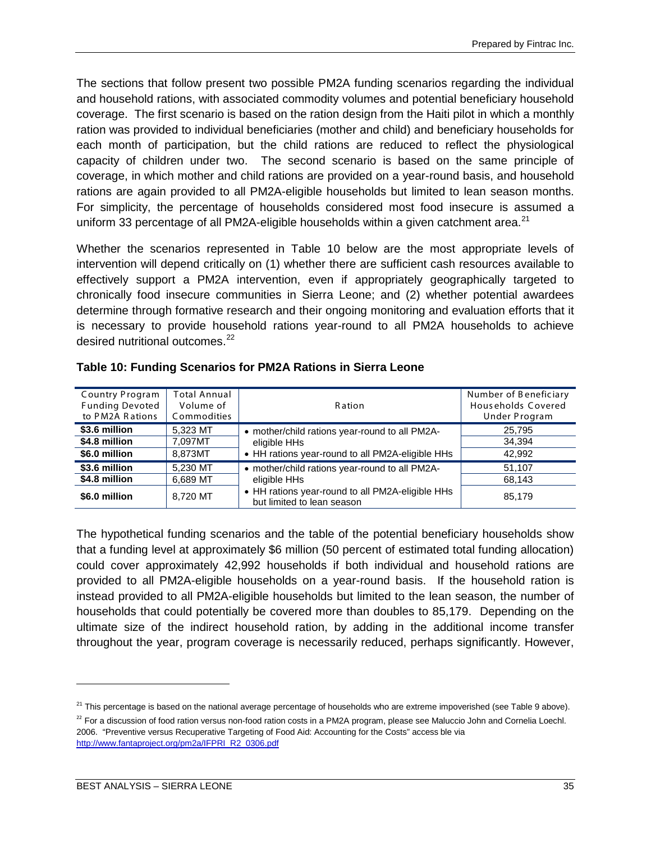The sections that follow present two possible PM2A funding scenarios regarding the individual and household rations, with associated commodity volumes and potential beneficiary household coverage. The first scenario is based on the ration design from the Haiti pilot in which a monthly ration was provided to individual beneficiaries (mother and child) and beneficiary households for each month of participation, but the child rations are reduced to reflect the physiological capacity of children under two. The second scenario is based on the same principle of coverage, in which mother and child rations are provided on a year-round basis, and household rations are again provided to all PM2A-eligible households but limited to lean season months. For simplicity, the percentage of households considered most food insecure is assumed a uniform 33 percentage of all PM2A-eligible households within a given catchment area.<sup>[21](#page-44-0)</sup>

Whether the scenarios represented in Table 10 below are the most appropriate levels of intervention will depend critically on (1) whether there are sufficient cash resources available to effectively support a PM2A intervention, even if appropriately geographically targeted to chronically food insecure communities in Sierra Leone; and (2) whether potential awardees determine through formative research and their ongoing monitoring and evaluation efforts that it is necessary to provide household rations year-round to all PM2A households to achieve desired nutritional outcomes.<sup>[22](#page-44-1)</sup>

| <b>Country Program</b><br><b>Funding Devoted</b><br>to PM2A Rations | <b>Total Annual</b><br>Volume of<br>Commodities | <b>Ration</b>                                                                  | Number of Beneficiary<br>Households Covered<br>Under Program |
|---------------------------------------------------------------------|-------------------------------------------------|--------------------------------------------------------------------------------|--------------------------------------------------------------|
| \$3.6 million                                                       | 5.323 MT                                        | • mother/child rations year-round to all PM2A-                                 | 25,795                                                       |
| \$4.8 million                                                       | 7.097MT                                         | eligible HHs                                                                   | 34.394                                                       |
| \$6.0 million                                                       | 8.873MT                                         | • HH rations year-round to all PM2A-eligible HHs                               | 42,992                                                       |
| \$3.6 million                                                       | 5.230 MT                                        | • mother/child rations year-round to all PM2A-                                 | 51,107                                                       |
| \$4.8 million                                                       | 6,689 MT                                        | eligible HHs                                                                   | 68,143                                                       |
| \$6.0 million                                                       | 8.720 MT                                        | • HH rations year-round to all PM2A-eligible HHs<br>but limited to lean season | 85,179                                                       |

### **Table 10: Funding Scenarios for PM2A Rations in Sierra Leone**

The hypothetical funding scenarios and the table of the potential beneficiary households show that a funding level at approximately \$6 million (50 percent of estimated total funding allocation) could cover approximately 42,992 households if both individual and household rations are provided to all PM2A-eligible households on a year-round basis. If the household ration is instead provided to all PM2A-eligible households but limited to the lean season, the number of households that could potentially be covered more than doubles to 85,179. Depending on the ultimate size of the indirect household ration, by adding in the additional income transfer throughout the year, program coverage is necessarily reduced, perhaps significantly. However,

 $\ddot{\phantom{a}}$ 

<span id="page-44-0"></span><sup>&</sup>lt;sup>21</sup> This percentage is based on the national average percentage of households who are extreme impoverished (see Table 9 above).

<span id="page-44-1"></span><sup>&</sup>lt;sup>22</sup> For a discussion of food ration versus non-food ration costs in a PM2A program, please see Maluccio John and Cornelia Loechl. 2006. "Preventive versus Recuperative Targeting of Food Aid: Accounting for the Costs" access ble via [http://www.fantaproject.org/pm2a/IFPRI R2 0306.pdf](http://www.fantaproject.org/pm2a/IFPRI_R2_0306.pdf)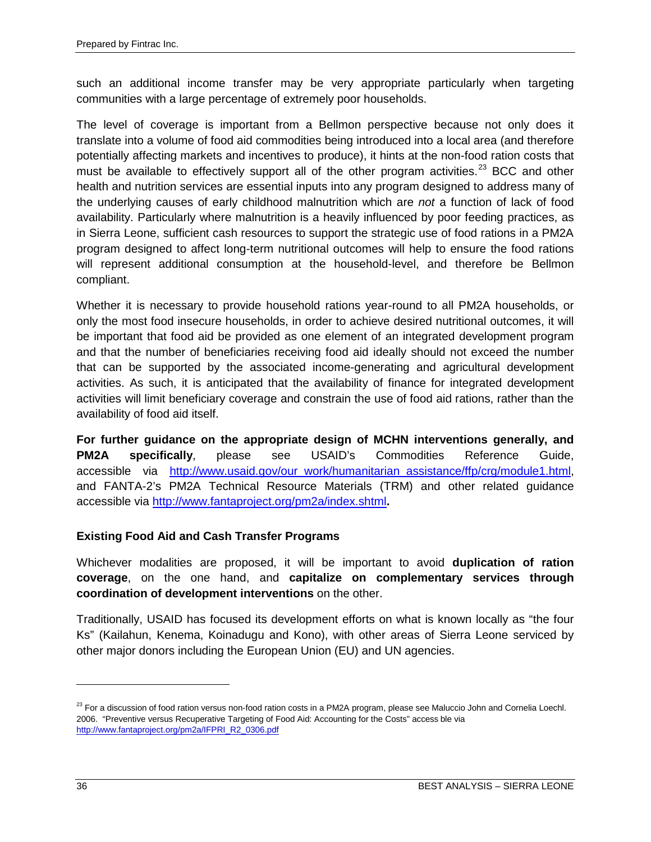such an additional income transfer may be very appropriate particularly when targeting communities with a large percentage of extremely poor households.

The level of coverage is important from a Bellmon perspective because not only does it translate into a volume of food aid commodities being introduced into a local area (and therefore potentially affecting markets and incentives to produce), it hints at the non-food ration costs that must be available to effectively support all of the other program activities.<sup>[23](#page-45-0)</sup> BCC and other health and nutrition services are essential inputs into any program designed to address many of the underlying causes of early childhood malnutrition which are *not* a function of lack of food availability. Particularly where malnutrition is a heavily influenced by poor feeding practices, as in Sierra Leone, sufficient cash resources to support the strategic use of food rations in a PM2A program designed to affect long-term nutritional outcomes will help to ensure the food rations will represent additional consumption at the household-level, and therefore be Bellmon compliant.

Whether it is necessary to provide household rations year-round to all PM2A households, or only the most food insecure households, in order to achieve desired nutritional outcomes, it will be important that food aid be provided as one element of an integrated development program and that the number of beneficiaries receiving food aid ideally should not exceed the number that can be supported by the associated income-generating and agricultural development activities. As such, it is anticipated that the availability of finance for integrated development activities will limit beneficiary coverage and constrain the use of food aid rations, rather than the availability of food aid itself.

**For further guidance on the appropriate design of MCHN interventions generally, and PM2A specifically**, please see USAID's Commodities Reference Guide, accessible via [http://www.usaid.gov/our work/humanitarian assistance/ffp/crg/module1.html,](http://www.usaid.gov/our_work/humanitarian_assistance/ffp/crg/module1.html) and FANTA-2's PM2A Technical Resource Materials (TRM) and other related guidance accessible via<http://www.fantaproject.org/pm2a/index.shtml>**.**

# **Existing Food Aid and Cash Transfer Programs**

Whichever modalities are proposed, it will be important to avoid **duplication of ration coverage**, on the one hand, and **capitalize on complementary services through coordination of development interventions** on the other.

Traditionally, USAID has focused its development efforts on what is known locally as "the four Ks" (Kailahun, Kenema, Koinadugu and Kono), with other areas of Sierra Leone serviced by other major donors including the European Union (EU) and UN agencies.

 $\overline{a}$ 

<span id="page-45-0"></span><sup>&</sup>lt;sup>23</sup> For a discussion of food ration versus non-food ration costs in a PM2A program, please see Maluccio John and Cornelia Loechl. 2006. "Preventive versus Recuperative Targeting of Food Aid: Accounting for the Costs" access ble via [http://www.fantaproject.org/pm2a/IFPRI\\_R2\\_0306.pdf](http://www.fantaproject.org/pm2a/IFPRI_R2_0306.pdf)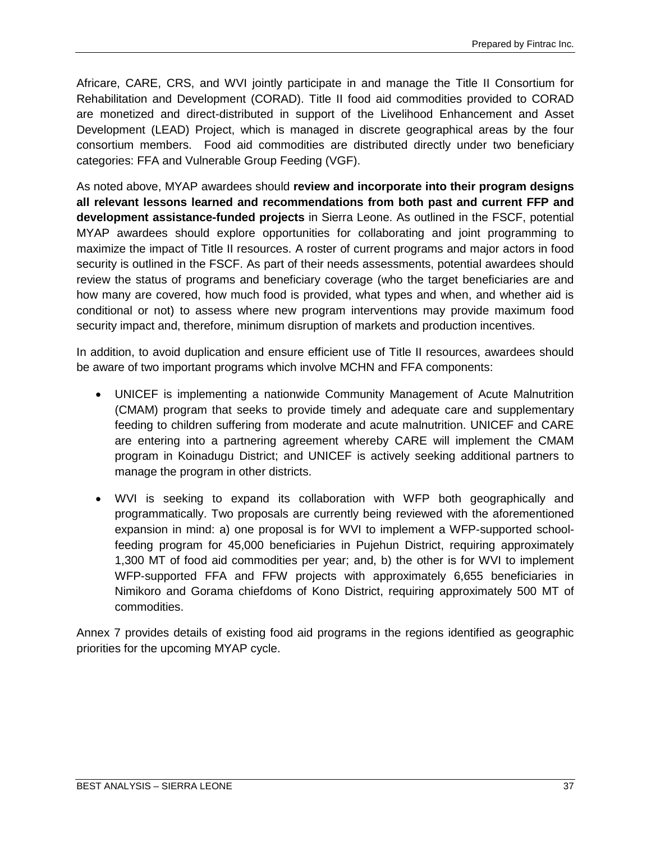Africare, CARE, CRS, and WVI jointly participate in and manage the Title II Consortium for Rehabilitation and Development (CORAD). Title II food aid commodities provided to CORAD are monetized and direct-distributed in support of the Livelihood Enhancement and Asset Development (LEAD) Project, which is managed in discrete geographical areas by the four consortium members. Food aid commodities are distributed directly under two beneficiary categories: FFA and Vulnerable Group Feeding (VGF).

As noted above, MYAP awardees should **review and incorporate into their program designs all relevant lessons learned and recommendations from both past and current FFP and development assistance-funded projects** in Sierra Leone. As outlined in the FSCF, potential MYAP awardees should explore opportunities for collaborating and joint programming to maximize the impact of Title II resources. A roster of current programs and major actors in food security is outlined in the FSCF. As part of their needs assessments, potential awardees should review the status of programs and beneficiary coverage (who the target beneficiaries are and how many are covered, how much food is provided, what types and when, and whether aid is conditional or not) to assess where new program interventions may provide maximum food security impact and, therefore, minimum disruption of markets and production incentives.

In addition, to avoid duplication and ensure efficient use of Title II resources, awardees should be aware of two important programs which involve MCHN and FFA components:

- UNICEF is implementing a nationwide Community Management of Acute Malnutrition (CMAM) program that seeks to provide timely and adequate care and supplementary feeding to children suffering from moderate and acute malnutrition. UNICEF and CARE are entering into a partnering agreement whereby CARE will implement the CMAM program in Koinadugu District; and UNICEF is actively seeking additional partners to manage the program in other districts.
- WVI is seeking to expand its collaboration with WFP both geographically and programmatically. Two proposals are currently being reviewed with the aforementioned expansion in mind: a) one proposal is for WVI to implement a WFP-supported schoolfeeding program for 45,000 beneficiaries in Pujehun District, requiring approximately 1,300 MT of food aid commodities per year; and, b) the other is for WVI to implement WFP-supported FFA and FFW projects with approximately 6,655 beneficiaries in Nimikoro and Gorama chiefdoms of Kono District, requiring approximately 500 MT of commodities.

Annex 7 provides details of existing food aid programs in the regions identified as geographic priorities for the upcoming MYAP cycle.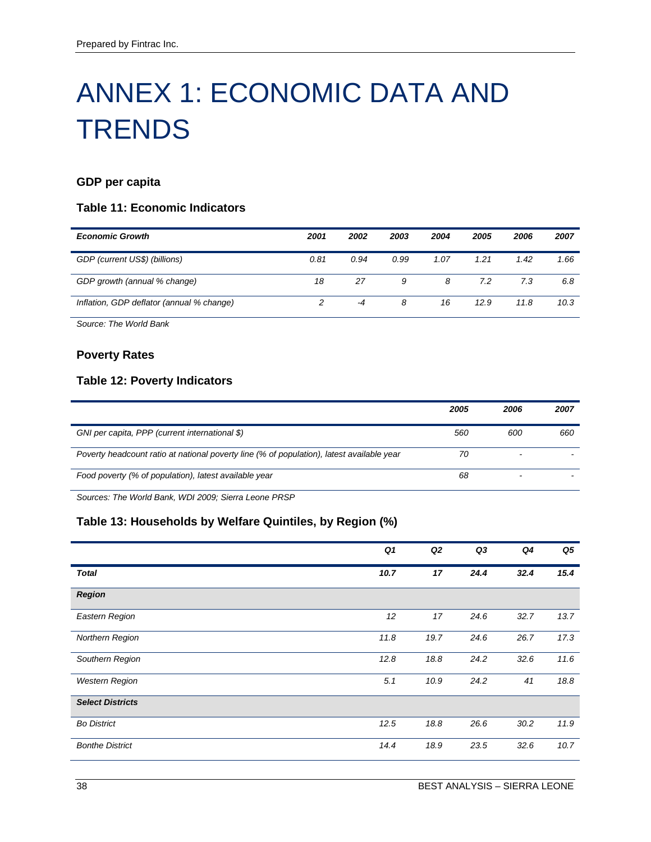# ANNEX 1: ECONOMIC DATA AND **TRENDS**

# **GDP per capita**

### **Table 11: Economic Indicators**

| <b>Economic Growth</b>                    | 2001 | 2002 | 2003 | 2004 | 2005 | 2006 | 2007 |
|-------------------------------------------|------|------|------|------|------|------|------|
| GDP (current US\$) (billions)             | 0.81 | 0.94 | 0.99 | 1.07 | 1.21 | 1.42 | 1.66 |
| GDP growth (annual % change)              | 18   | 27   | 9    | 8    | 7.2  | 7.3  | 6.8  |
| Inflation, GDP deflator (annual % change) |      | -4   | 8    | 16   | 12.9 | 11.8 | 10.3 |

*Source: The World Bank*

#### **Poverty Rates**

### **Table 12: Poverty Indicators**

|                                                                                           | 2005 | 2006 | 2007 |
|-------------------------------------------------------------------------------------------|------|------|------|
| GNI per capita, PPP (current international \$)                                            | 560  | 600  | 660  |
| Poverty headcount ratio at national poverty line (% of population), latest available year | 70   |      |      |
| Food poverty (% of population), latest available year                                     | 68   |      |      |

*Sources: The World Bank, WDI 2009; Sierra Leone PRSP*

# **Table 13: Households by Welfare Quintiles, by Region (%)**

|                         | Q <sub>1</sub> | Q2   | Q3   | Q4   | Q5   |
|-------------------------|----------------|------|------|------|------|
| <b>Total</b>            | 10.7           | 17   | 24.4 | 32.4 | 15.4 |
| <b>Region</b>           |                |      |      |      |      |
| Eastern Region          | 12             | 17   | 24.6 | 32.7 | 13.7 |
| Northern Region         | 11.8           | 19.7 | 24.6 | 26.7 | 17.3 |
| Southern Region         | 12.8           | 18.8 | 24.2 | 32.6 | 11.6 |
| <b>Western Region</b>   | 5.1            | 10.9 | 24.2 | 41   | 18.8 |
| <b>Select Districts</b> |                |      |      |      |      |
| <b>Bo District</b>      | 12.5           | 18.8 | 26.6 | 30.2 | 11.9 |
| <b>Bonthe District</b>  | 14.4           | 18.9 | 23.5 | 32.6 | 10.7 |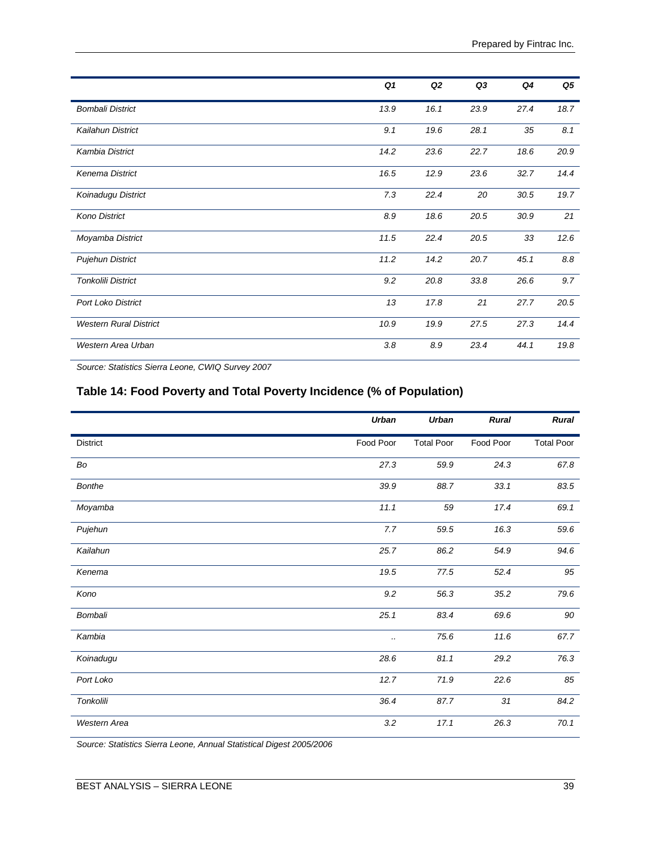|                               | Q <sub>1</sub> | Q <sub>2</sub> | Q3   | Q4   | Q5   |
|-------------------------------|----------------|----------------|------|------|------|
| <b>Bombali District</b>       | 13.9           | 16.1           | 23.9 | 27.4 | 18.7 |
| <b>Kailahun District</b>      | 9.1            | 19.6           | 28.1 | 35   | 8.1  |
| Kambia District               | 14.2           | 23.6           | 22.7 | 18.6 | 20.9 |
| Kenema District               | 16.5           | 12.9           | 23.6 | 32.7 | 14.4 |
| Koinadugu District            | 7.3            | 22.4           | 20   | 30.5 | 19.7 |
| <b>Kono District</b>          | 8.9            | 18.6           | 20.5 | 30.9 | 21   |
| Moyamba District              | 11.5           | 22.4           | 20.5 | 33   | 12.6 |
| <b>Pujehun District</b>       | 11.2           | 14.2           | 20.7 | 45.1 | 8.8  |
| Tonkolili District            | 9.2            | 20.8           | 33.8 | 26.6 | 9.7  |
| <b>Port Loko District</b>     | 13             | 17.8           | 21   | 27.7 | 20.5 |
| <b>Western Rural District</b> | 10.9           | 19.9           | 27.5 | 27.3 | 14.4 |
| Western Area Urban            | 3.8            | 8.9            | 23.4 | 44.1 | 19.8 |

*Source: Statistics Sierra Leone, CWIQ Survey 2007*

# **Table 14: Food Poverty and Total Poverty Incidence (% of Population)**

|                 | Urban     | <b>Urban</b>      | <b>Rural</b> | <b>Rural</b>      |
|-----------------|-----------|-------------------|--------------|-------------------|
| <b>District</b> | Food Poor | <b>Total Poor</b> | Food Poor    | <b>Total Poor</b> |
| Bo              | 27.3      | 59.9              | 24.3         | 67.8              |
| <b>Bonthe</b>   | 39.9      | 88.7              | 33.1         | 83.5              |
| Moyamba         | 11.1      | 59                | 17.4         | 69.1              |
| Pujehun         | 7.7       | 59.5              | 16.3         | 59.6              |
| Kailahun        | 25.7      | 86.2              | 54.9         | 94.6              |
| Kenema          | 19.5      | 77.5              | 52.4         | 95                |
| Kono            | $9.2\,$   | 56.3              | 35.2         | 79.6              |
| Bombali         | 25.1      | 83.4              | 69.6         | 90                |
| Kambia          |           | 75.6              | 11.6         | 67.7              |
| Koinadugu       | 28.6      | 81.1              | 29.2         | 76.3              |
| Port Loko       | 12.7      | 71.9              | 22.6         | 85                |
| Tonkolili       | 36.4      | 87.7              | 31           | 84.2              |
| Western Area    | 3.2       | 17.1              | 26.3         | 70.1              |

*Source: Statistics Sierra Leone, Annual Statistical Digest 2005/2006*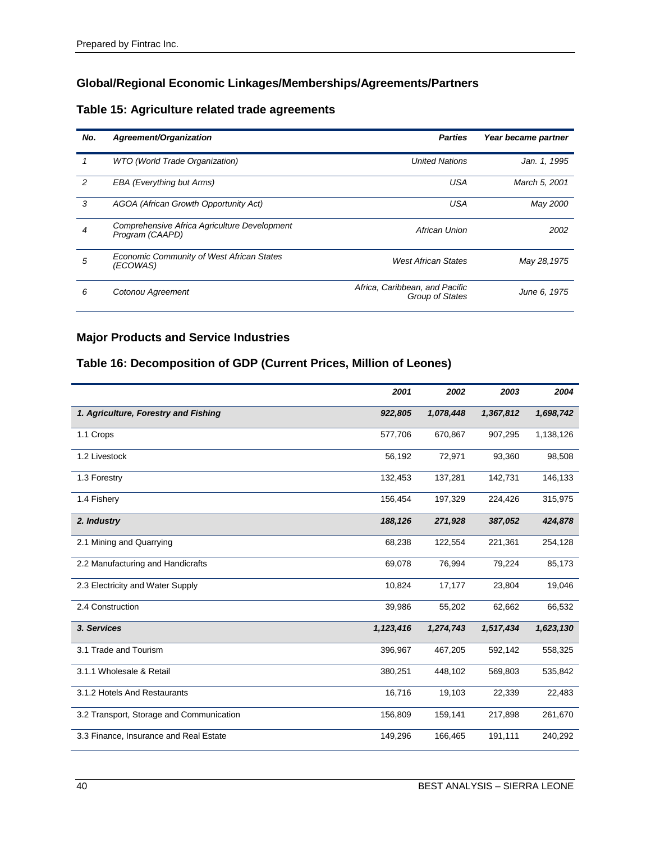# **Global/Regional Economic Linkages/Memberships/Agreements/Partners**

# **Table 15: Agriculture related trade agreements**

| No. | Agreement/Organization                                          | <b>Parties</b>                                    | Year became partner |
|-----|-----------------------------------------------------------------|---------------------------------------------------|---------------------|
|     | <b>WTO</b> (World Trade Organization)                           | <b>United Nations</b>                             | Jan. 1, 1995        |
| 2   | EBA (Everything but Arms)                                       | <b>USA</b>                                        | March 5, 2001       |
| 3   | AGOA (African Growth Opportunity Act)                           | <b>USA</b>                                        | May 2000            |
| 4   | Comprehensive Africa Agriculture Development<br>Program (CAAPD) | African Union                                     | 2002                |
| 5   | <b>Economic Community of West African States</b><br>(ECOWAS)    | <b>West African States</b>                        | May 28,1975         |
| 6   | Cotonou Agreement                                               | Africa, Caribbean, and Pacific<br>Group of States | June 6, 1975        |

# **Major Products and Service Industries**

### **Table 16: Decomposition of GDP (Current Prices, Million of Leones)**

|                                          | 2001      | 2002      | 2003      | 2004      |
|------------------------------------------|-----------|-----------|-----------|-----------|
| 1. Agriculture, Forestry and Fishing     | 922,805   | 1,078,448 | 1,367,812 | 1,698,742 |
| 1.1 Crops                                | 577,706   | 670,867   | 907,295   | 1,138,126 |
| 1.2 Livestock                            | 56,192    | 72,971    | 93,360    | 98,508    |
| 1.3 Forestry                             | 132,453   | 137,281   | 142,731   | 146,133   |
| 1.4 Fishery                              | 156,454   | 197,329   | 224,426   | 315,975   |
| 2. Industry                              | 188,126   | 271,928   | 387,052   | 424,878   |
| 2.1 Mining and Quarrying                 | 68,238    | 122,554   | 221,361   | 254,128   |
| 2.2 Manufacturing and Handicrafts        | 69,078    | 76,994    | 79,224    | 85,173    |
| 2.3 Electricity and Water Supply         | 10,824    | 17,177    | 23,804    | 19,046    |
| 2.4 Construction                         | 39,986    | 55,202    | 62,662    | 66,532    |
| 3. Services                              | 1,123,416 | 1,274,743 | 1,517,434 | 1,623,130 |
| 3.1 Trade and Tourism                    | 396,967   | 467,205   | 592,142   | 558,325   |
| 3.1.1 Wholesale & Retail                 | 380,251   | 448,102   | 569,803   | 535,842   |
| 3.1.2 Hotels And Restaurants             | 16,716    | 19,103    | 22,339    | 22,483    |
| 3.2 Transport, Storage and Communication | 156,809   | 159,141   | 217,898   | 261,670   |
| 3.3 Finance, Insurance and Real Estate   | 149,296   | 166,465   | 191,111   | 240,292   |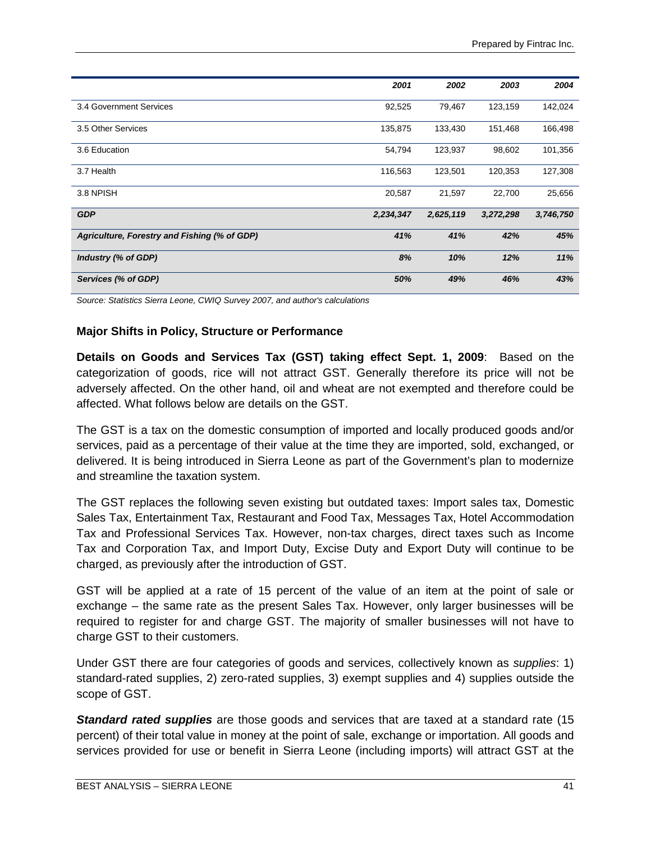|                                              | 2001      | 2002      | 2003      | 2004      |
|----------------------------------------------|-----------|-----------|-----------|-----------|
|                                              |           |           |           |           |
| 3.4 Government Services                      | 92,525    | 79,467    | 123,159   | 142,024   |
|                                              |           |           |           |           |
| 3.5 Other Services                           | 135,875   | 133,430   | 151,468   | 166,498   |
|                                              |           |           |           |           |
| 3.6 Education                                | 54,794    | 123,937   | 98,602    | 101,356   |
|                                              |           |           |           |           |
| 3.7 Health                                   | 116,563   | 123,501   | 120,353   | 127,308   |
|                                              |           |           |           |           |
| 3.8 NPISH                                    | 20,587    | 21,597    | 22,700    | 25,656    |
|                                              |           |           |           |           |
| <b>GDP</b>                                   | 2,234,347 | 2,625,119 | 3,272,298 | 3,746,750 |
|                                              |           |           |           |           |
| Agriculture, Forestry and Fishing (% of GDP) | 41%       | 41%       | 42%       | 45%       |
|                                              |           |           |           |           |
| Industry (% of GDP)                          | 8%        | 10%       | 12%       | 11%       |
|                                              |           |           |           |           |
| Services (% of GDP)                          | 50%       | 49%       | 46%       | 43%       |
|                                              |           |           |           |           |

*Source: Statistics Sierra Leone, CWIQ Survey 2007, and author's calculations*

### **Major Shifts in Policy, Structure or Performance**

**Details on Goods and Services Tax (GST) taking effect Sept. 1, 2009**: Based on the categorization of goods, rice will not attract GST. Generally therefore its price will not be adversely affected. On the other hand, oil and wheat are not exempted and therefore could be affected. What follows below are details on the GST.

The GST is a tax on the domestic consumption of imported and locally produced goods and/or services, paid as a percentage of their value at the time they are imported, sold, exchanged, or delivered. It is being introduced in Sierra Leone as part of the Government's plan to modernize and streamline the taxation system.

The GST replaces the following seven existing but outdated taxes: Import sales tax, Domestic Sales Tax, Entertainment Tax, Restaurant and Food Tax, Messages Tax, Hotel Accommodation Tax and Professional Services Tax. However, non-tax charges, direct taxes such as Income Tax and Corporation Tax, and Import Duty, Excise Duty and Export Duty will continue to be charged, as previously after the introduction of GST.

GST will be applied at a rate of 15 percent of the value of an item at the point of sale or exchange – the same rate as the present Sales Tax. However, only larger businesses will be required to register for and charge GST. The majority of smaller businesses will not have to charge GST to their customers.

Under GST there are four categories of goods and services, collectively known as *supplies*: 1) standard-rated supplies, 2) zero-rated supplies, 3) exempt supplies and 4) supplies outside the scope of GST.

*Standard rated supplies* are those goods and services that are taxed at a standard rate (15 percent) of their total value in money at the point of sale, exchange or importation. All goods and services provided for use or benefit in Sierra Leone (including imports) will attract GST at the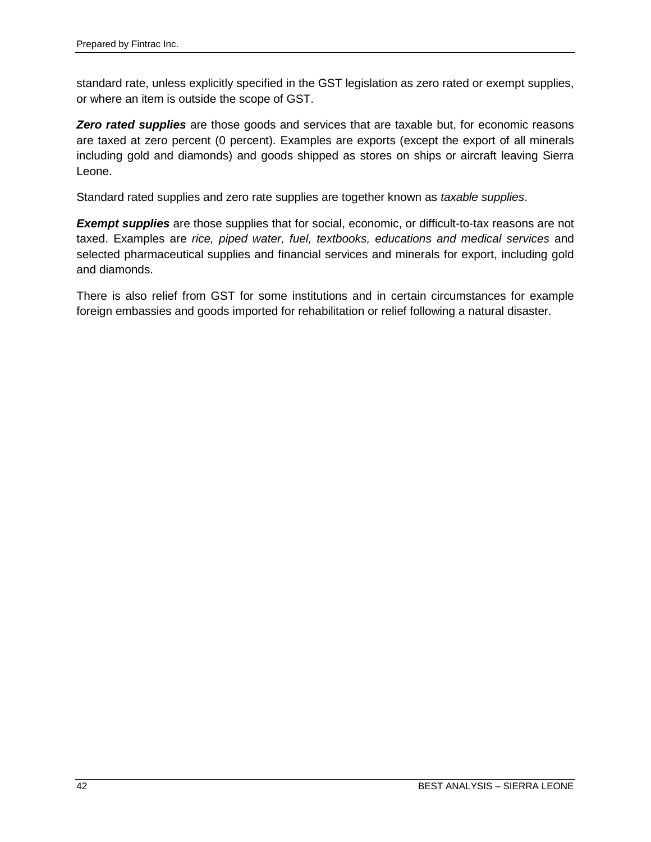standard rate, unless explicitly specified in the GST legislation as zero rated or exempt supplies, or where an item is outside the scope of GST.

**Zero rated supplies** are those goods and services that are taxable but, for economic reasons are taxed at zero percent (0 percent). Examples are exports (except the export of all minerals including gold and diamonds) and goods shipped as stores on ships or aircraft leaving Sierra Leone.

Standard rated supplies and zero rate supplies are together known as *taxable supplies*.

*Exempt supplies* are those supplies that for social, economic, or difficult-to-tax reasons are not taxed. Examples are *rice, piped water, fuel, textbooks, educations and medical services* and selected pharmaceutical supplies and financial services and minerals for export, including gold and diamonds.

There is also relief from GST for some institutions and in certain circumstances for example foreign embassies and goods imported for rehabilitation or relief following a natural disaster.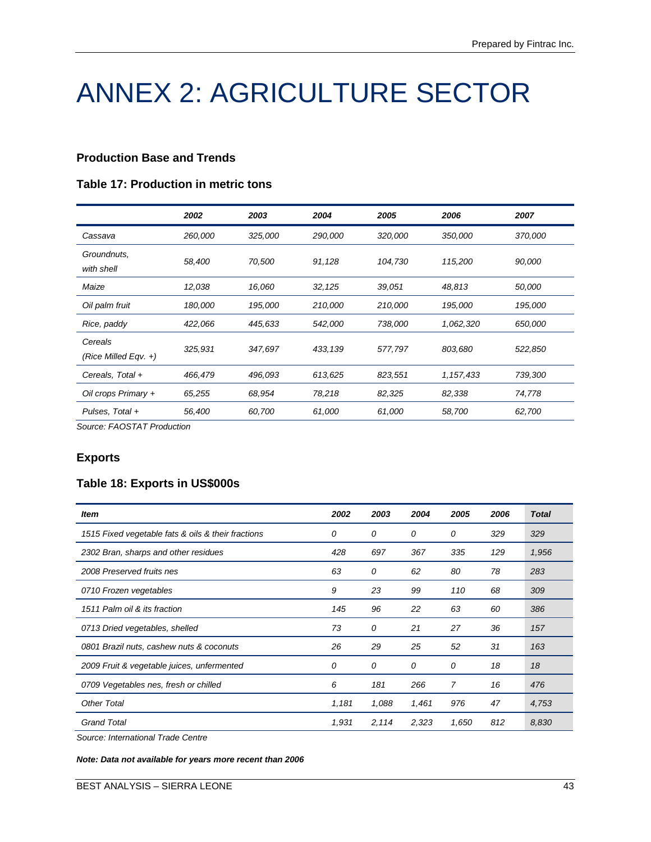# ANNEX 2: AGRICULTURE SECTOR

#### **Production Base and Trends**

#### **Table 17: Production in metric tons**

|                                 | 2002    | 2003    | 2004    | 2005    | 2006      | 2007    |
|---------------------------------|---------|---------|---------|---------|-----------|---------|
| Cassava                         | 260,000 | 325,000 | 290,000 | 320,000 | 350,000   | 370,000 |
| Groundnuts,<br>with shell       | 58,400  | 70,500  | 91,128  | 104,730 | 115,200   | 90,000  |
| Maize                           | 12,038  | 16,060  | 32, 125 | 39,051  | 48,813    | 50,000  |
| Oil palm fruit                  | 180,000 | 195,000 | 210,000 | 210,000 | 195,000   | 195,000 |
| Rice, paddy                     | 422,066 | 445,633 | 542,000 | 738,000 | 1,062,320 | 650,000 |
| Cereals<br>(Rice Milled Eqv. +) | 325,931 | 347,697 | 433,139 | 577,797 | 803,680   | 522,850 |
| Cereals, Total +                | 466,479 | 496,093 | 613,625 | 823,551 | 1,157,433 | 739,300 |
| Oil crops Primary +             | 65,255  | 68,954  | 78,218  | 82,325  | 82,338    | 74,778  |
| Pulses, Total +                 | 56,400  | 60,700  | 61,000  | 61,000  | 58,700    | 62,700  |

*Source: FAOSTAT Production*

#### **Exports**

# **Table 18: Exports in US\$000s**

| ltem                                               | 2002  | 2003  | 2004  | 2005  | 2006 | <b>Total</b> |
|----------------------------------------------------|-------|-------|-------|-------|------|--------------|
| 1515 Fixed vegetable fats & oils & their fractions | 0     | 0     | 0     | 0     | 329  | 329          |
| 2302 Bran, sharps and other residues               | 428   | 697   | 367   | 335   | 129  | 1,956        |
| 2008 Preserved fruits nes                          | 63    | 0     | 62    | 80    | 78   | 283          |
| 0710 Frozen vegetables                             |       | 23    | 99    | 110   | 68   | 309          |
| 1511 Palm oil & its fraction                       | 145   | 96    | 22    | 63    | 60   | 386          |
| 0713 Dried vegetables, shelled                     | 73    | 0     | 21    | 27    | 36   | 157          |
| 0801 Brazil nuts, cashew nuts & coconuts           | 26    | 29    | 25    | 52    | 31   | 163          |
| 2009 Fruit & vegetable juices, unfermented         | 0     | 0     | 0     | 0     | 18   | 18           |
| 0709 Vegetables nes, fresh or chilled              | 6     | 181   | 266   | 7     | 16   | 476          |
| <b>Other Total</b>                                 | 1,181 | 1,088 | 1,461 | 976   | 47   | 4,753        |
| <b>Grand Total</b>                                 | 1,931 | 2,114 | 2,323 | 1,650 | 812  | 8,830        |

*Source: International Trade Centre*

*Note: Data not available for years more recent than 2006*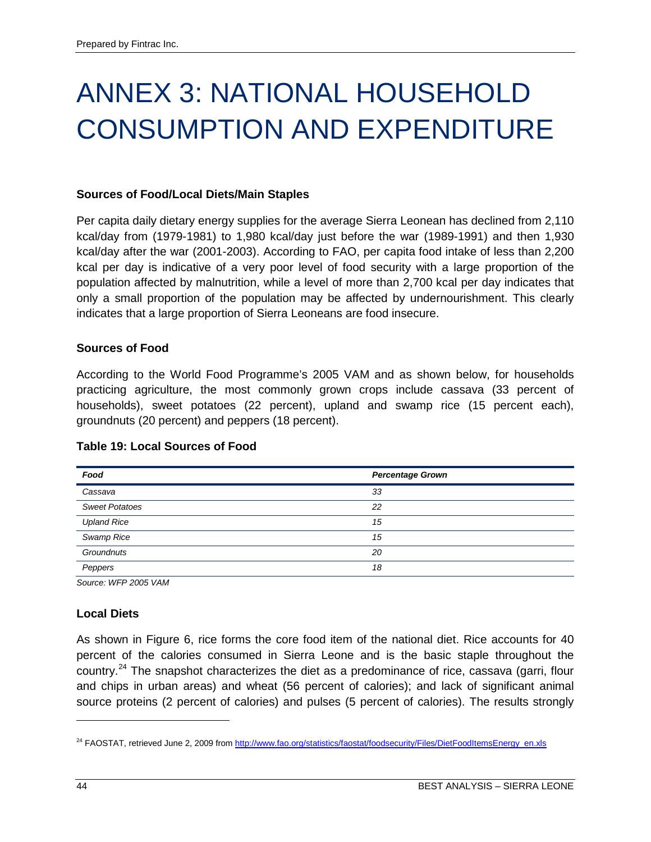# ANNEX 3: NATIONAL HOUSEHOLD CONSUMPTION AND EXPENDITURE

#### **Sources of Food/Local Diets/Main Staples**

Per capita daily dietary energy supplies for the average Sierra Leonean has declined from 2,110 kcal/day from (1979-1981) to 1,980 kcal/day just before the war (1989-1991) and then 1,930 kcal/day after the war (2001-2003). According to FAO, per capita food intake of less than 2,200 kcal per day is indicative of a very poor level of food security with a large proportion of the population affected by malnutrition, while a level of more than 2,700 kcal per day indicates that only a small proportion of the population may be affected by undernourishment. This clearly indicates that a large proportion of Sierra Leoneans are food insecure.

#### **Sources of Food**

According to the World Food Programme's 2005 VAM and as shown below, for households practicing agriculture, the most commonly grown crops include cassava (33 percent of households), sweet potatoes (22 percent), upland and swamp rice (15 percent each), groundnuts (20 percent) and peppers (18 percent).

| Food                  | <b>Percentage Grown</b> |
|-----------------------|-------------------------|
| Cassava               | 33                      |
| <b>Sweet Potatoes</b> | 22                      |
| <b>Upland Rice</b>    | 15                      |
| Swamp Rice            | 15                      |
| Groundnuts            | 20                      |
| Peppers               | 18                      |

#### **Table 19: Local Sources of Food**

*Source: WFP 2005 VAM*

#### **Local Diets**

As shown in Figure 6, rice forms the core food item of the national diet. Rice accounts for 40 percent of the calories consumed in Sierra Leone and is the basic staple throughout the country.<sup>[24](#page-53-0)</sup> The snapshot characterizes the diet as a predominance of rice, cassava (garri, flour and chips in urban areas) and wheat (56 percent of calories); and lack of significant animal source proteins (2 percent of calories) and pulses (5 percent of calories). The results strongly

 $\overline{a}$ 

<span id="page-53-0"></span><sup>&</sup>lt;sup>24</sup> FAOSTAT, retrieved June 2, 2009 from <u>http://www.fao.org/statistics/faostat/foodsecurity/Files/DietFoodItemsEnergy\_en.xls</u>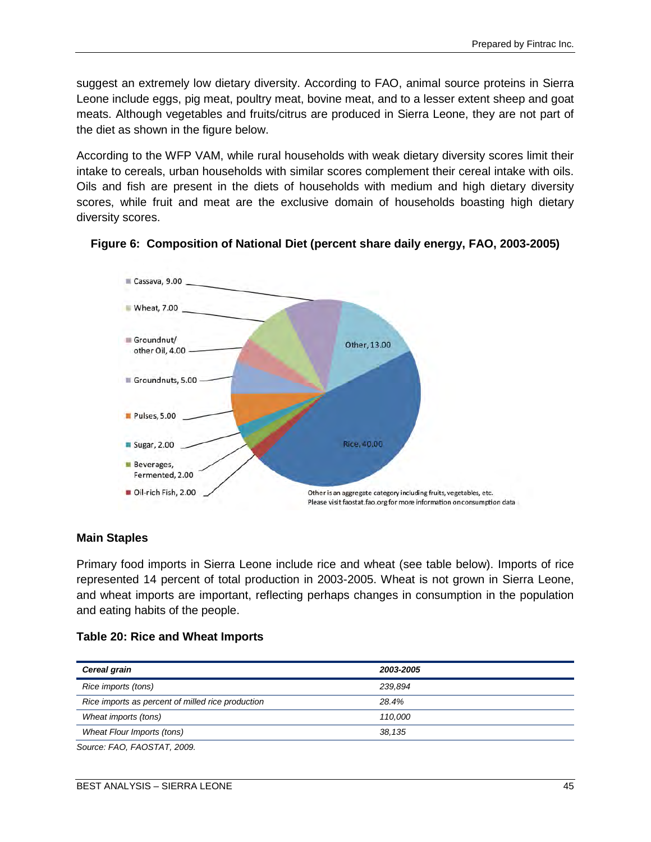suggest an extremely low dietary diversity. According to FAO, animal source proteins in Sierra Leone include eggs, pig meat, poultry meat, bovine meat, and to a lesser extent sheep and goat meats. Although vegetables and fruits/citrus are produced in Sierra Leone, they are not part of the diet as shown in the figure below.

According to the WFP VAM, while rural households with weak dietary diversity scores limit their intake to cereals, urban households with similar scores complement their cereal intake with oils. Oils and fish are present in the diets of households with medium and high dietary diversity scores, while fruit and meat are the exclusive domain of households boasting high dietary diversity scores.



### **Figure 6: Composition of National Diet (percent share daily energy, FAO, 2003-2005)**

#### **Main Staples**

Primary food imports in Sierra Leone include rice and wheat (see table below). Imports of rice represented 14 percent of total production in 2003-2005. Wheat is not grown in Sierra Leone, and wheat imports are important, reflecting perhaps changes in consumption in the population and eating habits of the people.

| Table 20: Rice and Wheat Imports |  |
|----------------------------------|--|
|                                  |  |

**Table 20: Rice and Wheat Imports** 

| Cereal grain                                                                                                                                                                                                                                                                                                                                | 2003-2005 |  |
|---------------------------------------------------------------------------------------------------------------------------------------------------------------------------------------------------------------------------------------------------------------------------------------------------------------------------------------------|-----------|--|
| Rice imports (tons)                                                                                                                                                                                                                                                                                                                         | 239.894   |  |
| Rice imports as percent of milled rice production                                                                                                                                                                                                                                                                                           | 28.4%     |  |
| Wheat imports (tons)                                                                                                                                                                                                                                                                                                                        | 110.000   |  |
| Wheat Flour Imports (tons)                                                                                                                                                                                                                                                                                                                  | 38.135    |  |
| $C_{2}$ $\cdots$ $\cdots$ $\vdots$ $\vdots$ $\vdots$ $\vdots$ $\vdots$ $\vdots$ $\vdots$ $\vdots$ $\vdots$ $\vdots$ $\vdots$ $\vdots$ $\vdots$ $\vdots$ $\vdots$ $\vdots$ $\vdots$ $\vdots$ $\vdots$ $\vdots$ $\vdots$ $\vdots$ $\vdots$ $\vdots$ $\vdots$ $\vdots$ $\vdots$ $\vdots$ $\vdots$ $\vdots$ $\vdots$ $\vdots$ $\vdots$ $\vdots$ |           |  |

*Source: FAO, FAOSTAT, 2009.*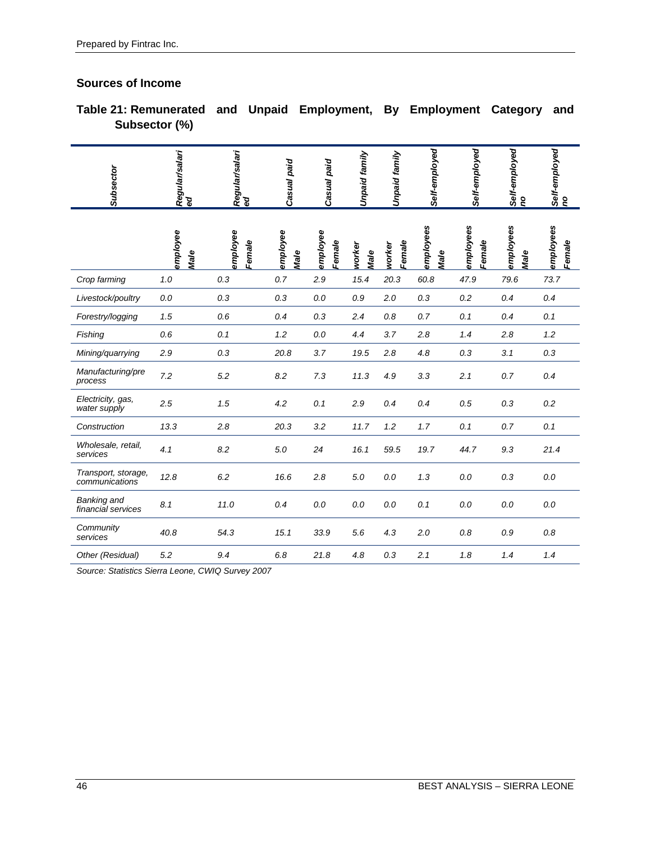# **Sources of Income**

**Table 21: Remunerated and Unpaid Employment, By Employment Category and Subsector (%)**

| Subsector                             | Regular/salari<br>ed | Regular/salari<br>ed | Casual paid      | Casual paid        | Unpaid family  | Unpaid family    | Self-employed     | Self-employed       | Self-employed<br>no | Self-employed<br>no |
|---------------------------------------|----------------------|----------------------|------------------|--------------------|----------------|------------------|-------------------|---------------------|---------------------|---------------------|
|                                       | employee<br>Male     | employee<br>Female   | employee<br>Male | employee<br>Female | worker<br>Male | Female<br>worker | employees<br>Male | employees<br>Female | employees<br>Male   | employees<br>Female |
| Crop farming                          | 1.0                  | 0.3                  | 0.7              | 2.9                | 15.4           | 20.3             | 60.8              | 47.9                | 79.6                | 73.7                |
| Livestock/poultry                     | 0.0                  | 0.3                  | 0.3              | 0.0                | 0.9            | 2.0              | 0.3               | 0.2                 | 0.4                 | 0.4                 |
| Forestry/logging                      | 1.5                  | 0.6                  | 0.4              | 0.3                | 2.4            | 0.8              | 0.7               | 0.1                 | 0.4                 | 0.1                 |
| Fishing                               | 0.6                  | 0.1                  | 1.2              | 0.0                | 4.4            | 3.7              | 2.8               | 1.4                 | 2.8                 | 1.2                 |
| Mining/quarrying                      | 2.9                  | 0.3                  | 20.8             | 3.7                | 19.5           | 2.8              | 4.8               | 0.3                 | 3.1                 | 0.3                 |
| Manufacturing/pre<br>process          | 7.2                  | 5.2                  | 8.2              | 7.3                | 11.3           | 4.9              | 3.3               | 2.1                 | 0.7                 | 0.4                 |
| Electricity, gas,<br>water supply     | 2.5                  | 1.5                  | 4.2              | 0.1                | 2.9            | 0.4              | 0.4               | 0.5                 | 0.3                 | 0.2                 |
| Construction                          | 13.3                 | 2.8                  | 20.3             | 3.2                | 11.7           | 1.2              | 1.7               | 0.1                 | 0.7                 | 0.1                 |
| Wholesale, retail,<br>services        | 4.1                  | 8.2                  | 5.0              | 24                 | 16.1           | 59.5             | 19.7              | 44.7                | 9.3                 | 21.4                |
| Transport, storage,<br>communications | 12.8                 | 6.2                  | 16.6             | 2.8                | 5.0            | 0.0              | 1.3               | $0.0\,$             | 0.3                 | $0.0\,$             |
| Banking and<br>financial services     | 8.1                  | 11.0                 | 0.4              | 0.0                | 0.0            | 0.0              | 0.1               | 0.0                 | 0.0                 | 0.0                 |
| Community<br>services                 | 40.8                 | 54.3                 | 15.1             | 33.9               | 5.6            | 4.3              | 2.0               | 0.8                 | 0.9                 | 0.8                 |
| Other (Residual)                      | 5.2                  | 9.4                  | 6.8              | 21.8               | 4.8            | 0.3              | 2.1               | 1.8                 | 1.4                 | 1.4                 |

*Source: Statistics Sierra Leone, CWIQ Survey 2007*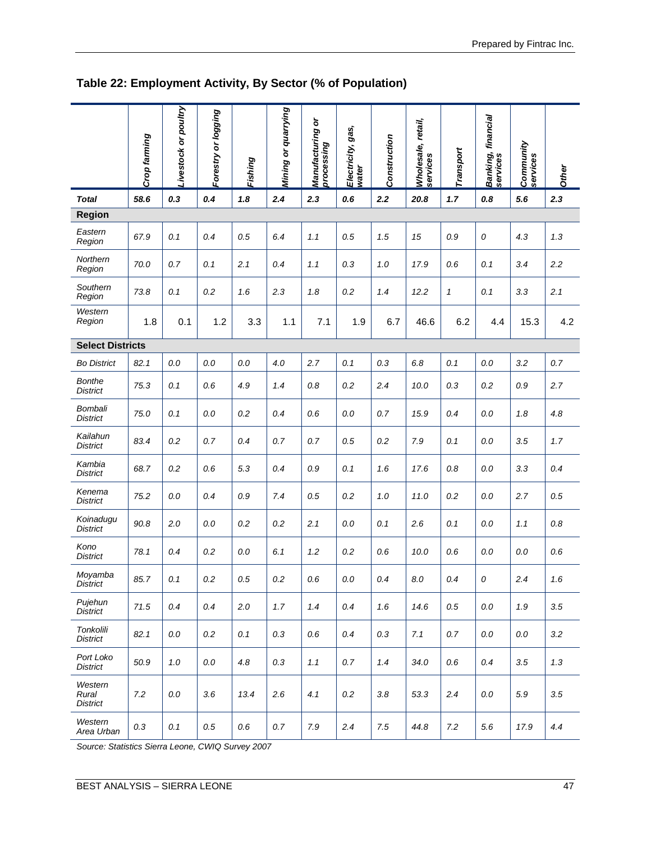|                                     | Crop farming | Livestock or poultry | Forestry or logging | Fishing | Mining or quarrying | Manufacturing or<br>processing | Electricity, gas,<br>water | Construction | Wholesale, retail,<br>services | Transport    | Banking, financial<br>services | Community<br>services | <b>Other</b> |
|-------------------------------------|--------------|----------------------|---------------------|---------|---------------------|--------------------------------|----------------------------|--------------|--------------------------------|--------------|--------------------------------|-----------------------|--------------|
| <b>Total</b>                        | 58.6         | 0.3                  | 0.4                 | 1.8     | 2.4                 | 2.3                            | 0.6                        | 2.2          | 20.8                           | 1.7          | 0.8                            | 5.6                   | 2.3          |
| <b>Region</b>                       |              |                      |                     |         |                     |                                |                            |              |                                |              |                                |                       |              |
| Eastern<br>Region                   | 67.9         | 0.1                  | 0.4                 | $0.5\,$ | 6.4                 | 1.1                            | 0.5                        | 1.5          | 15                             | 0.9          | 0                              | 4.3                   | 1.3          |
| Northern<br>Region                  | 70.0         | 0.7                  | 0.1                 | 2.1     | 0.4                 | 1.1                            | 0.3                        | 1.0          | 17.9                           | 0.6          | 0.1                            | 3.4                   | 2.2          |
| Southern<br>Region                  | 73.8         | 0.1                  | 0.2                 | 1.6     | 2.3                 | 1.8                            | 0.2                        | 1.4          | 12.2                           | $\mathbf{1}$ | 0.1                            | 3.3                   | 2.1          |
| Western<br>Region                   | 1.8          | 0.1                  | 1.2                 | 3.3     | 1.1                 | 7.1                            | 1.9                        | 6.7          | 46.6                           | 6.2          | 4.4                            | 15.3                  | 4.2          |
| <b>Select Districts</b>             |              |                      |                     |         |                     |                                |                            |              |                                |              |                                |                       |              |
| <b>Bo District</b>                  | 82.1         | 0.0                  | 0.0                 | 0.0     | 4.0                 | 2.7                            | 0.1                        | 0.3          | 6.8                            | 0.1          | 0.0                            | 3.2                   | 0.7          |
| <b>Bonthe</b><br><b>District</b>    | 75.3         | 0.1                  | 0.6                 | 4.9     | 1.4                 | $0.8\,$                        | 0.2                        | 2.4          | 10.0                           | 0.3          | 0.2                            | $0.9\,$               | 2.7          |
| Bombali<br><b>District</b>          | 75.0         | 0.1                  | 0.0                 | 0.2     | 0.4                 | 0.6                            | 0.0                        | 0.7          | 15.9                           | 0.4          | 0.0                            | 1.8                   | 4.8          |
| Kailahun<br><b>District</b>         | 83.4         | 0.2                  | 0.7                 | 0.4     | 0.7                 | 0.7                            | 0.5                        | 0.2          | 7.9                            | 0.1          | 0.0                            | 3.5                   | 1.7          |
| Kambia<br><b>District</b>           | 68.7         | 0.2                  | 0.6                 | 5.3     | 0.4                 | 0.9                            | 0.1                        | 1.6          | 17.6                           | $0.8\,$      | 0.0                            | 3.3                   | 0.4          |
| Kenema<br><b>District</b>           | 75.2         | 0.0                  | 0.4                 | 0.9     | 7.4                 | 0.5                            | 0.2                        | 1.0          | 11.0                           | 0.2          | 0.0                            | 2.7                   | 0.5          |
| Koinadugu<br><b>District</b>        | 90.8         | 2.0                  | 0.0                 | 0.2     | 0.2                 | 2.1                            | 0.0                        | 0.1          | 2.6                            | 0.1          | $0.0\,$                        | 1.1                   | $0.8\,$      |
| Kono<br>District                    | 78.1         | 0.4                  | 0.2                 | $0.0\,$ | 6.1                 | 1.2                            | 0.2                        | 0.6          | 10.0                           | 0.6          | $0.0\,$                        | $0.0\,$               | 0.6          |
| Moyamba<br>DISTICT                  | 85.7         | 0.1                  | 0.2                 | 0.5     | 0.2                 | 0.6                            | 0.0                        | 0.4          | 8.0                            | 0.4          | 0                              | 2.4                   | 1.6          |
| Pujehun<br><b>District</b>          | 71.5         | 0.4                  | 0.4                 | 2.0     | 1.7                 | 1.4                            | 0.4                        | 1.6          | 14.6                           | 0.5          | 0.0                            | 1.9                   | 3.5          |
| Tonkolili<br><b>District</b>        | 82.1         | 0.0                  | 0.2                 | 0.1     | 0.3                 | 0.6                            | 0.4                        | 0.3          | 7.1                            | 0.7          | 0.0                            | 0.0                   | 3.2          |
| Port Loko<br><b>District</b>        | 50.9         | 1.0                  | $0.0\,$             | 4.8     | 0.3                 | 1.1                            | 0.7                        | 1.4          | 34.0                           | 0.6          | 0.4                            | 3.5                   | 1.3          |
| Western<br>Rural<br><b>District</b> | 7.2          | 0.0                  | 3.6                 | 13.4    | 2.6                 | 4.1                            | 0.2                        | 3.8          | 53.3                           | 2.4          | 0.0                            | 5.9                   | 3.5          |
| Western<br>Area Urban               | 0.3          | 0.1                  | 0.5                 | 0.6     | 0.7                 | 7.9                            | 2.4                        | 7.5          | 44.8                           | 7.2          | $5.6\,$                        | 17.9                  | 4.4          |

# **Table 22: Employment Activity, By Sector (% of Population)**

*Source: Statistics Sierra Leone, CWIQ Survey 2007*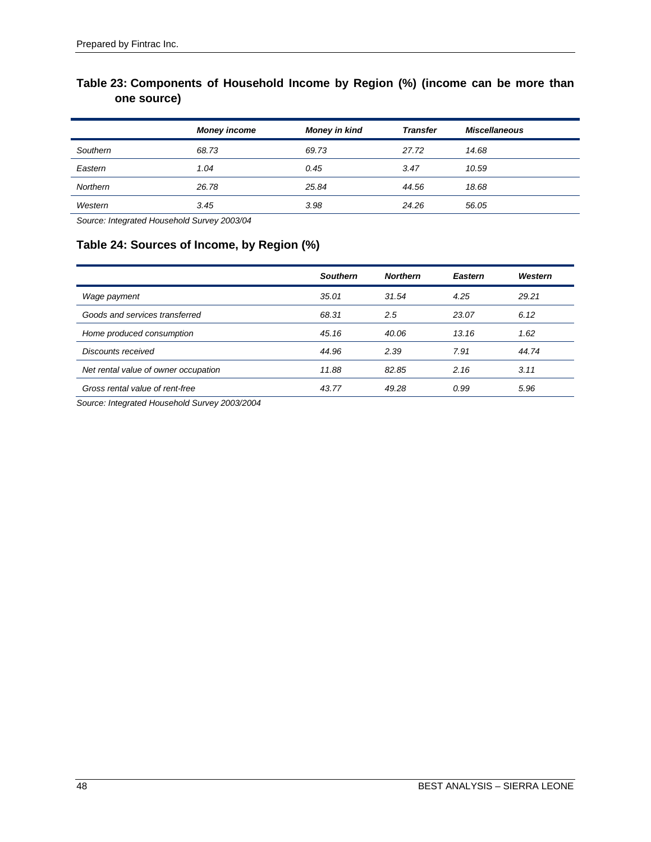# **Table 23: Components of Household Income by Region (%) (income can be more than one source)**

| <b>Money income</b> | <b>Money in kind</b> | <b>Transfer</b> | <b>Miscellaneous</b> |
|---------------------|----------------------|-----------------|----------------------|
| 68.73               | 69.73                | 27.72           | 14.68                |
| 1.04                | 0.45                 | 3.47            | 10.59                |
| 26.78               | 25.84                | 44.56           | 18.68                |
| 3.45                | 3.98                 | 24.26           | 56.05                |
|                     |                      |                 |                      |

*Source: Integrated Household Survey 2003/04*

# **Table 24: Sources of Income, by Region (%)**

|                                      | <b>Southern</b> | <b>Northern</b> | <b>Eastern</b> | Western |
|--------------------------------------|-----------------|-----------------|----------------|---------|
| Wage payment                         | 35.01           | 31.54           | 4.25           | 29.21   |
| Goods and services transferred       | 68.31           | 2.5             | 23.07          | 6.12    |
| Home produced consumption            | 45.16           | 40.06           | 13.16          | 1.62    |
| Discounts received                   | 44.96           | 2.39            | 7.91           | 44.74   |
| Net rental value of owner occupation | 11.88           | 82.85           | 2.16           | 3.11    |
| Gross rental value of rent-free      | 43.77           | 49.28           | 0.99           | 5.96    |

*Source: Integrated Household Survey 2003/2004*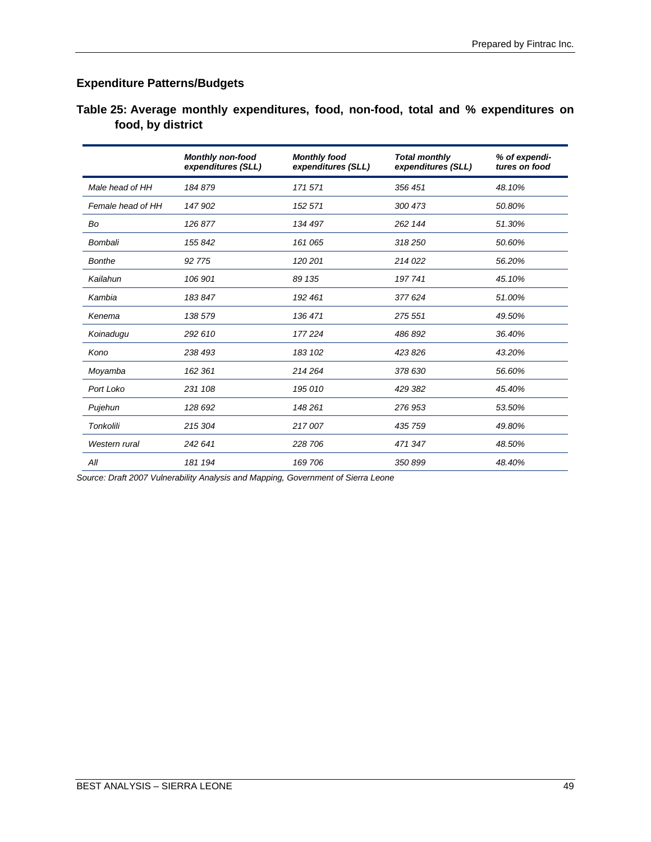# **Expenditure Patterns/Budgets**

| Table 25: Average monthly expenditures, food, non-food, total and % expenditures on |  |  |  |  |
|-------------------------------------------------------------------------------------|--|--|--|--|
| food, by district                                                                   |  |  |  |  |

|                   | <b>Monthly non-food</b><br>expenditures (SLL) | <b>Monthly food</b><br>expenditures (SLL) | <b>Total monthly</b><br>expenditures (SLL) | % of expendi-<br>tures on food |
|-------------------|-----------------------------------------------|-------------------------------------------|--------------------------------------------|--------------------------------|
| Male head of HH   | 184879                                        | 171 571                                   | 356 451                                    | 48.10%                         |
| Female head of HH | 147 902                                       | 152 571                                   | 300 473                                    | 50.80%                         |
| Bo                | 126877                                        | 134 497                                   | 262 144                                    | 51.30%                         |
| Bombali           | 155842                                        | 161 065                                   | 318 250                                    | 50.60%                         |
| <b>Bonthe</b>     | 92 775                                        | 120 201                                   | 214 022                                    | 56.20%                         |
| Kailahun          | 106 901                                       | 89 135                                    | 197 741                                    | 45.10%                         |
| Kambia            | 183847                                        | 192 461                                   | 377 624                                    | 51.00%                         |
| Kenema            | 138 579                                       | 136 471                                   | 275 551                                    | 49.50%                         |
| Koinadugu         | 292 610                                       | 177 224                                   | 486 892                                    | 36.40%                         |
| Kono              | 238 493                                       | 183 102                                   | 423826                                     | 43.20%                         |
| Moyamba           | 162 361                                       | 214 264                                   | 378 630                                    | 56.60%                         |
| Port Loko         | 231 108                                       | 195 010                                   | 429 382                                    | 45.40%                         |
| Pujehun           | 128 692                                       | 148 261                                   | 276 953                                    | 53.50%                         |
| <b>Tonkolili</b>  | 215 304                                       | 217007                                    | 435 759                                    | 49.80%                         |
| Western rural     | 242 641                                       | 228 706                                   | 471 347                                    | 48.50%                         |
| All               | 181 194                                       | 169 706                                   | 350899                                     | 48.40%                         |

*Source: Draft 2007 Vulnerability Analysis and Mapping, Government of Sierra Leone*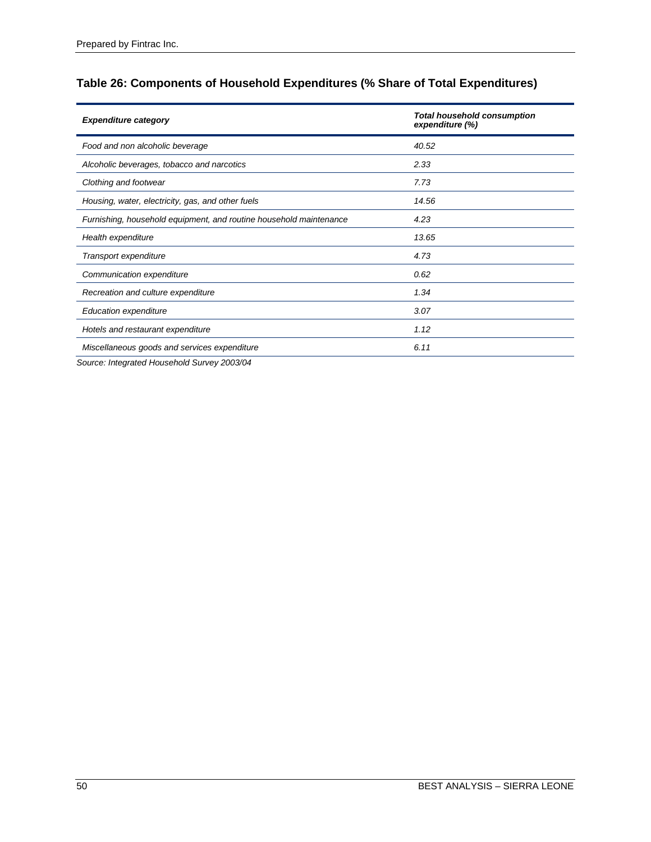# **Table 26: Components of Household Expenditures (% Share of Total Expenditures)**

| <b>Expenditure category</b>                                        | <b>Total household consumption</b><br>expenditure (%) |
|--------------------------------------------------------------------|-------------------------------------------------------|
| Food and non alcoholic beverage                                    | 40.52                                                 |
| Alcoholic beverages, tobacco and narcotics                         | 2.33                                                  |
| Clothing and footwear                                              | 7.73                                                  |
| Housing, water, electricity, gas, and other fuels                  | 14.56                                                 |
| Furnishing, household equipment, and routine household maintenance | 4.23                                                  |
| Health expenditure                                                 | 13.65                                                 |
| Transport expenditure                                              | 4.73                                                  |
| Communication expenditure                                          | 0.62                                                  |
| Recreation and culture expenditure                                 | 1.34                                                  |
| <b>Education expenditure</b>                                       | 3.07                                                  |
| Hotels and restaurant expenditure                                  | 1.12                                                  |
| Miscellaneous goods and services expenditure                       | 6.11                                                  |
|                                                                    |                                                       |

*Source: Integrated Household Survey 2003/04*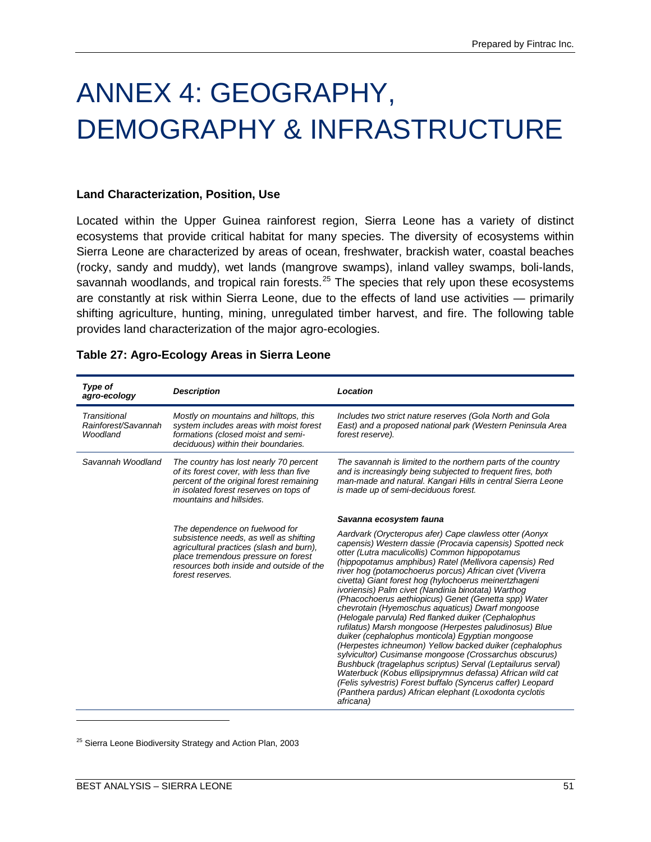# ANNEX 4: GEOGRAPHY, DEMOGRAPHY & INFRASTRUCTURE

#### **Land Characterization, Position, Use**

Located within the Upper Guinea rainforest region, Sierra Leone has a variety of distinct ecosystems that provide critical habitat for many species. The diversity of ecosystems within Sierra Leone are characterized by areas of ocean, freshwater, brackish water, coastal beaches (rocky, sandy and muddy), wet lands (mangrove swamps), inland valley swamps, boli-lands, savannah woodlands, and tropical rain forests.<sup>[25](#page-60-0)</sup> The species that rely upon these ecosystems are constantly at risk within Sierra Leone, due to the effects of land use activities — primarily shifting agriculture, hunting, mining, unregulated timber harvest, and fire. The following table provides land characterization of the major agro-ecologies.

| Type of<br>agro-ecology                         | <b>Description</b>                                                                                                                                                                                                          | Location                                                                                                                                                                                                                                                                                                                                                                                                                                                                                                                                                                                                                                                                                                                                                                                                                                                                                                                                                                                                                                                                         |
|-------------------------------------------------|-----------------------------------------------------------------------------------------------------------------------------------------------------------------------------------------------------------------------------|----------------------------------------------------------------------------------------------------------------------------------------------------------------------------------------------------------------------------------------------------------------------------------------------------------------------------------------------------------------------------------------------------------------------------------------------------------------------------------------------------------------------------------------------------------------------------------------------------------------------------------------------------------------------------------------------------------------------------------------------------------------------------------------------------------------------------------------------------------------------------------------------------------------------------------------------------------------------------------------------------------------------------------------------------------------------------------|
| Transitional<br>Rainforest/Savannah<br>Woodland | Mostly on mountains and hilltops, this<br>system includes areas with moist forest<br>formations (closed moist and semi-<br>deciduous) within their boundaries.                                                              | Includes two strict nature reserves (Gola North and Gola<br>East) and a proposed national park (Western Peninsula Area<br>forest reserve).                                                                                                                                                                                                                                                                                                                                                                                                                                                                                                                                                                                                                                                                                                                                                                                                                                                                                                                                       |
| Savannah Woodland                               | The country has lost nearly 70 percent<br>of its forest cover, with less than five<br>percent of the original forest remaining<br>in isolated forest reserves on tops of<br>mountains and hillsides.                        | The savannah is limited to the northern parts of the country<br>and is increasingly being subjected to frequent fires, both<br>man-made and natural. Kangari Hills in central Sierra Leone<br>is made up of semi-deciduous forest.                                                                                                                                                                                                                                                                                                                                                                                                                                                                                                                                                                                                                                                                                                                                                                                                                                               |
|                                                 |                                                                                                                                                                                                                             | Savanna ecosystem fauna                                                                                                                                                                                                                                                                                                                                                                                                                                                                                                                                                                                                                                                                                                                                                                                                                                                                                                                                                                                                                                                          |
|                                                 | The dependence on fuelwood for<br>subsistence needs, as well as shifting<br>agricultural practices (slash and burn),<br>place tremendous pressure on forest<br>resources both inside and outside of the<br>forest reserves. | Aardvark (Orycteropus afer) Cape clawless otter (Aonyx<br>capensis) Western dassie (Procavia capensis) Spotted neck<br>otter (Lutra maculicollis) Common hippopotamus<br>(hippopotamus amphibus) Ratel (Mellivora capensis) Red<br>river hog (potamochoerus porcus) African civet (Viverra<br>civetta) Giant forest hog (hylochoerus meinertzhageni<br>ivoriensis) Palm civet (Nandinia binotata) Warthog<br>(Phacochoerus aethiopicus) Genet (Genetta spp) Water<br>chevrotain (Hyemoschus aquaticus) Dwarf mongoose<br>(Helogale parvula) Red flanked duiker (Cephalophus<br>rufilatus) Marsh mongoose (Herpestes paludinosus) Blue<br>duiker (cephalophus monticola) Egyptian mongoose<br>(Herpestes ichneumon) Yellow backed duiker (cephalophus<br>sylvicultor) Cusimanse mongoose (Crossarchus obscurus)<br>Bushbuck (tragelaphus scriptus) Serval (Leptailurus serval)<br>Waterbuck (Kobus ellipsiprymnus defassa) African wild cat<br>(Felis sylvestris) Forest buffalo (Syncerus caffer) Leopard<br>(Panthera pardus) African elephant (Loxodonta cyclotis<br>africana) |

#### **Table 27: Agro-Ecology Areas in Sierra Leone**

<span id="page-60-0"></span><sup>25</sup> Sierra Leone Biodiversity Strategy and Action Plan, 2003

 $\overline{a}$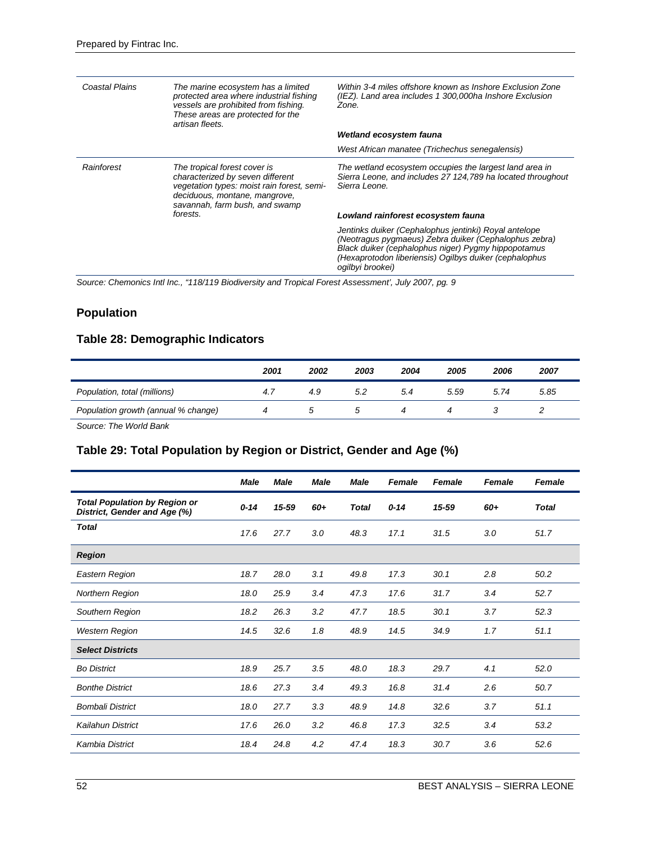| Coastal Plains | The marine ecosystem has a limited<br>protected area where industrial fishing<br>vessels are prohibited from fishing.<br>These areas are protected for the<br>artisan fleets.     | Within 3-4 miles offshore known as Inshore Exclusion Zone<br>(IEZ). Land area includes 1 300,000ha Inshore Exclusion<br>Zone.                                                                                                                       |
|----------------|-----------------------------------------------------------------------------------------------------------------------------------------------------------------------------------|-----------------------------------------------------------------------------------------------------------------------------------------------------------------------------------------------------------------------------------------------------|
|                |                                                                                                                                                                                   | Wetland ecosystem fauna                                                                                                                                                                                                                             |
|                |                                                                                                                                                                                   | West African manatee (Trichechus senegalensis)                                                                                                                                                                                                      |
| Rainforest     | The tropical forest cover is<br>characterized by seven different<br>vegetation types: moist rain forest, semi-<br>deciduous, montane, mangrove,<br>savannah, farm bush, and swamp | The wetland ecosystem occupies the largest land area in<br>Sierra Leone, and includes 27 124,789 ha located throughout<br>Sierra Leone.                                                                                                             |
|                | forests.                                                                                                                                                                          | Lowland rainforest ecosystem fauna                                                                                                                                                                                                                  |
|                |                                                                                                                                                                                   | Jentinks duiker (Cephalophus jentinki) Royal antelope<br>(Neotragus pygmaeus) Zebra duiker (Cephalophus zebra)<br>Black duiker (cephalophus niger) Pygmy hippopotamus<br>(Hexaprotodon liberiensis) Ogilbys duiker (cephalophus<br>ogilbyi brookei) |

*Source: Chemonics Intl Inc., "118/119 Biodiversity and Tropical Forest Assessment', July 2007, pg. 9*

# **Population**

# **Table 28: Demographic Indicators**

|                                     | 2001 | 2002 | 2003 | 2004 | 2005 | 2006 | 2007 |
|-------------------------------------|------|------|------|------|------|------|------|
| Population, total (millions)        | 4. . | 4.9  | 5.2  | 5.4  | 5.59 | 5.74 | 5.85 |
| Population growth (annual % change) |      |      |      |      |      |      |      |

*Source: The World Bank*

### **Table 29: Total Population by Region or District, Gender and Age (%)**

|                                                                      | Male     | <b>Male</b> | <b>Male</b> | <b>Male</b>  | <b>Female</b> | Female | <b>Female</b> | <b>Female</b> |
|----------------------------------------------------------------------|----------|-------------|-------------|--------------|---------------|--------|---------------|---------------|
| <b>Total Population by Region or</b><br>District, Gender and Age (%) | $0 - 14$ | 15-59       | 60+         | <b>Total</b> | $0 - 14$      | 15-59  | 60+           | <b>Total</b>  |
| <b>Total</b>                                                         | 17.6     | 27.7        | 3.0         | 48.3         | 17.1          | 31.5   | 3.0           | 51.7          |
| <b>Region</b>                                                        |          |             |             |              |               |        |               |               |
| Eastern Region                                                       | 18.7     | 28.0        | 3.1         | 49.8         | 17.3          | 30.1   | 2.8           | 50.2          |
| Northern Region                                                      | 18.0     | 25.9        | 3.4         | 47.3         | 17.6          | 31.7   | 3.4           | 52.7          |
| Southern Region                                                      | 18.2     | 26.3        | 3.2         | 47.7         | 18.5          | 30.1   | 3.7           | 52.3          |
| <b>Western Region</b>                                                | 14.5     | 32.6        | 1.8         | 48.9         | 14.5          | 34.9   | 1.7           | 51.1          |
| <b>Select Districts</b>                                              |          |             |             |              |               |        |               |               |
| <b>Bo District</b>                                                   | 18.9     | 25.7        | 3.5         | 48.0         | 18.3          | 29.7   | 4.1           | 52.0          |
| <b>Bonthe District</b>                                               | 18.6     | 27.3        | 3.4         | 49.3         | 16.8          | 31.4   | 2.6           | 50.7          |
| <b>Bombali District</b>                                              | 18.0     | 27.7        | 3.3         | 48.9         | 14.8          | 32.6   | 3.7           | 51.1          |
| Kailahun District                                                    | 17.6     | 26.0        | 3.2         | 46.8         | 17.3          | 32.5   | 3.4           | 53.2          |
| <b>Kambia District</b>                                               | 18.4     | 24.8        | 4.2         | 47.4         | 18.3          | 30.7   | 3.6           | 52.6          |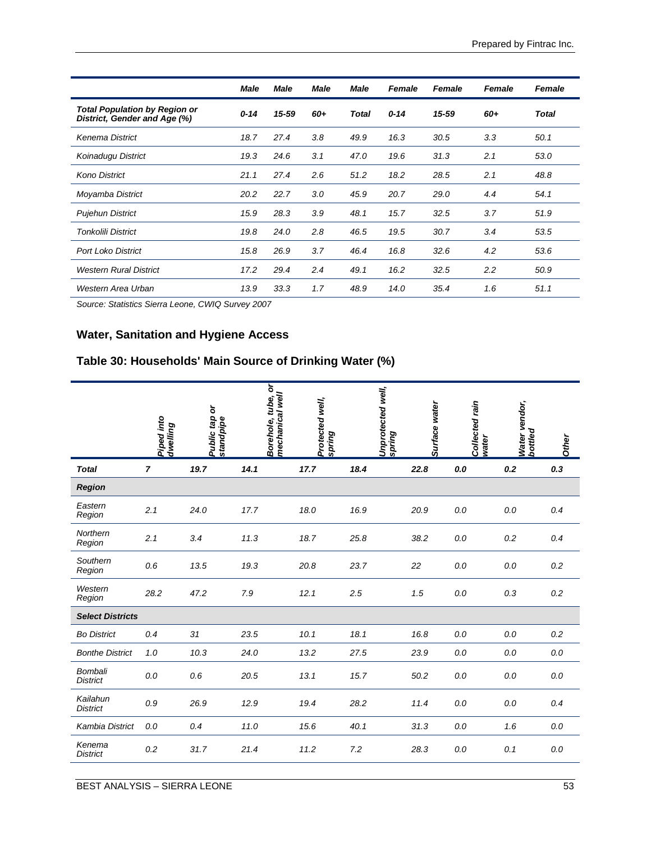|                                                               | Male     | <b>Male</b> | <b>Male</b> | <b>Male</b>  | <b>Female</b> | <b>Female</b> | <b>Female</b> | <b>Female</b> |
|---------------------------------------------------------------|----------|-------------|-------------|--------------|---------------|---------------|---------------|---------------|
| Total Population by Region or<br>District, Gender and Age (%) | $0 - 14$ | 15-59       | 60+         | <b>Total</b> | $0 - 14$      | 15-59         | 60+           | <b>Total</b>  |
| Kenema District                                               | 18.7     | 27.4        | 3.8         | 49.9         | 16.3          | 30.5          | 3.3           | 50.1          |
| Koinadugu District                                            | 19.3     | 24.6        | 3.1         | 47.0         | 19.6          | 31.3          | 2.1           | 53.0          |
| <b>Kono District</b>                                          | 21.1     | 27.4        | 2.6         | 51.2         | 18.2          | 28.5          | 2.1           | 48.8          |
| Moyamba District                                              | 20.2     | 22.7        | 3.0         | 45.9         | 20.7          | 29.0          | 4.4           | 54.1          |
| <b>Pujehun District</b>                                       | 15.9     | 28.3        | 3.9         | 48.1         | 15.7          | 32.5          | 3.7           | 51.9          |
| <b>Tonkolili District</b>                                     | 19.8     | 24.0        | 2.8         | 46.5         | 19.5          | 30.7          | 3.4           | 53.5          |
| <b>Port Loko District</b>                                     | 15.8     | 26.9        | 3.7         | 46.4         | 16.8          | 32.6          | 4.2           | 53.6          |
| <b>Western Rural District</b>                                 | 17.2     | 29.4        | 2.4         | 49.1         | 16.2          | 32.5          | 2.2           | 50.9          |
| Western Area Urban                                            | 13.9     | 33.3        | 1.7         | 48.9         | 14.0          | 35.4          | 1.6           | 51.1          |

*Source: Statistics Sierra Leone, CWIQ Survey 2007*

# **Water, Sanitation and Hygiene Access**

# **Table 30: Households' Main Source of Drinking Water (%)**

|                                   | Piped into<br>dwelling | Public tap or<br>standpipe | Borehole, tube, or<br>mechanical well | Protected well,<br>spring | Unprotected well,<br><b>Spring</b> | Surface water | Collected rain<br>water | Water vendor,<br>bottled | Other   |
|-----------------------------------|------------------------|----------------------------|---------------------------------------|---------------------------|------------------------------------|---------------|-------------------------|--------------------------|---------|
| <b>Total</b>                      | $\overline{7}$         | 19.7                       | 14.1                                  | 17.7                      | 18.4                               | 22.8          | 0.0                     | 0.2                      | 0.3     |
| Region                            |                        |                            |                                       |                           |                                    |               |                         |                          |         |
| Eastern<br>Region                 | 2.1                    | 24.0                       | 17.7                                  | 18.0                      | 16.9                               | 20.9          | 0.0                     | 0.0                      | 0.4     |
| Northern<br>Region                | 2.1                    | 3.4                        | 11.3                                  | 18.7                      | 25.8                               | 38.2          | 0.0                     | 0.2                      | 0.4     |
| Southern<br>Region                | 0.6                    | 13.5                       | 19.3                                  | 20.8                      | 23.7                               | 22            | 0.0                     | 0.0                      | 0.2     |
| Western<br>Region                 | 28.2                   | 47.2                       | 7.9                                   | 12.1                      | 2.5                                | 1.5           | 0.0                     | 0.3                      | 0.2     |
| <b>Select Districts</b>           |                        |                            |                                       |                           |                                    |               |                         |                          |         |
| <b>Bo District</b>                | 0.4                    | 31                         | 23.5                                  | 10.1                      | 18.1                               | 16.8          | 0.0                     | 0.0                      | $0.2\,$ |
| <b>Bonthe District</b>            | 1.0                    | 10.3                       | 24.0                                  | 13.2                      | 27.5                               | 23.9          | 0.0                     | 0.0                      | 0.0     |
| <b>Bombali</b><br><b>District</b> | 0.0                    | 0.6                        | 20.5                                  | 13.1                      | 15.7                               | 50.2          | 0.0                     | 0.0                      | 0.0     |
| Kailahun<br><b>District</b>       | 0.9                    | 26.9                       | 12.9                                  | 19.4                      | 28.2                               | 11.4          | 0.0                     | 0.0                      | 0.4     |
| Kambia District                   | 0.0                    | 0.4                        | 11.0                                  | 15.6                      | 40.1                               | 31.3          | 0.0                     | 1.6                      | 0.0     |
| Kenema<br><b>District</b>         | 0.2                    | 31.7                       | 21.4                                  | 11.2                      | 7.2                                | 28.3          | 0.0                     | 0.1                      | 0.0     |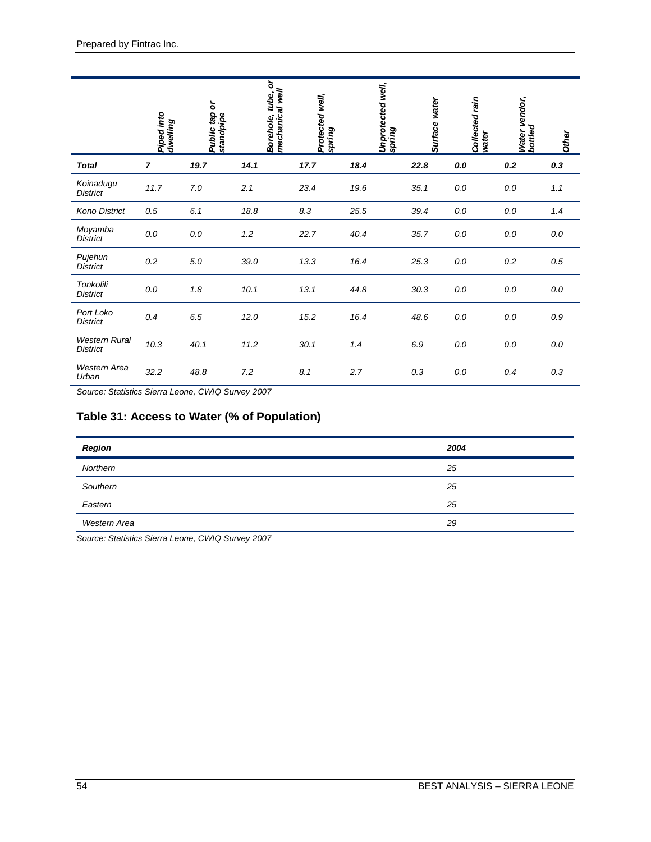|                                         | Piped into<br>dwelling | ð<br>Public tap<br>standpipe | ৯<br>Borehole, tube, o<br>mechanical well | Protected well,<br>spring | Unprotected well,<br>spring | Surface water | Collected rain<br>water | Water vendor,<br>bottled | Other |
|-----------------------------------------|------------------------|------------------------------|-------------------------------------------|---------------------------|-----------------------------|---------------|-------------------------|--------------------------|-------|
| <b>Total</b>                            | $\overline{7}$         | 19.7                         | 14.1                                      | 17.7                      | 18.4                        | 22.8          | 0.0                     | 0.2                      | 0.3   |
| Koinadugu<br><b>District</b>            | 11.7                   | 7.0                          | 2.1                                       | 23.4                      | 19.6                        | 35.1          | 0.0                     | 0.0                      | 1.1   |
| Kono District                           | 0.5                    | 6.1                          | 18.8                                      | 8.3                       | 25.5                        | 39.4          | 0.0                     | 0.0                      | 1.4   |
| Moyamba<br><b>District</b>              | 0.0                    | 0.0                          | 1.2                                       | 22.7                      | 40.4                        | 35.7          | 0.0                     | 0.0                      | 0.0   |
| Pujehun<br><b>District</b>              | 0.2                    | $5.0\,$                      | 39.0                                      | 13.3                      | 16.4                        | 25.3          | 0.0                     | 0.2                      | 0.5   |
| <b>Tonkolili</b><br><b>District</b>     | $0.0\,$                | 1.8                          | 10.1                                      | 13.1                      | 44.8                        | 30.3          | 0.0                     | 0.0                      | 0.0   |
| Port Loko<br><b>District</b>            | 0.4                    | 6.5                          | 12.0                                      | 15.2                      | 16.4                        | 48.6          | 0.0                     | 0.0                      | 0.9   |
| <b>Western Rural</b><br><b>District</b> | 10.3                   | 40.1                         | 11.2                                      | 30.1                      | 1.4                         | 6.9           | 0.0                     | 0.0                      | 0.0   |
| <b>Western Area</b><br>Urban            | 32.2                   | 48.8                         | 7.2                                       | 8.1                       | 2.7                         | 0.3           | 0.0                     | 0.4                      | 0.3   |

*Source: Statistics Sierra Leone, CWIQ Survey 2007*

# **Table 31: Access to Water (% of Population)**

| Region       | 2004 |
|--------------|------|
| Northern     | 25   |
| Southern     | 25   |
| Eastern      | 25   |
| Western Area | 29   |

*Source: Statistics Sierra Leone, CWIQ Survey 2007*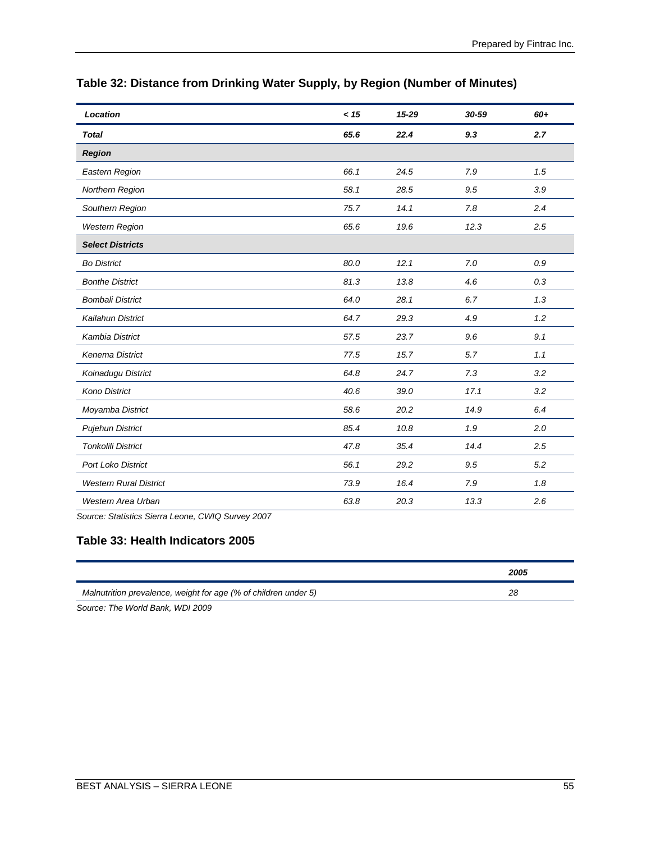| Location                                   | < 15 | 15-29 | 30-59 | 60+ |
|--------------------------------------------|------|-------|-------|-----|
| <b>Total</b>                               | 65.6 | 22.4  | 9.3   | 2.7 |
| <b>Region</b>                              |      |       |       |     |
| Eastern Region                             | 66.1 | 24.5  | 7.9   | 1.5 |
| Northern Region                            | 58.1 | 28.5  | 9.5   | 3.9 |
| Southern Region                            | 75.7 | 14.1  | 7.8   | 2.4 |
| <b>Western Region</b>                      | 65.6 | 19.6  | 12.3  | 2.5 |
| <b>Select Districts</b>                    |      |       |       |     |
| <b>Bo District</b>                         | 80.0 | 12.1  | 7.0   | 0.9 |
| <b>Bonthe District</b>                     | 81.3 | 13.8  | 4.6   | 0.3 |
| <b>Bombali District</b>                    | 64.0 | 28.1  | 6.7   | 1.3 |
| Kailahun District                          | 64.7 | 29.3  | 4.9   | 1.2 |
| <b>Kambia District</b>                     | 57.5 | 23.7  | 9.6   | 9.1 |
| Kenema District                            | 77.5 | 15.7  | 5.7   | 1.1 |
| Koinadugu District                         | 64.8 | 24.7  | 7.3   | 3.2 |
| <b>Kono District</b>                       | 40.6 | 39.0  | 17.1  | 3.2 |
| Moyamba District                           | 58.6 | 20.2  | 14.9  | 6.4 |
| <b>Pujehun District</b>                    | 85.4 | 10.8  | 1.9   | 2.0 |
| <b>Tonkolili District</b>                  | 47.8 | 35.4  | 14.4  | 2.5 |
| <b>Port Loko District</b>                  | 56.1 | 29.2  | 9.5   | 5.2 |
| <b>Western Rural District</b>              | 73.9 | 16.4  | 7.9   | 1.8 |
| Western Area Urban<br>$\sim$ $\sim$ $\sim$ | 63.8 | 20.3  | 13.3  | 2.6 |

# **Table 32: Distance from Drinking Water Supply, by Region (Number of Minutes)**

*Source: Statistics Sierra Leone, CWIQ Survey 2007*

#### **Table 33: Health Indicators 2005**

|                                                                 | 2005 |
|-----------------------------------------------------------------|------|
| Malnutrition prevalence, weight for age (% of children under 5) | 28   |

*Source: The World Bank, WDI 2009*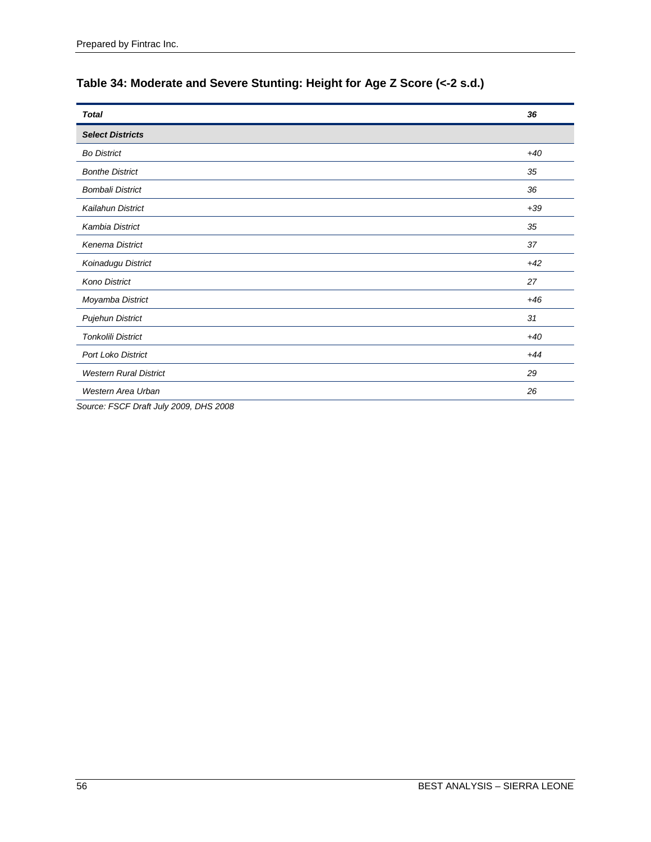| <b>Total</b>                  | 36    |
|-------------------------------|-------|
| <b>Select Districts</b>       |       |
| <b>Bo District</b>            | $+40$ |
| <b>Bonthe District</b>        | 35    |
| <b>Bombali District</b>       | 36    |
| Kailahun District             | $+39$ |
| Kambia District               | 35    |
| Kenema District               | 37    |
| Koinadugu District            | $+42$ |
| <b>Kono District</b>          | 27    |
| Moyamba District              | $+46$ |
| <b>Pujehun District</b>       | 31    |
| <b>Tonkolili District</b>     | $+40$ |
| <b>Port Loko District</b>     | $+44$ |
| <b>Western Rural District</b> | 29    |
| Western Area Urban            | 26    |

# **Table 34: Moderate and Severe Stunting: Height for Age Z Score (<-2 s.d.)**

*Source: FSCF Draft July 2009, DHS 2008*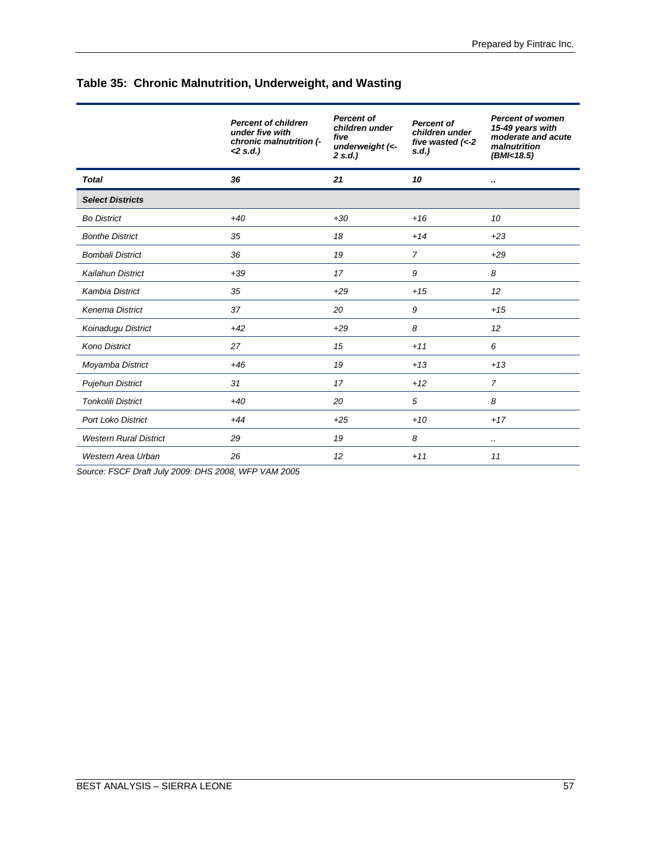|                               | <b>Percent of children</b><br>under five with<br>chronic malnutrition (-<br>$< 2 s.d.$ ) | <b>Percent of</b><br>children under<br>five<br>underweight (<-<br>2 s.d.) | <b>Percent of</b><br>children under<br>five wasted $(<-2$<br>s.d. | <b>Percent of women</b><br>15-49 years with<br>moderate and acute<br>malnutrition<br>(BMI<18.5) |
|-------------------------------|------------------------------------------------------------------------------------------|---------------------------------------------------------------------------|-------------------------------------------------------------------|-------------------------------------------------------------------------------------------------|
| <b>Total</b>                  | 36                                                                                       | 21                                                                        | 10                                                                |                                                                                                 |
| <b>Select Districts</b>       |                                                                                          |                                                                           |                                                                   |                                                                                                 |
| <b>Bo District</b>            | $+40$                                                                                    | $+30$                                                                     | $+16$                                                             | 10                                                                                              |
| <b>Bonthe District</b>        | 35                                                                                       | 18                                                                        | $+14$                                                             | $+23$                                                                                           |
| <b>Bombali District</b>       | 36                                                                                       | 19                                                                        | $\overline{7}$                                                    | $+29$                                                                                           |
| Kailahun District             | $+39$                                                                                    | 17                                                                        | 9                                                                 | 8                                                                                               |
| <b>Kambia District</b>        | 35                                                                                       | $+29$                                                                     | $+15$                                                             | 12                                                                                              |
| <b>Kenema District</b>        | 37                                                                                       | 20                                                                        | 9                                                                 | $+15$                                                                                           |
| Koinadugu District            | $+42$                                                                                    | $+29$                                                                     | 8                                                                 | 12                                                                                              |
| <b>Kono District</b>          | 27                                                                                       | 15                                                                        | $+11$                                                             | 6                                                                                               |
| Moyamba District              | $+46$                                                                                    | 19                                                                        | $+13$                                                             | $+13$                                                                                           |
| <b>Pujehun District</b>       | 31                                                                                       | 17                                                                        | $+12$                                                             | $\overline{7}$                                                                                  |
| <b>Tonkolili District</b>     | $+40$                                                                                    | 20                                                                        | 5                                                                 | 8                                                                                               |
| <b>Port Loko District</b>     | $+44$                                                                                    | $+25$                                                                     | $+10$                                                             | $+17$                                                                                           |
| <b>Western Rural District</b> | 29                                                                                       | 19                                                                        | 8                                                                 |                                                                                                 |
| Western Area Urban            | 26                                                                                       | 12                                                                        | $+11$                                                             | 11                                                                                              |

# **Table 35: Chronic Malnutrition, Underweight, and Wasting**

*Source: FSCF Draft July 2009: DHS 2008, WFP VAM 2005*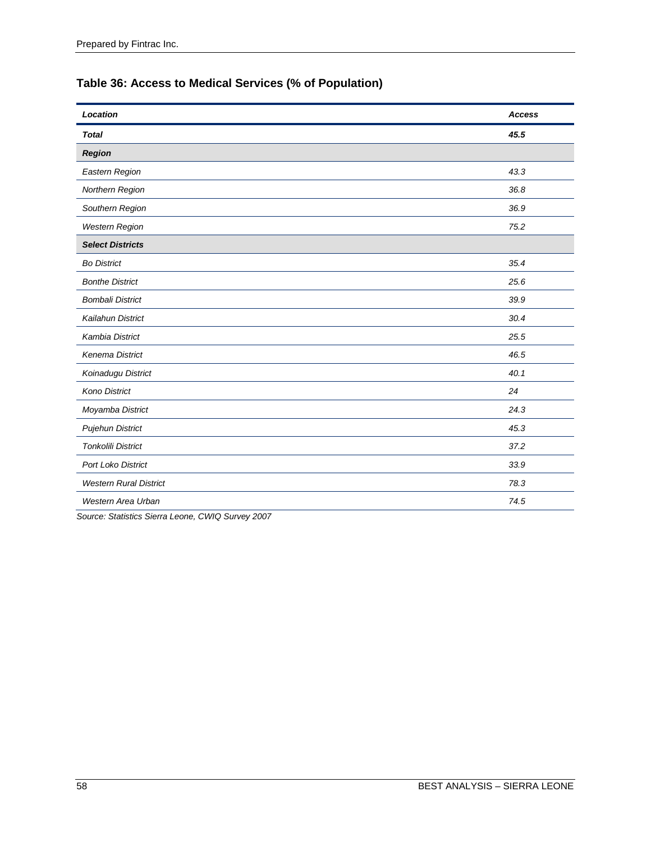# **Table 36: Access to Medical Services (% of Population)**

| Location                      | <b>Access</b> |
|-------------------------------|---------------|
| <b>Total</b>                  | 45.5          |
| <b>Region</b>                 |               |
| Eastern Region                | 43.3          |
| Northern Region               | 36.8          |
| Southern Region               | 36.9          |
| <b>Western Region</b>         | 75.2          |
| <b>Select Districts</b>       |               |
| <b>Bo District</b>            | 35.4          |
| <b>Bonthe District</b>        | 25.6          |
| <b>Bombali District</b>       | 39.9          |
| Kailahun District             | 30.4          |
| Kambia District               | 25.5          |
| Kenema District               | 46.5          |
| Koinadugu District            | 40.1          |
| <b>Kono District</b>          | 24            |
| Moyamba District              | 24.3          |
| <b>Pujehun District</b>       | 45.3          |
| <b>Tonkolili District</b>     | 37.2          |
| Port Loko District            | 33.9          |
| <b>Western Rural District</b> | 78.3          |
| Western Area Urban            | 74.5          |

*Source: Statistics Sierra Leone, CWIQ Survey 2007*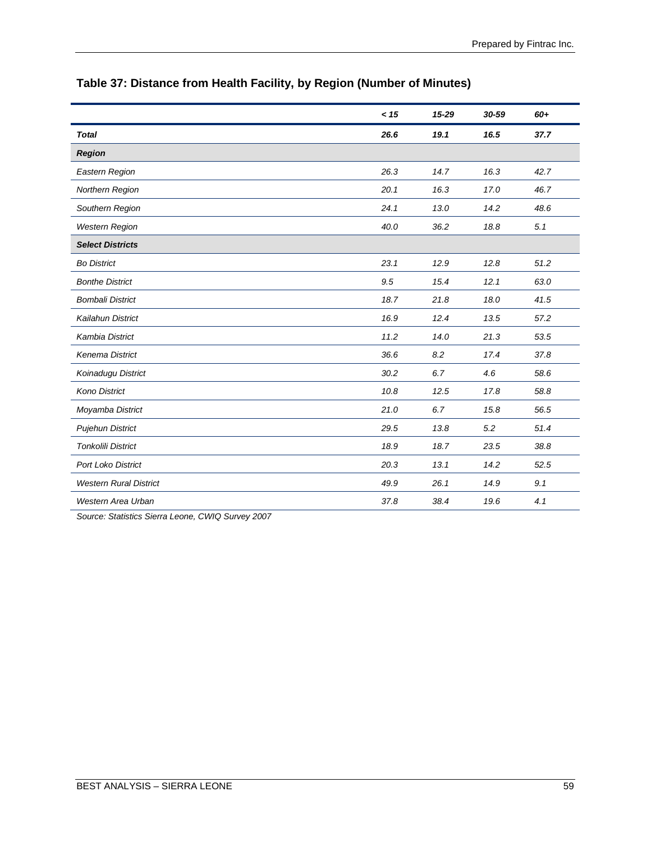|                               | < 15 | $15 - 29$ | 30-59 | 60+  |
|-------------------------------|------|-----------|-------|------|
| <b>Total</b>                  | 26.6 | 19.1      | 16.5  | 37.7 |
| <b>Region</b>                 |      |           |       |      |
| Eastern Region                | 26.3 | 14.7      | 16.3  | 42.7 |
| <b>Northern Region</b>        | 20.1 | 16.3      | 17.0  | 46.7 |
| Southern Region               | 24.1 | 13.0      | 14.2  | 48.6 |
| <b>Western Region</b>         | 40.0 | 36.2      | 18.8  | 5.1  |
| <b>Select Districts</b>       |      |           |       |      |
| <b>Bo District</b>            | 23.1 | 12.9      | 12.8  | 51.2 |
| <b>Bonthe District</b>        | 9.5  | 15.4      | 12.1  | 63.0 |
| <b>Bombali District</b>       | 18.7 | 21.8      | 18.0  | 41.5 |
| Kailahun District             | 16.9 | 12.4      | 13.5  | 57.2 |
| Kambia District               | 11.2 | 14.0      | 21.3  | 53.5 |
| <b>Kenema District</b>        | 36.6 | 8.2       | 17.4  | 37.8 |
| Koinadugu District            | 30.2 | 6.7       | 4.6   | 58.6 |
| <b>Kono District</b>          | 10.8 | 12.5      | 17.8  | 58.8 |
| Moyamba District              | 21.0 | 6.7       | 15.8  | 56.5 |
| <b>Pujehun District</b>       | 29.5 | 13.8      | 5.2   | 51.4 |
| <b>Tonkolili District</b>     | 18.9 | 18.7      | 23.5  | 38.8 |
| Port Loko District            | 20.3 | 13.1      | 14.2  | 52.5 |
| <b>Western Rural District</b> | 49.9 | 26.1      | 14.9  | 9.1  |
| Western Area Urban            | 37.8 | 38.4      | 19.6  | 4.1  |

# **Table 37: Distance from Health Facility, by Region (Number of Minutes)**

*Source: Statistics Sierra Leone, CWIQ Survey 2007*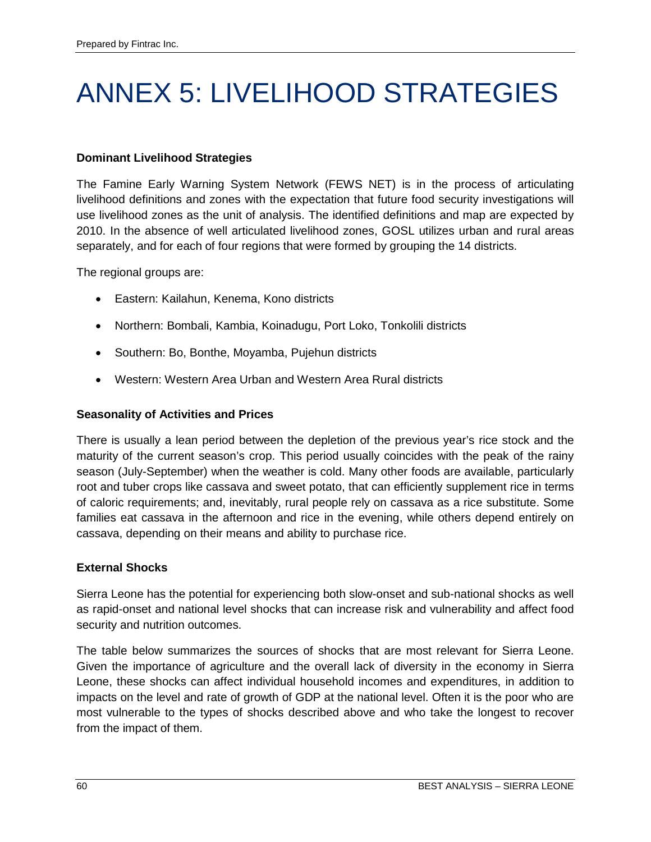# ANNEX 5: LIVELIHOOD STRATEGIES

# **Dominant Livelihood Strategies**

The Famine Early Warning System Network (FEWS NET) is in the process of articulating livelihood definitions and zones with the expectation that future food security investigations will use livelihood zones as the unit of analysis. The identified definitions and map are expected by 2010. In the absence of well articulated livelihood zones, GOSL utilizes urban and rural areas separately, and for each of four regions that were formed by grouping the 14 districts.

The regional groups are:

- Eastern: Kailahun, Kenema, Kono districts
- Northern: Bombali, Kambia, Koinadugu, Port Loko, Tonkolili districts
- Southern: Bo, Bonthe, Moyamba, Pujehun districts
- Western: Western Area Urban and Western Area Rural districts

# **Seasonality of Activities and Prices**

There is usually a lean period between the depletion of the previous year's rice stock and the maturity of the current season's crop. This period usually coincides with the peak of the rainy season (July-September) when the weather is cold. Many other foods are available, particularly root and tuber crops like cassava and sweet potato, that can efficiently supplement rice in terms of caloric requirements; and, inevitably, rural people rely on cassava as a rice substitute. Some families eat cassava in the afternoon and rice in the evening, while others depend entirely on cassava, depending on their means and ability to purchase rice.

# **External Shocks**

Sierra Leone has the potential for experiencing both slow-onset and sub-national shocks as well as rapid-onset and national level shocks that can increase risk and vulnerability and affect food security and nutrition outcomes.

The table below summarizes the sources of shocks that are most relevant for Sierra Leone. Given the importance of agriculture and the overall lack of diversity in the economy in Sierra Leone, these shocks can affect individual household incomes and expenditures, in addition to impacts on the level and rate of growth of GDP at the national level. Often it is the poor who are most vulnerable to the types of shocks described above and who take the longest to recover from the impact of them.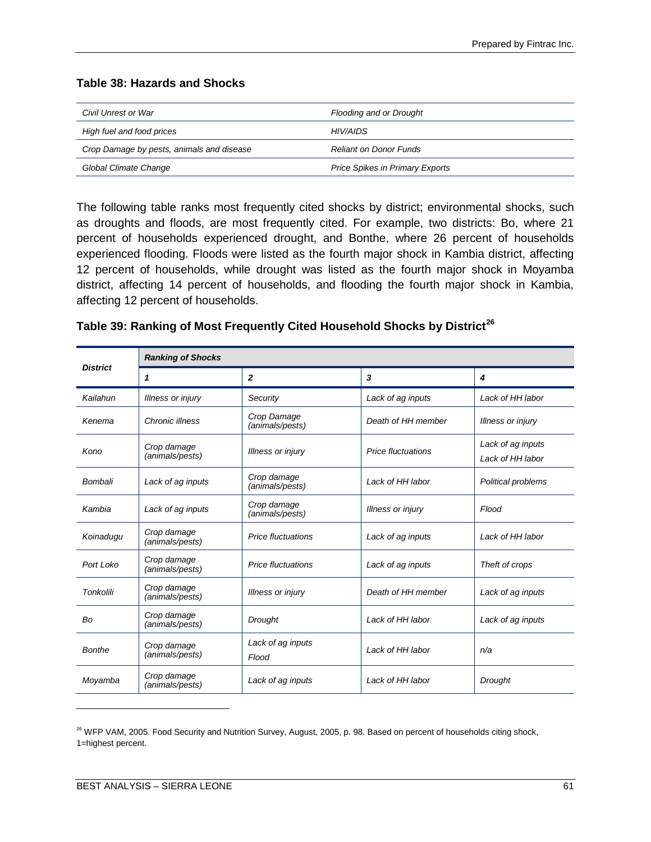#### **Table 38: Hazards and Shocks**

| Civil Unrest or War                       | Flooding and or Drought                |
|-------------------------------------------|----------------------------------------|
| High fuel and food prices                 | HIV/AIDS                               |
| Crop Damage by pests, animals and disease | <b>Reliant on Donor Funds</b>          |
| Global Climate Change                     | <b>Price Spikes in Primary Exports</b> |

The following table ranks most frequently cited shocks by district; environmental shocks, such as droughts and floods, are most frequently cited. For example, two districts: Bo, where 21 percent of households experienced drought, and Bonthe, where 26 percent of households experienced flooding. Floods were listed as the fourth major shock in Kambia district, affecting 12 percent of households, while drought was listed as the fourth major shock in Moyamba district, affecting 14 percent of households, and flooding the fourth major shock in Kambia, affecting 12 percent of households.

|                  | <b>Ranking of Shocks</b>       |                                |                           |                                       |  |
|------------------|--------------------------------|--------------------------------|---------------------------|---------------------------------------|--|
| <b>District</b>  | 1                              | $\mathbf{z}$                   | 3                         | 4                                     |  |
| Kailahun         | Illness or injury              | Security                       | Lack of ag inputs         | Lack of HH labor                      |  |
| Kenema           | Chronic illness                | Crop Damage<br>(animals/pests) | Death of HH member        | <b>Illness or injury</b>              |  |
| Kono             | Crop damage<br>(animals/pests) | <b>Illness or injury</b>       | <b>Price fluctuations</b> | Lack of ag inputs<br>Lack of HH labor |  |
| Bombali          | Lack of ag inputs              | Crop damage<br>(animals/pests) | Lack of HH labor          | Political problems                    |  |
| Kambia           | Lack of ag inputs              | Crop damage<br>(animals/pests) | <b>Illness or injury</b>  | Flood                                 |  |
| Koinadugu        | Crop damage<br>(animals/pests) | <b>Price fluctuations</b>      | Lack of ag inputs         | Lack of HH labor                      |  |
| Port Loko        | Crop damage<br>(animals/pests) | <b>Price fluctuations</b>      | Lack of ag inputs         | Theft of crops                        |  |
| <b>Tonkolili</b> | Crop damage<br>(animals/pests) | <b>Illness or injury</b>       | Death of HH member        | Lack of ag inputs                     |  |
| Bo               | Crop damage<br>(animals/pests) | <b>Drought</b>                 | Lack of HH labor          | Lack of ag inputs                     |  |
| Bonthe           | Crop damage<br>(animals/pests) | Lack of ag inputs<br>Flood     | Lack of HH labor          | n/a                                   |  |
| Moyamba          | Crop damage<br>(animals/pests) | Lack of ag inputs              | Lack of HH labor          | Drought                               |  |

 $\overline{a}$ 

<span id="page-70-0"></span><sup>&</sup>lt;sup>26</sup> WFP VAM, 2005. Food Security and Nutrition Survey, August, 2005, p. 98. Based on percent of households citing shock, 1=highest percent.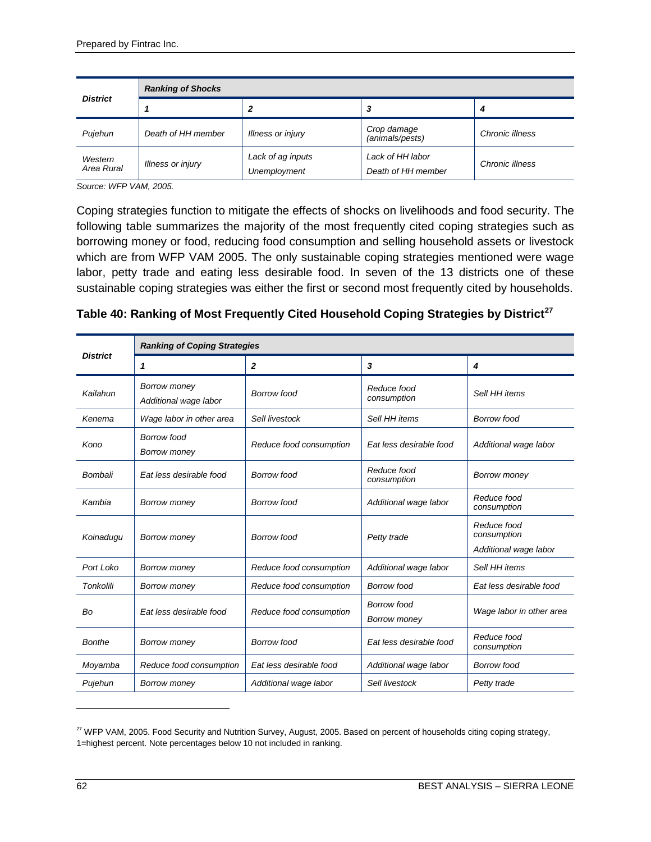| <b>District</b>       | <b>Ranking of Shocks</b> |                                   |                                        |                 |
|-----------------------|--------------------------|-----------------------------------|----------------------------------------|-----------------|
|                       |                          |                                   | 3                                      | 4               |
| Pujehun               | Death of HH member       | Illness or injury                 | Crop damage<br>(animals/pests)         | Chronic illness |
| Western<br>Area Rural | Illness or injury        | Lack of ag inputs<br>Unemployment | Lack of HH labor<br>Death of HH member | Chronic illness |

*Source: WFP VAM, 2005.*

Coping strategies function to mitigate the effects of shocks on livelihoods and food security. The following table summarizes the majority of the most frequently cited coping strategies such as borrowing money or food, reducing food consumption and selling household assets or livestock which are from WFP VAM 2005. The only sustainable coping strategies mentioned were wage labor, petty trade and eating less desirable food. In seven of the 13 districts one of these sustainable coping strategies was either the first or second most frequently cited by households.

|                  | <b>Ranking of Coping Strategies</b>          |                         |                                           |                                                     |
|------------------|----------------------------------------------|-------------------------|-------------------------------------------|-----------------------------------------------------|
| <b>District</b>  | 1                                            | $\overline{2}$          | 3                                         | 4                                                   |
| Kailahun         | <b>Borrow money</b><br>Additional wage labor | <b>Borrow food</b>      | Reduce food<br>consumption                | Sell HH items                                       |
| Kenema           | Wage labor in other area                     | Sell livestock          | Sell HH items                             | Borrow food                                         |
| Kono             | <b>Borrow food</b><br>Borrow money           | Reduce food consumption | Eat less desirable food                   | Additional wage labor                               |
| Bombali          | Eat less desirable food                      | <b>Borrow food</b>      | Reduce food<br>consumption                | <b>Borrow money</b>                                 |
| Kambia           | <b>Borrow money</b>                          | <b>Borrow food</b>      | Additional wage labor                     | Reduce food<br>consumption                          |
| Koinadugu        | Borrow money                                 | <b>Borrow food</b>      | Petty trade                               | Reduce food<br>consumption<br>Additional wage labor |
| Port Loko        | <b>Borrow money</b>                          | Reduce food consumption | Additional wage labor                     | Sell HH items                                       |
| <b>Tonkolili</b> | Borrow money                                 | Reduce food consumption | <b>Borrow food</b>                        | Eat less desirable food                             |
| Bo               | Eat less desirable food                      | Reduce food consumption | <b>Borrow food</b><br><b>Borrow money</b> | Wage labor in other area                            |
| <b>Bonthe</b>    | <b>Borrow money</b>                          | <b>Borrow food</b>      | Eat less desirable food                   | Reduce food<br>consumption                          |
| Moyamba          | Reduce food consumption                      | Eat less desirable food | Additional wage labor                     | Borrow food                                         |
| Pujehun          | <b>Borrow money</b>                          | Additional wage labor   | Sell livestock                            | Petty trade                                         |

 $\overline{a}$ 

<span id="page-71-0"></span><sup>&</sup>lt;sup>27</sup> WFP VAM, 2005. Food Security and Nutrition Survey, August, 2005. Based on percent of households citing coping strategy, 1=highest percent. Note percentages below 10 not included in ranking.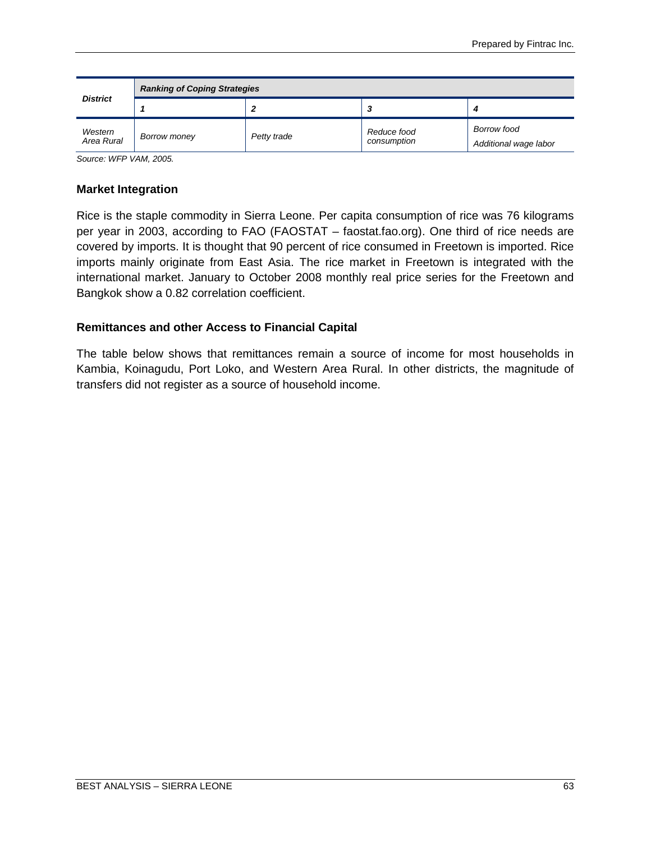| <b>District</b>       | <b>Ranking of Coping Strategies</b> |             |                            |                                             |  |  |  |  |
|-----------------------|-------------------------------------|-------------|----------------------------|---------------------------------------------|--|--|--|--|
|                       |                                     |             | - 2                        |                                             |  |  |  |  |
| Western<br>Area Rural | Borrow money                        | Petty trade | Reduce food<br>consumption | <b>Borrow food</b><br>Additional wage labor |  |  |  |  |

*Source: WFP VAM, 2005.*

### **Market Integration**

Rice is the staple commodity in Sierra Leone. Per capita consumption of rice was 76 kilograms per year in 2003, according to FAO (FAOSTAT – faostat.fao.org). One third of rice needs are covered by imports. It is thought that 90 percent of rice consumed in Freetown is imported. Rice imports mainly originate from East Asia. The rice market in Freetown is integrated with the international market. January to October 2008 monthly real price series for the Freetown and Bangkok show a 0.82 correlation coefficient.

## **Remittances and other Access to Financial Capital**

The table below shows that remittances remain a source of income for most households in Kambia, Koinagudu, Port Loko, and Western Area Rural. In other districts, the magnitude of transfers did not register as a source of household income.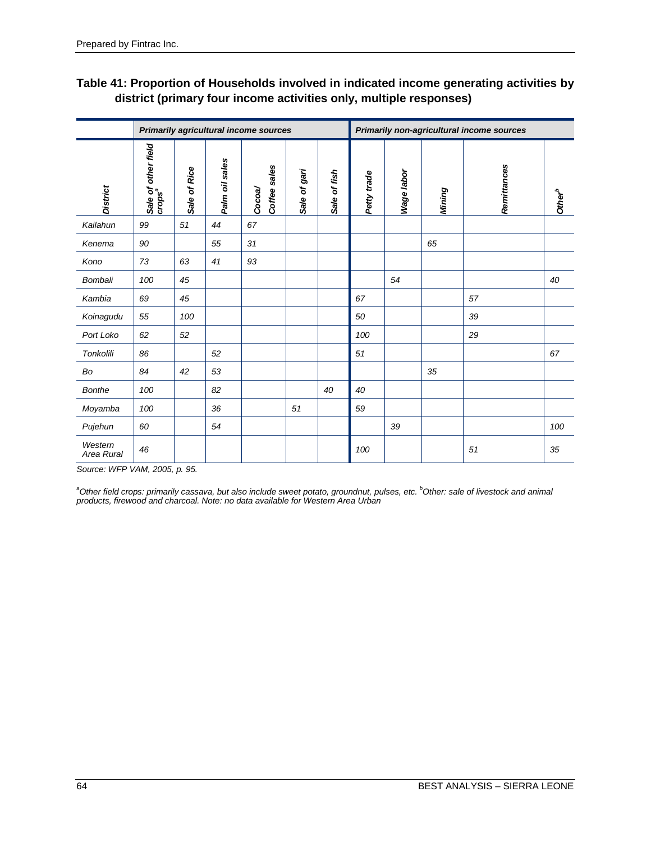# **Table 41: Proportion of Households involved in indicated income generating activities by district (primary four income activities only, multiple responses)**

|                       |                                           |              |                | <b>Primarily agricultural income sources</b> |              |              |             |            | Primarily non-agricultural income sources |             |                    |
|-----------------------|-------------------------------------------|--------------|----------------|----------------------------------------------|--------------|--------------|-------------|------------|-------------------------------------------|-------------|--------------------|
| <b>District</b>       | Sale of other field<br>crops <sup>a</sup> | Sale of Rice | Palm oil sales | Coffee sales<br>Cocoa/                       | Sale of gari | Sale of fish | Petty trade | Wage labor | Mining                                    | Remittances | Other <sup>b</sup> |
| Kailahun              | 99                                        | 51           | 44             | 67                                           |              |              |             |            |                                           |             |                    |
| Kenema                | 90                                        |              | 55             | 31                                           |              |              |             |            | 65                                        |             |                    |
| Kono                  | 73                                        | 63           | 41             | 93                                           |              |              |             |            |                                           |             |                    |
| <b>Bombali</b>        | 100                                       | 45           |                |                                              |              |              |             | 54         |                                           |             | 40                 |
| Kambia                | 69                                        | 45           |                |                                              |              |              | 67          |            |                                           | 57          |                    |
| Koinagudu             | 55                                        | 100          |                |                                              |              |              | 50          |            |                                           | 39          |                    |
| Port Loko             | 62                                        | 52           |                |                                              |              |              | 100         |            |                                           | 29          |                    |
| Tonkolili             | 86                                        |              | 52             |                                              |              |              | 51          |            |                                           |             | 67                 |
| Bo                    | 84                                        | 42           | 53             |                                              |              |              |             |            | 35                                        |             |                    |
| <b>Bonthe</b>         | 100                                       |              | 82             |                                              |              | 40           | 40          |            |                                           |             |                    |
| Moyamba               | 100                                       |              | 36             |                                              | 51           |              | 59          |            |                                           |             |                    |
| Pujehun               | 60                                        |              | 54             |                                              |              |              |             | 39         |                                           |             | 100                |
| Western<br>Area Rural | 46                                        |              |                |                                              |              |              | 100         |            |                                           | 51          | 35                 |

*Source: WFP VAM, 2005, p. 95.*

*a Other field crops: primarily cassava, but also include sweet potato, groundnut, pulses, etc. b Other: sale of livestock and animal products, firewood and charcoal. Note: no data available for Western Area Urban*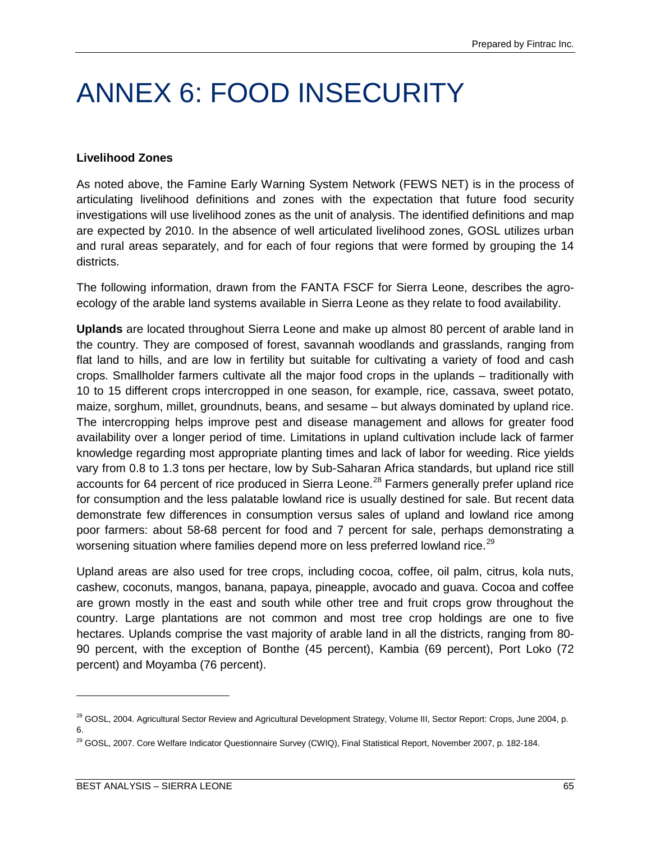# ANNEX 6: FOOD INSECURITY

### **Livelihood Zones**

As noted above, the Famine Early Warning System Network (FEWS NET) is in the process of articulating livelihood definitions and zones with the expectation that future food security investigations will use livelihood zones as the unit of analysis. The identified definitions and map are expected by 2010. In the absence of well articulated livelihood zones, GOSL utilizes urban and rural areas separately, and for each of four regions that were formed by grouping the 14 districts.

The following information, drawn from the FANTA FSCF for Sierra Leone, describes the agroecology of the arable land systems available in Sierra Leone as they relate to food availability.

**Uplands** are located throughout Sierra Leone and make up almost 80 percent of arable land in the country. They are composed of forest, savannah woodlands and grasslands, ranging from flat land to hills, and are low in fertility but suitable for cultivating a variety of food and cash crops. Smallholder farmers cultivate all the major food crops in the uplands – traditionally with 10 to 15 different crops intercropped in one season, for example, rice, cassava, sweet potato, maize, sorghum, millet, groundnuts, beans, and sesame – but always dominated by upland rice. The intercropping helps improve pest and disease management and allows for greater food availability over a longer period of time. Limitations in upland cultivation include lack of farmer knowledge regarding most appropriate planting times and lack of labor for weeding. Rice yields vary from 0.8 to 1.3 tons per hectare, low by Sub-Saharan Africa standards, but upland rice still accounts for 64 percent of rice produced in Sierra Leone.<sup>[28](#page-74-0)</sup> Farmers generally prefer upland rice for consumption and the less palatable lowland rice is usually destined for sale. But recent data demonstrate few differences in consumption versus sales of upland and lowland rice among poor farmers: about 58-68 percent for food and 7 percent for sale, perhaps demonstrating a worsening situation where families depend more on less preferred lowland rice.<sup>[29](#page-74-1)</sup>

Upland areas are also used for tree crops, including cocoa, coffee, oil palm, citrus, kola nuts, cashew, coconuts, mangos, banana, papaya, pineapple, avocado and guava. Cocoa and coffee are grown mostly in the east and south while other tree and fruit crops grow throughout the country. Large plantations are not common and most tree crop holdings are one to five hectares. Uplands comprise the vast majority of arable land in all the districts, ranging from 80- 90 percent, with the exception of Bonthe (45 percent), Kambia (69 percent), Port Loko (72 percent) and Moyamba (76 percent).

 $\overline{a}$ 

<span id="page-74-0"></span><sup>&</sup>lt;sup>28</sup> GOSL, 2004. Agricultural Sector Review and Agricultural Development Strategy, Volume III, Sector Report: Crops, June 2004, p. 6.

<span id="page-74-1"></span><sup>&</sup>lt;sup>29</sup> GOSL, 2007. Core Welfare Indicator Questionnaire Survey (CWIQ), Final Statistical Report, November 2007, p. 182-184.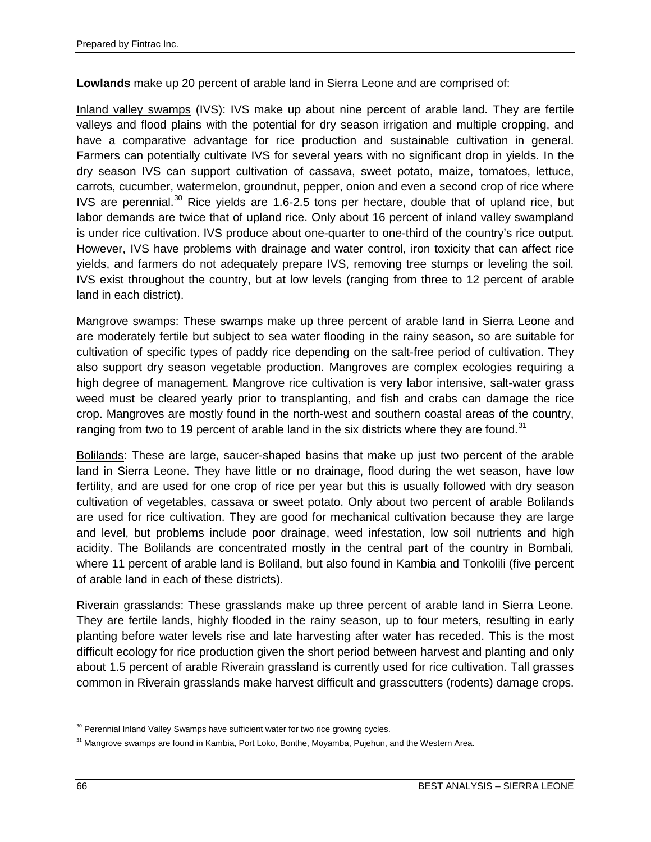**Lowlands** make up 20 percent of arable land in Sierra Leone and are comprised of:

Inland valley swamps (IVS): IVS make up about nine percent of arable land. They are fertile valleys and flood plains with the potential for dry season irrigation and multiple cropping, and have a comparative advantage for rice production and sustainable cultivation in general. Farmers can potentially cultivate IVS for several years with no significant drop in yields. In the dry season IVS can support cultivation of cassava, sweet potato, maize, tomatoes, lettuce, carrots, cucumber, watermelon, groundnut, pepper, onion and even a second crop of rice where IVS are perennial. $30$  Rice yields are 1.6-2.5 tons per hectare, double that of upland rice, but labor demands are twice that of upland rice. Only about 16 percent of inland valley swampland is under rice cultivation. IVS produce about one-quarter to one-third of the country's rice output. However, IVS have problems with drainage and water control, iron toxicity that can affect rice yields, and farmers do not adequately prepare IVS, removing tree stumps or leveling the soil. IVS exist throughout the country, but at low levels (ranging from three to 12 percent of arable land in each district).

Mangrove swamps: These swamps make up three percent of arable land in Sierra Leone and are moderately fertile but subject to sea water flooding in the rainy season, so are suitable for cultivation of specific types of paddy rice depending on the salt-free period of cultivation. They also support dry season vegetable production. Mangroves are complex ecologies requiring a high degree of management. Mangrove rice cultivation is very labor intensive, salt-water grass weed must be cleared yearly prior to transplanting, and fish and crabs can damage the rice crop. Mangroves are mostly found in the north-west and southern coastal areas of the country, ranging from two to 19 percent of arable land in the six districts where they are found.<sup>[31](#page-75-1)</sup>

Bolilands: These are large, saucer-shaped basins that make up just two percent of the arable land in Sierra Leone. They have little or no drainage, flood during the wet season, have low fertility, and are used for one crop of rice per year but this is usually followed with dry season cultivation of vegetables, cassava or sweet potato. Only about two percent of arable Bolilands are used for rice cultivation. They are good for mechanical cultivation because they are large and level, but problems include poor drainage, weed infestation, low soil nutrients and high acidity. The Bolilands are concentrated mostly in the central part of the country in Bombali, where 11 percent of arable land is Boliland, but also found in Kambia and Tonkolili (five percent of arable land in each of these districts).

Riverain grasslands: These grasslands make up three percent of arable land in Sierra Leone. They are fertile lands, highly flooded in the rainy season, up to four meters, resulting in early planting before water levels rise and late harvesting after water has receded. This is the most difficult ecology for rice production given the short period between harvest and planting and only about 1.5 percent of arable Riverain grassland is currently used for rice cultivation. Tall grasses common in Riverain grasslands make harvest difficult and grasscutters (rodents) damage crops.

 $\overline{a}$ 

<span id="page-75-0"></span><sup>&</sup>lt;sup>30</sup> Perennial Inland Valley Swamps have sufficient water for two rice growing cycles.

<span id="page-75-1"></span><sup>&</sup>lt;sup>31</sup> Mangrove swamps are found in Kambia, Port Loko, Bonthe, Moyamba, Pujehun, and the Western Area.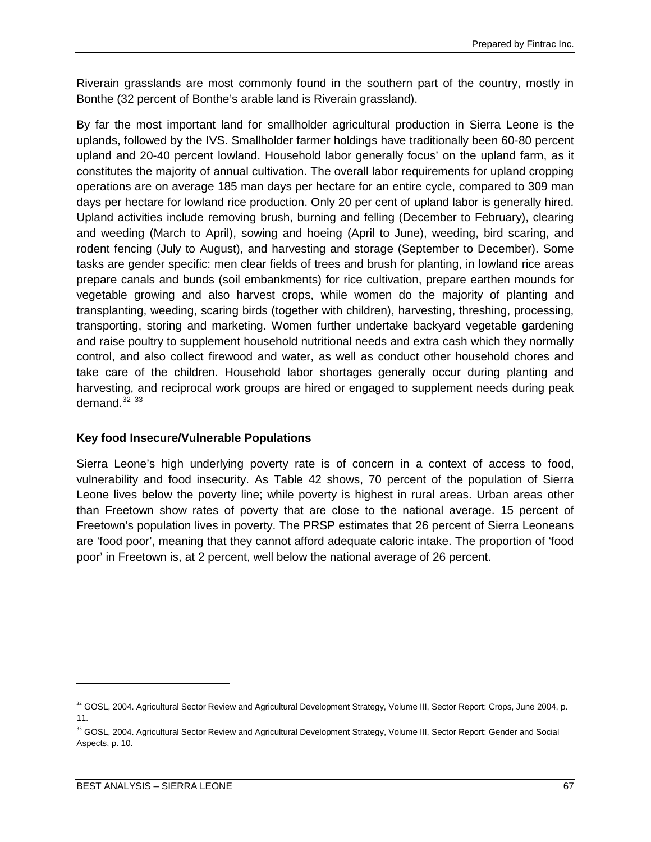Riverain grasslands are most commonly found in the southern part of the country, mostly in Bonthe (32 percent of Bonthe's arable land is Riverain grassland).

By far the most important land for smallholder agricultural production in Sierra Leone is the uplands, followed by the IVS. Smallholder farmer holdings have traditionally been 60-80 percent upland and 20-40 percent lowland. Household labor generally focus' on the upland farm, as it constitutes the majority of annual cultivation. The overall labor requirements for upland cropping operations are on average 185 man days per hectare for an entire cycle, compared to 309 man days per hectare for lowland rice production. Only 20 per cent of upland labor is generally hired. Upland activities include removing brush, burning and felling (December to February), clearing and weeding (March to April), sowing and hoeing (April to June), weeding, bird scaring, and rodent fencing (July to August), and harvesting and storage (September to December). Some tasks are gender specific: men clear fields of trees and brush for planting, in lowland rice areas prepare canals and bunds (soil embankments) for rice cultivation, prepare earthen mounds for vegetable growing and also harvest crops, while women do the majority of planting and transplanting, weeding, scaring birds (together with children), harvesting, threshing, processing, transporting, storing and marketing. Women further undertake backyard vegetable gardening and raise poultry to supplement household nutritional needs and extra cash which they normally control, and also collect firewood and water, as well as conduct other household chores and take care of the children. Household labor shortages generally occur during planting and harvesting, and reciprocal work groups are hired or engaged to supplement needs during peak demand. $32\,33$  $32\,33$  $32\,33$ 

## **Key food Insecure/Vulnerable Populations**

Sierra Leone's high underlying poverty rate is of concern in a context of access to food, vulnerability and food insecurity. As Table 42 shows, 70 percent of the population of Sierra Leone lives below the poverty line; while poverty is highest in rural areas. Urban areas other than Freetown show rates of poverty that are close to the national average. 15 percent of Freetown's population lives in poverty. The PRSP estimates that 26 percent of Sierra Leoneans are 'food poor', meaning that they cannot afford adequate caloric intake. The proportion of 'food poor' in Freetown is, at 2 percent, well below the national average of 26 percent.

 $\overline{a}$ 

<span id="page-76-0"></span><sup>32</sup> GOSL, 2004. Agricultural Sector Review and Agricultural Development Strategy, Volume III, Sector Report: Crops, June 2004, p. 11.

<span id="page-76-1"></span><sup>33</sup> GOSL, 2004. Agricultural Sector Review and Agricultural Development Strategy, Volume III, Sector Report: Gender and Social Aspects, p. 10.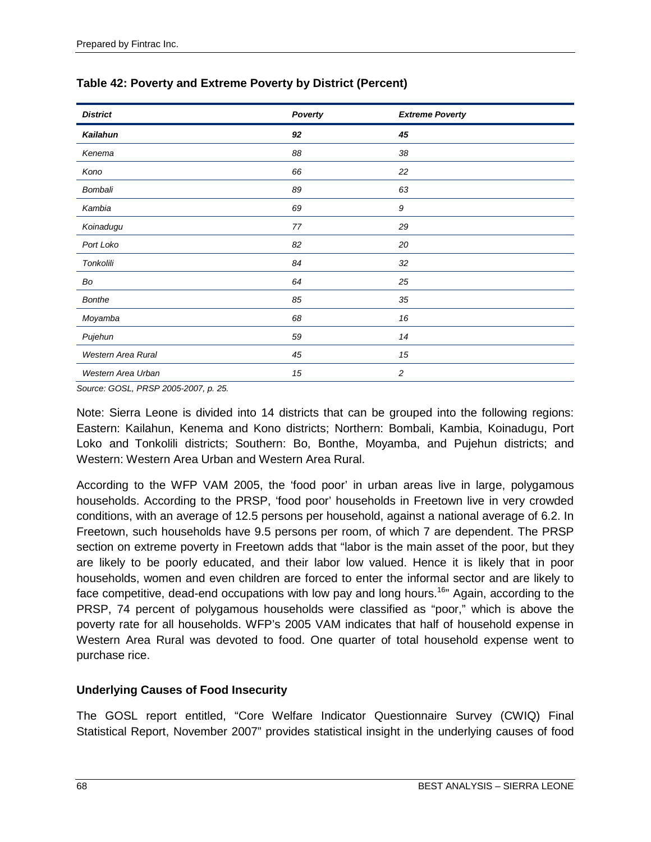| <b>District</b>    | Poverty | <b>Extreme Poverty</b> |
|--------------------|---------|------------------------|
| Kailahun           | 92      | 45                     |
| Kenema             | 88      | 38                     |
| Kono               | 66      | 22                     |
| Bombali            | 89      | 63                     |
| Kambia             | 69      | 9                      |
| Koinadugu          | 77      | 29                     |
| Port Loko          | 82      | 20                     |
| Tonkolili          | 84      | 32                     |
| Bo                 | 64      | 25                     |
| Bonthe             | 85      | 35                     |
| Moyamba            | 68      | 16                     |
| Pujehun            | 59      | 14                     |
| Western Area Rural | 45      | 15                     |
| Western Area Urban | 15      | $\overline{c}$         |

## **Table 42: Poverty and Extreme Poverty by District (Percent)**

*Source: GOSL, PRSP 2005-2007, p. 25.* 

Note: Sierra Leone is divided into 14 districts that can be grouped into the following regions: Eastern: Kailahun, Kenema and Kono districts; Northern: Bombali, Kambia, Koinadugu, Port Loko and Tonkolili districts; Southern: Bo, Bonthe, Moyamba, and Pujehun districts; and Western: Western Area Urban and Western Area Rural.

According to the WFP VAM 2005, the 'food poor' in urban areas live in large, polygamous households. According to the PRSP, 'food poor' households in Freetown live in very crowded conditions, with an average of 12.5 persons per household, against a national average of 6.2. In Freetown, such households have 9.5 persons per room, of which 7 are dependent. The PRSP section on extreme poverty in Freetown adds that "labor is the main asset of the poor, but they are likely to be poorly educated, and their labor low valued. Hence it is likely that in poor households, women and even children are forced to enter the informal sector and are likely to face competitive, dead-end occupations with low pay and long hours.<sup>16</sup>" Again, according to the PRSP, 74 percent of polygamous households were classified as "poor," which is above the poverty rate for all households. WFP's 2005 VAM indicates that half of household expense in Western Area Rural was devoted to food. One quarter of total household expense went to purchase rice.

## **Underlying Causes of Food Insecurity**

The GOSL report entitled, "Core Welfare Indicator Questionnaire Survey (CWIQ) Final Statistical Report, November 2007" provides statistical insight in the underlying causes of food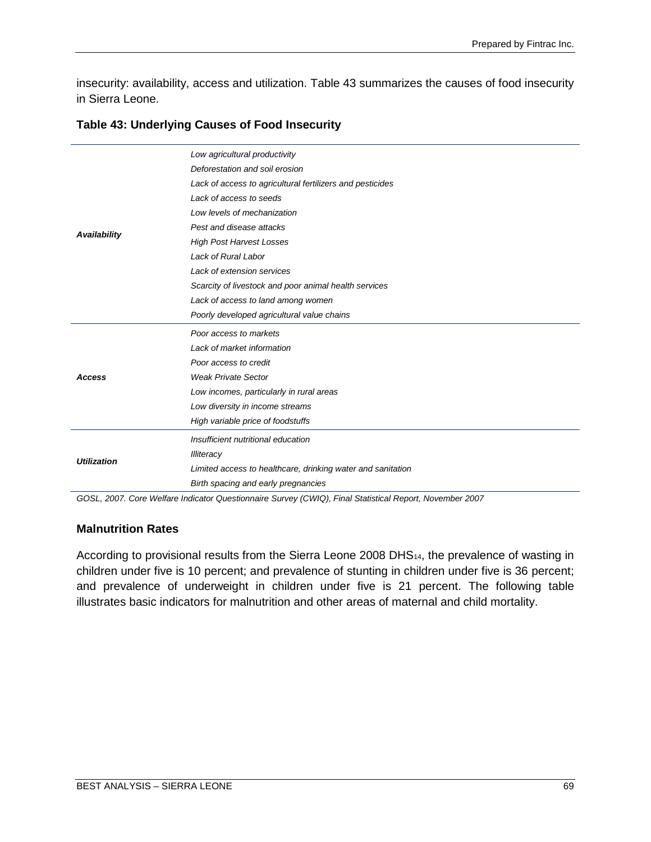insecurity: availability, access and utilization. Table 43 summarizes the causes of food insecurity in Sierra Leone.

|                    | Low agricultural productivity                               |  |  |  |  |  |  |
|--------------------|-------------------------------------------------------------|--|--|--|--|--|--|
|                    | Deforestation and soil erosion                              |  |  |  |  |  |  |
|                    | Lack of access to agricultural fertilizers and pesticides   |  |  |  |  |  |  |
|                    | Lack of access to seeds                                     |  |  |  |  |  |  |
|                    | Low levels of mechanization                                 |  |  |  |  |  |  |
|                    | Pest and disease attacks                                    |  |  |  |  |  |  |
| Availability       | <b>High Post Harvest Losses</b>                             |  |  |  |  |  |  |
|                    | Lack of Rural Labor                                         |  |  |  |  |  |  |
|                    | Lack of extension services                                  |  |  |  |  |  |  |
|                    | Scarcity of livestock and poor animal health services       |  |  |  |  |  |  |
|                    | Lack of access to land among women                          |  |  |  |  |  |  |
|                    | Poorly developed agricultural value chains                  |  |  |  |  |  |  |
|                    | Poor access to markets                                      |  |  |  |  |  |  |
|                    | Lack of market information                                  |  |  |  |  |  |  |
|                    | Poor access to credit                                       |  |  |  |  |  |  |
| Access             | <b>Weak Private Sector</b>                                  |  |  |  |  |  |  |
|                    | Low incomes, particularly in rural areas                    |  |  |  |  |  |  |
|                    | Low diversity in income streams                             |  |  |  |  |  |  |
|                    | High variable price of foodstuffs                           |  |  |  |  |  |  |
|                    | Insufficient nutritional education                          |  |  |  |  |  |  |
|                    | <b>Illiteracy</b>                                           |  |  |  |  |  |  |
| <b>Utilization</b> | Limited access to healthcare, drinking water and sanitation |  |  |  |  |  |  |
|                    | Birth spacing and early pregnancies                         |  |  |  |  |  |  |

#### **Table 43: Underlying Causes of Food Insecurity**

*GOSL, 2007. Core Welfare Indicator Questionnaire Survey (CWIQ), Final Statistical Report, November 2007*

### **Malnutrition Rates**

According to provisional results from the Sierra Leone 2008 DHS<sub>14</sub>, the prevalence of wasting in children under five is 10 percent; and prevalence of stunting in children under five is 36 percent; and prevalence of underweight in children under five is 21 percent. The following table illustrates basic indicators for malnutrition and other areas of maternal and child mortality.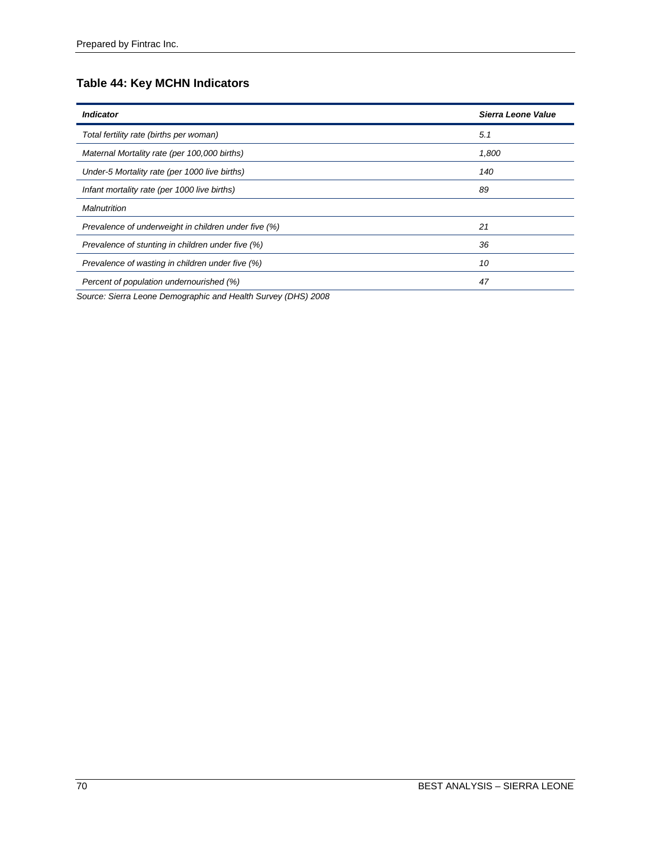# **Table 44: Key MCHN Indicators**

| <b>Indicator</b>                                     | <b>Sierra Leone Value</b> |
|------------------------------------------------------|---------------------------|
| Total fertility rate (births per woman)              | 5.1                       |
| Maternal Mortality rate (per 100,000 births)         | 1,800                     |
| Under-5 Mortality rate (per 1000 live births)        | 140                       |
| Infant mortality rate (per 1000 live births)         | 89                        |
| <b>Malnutrition</b>                                  |                           |
| Prevalence of underweight in children under five (%) | 21                        |
| Prevalence of stunting in children under five (%)    | 36                        |
| Prevalence of wasting in children under five (%)     | 10                        |
| Percent of population undernourished (%)             | 47                        |

*Source: Sierra Leone Demographic and Health Survey (DHS) 2008*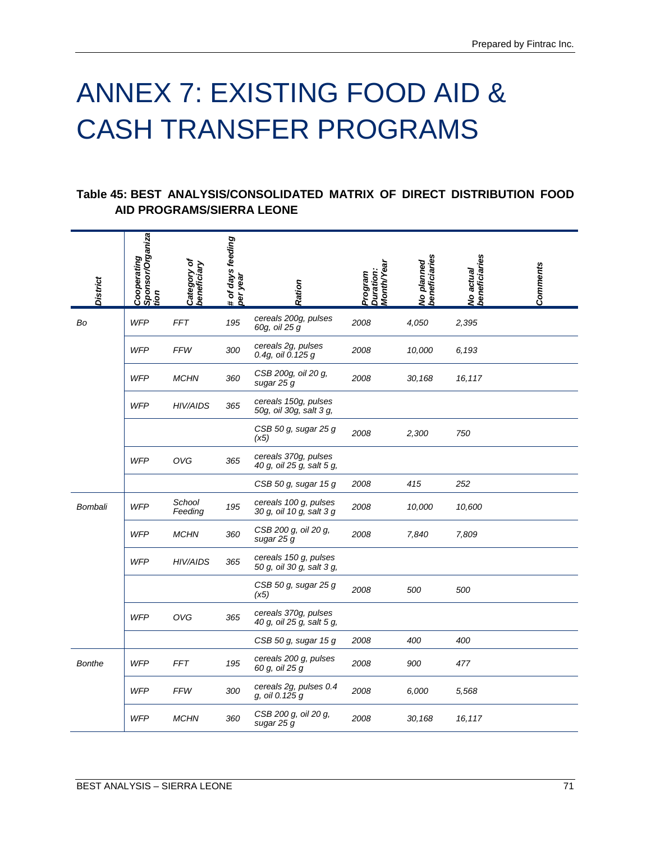# ANNEX 7: EXISTING FOOD AID & CASH TRANSFER PROGRAMS

### **Table 45: BEST ANALYSIS/CONSOLIDATED MATRIX OF DIRECT DISTRIBUTION FOOD AID PROGRAMS/SIERRA LEONE**

| <b>District</b> | Cooperating<br> Sponsor/Organiza<br> tion | Category of<br>beneficiary | # of days feeding<br>per year | Ration                                             | Month/Year<br>Duration:<br>Program | No planned<br>beneficiaries | beneficiaries<br>No actual | <b>Comments</b> |
|-----------------|-------------------------------------------|----------------------------|-------------------------------|----------------------------------------------------|------------------------------------|-----------------------------|----------------------------|-----------------|
| Bo              | <b>WFP</b>                                | <b>FFT</b>                 | 195                           | cereals 200g, pulses<br>60g, oil 25 g              | 2008                               | 4,050                       | 2,395                      |                 |
|                 | <b>WFP</b>                                | <b>FFW</b>                 | 300                           | cereals 2g, pulses<br>0.4g, oil 0.125 g            | 2008                               | 10,000                      | 6,193                      |                 |
|                 | <b>WFP</b>                                | <b>MCHN</b>                | 360                           | CSB 200g, oil 20 g,<br>sugar 25 g                  | 2008                               | 30,168                      | 16,117                     |                 |
|                 | <b>WFP</b>                                | <b>HIV/AIDS</b>            | 365                           | cereals 150g, pulses<br>50g, oil 30g, salt 3 g,    |                                    |                             |                            |                 |
|                 |                                           |                            |                               | CSB 50 g, sugar 25 g<br>(x5)                       | 2008                               | 2,300                       | 750                        |                 |
|                 | <b>WFP</b>                                | <b>OVG</b>                 | 365                           | cereals 370g, pulses<br>40 g, oil 25 g, salt 5 g,  |                                    |                             |                            |                 |
|                 |                                           |                            |                               | CSB 50 g, sugar 15 g                               | 2008                               | 415                         | 252                        |                 |
| Bombali         | <b>WFP</b>                                | School<br>Feeding          | 195                           | cereals 100 g, pulses<br>30 g, oil 10 g, salt 3 g  | 2008                               | 10,000                      | 10,600                     |                 |
|                 | <b>WFP</b>                                | <b>MCHN</b>                | 360                           | CSB 200 g, oil 20 g,<br>sugar 25 g                 | 2008                               | 7,840                       | 7,809                      |                 |
|                 | <b>WFP</b>                                | HIV/AIDS                   | 365                           | cereals 150 g, pulses<br>50 g, oil 30 g, salt 3 g, |                                    |                             |                            |                 |
|                 |                                           |                            |                               | CSB 50 g, sugar 25 g<br>(x5)                       | 2008                               | 500                         | 500                        |                 |
|                 | <b>WFP</b>                                | <b>OVG</b>                 | 365                           | cereals 370g, pulses<br>40 g, oil 25 g, salt 5 g,  |                                    |                             |                            |                 |
|                 |                                           |                            |                               | CSB 50 g, sugar 15 g                               | 2008                               | 400                         | 400                        |                 |
| <b>Bonthe</b>   | <b>WFP</b>                                | <b>FFT</b>                 | 195                           | cereals 200 g, pulses<br>60 g, oil 25 g            | 2008                               | 900                         | 477                        |                 |
|                 | <b>WFP</b>                                | <b>FFW</b>                 | 300                           | cereals 2g, pulses 0.4<br>g, oil 0.125 g           | 2008                               | 6,000                       | 5,568                      |                 |
|                 | <b>WFP</b>                                | <b>MCHN</b>                | 360                           | CSB 200 g, oil 20 g,<br>sugar 25 g                 | 2008                               | 30,168                      | 16,117                     |                 |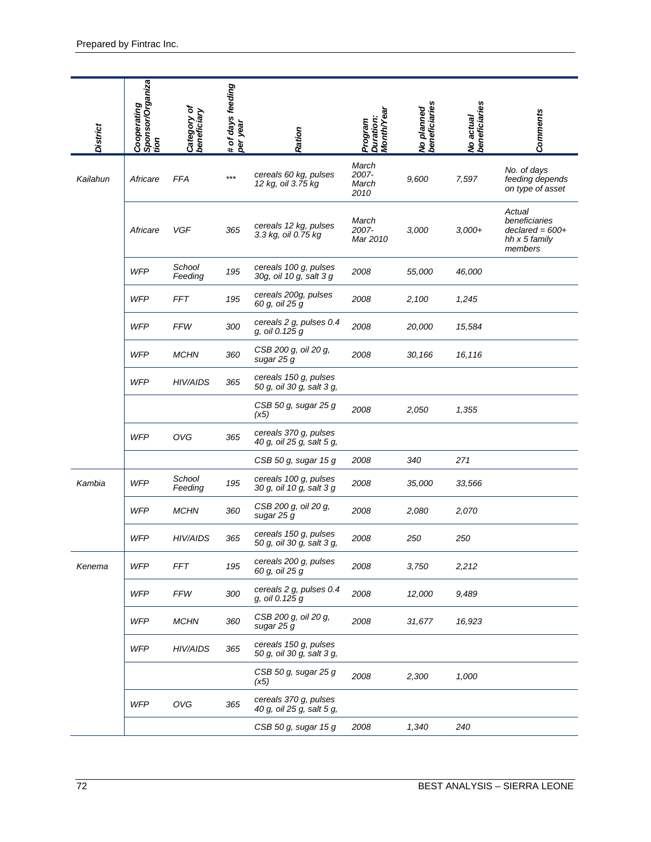| <b>District</b> | Cooperating<br> Sponsor/Organiza<br> tion | Category of<br>beneficiary | # of days feeding<br>per year | Ration                                             | Month/Year<br>Duration:<br>Program | No planned<br>beneficiaries | No actual<br>beneficiaries | <b>Comments</b>                                                          |
|-----------------|-------------------------------------------|----------------------------|-------------------------------|----------------------------------------------------|------------------------------------|-----------------------------|----------------------------|--------------------------------------------------------------------------|
| Kailahun        | Africare                                  | <b>FFA</b>                 | $***$                         | cereals 60 kg, pulses<br>12 kg, oil 3.75 kg        | March<br>2007-<br>March<br>2010    | 9,600                       | 7,597                      | No. of days<br>feeding depends<br>on type of asset                       |
|                 | Africare                                  | VGF                        | 365                           | cereals 12 kg, pulses<br>3.3 kg, oil 0.75 kg       | March<br>2007-<br>Mar 2010         | 3,000                       | $3,000+$                   | Actual<br>beneficiaries<br>$declared = 600+$<br>hh x 5 family<br>members |
|                 | <b>WFP</b>                                | School<br>Feeding          | 195                           | cereals 100 g, pulses<br>30g, oil 10 g, salt 3 g   | 2008                               | 55,000                      | 46,000                     |                                                                          |
|                 | <b>WFP</b>                                | <b>FFT</b>                 | 195                           | cereals 200g, pulses<br>60 g, oil 25 g             | 2008                               | 2,100                       | 1,245                      |                                                                          |
|                 | <b>WFP</b>                                | <b>FFW</b>                 | 300                           | cereals 2 g, pulses 0.4<br>g, oil 0.125 g          | 2008                               | 20,000                      | 15,584                     |                                                                          |
|                 | <b>WFP</b>                                | <b>MCHN</b>                | 360                           | CSB 200 g, oil 20 g,<br>sugar 25 g                 | 2008                               | 30,166                      | 16,116                     |                                                                          |
|                 | <b>WFP</b>                                | <b>HIV/AIDS</b>            | 365                           | cereals 150 g, pulses<br>50 g, oil 30 g, salt 3 g, |                                    |                             |                            |                                                                          |
|                 |                                           |                            |                               | CSB 50 g, sugar 25 g<br>(x5)                       | 2008                               | 2,050                       | 1,355                      |                                                                          |
|                 | <b>WFP</b>                                | OVG                        | 365                           | cereals 370 g, pulses<br>40 g, oil 25 g, salt 5 g, |                                    |                             |                            |                                                                          |
|                 |                                           |                            |                               | CSB 50 g, sugar 15 g                               | 2008                               | 340                         | 271                        |                                                                          |
| Kambia          | <b>WFP</b>                                | School<br>Feeding          | 195                           | cereals 100 g, pulses<br>30 g, oil 10 g, salt 3 g  | 2008                               | 35,000                      | 33,566                     |                                                                          |
|                 | <b>WFP</b>                                | <b>MCHN</b>                | 360                           | CSB 200 g, oil 20 g,<br>sugar 25 g                 | 2008                               | 2,080                       | 2,070                      |                                                                          |
|                 | <b>WFP</b>                                | <b>HIV/AIDS</b>            | 365                           | cereals 150 g, pulses<br>50 g, oil 30 g, salt 3 g, | 2008                               | 250                         | 250                        |                                                                          |
| Kenema          | <b>WFP</b>                                | <b>FFT</b>                 | 195                           | cereals 200 g, pulses<br>60 g, oil 25 g            | 2008                               | 3,750                       | 2,212                      |                                                                          |
|                 | <b>WFP</b>                                | FFW                        | 300                           | cereals 2 g, pulses 0.4<br>g, oil 0.125 g          | 2008                               | 12,000                      | 9,489                      |                                                                          |
|                 | <b>WFP</b>                                | <b>MCHN</b>                | 360                           | CSB 200 g, oil 20 g,<br>sugar 25 g                 | 2008                               | 31,677                      | 16,923                     |                                                                          |
|                 | <b>WFP</b>                                | <b>HIV/AIDS</b>            | 365                           | cereals 150 g, pulses<br>50 g, oil 30 g, salt 3 g, |                                    |                             |                            |                                                                          |
|                 |                                           |                            |                               | CSB 50 g, sugar 25 g<br>(x5)                       | 2008                               | 2,300                       | 1,000                      |                                                                          |
|                 | <b>WFP</b>                                | OVG                        | 365                           | cereals 370 g, pulses<br>40 g, oil 25 g, salt 5 g, |                                    |                             |                            |                                                                          |
|                 |                                           |                            |                               | CSB 50 g, sugar 15 g                               | 2008                               | 1,340                       | 240                        |                                                                          |
| 72              |                                           |                            |                               |                                                    |                                    |                             |                            | BEST ANALYSIS - SIERRA LEONE                                             |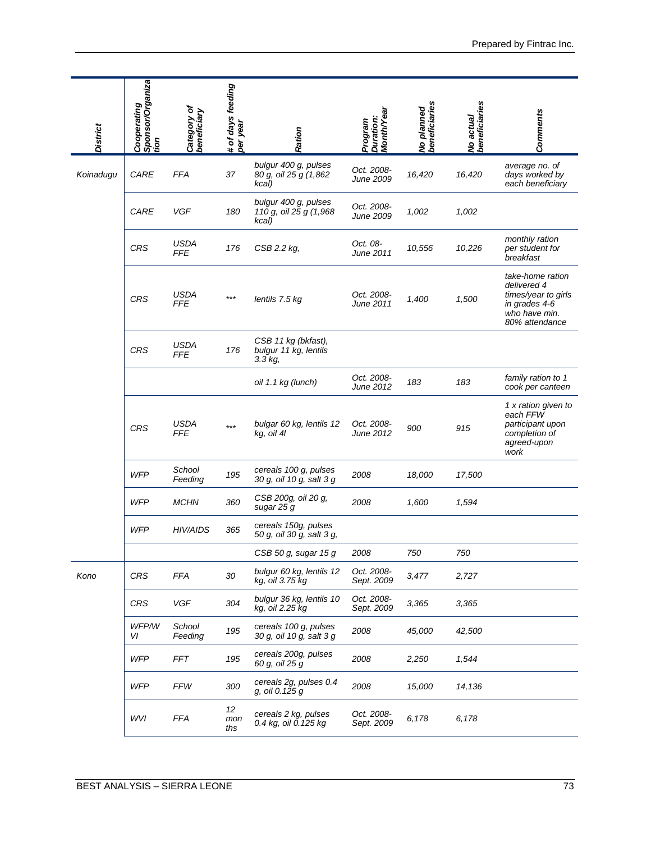| <b>District</b> | Sponsor/Organiza<br>Cooperating<br>tion | Category of<br>beneficiary   | # of days feeding<br>per year | Ration                                                    | <b>Month/Year</b><br>Duration:<br>Program | No planned<br>beneficiaries | beneficiaries<br>No actual | <b>Comments</b>                                                                                            |
|-----------------|-----------------------------------------|------------------------------|-------------------------------|-----------------------------------------------------------|-------------------------------------------|-----------------------------|----------------------------|------------------------------------------------------------------------------------------------------------|
| Koinadugu       | CARE                                    | <b>FFA</b>                   | 37                            | bulgur 400 g, pulses<br>80 g, oil 25 g (1,862)<br>kcal)   | Oct. 2008-<br><b>June 2009</b>            | 16,420                      | 16,420                     | average no. of<br>days worked by<br>each beneficiary                                                       |
|                 | CARE                                    | <b>VGF</b>                   | 180                           | bulgur 400 g, pulses<br>110 g, oil 25 g (1,968<br>kcal)   | Oct. 2008-<br>June 2009                   | 1,002                       | 1,002                      |                                                                                                            |
|                 | <b>CRS</b>                              | <b>USDA</b><br><b>FFE</b>    | 176                           | CSB 2.2 kg,                                               | Oct. 08-<br>June 2011                     | 10,556                      | 10,226                     | monthly ration<br>per student for<br>breakfast                                                             |
|                 | <b>CRS</b>                              | <b>USDA</b><br><b>FFE</b>    | $***$                         | lentils 7.5 kg                                            | Oct. 2008-<br>June 2011                   | 1,400                       | 1,500                      | take-home ration<br>delivered 4<br>times/year to girls<br>in grades 4-6<br>who have min.<br>80% attendance |
|                 | <b>CRS</b>                              | <b>USDA</b><br><b>FFE</b>    | 176                           | CSB 11 kg (bkfast),<br>bulgur 11 kg, lentils<br>$3.3$ kg, |                                           |                             |                            |                                                                                                            |
|                 |                                         |                              |                               | oil 1.1 kg (lunch)                                        | Oct. 2008-<br>June 2012                   | 183                         | 183                        | family ration to 1<br>cook per canteen                                                                     |
|                 | CRS                                     | <b>USDA</b><br>FFE           | $***$                         | bulgar 60 kg, lentils 12<br>kg, oil 4l                    | Oct. 2008-<br><b>June 2012</b>            | 900                         | 915                        | 1 x ration given to<br>each FFW<br>participant upon<br>completion of<br>agreed-upon<br>work                |
|                 | <b>WFP</b>                              | School<br>Feeding            | 195                           | cereals 100 g, pulses<br>30 g, oil 10 g, salt 3 g         | 2008                                      | 18,000                      | 17,500                     |                                                                                                            |
|                 | <b>WFP</b>                              | <b>MCHN</b>                  | 360                           | CSB 200g, oil 20 g,<br>sugar 25 g                         | 2008                                      | 1,600                       | 1,594                      |                                                                                                            |
|                 | <b>WFP</b>                              | HIV/AIDS                     | 365                           | cereals 150g, pulses<br>50 g, oil 30 g, salt 3 g,         |                                           |                             |                            |                                                                                                            |
|                 |                                         |                              |                               | CSB 50 g, sugar 15 g                                      | 2008                                      | 750                         | 750                        |                                                                                                            |
| Kono            | CRS                                     | FFA                          | 30                            | bulgur 60 kg, lentils 12<br>kg, oil 3.75 kg               | Oct. 2008-<br>Sept. 2009                  | 3,477                       | 2,727                      |                                                                                                            |
|                 | CRS                                     | VGF                          | 304                           | bulgur 36 kg, lentils 10<br>kg, oil 2.25 kg               | Oct. 2008-<br>Sept. 2009                  | 3,365                       | 3,365                      |                                                                                                            |
|                 | WFP/W<br>VI                             | School<br>Feeding            | 195                           | cereals 100 g, pulses<br>30 g, oil 10 g, salt 3 g         | 2008                                      | 45,000                      | 42,500                     |                                                                                                            |
|                 | <b>WFP</b>                              | FFT                          | 195                           | cereals 200g, pulses<br>60 g, oil 25 g                    | 2008                                      | 2,250                       | 1,544                      |                                                                                                            |
|                 | <b>WFP</b>                              | <b>FFW</b>                   | 300                           | cereals 2g, pulses 0.4<br>g, oil 0.125 g                  | 2008                                      | 15,000                      | 14,136                     |                                                                                                            |
|                 | WVI                                     | <b>FFA</b>                   | 12<br>mon<br>ths              | cereals 2 kg, pulses<br>0.4 kg, oil 0.125 kg              | Oct. 2008-<br>Sept. 2009                  | 6,178                       | 6,178                      |                                                                                                            |
|                 |                                         | BEST ANALYSIS - SIERRA LEONE |                               |                                                           |                                           |                             |                            | 73                                                                                                         |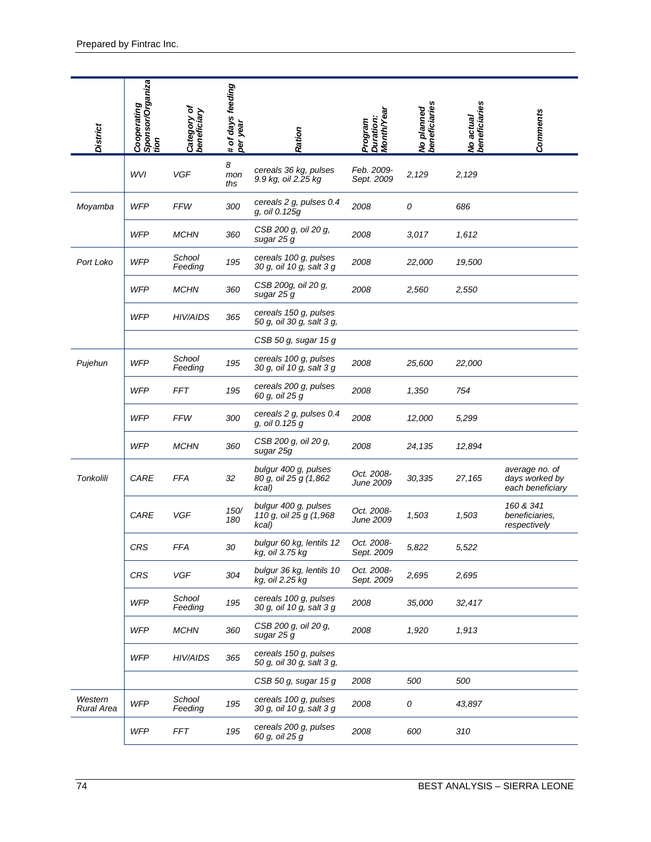| <b>District</b>       | Cooperating<br> Sponsor/Organiza<br> tion | Category of<br>beneficiary | # of days feeding<br>per year | Ration                                                  | Month/Year<br>Duration:<br>Program    | No planned<br>beneficiaries | No actual<br>beneficiaries | <b>Comments</b>                                      |
|-----------------------|-------------------------------------------|----------------------------|-------------------------------|---------------------------------------------------------|---------------------------------------|-----------------------------|----------------------------|------------------------------------------------------|
|                       | WVI                                       | VGF                        | 8<br>mon<br>ths               | cereals 36 kg, pulses<br>9.9 kg, oil 2.25 kg            | Feb. 2009-<br>Sept. 2009              | 2,129                       | 2,129                      |                                                      |
| Moyamba               | <b>WFP</b>                                | <b>FFW</b>                 | 300                           | cereals 2 g, pulses 0.4<br>g, oil 0.125g                | 2008                                  | 0                           | 686                        |                                                      |
|                       | <b>WFP</b>                                | <b>MCHN</b>                | 360                           | CSB 200 g, oil 20 g,<br>sugar 25 g                      | 2008                                  | 3,017                       | 1,612                      |                                                      |
| Port Loko             | <b>WFP</b>                                | School<br>Feeding          | 195                           | cereals 100 g, pulses<br>30 g, oil 10 g, salt 3 g       | 2008                                  | 22,000                      | 19,500                     |                                                      |
|                       | <b>WFP</b>                                | <b>MCHN</b>                | 360                           | CSB 200g, oil 20 g,<br>sugar 25 g                       | 2008                                  | 2,560                       | 2,550                      |                                                      |
|                       | <b>WFP</b>                                | <b>HIV/AIDS</b>            | 365                           | cereals 150 g, pulses<br>50 g, oil 30 g, salt 3 g,      |                                       |                             |                            |                                                      |
|                       |                                           |                            |                               | CSB 50 g, sugar 15 g                                    |                                       |                             |                            |                                                      |
| Pujehun               | <b>WFP</b>                                | School<br>Feeding          | 195                           | cereals 100 g, pulses<br>30 g, oil 10 g, salt 3 g       | 2008                                  | 25,600                      | 22,000                     |                                                      |
|                       | <b>WFP</b>                                | FFT                        | 195                           | cereals 200 g, pulses<br>60 g, oil 25 g                 | 2008                                  | 1,350                       | 754                        |                                                      |
|                       | <b>WFP</b>                                | <b>FFW</b>                 | 300                           | cereals 2 g, pulses 0.4<br>g, oil 0.125 g               | 2008                                  | 12,000                      | 5,299                      |                                                      |
|                       | <b>WFP</b>                                | <b>MCHN</b>                | 360                           | CSB 200 g, oil 20 g,<br>sugar 25g                       | 2008                                  | 24,135                      | 12,894                     |                                                      |
| Tonkolili             | CARE                                      | <b>FFA</b>                 | 32                            | bulgur 400 g, pulses<br>80 g, oil 25 g (1,862)<br>kcal) | Oct. 2008-<br>June 2009               | 30,335                      | 27,165                     | average no. of<br>days worked by<br>each beneficiary |
|                       | CARE                                      | VGF                        | 150/<br>180                   | bulgur 400 g, pulses<br>110 g, oil 25 g (1,968<br>kcal) | Oct. 2008-<br><i><b>June 2009</b></i> | 1,503                       | 1,503                      | 160 & 341<br>beneficiaries,<br>respectively          |
|                       | <b>CRS</b>                                | FFA                        | 30                            | bulgur 60 kg, lentils 12<br>kg, oil 3.75 kg             | Oct. 2008-<br>Sept. 2009              | 5,822                       | 5,522                      |                                                      |
|                       | CRS                                       | VGF                        | 304                           | bulgur 36 kg, lentils 10<br>kg, oil 2.25 kg             | Oct. 2008-<br>Sept. 2009              | 2,695                       | 2,695                      |                                                      |
|                       | <b>WFP</b>                                | School<br>Feeding          | 195                           | cereals 100 g, pulses<br>30 g, oil 10 g, salt 3 g       | 2008                                  | 35,000                      | 32,417                     |                                                      |
|                       | <b>WFP</b>                                | <b>MCHN</b>                | 360                           | CSB 200 g, oil 20 g,<br>sugar 25 g                      | 2008                                  | 1,920                       | 1,913                      |                                                      |
|                       | <b>WFP</b>                                | HIV/AIDS                   | 365                           | cereals 150 g, pulses<br>50 g, oil 30 g, salt 3 g,      |                                       |                             |                            |                                                      |
|                       |                                           |                            |                               | CSB 50 g, sugar 15 g                                    | 2008                                  | 500                         | 500                        |                                                      |
| Western<br>Rural Area | <b>WFP</b>                                | School<br>Feeding          | 195                           | cereals 100 g, pulses<br>30 g, oil 10 g, salt 3 g       | 2008                                  | 0                           | 43,897                     |                                                      |
|                       | <b>WFP</b>                                | <b>FFT</b>                 | 195                           | cereals 200 g, pulses<br>60 g, oil 25 g                 | 2008                                  | 600                         | 310                        |                                                      |
| 74                    |                                           |                            |                               |                                                         |                                       |                             |                            | BEST ANALYSIS - SIERRA LEONE                         |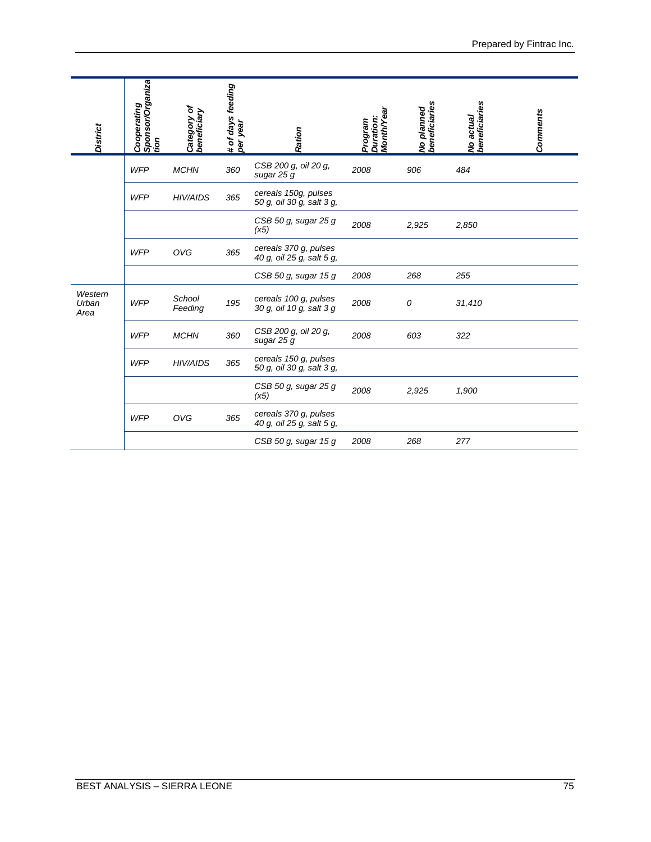| <b>District</b>          | Sponsor/Organiza<br>tion<br>Cooperating | Category of<br>beneficiary          | # of days feeding<br>per year | Ration                                             | Duration:<br>Month/Year<br>Program | No planned<br>beneficiaries | No actual<br>beneficiaries | <b>Comments</b> |
|--------------------------|-----------------------------------------|-------------------------------------|-------------------------------|----------------------------------------------------|------------------------------------|-----------------------------|----------------------------|-----------------|
|                          | WFP                                     | <b>MCHN</b>                         | 360                           | CSB 200 g, oil 20 g,<br>sugar 25 g                 | 2008                               | 906                         | 484                        |                 |
|                          | <b>WFP</b>                              | HIV/AIDS                            | 365                           | cereals 150g, pulses<br>50 g, oil 30 g, salt 3 g,  |                                    |                             |                            |                 |
|                          |                                         |                                     |                               | CSB 50 g, sugar 25 g<br>(x5)                       | 2008                               | 2,925                       | 2,850                      |                 |
|                          | <b>WFP</b>                              | OVG                                 | 365                           | cereals 370 g, pulses<br>40 g, oil 25 g, salt 5 g, |                                    |                             |                            |                 |
|                          |                                         |                                     |                               | CSB 50 g, sugar 15 g                               | 2008                               | 268                         | 255                        |                 |
| Western<br>Urban<br>Area | <b>WFP</b>                              | School<br>Feeding                   | 195                           | cereals 100 g, pulses<br>30 g, oil 10 g, salt 3 g  | 2008                               | 0                           | 31,410                     |                 |
|                          | <b>WFP</b>                              | <b>MCHN</b>                         | 360                           | CSB 200 g, oil 20 g,<br>sugar 25 g                 | 2008                               | 603                         | 322                        |                 |
|                          | <b>WFP</b>                              | HIV/AIDS                            | 365                           | cereals 150 g, pulses<br>50 g, oil 30 g, salt 3 g, |                                    |                             |                            |                 |
|                          |                                         |                                     |                               | CSB 50 g, sugar 25 g<br>(x5)                       | 2008                               | 2,925                       | 1,900                      |                 |
|                          | <b>WFP</b>                              | OVG                                 | 365                           | cereals 370 g, pulses<br>40 g, oil 25 g, salt 5 g, |                                    |                             |                            |                 |
|                          |                                         |                                     |                               | CSB 50 g, sugar 15 g                               | 2008                               | 268                         | 277                        |                 |
|                          |                                         |                                     |                               |                                                    |                                    |                             |                            |                 |
|                          |                                         | <b>BEST ANALYSIS - SIERRA LEONE</b> |                               |                                                    |                                    |                             |                            | 75              |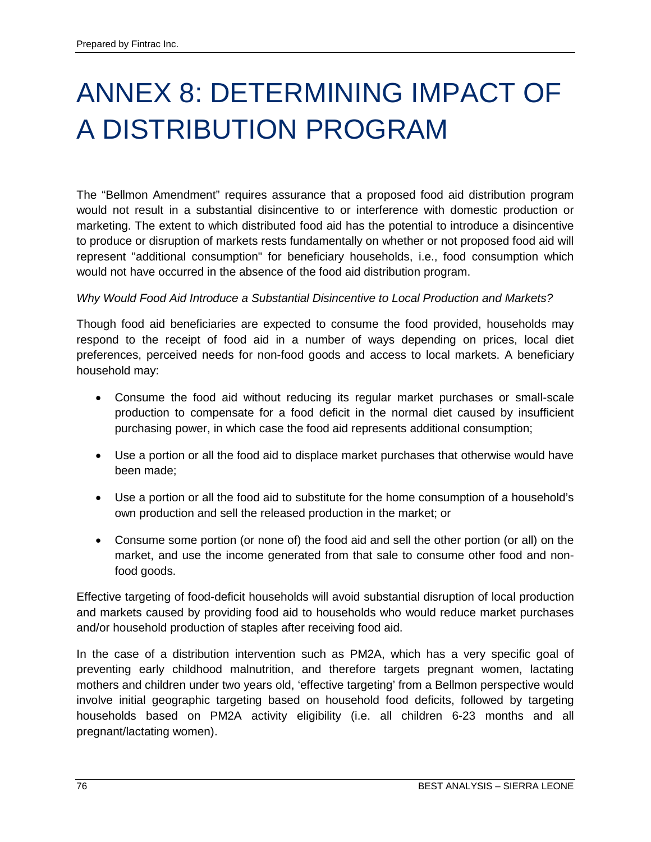# ANNEX 8: DETERMINING IMPACT OF A DISTRIBUTION PROGRAM

The "Bellmon Amendment" requires assurance that a proposed food aid distribution program would not result in a substantial disincentive to or interference with domestic production or marketing. The extent to which distributed food aid has the potential to introduce a disincentive to produce or disruption of markets rests fundamentally on whether or not proposed food aid will represent "additional consumption" for beneficiary households, i.e., food consumption which would not have occurred in the absence of the food aid distribution program.

## *Why Would Food Aid Introduce a Substantial Disincentive to Local Production and Markets?*

Though food aid beneficiaries are expected to consume the food provided, households may respond to the receipt of food aid in a number of ways depending on prices, local diet preferences, perceived needs for non-food goods and access to local markets. A beneficiary household may:

- Consume the food aid without reducing its regular market purchases or small-scale production to compensate for a food deficit in the normal diet caused by insufficient purchasing power, in which case the food aid represents additional consumption;
- Use a portion or all the food aid to displace market purchases that otherwise would have been made;
- Use a portion or all the food aid to substitute for the home consumption of a household's own production and sell the released production in the market; or
- Consume some portion (or none of) the food aid and sell the other portion (or all) on the market, and use the income generated from that sale to consume other food and nonfood goods.

Effective targeting of food-deficit households will avoid substantial disruption of local production and markets caused by providing food aid to households who would reduce market purchases and/or household production of staples after receiving food aid.

In the case of a distribution intervention such as PM2A, which has a very specific goal of preventing early childhood malnutrition, and therefore targets pregnant women, lactating mothers and children under two years old, 'effective targeting' from a Bellmon perspective would involve initial geographic targeting based on household food deficits, followed by targeting households based on PM2A activity eligibility (i.e. all children 6-23 months and all pregnant/lactating women).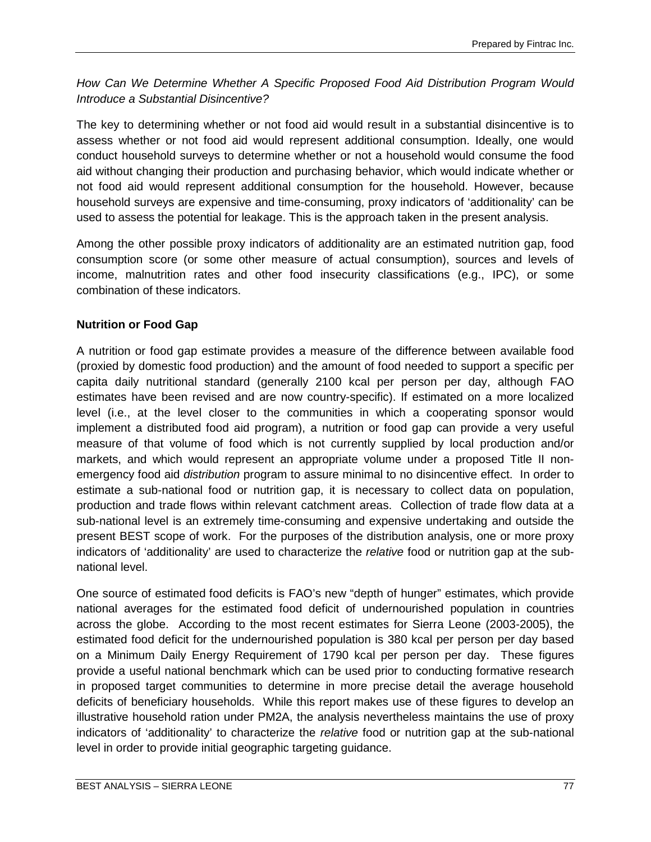*How Can We Determine Whether A Specific Proposed Food Aid Distribution Program Would Introduce a Substantial Disincentive?*

The key to determining whether or not food aid would result in a substantial disincentive is to assess whether or not food aid would represent additional consumption. Ideally, one would conduct household surveys to determine whether or not a household would consume the food aid without changing their production and purchasing behavior, which would indicate whether or not food aid would represent additional consumption for the household. However, because household surveys are expensive and time-consuming, proxy indicators of 'additionality' can be used to assess the potential for leakage. This is the approach taken in the present analysis.

Among the other possible proxy indicators of additionality are an estimated nutrition gap, food consumption score (or some other measure of actual consumption), sources and levels of income, malnutrition rates and other food insecurity classifications (e.g., IPC), or some combination of these indicators.

# **Nutrition or Food Gap**

A nutrition or food gap estimate provides a measure of the difference between available food (proxied by domestic food production) and the amount of food needed to support a specific per capita daily nutritional standard (generally 2100 kcal per person per day, although FAO estimates have been revised and are now country-specific). If estimated on a more localized level (i.e., at the level closer to the communities in which a cooperating sponsor would implement a distributed food aid program), a nutrition or food gap can provide a very useful measure of that volume of food which is not currently supplied by local production and/or markets, and which would represent an appropriate volume under a proposed Title II nonemergency food aid *distribution* program to assure minimal to no disincentive effect. In order to estimate a sub-national food or nutrition gap, it is necessary to collect data on population, production and trade flows within relevant catchment areas. Collection of trade flow data at a sub-national level is an extremely time-consuming and expensive undertaking and outside the present BEST scope of work. For the purposes of the distribution analysis, one or more proxy indicators of 'additionality' are used to characterize the *relative* food or nutrition gap at the subnational level.

One source of estimated food deficits is FAO's new "depth of hunger" estimates, which provide national averages for the estimated food deficit of undernourished population in countries across the globe. According to the most recent estimates for Sierra Leone (2003-2005), the estimated food deficit for the undernourished population is 380 kcal per person per day based on a Minimum Daily Energy Requirement of 1790 kcal per person per day. These figures provide a useful national benchmark which can be used prior to conducting formative research in proposed target communities to determine in more precise detail the average household deficits of beneficiary households. While this report makes use of these figures to develop an illustrative household ration under PM2A, the analysis nevertheless maintains the use of proxy indicators of 'additionality' to characterize the *relative* food or nutrition gap at the sub-national level in order to provide initial geographic targeting guidance.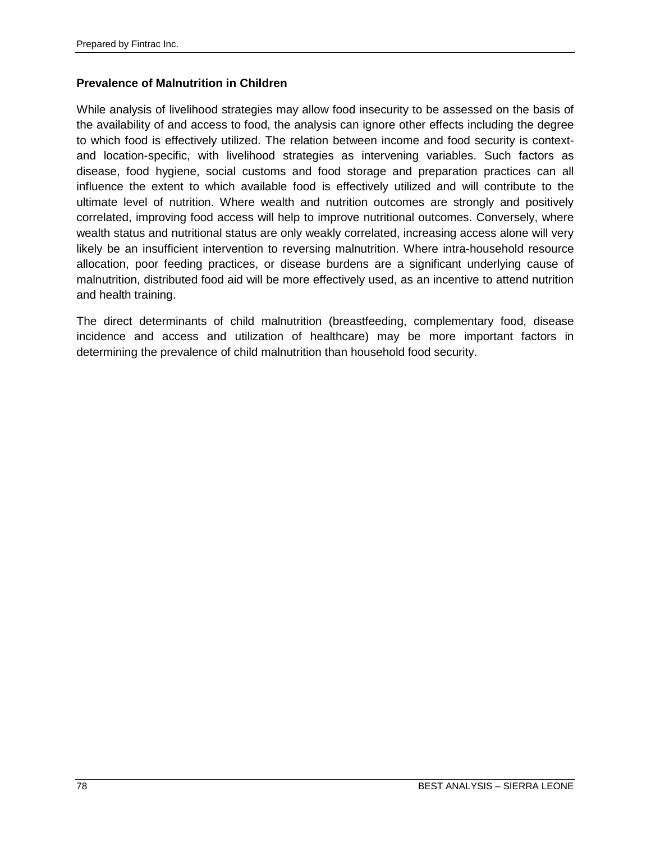### **Prevalence of Malnutrition in Children**

While analysis of livelihood strategies may allow food insecurity to be assessed on the basis of the availability of and access to food, the analysis can ignore other effects including the degree to which food is effectively utilized. The relation between income and food security is contextand location-specific, with livelihood strategies as intervening variables. Such factors as disease, food hygiene, social customs and food storage and preparation practices can all influence the extent to which available food is effectively utilized and will contribute to the ultimate level of nutrition. Where wealth and nutrition outcomes are strongly and positively correlated, improving food access will help to improve nutritional outcomes. Conversely, where wealth status and nutritional status are only weakly correlated, increasing access alone will very likely be an insufficient intervention to reversing malnutrition. Where intra-household resource allocation, poor feeding practices, or disease burdens are a significant underlying cause of malnutrition, distributed food aid will be more effectively used, as an incentive to attend nutrition and health training.

The direct determinants of child malnutrition (breastfeeding, complementary food, disease incidence and access and utilization of healthcare) may be more important factors in determining the prevalence of child malnutrition than household food security.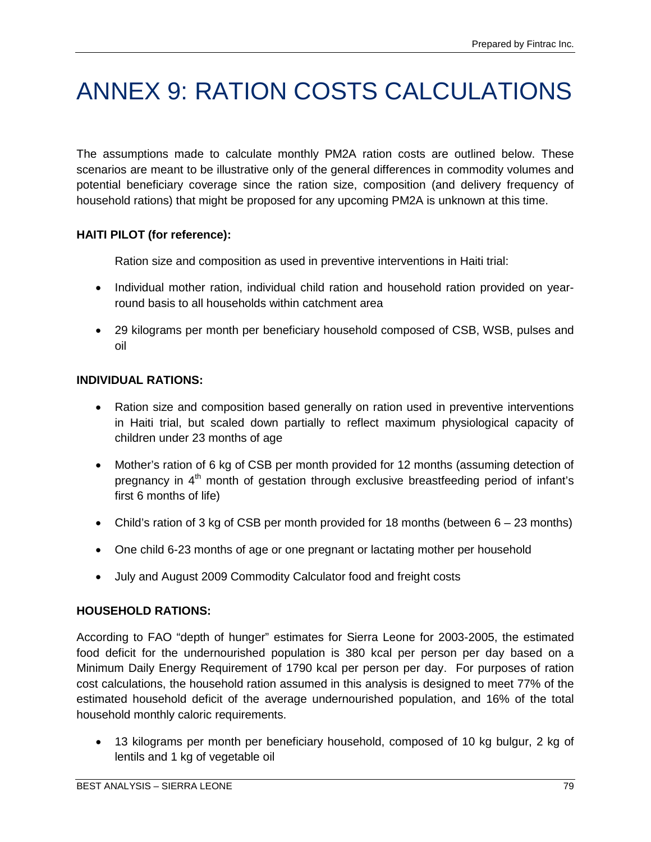# ANNEX 9: RATION COSTS CALCULATIONS

The assumptions made to calculate monthly PM2A ration costs are outlined below. These scenarios are meant to be illustrative only of the general differences in commodity volumes and potential beneficiary coverage since the ration size, composition (and delivery frequency of household rations) that might be proposed for any upcoming PM2A is unknown at this time.

# **HAITI PILOT (for reference):**

Ration size and composition as used in preventive interventions in Haiti trial:

- Individual mother ration, individual child ration and household ration provided on yearround basis to all households within catchment area
- 29 kilograms per month per beneficiary household composed of CSB, WSB, pulses and oil

# **INDIVIDUAL RATIONS:**

- Ration size and composition based generally on ration used in preventive interventions in Haiti trial, but scaled down partially to reflect maximum physiological capacity of children under 23 months of age
- Mother's ration of 6 kg of CSB per month provided for 12 months (assuming detection of pregnancy in 4<sup>th</sup> month of gestation through exclusive breastfeeding period of infant's first 6 months of life)
- Child's ration of 3 kg of CSB per month provided for 18 months (between 6 23 months)
- One child 6-23 months of age or one pregnant or lactating mother per household
- July and August 2009 Commodity Calculator food and freight costs

# **HOUSEHOLD RATIONS:**

According to FAO "depth of hunger" estimates for Sierra Leone for 2003-2005, the estimated food deficit for the undernourished population is 380 kcal per person per day based on a Minimum Daily Energy Requirement of 1790 kcal per person per day. For purposes of ration cost calculations, the household ration assumed in this analysis is designed to meet 77% of the estimated household deficit of the average undernourished population, and 16% of the total household monthly caloric requirements.

• 13 kilograms per month per beneficiary household, composed of 10 kg bulgur, 2 kg of lentils and 1 kg of vegetable oil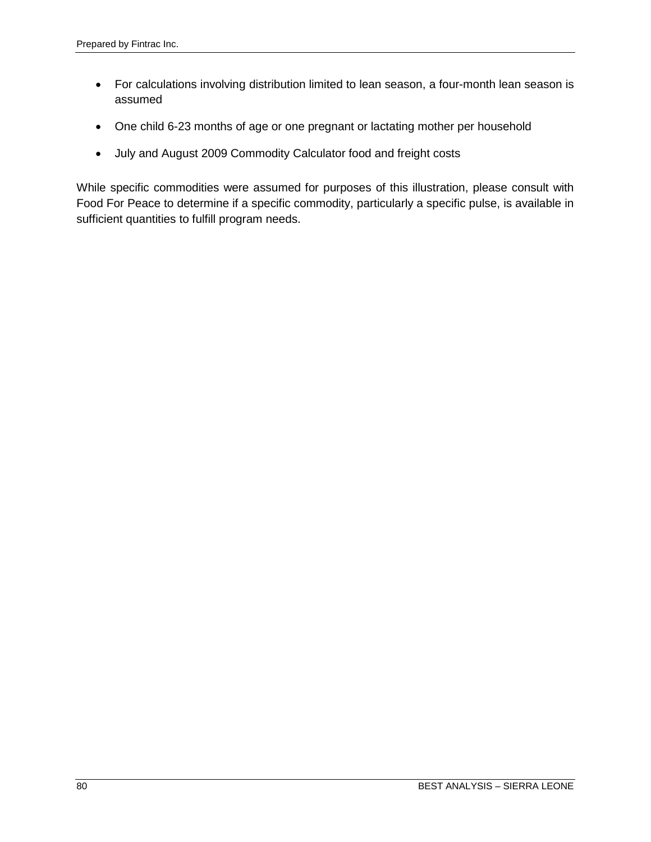- For calculations involving distribution limited to lean season, a four-month lean season is assumed
- One child 6-23 months of age or one pregnant or lactating mother per household
- July and August 2009 Commodity Calculator food and freight costs

While specific commodities were assumed for purposes of this illustration, please consult with Food For Peace to determine if a specific commodity, particularly a specific pulse, is available in sufficient quantities to fulfill program needs.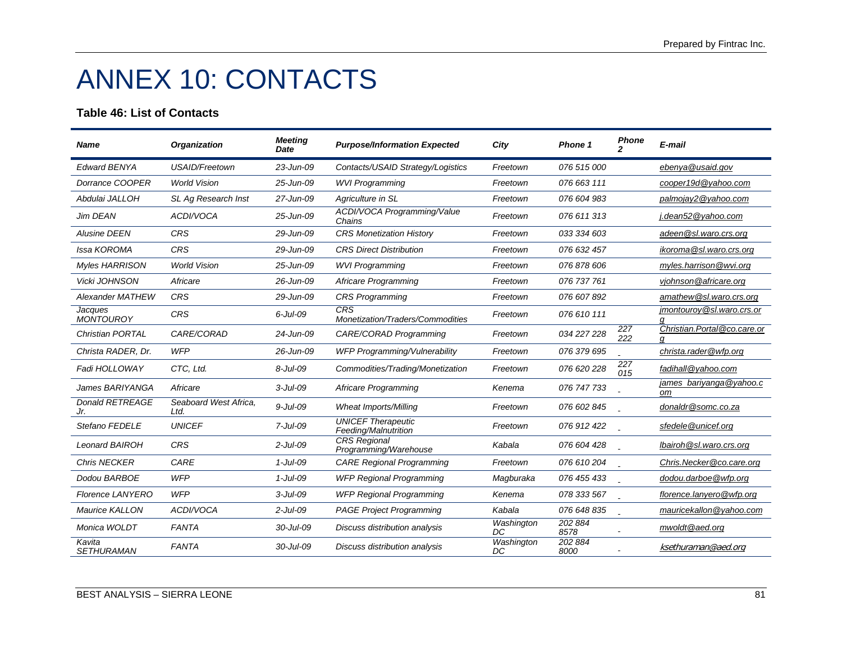# ANNEX 10: CONTACTS

### **Table 46: List of Contacts**

| <b>Name</b>                   | <b>Organization</b>           | <b>Meeting</b><br>Date | <b>Purpose/Information Expected</b>               | City             | Phone 1         | <b>Phone</b> | E-mail                        |
|-------------------------------|-------------------------------|------------------------|---------------------------------------------------|------------------|-----------------|--------------|-------------------------------|
| <b>Edward BENYA</b>           | USAID/Freetown                | 23-Jun-09              | Contacts/USAID Strategy/Logistics                 | Freetown         | 076 515 000     |              | ebenya@usaid.gov              |
| Dorrance COOPER               | <b>World Vision</b>           | 25-Jun-09              | <b>WVI Programming</b>                            | Freetown         | 076 663 111     |              | cooper19d@vahoo.com           |
| Abdulai JALLOH                | SL Ag Research Inst           | 27-Jun-09              | Agriculture in SL                                 | Freetown         | 076 604 983     |              | palmojay2@yahoo.com           |
| Jim DEAN                      | ACDI/VOCA                     | 25-Jun-09              | <b>ACDI/VOCA Programming/Value</b><br>Chains      | Freetown         | 076 611 313     |              | j.dean52@yahoo.com            |
| <b>Alusine DEEN</b>           | <b>CRS</b>                    | 29-Jun-09              | <b>CRS Monetization History</b>                   | Freetown         | 033 334 603     |              | adeen@sl.waro.crs.org         |
| Issa KOROMA                   | <b>CRS</b>                    | 29-Jun-09              | <b>CRS Direct Distribution</b>                    | Freetown         | 076 632 457     |              | ikoroma@sl.waro.crs.org       |
| <b>Myles HARRISON</b>         | <b>World Vision</b>           | 25-Jun-09              | <b>WVI Programming</b>                            | Freetown         | 076 878 606     |              | myles.harrison@wvi.org        |
| Vicki JOHNSON                 | Africare                      | 26-Jun-09              | Africare Programming                              | Freetown         | 076 737 761     |              | vjohnson@africare.org         |
| <b>Alexander MATHEW</b>       | <b>CRS</b>                    | 29-Jun-09              | <b>CRS Programming</b>                            | Freetown         | 076 607 892     |              | amathew@sl.waro.crs.org       |
| Jacques<br><b>MONTOUROY</b>   | <b>CRS</b>                    | $6$ -Jul-09            | CRS<br>Monetization/Traders/Commodities           | Freetown         | 076 610 111     |              | jmontouroy@sl.waro.crs.or     |
| <b>Christian PORTAL</b>       | CARE/CORAD                    | $24$ -Jun-09           | CARE/CORAD Programming                            | Freetown         | 034 227 228     | 227<br>222   | Christian.Portal@co.care.or   |
| Christa RADER, Dr.            | <b>WFP</b>                    | 26-Jun-09              | WFP Programming/Vulnerability                     | Freetown         | 076 379 695     |              | christa.rader@wfp.org         |
| Fadi HOLLOWAY                 | CTC. Ltd.                     | $8 -$ Jul $-09$        | Commodities/Trading/Monetization                  | Freetown         | 076 620 228     | 227<br>015   | fadihall@yahoo.com            |
| James BARIYANGA               | Africare                      | $3$ -Jul-09            | Africare Programming                              | Kenema           | 076 747 733     |              | james bariyanga@yahoo.c<br>оm |
| <b>Donald RETREAGE</b><br>Jr. | Seaboard West Africa,<br>Ltd. | $9 -$ Jul $-09$        | <b>Wheat Imports/Milling</b>                      | Freetown         | 076 602 845     |              | donaldr@somc.co.za            |
| Stefano FEDELE                | <b>UNICEF</b>                 | $7$ -Jul-09            | <b>UNICEF Therapeutic</b><br>Feeding/Malnutrition | Freetown         | 076 912 422     |              | sfedele@unicef.org            |
| <b>Leonard BAIROH</b>         | <b>CRS</b>                    | $2$ -Jul-09            | <b>CRS</b> Regional<br>Programming/Warehouse      | Kabala           | 076 604 428     |              | Ibairoh @sl.waro.crs.org      |
| <b>Chris NECKER</b>           | CARE                          | $1$ -Jul-09            | <b>CARE Regional Programming</b>                  | Freetown         | 076 610 204     |              | Chris.Necker@co.care.org      |
| Dodou BARBOE                  | <b>WFP</b>                    | $1$ -Jul-09            | <b>WFP Regional Programming</b>                   | Magburaka        | 076 455 433     |              | dodou.darboe@wfp.org          |
| <b>Florence LANYERO</b>       | <b>WFP</b>                    | $3$ -Jul-09            | <b>WFP Regional Programming</b>                   | Kenema           | 078 333 567     |              | florence.lanyero@wfp.org      |
| Maurice KALLON                | ACDI/VOCA                     | $2$ -Jul-09            | <b>PAGE Project Programming</b>                   | Kabala           | 076 648 835     |              | mauricekallon@yahoo.com       |
| Monica WOLDT                  | <b>FANTA</b>                  | 30-Jul-09              | Discuss distribution analysis                     | Washington<br>DC | 202 884<br>8578 |              | mwoldt@aed.org                |
| Kavita<br><b>SETHURAMAN</b>   | <b>FANTA</b>                  | 30-Jul-09              | Discuss distribution analysis                     | Washington<br>DC | 202 884<br>8000 |              | ksethuraman@aed.org           |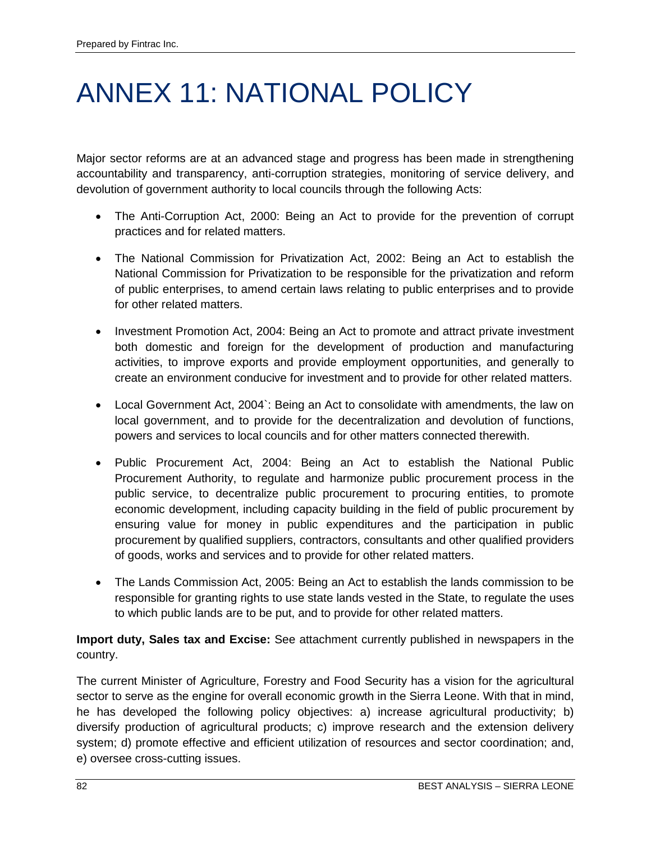# ANNEX 11: NATIONAL POLICY

Major sector reforms are at an advanced stage and progress has been made in strengthening accountability and transparency, anti-corruption strategies, monitoring of service delivery, and devolution of government authority to local councils through the following Acts:

- The Anti-Corruption Act, 2000: Being an Act to provide for the prevention of corrupt practices and for related matters.
- The National Commission for Privatization Act, 2002: Being an Act to establish the National Commission for Privatization to be responsible for the privatization and reform of public enterprises, to amend certain laws relating to public enterprises and to provide for other related matters.
- Investment Promotion Act, 2004: Being an Act to promote and attract private investment both domestic and foreign for the development of production and manufacturing activities, to improve exports and provide employment opportunities, and generally to create an environment conducive for investment and to provide for other related matters.
- Local Government Act, 2004`: Being an Act to consolidate with amendments, the law on local government, and to provide for the decentralization and devolution of functions, powers and services to local councils and for other matters connected therewith.
- Public Procurement Act, 2004: Being an Act to establish the National Public Procurement Authority, to regulate and harmonize public procurement process in the public service, to decentralize public procurement to procuring entities, to promote economic development, including capacity building in the field of public procurement by ensuring value for money in public expenditures and the participation in public procurement by qualified suppliers, contractors, consultants and other qualified providers of goods, works and services and to provide for other related matters.
- The Lands Commission Act, 2005: Being an Act to establish the lands commission to be responsible for granting rights to use state lands vested in the State, to regulate the uses to which public lands are to be put, and to provide for other related matters.

## **Import duty, Sales tax and Excise:** See attachment currently published in newspapers in the country.

The current Minister of Agriculture, Forestry and Food Security has a vision for the agricultural sector to serve as the engine for overall economic growth in the Sierra Leone. With that in mind, he has developed the following policy objectives: a) increase agricultural productivity; b) diversify production of agricultural products; c) improve research and the extension delivery system; d) promote effective and efficient utilization of resources and sector coordination; and, e) oversee cross-cutting issues.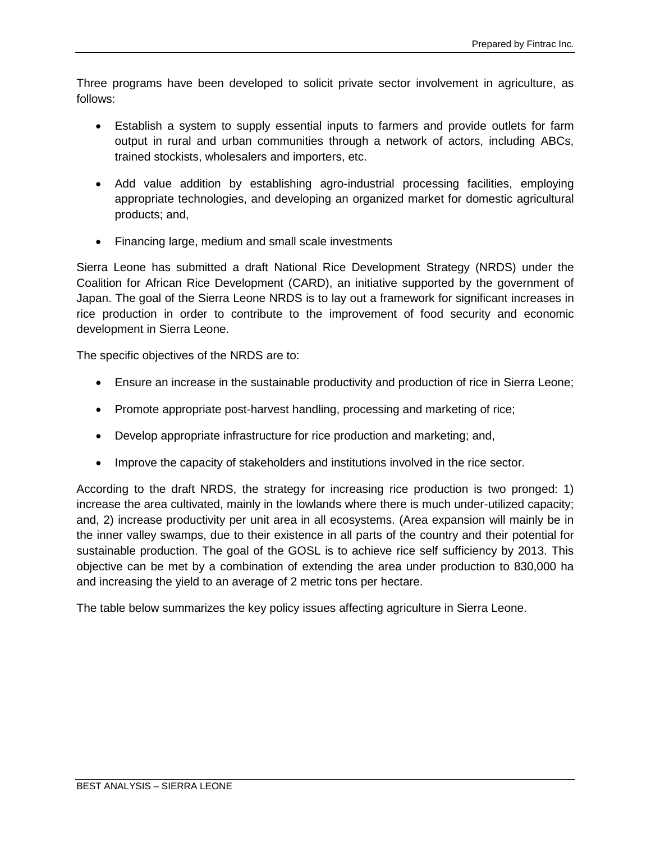Three programs have been developed to solicit private sector involvement in agriculture, as follows:

- Establish a system to supply essential inputs to farmers and provide outlets for farm output in rural and urban communities through a network of actors, including ABCs, trained stockists, wholesalers and importers, etc.
- Add value addition by establishing agro-industrial processing facilities, employing appropriate technologies, and developing an organized market for domestic agricultural products; and,
- Financing large, medium and small scale investments

Sierra Leone has submitted a draft National Rice Development Strategy (NRDS) under the Coalition for African Rice Development (CARD), an initiative supported by the government of Japan. The goal of the Sierra Leone NRDS is to lay out a framework for significant increases in rice production in order to contribute to the improvement of food security and economic development in Sierra Leone.

The specific objectives of the NRDS are to:

- Ensure an increase in the sustainable productivity and production of rice in Sierra Leone;
- Promote appropriate post-harvest handling, processing and marketing of rice;
- Develop appropriate infrastructure for rice production and marketing; and,
- Improve the capacity of stakeholders and institutions involved in the rice sector.

According to the draft NRDS, the strategy for increasing rice production is two pronged: 1) increase the area cultivated, mainly in the lowlands where there is much under-utilized capacity; and, 2) increase productivity per unit area in all ecosystems. (Area expansion will mainly be in the inner valley swamps, due to their existence in all parts of the country and their potential for sustainable production. The goal of the GOSL is to achieve rice self sufficiency by 2013. This objective can be met by a combination of extending the area under production to 830,000 ha and increasing the yield to an average of 2 metric tons per hectare.

The table below summarizes the key policy issues affecting agriculture in Sierra Leone.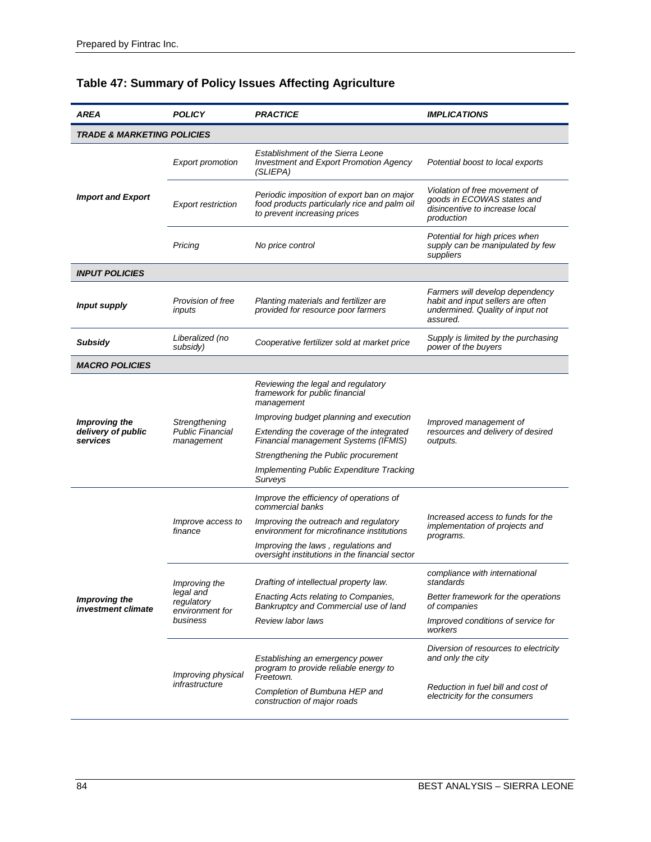| AREA                                  | <b>POLICY</b>                              | <b>PRACTICE</b>                                                                                                            | <b>IMPLICATIONS</b>                                                                                                  |  |  |
|---------------------------------------|--------------------------------------------|----------------------------------------------------------------------------------------------------------------------------|----------------------------------------------------------------------------------------------------------------------|--|--|
| <b>TRADE &amp; MARKETING POLICIES</b> |                                            |                                                                                                                            |                                                                                                                      |  |  |
|                                       | <b>Export promotion</b>                    | <b>Establishment of the Sierra Leone</b><br><b>Investment and Export Promotion Agency</b><br>(SLIEPA)                      | Potential boost to local exports                                                                                     |  |  |
| <b>Import and Export</b>              | <b>Export restriction</b>                  | Periodic imposition of export ban on major<br>food products particularly rice and palm oil<br>to prevent increasing prices | Violation of free movement of<br>goods in ECOWAS states and<br>disincentive to increase local<br>production          |  |  |
|                                       | Pricing                                    | No price control                                                                                                           | Potential for high prices when<br>supply can be manipulated by few<br>suppliers                                      |  |  |
| <b>INPUT POLICIES</b>                 |                                            |                                                                                                                            |                                                                                                                      |  |  |
| <b>Input supply</b>                   | Provision of free<br>inputs                | Planting materials and fertilizer are<br>provided for resource poor farmers                                                | Farmers will develop dependency<br>habit and input sellers are often<br>undermined. Quality of input not<br>assured. |  |  |
| <b>Subsidy</b>                        | Liberalized (no<br>subsidy)                | Cooperative fertilizer sold at market price                                                                                | Supply is limited by the purchasing<br>power of the buyers                                                           |  |  |
| <b>MACRO POLICIES</b>                 |                                            |                                                                                                                            |                                                                                                                      |  |  |
|                                       |                                            | Reviewing the legal and regulatory<br>framework for public financial<br>management                                         |                                                                                                                      |  |  |
| <b>Improving the</b>                  | Strengthening                              | Improving budget planning and execution                                                                                    | Improved management of                                                                                               |  |  |
| delivery of public<br>services        | <b>Public Financial</b><br>management      | Extending the coverage of the integrated<br>Financial management Systems (IFMIS)                                           | resources and delivery of desired<br>outputs.                                                                        |  |  |
|                                       |                                            | Strengthening the Public procurement                                                                                       |                                                                                                                      |  |  |
|                                       |                                            | Implementing Public Expenditure Tracking<br>Surveys                                                                        |                                                                                                                      |  |  |
|                                       |                                            | Improve the efficiency of operations of<br>commercial banks                                                                |                                                                                                                      |  |  |
|                                       | <i>Improve access to</i><br>finance        | Improving the outreach and regulatory<br>environment for microfinance institutions                                         | Increased access to funds for the<br>implementation of projects and<br>programs.                                     |  |  |
|                                       |                                            | Improving the laws, regulations and<br>oversight institutions in the financial sector                                      |                                                                                                                      |  |  |
|                                       | Improving the                              | Drafting of intellectual property law.                                                                                     | compliance with international<br>standards                                                                           |  |  |
| Improving the<br>investment climate   | legal and<br>regulatory<br>environment for | Enacting Acts relating to Companies,<br>Bankruptcy and Commercial use of land                                              | Better framework for the operations<br>of companies                                                                  |  |  |
|                                       | business                                   | Review labor laws                                                                                                          | Improved conditions of service for<br>workers                                                                        |  |  |
|                                       | Improving physical                         | Establishing an emergency power<br>program to provide reliable energy to<br>Freetown.                                      | Diversion of resources to electricity<br>and only the city                                                           |  |  |
|                                       | infrastructure                             | Completion of Bumbuna HEP and<br>construction of major roads                                                               | Reduction in fuel bill and cost of<br>electricity for the consumers                                                  |  |  |

# **Table 47: Summary of Policy Issues Affecting Agriculture**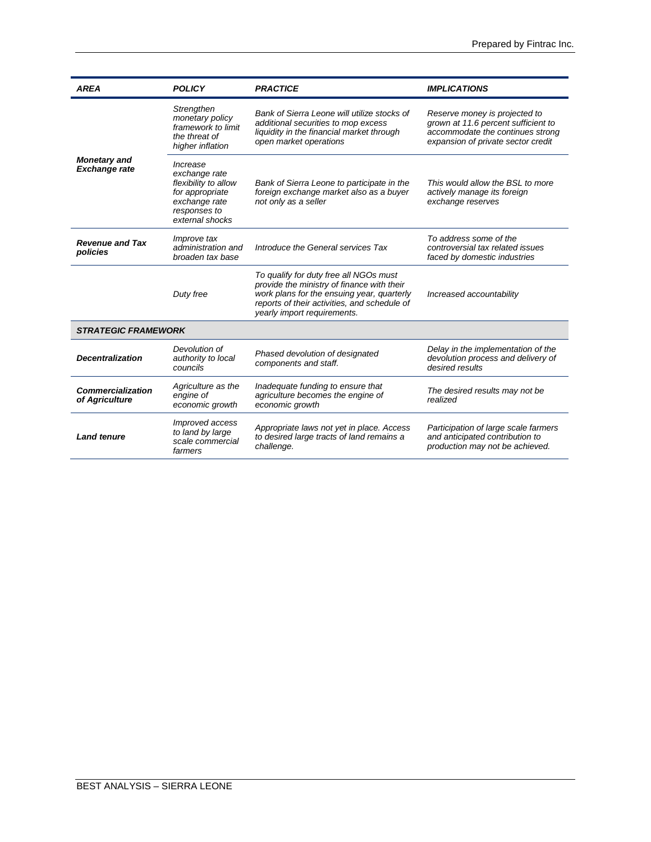| <b>AREA</b>                                 | <b>POLICY</b>                                                                                                                                                                                                                  | <b>PRACTICE</b>                                                                                                                                           | <b>IMPLICATIONS</b>                                                                                                                            |  |  |
|---------------------------------------------|--------------------------------------------------------------------------------------------------------------------------------------------------------------------------------------------------------------------------------|-----------------------------------------------------------------------------------------------------------------------------------------------------------|------------------------------------------------------------------------------------------------------------------------------------------------|--|--|
| <b>Monetary and</b><br><b>Exchange rate</b> | Strengthen<br>monetary policy<br>framework to limit<br>the threat of<br>higher inflation                                                                                                                                       | Bank of Sierra Leone will utilize stocks of<br>additional securities to mop excess<br>liquidity in the financial market through<br>open market operations | Reserve money is projected to<br>grown at 11.6 percent sufficient to<br>accommodate the continues strong<br>expansion of private sector credit |  |  |
|                                             | Increase<br>exchange rate<br>flexibility to allow<br>for appropriate<br>exchange rate<br>responses to<br>external shocks                                                                                                       | Bank of Sierra Leone to participate in the<br>foreign exchange market also as a buyer<br>not only as a seller                                             | This would allow the BSL to more<br>actively manage its foreign<br>exchange reserves                                                           |  |  |
| <b>Revenue and Tax</b><br>policies          | <i>Improve tax</i><br>administration and<br>broaden tax base                                                                                                                                                                   | Introduce the General services Tax                                                                                                                        | To address some of the<br>controversial tax related issues<br>faced by domestic industries                                                     |  |  |
|                                             | To qualify for duty free all NGOs must<br>provide the ministry of finance with their<br>Duty free<br>work plans for the ensuing year, quarterly<br>reports of their activities, and schedule of<br>yearly import requirements. |                                                                                                                                                           | Increased accountability                                                                                                                       |  |  |
| <b>STRATEGIC FRAMEWORK</b>                  |                                                                                                                                                                                                                                |                                                                                                                                                           |                                                                                                                                                |  |  |
| <b>Decentralization</b>                     | Devolution of<br>authority to local<br>councils                                                                                                                                                                                | Phased devolution of designated<br>components and staff.                                                                                                  | Delay in the implementation of the<br>devolution process and delivery of<br>desired results                                                    |  |  |
| <b>Commercialization</b><br>of Agriculture  | Agriculture as the<br>engine of<br>economic growth                                                                                                                                                                             | Inadequate funding to ensure that<br>agriculture becomes the engine of<br>economic growth                                                                 | The desired results may not be<br>realized                                                                                                     |  |  |
| <b>Land tenure</b>                          | Improved access<br>to land by large<br>scale commercial<br>farmers                                                                                                                                                             | Appropriate laws not yet in place. Access<br>to desired large tracts of land remains a<br>challenge.                                                      | Participation of large scale farmers<br>and anticipated contribution to<br>production may not be achieved.                                     |  |  |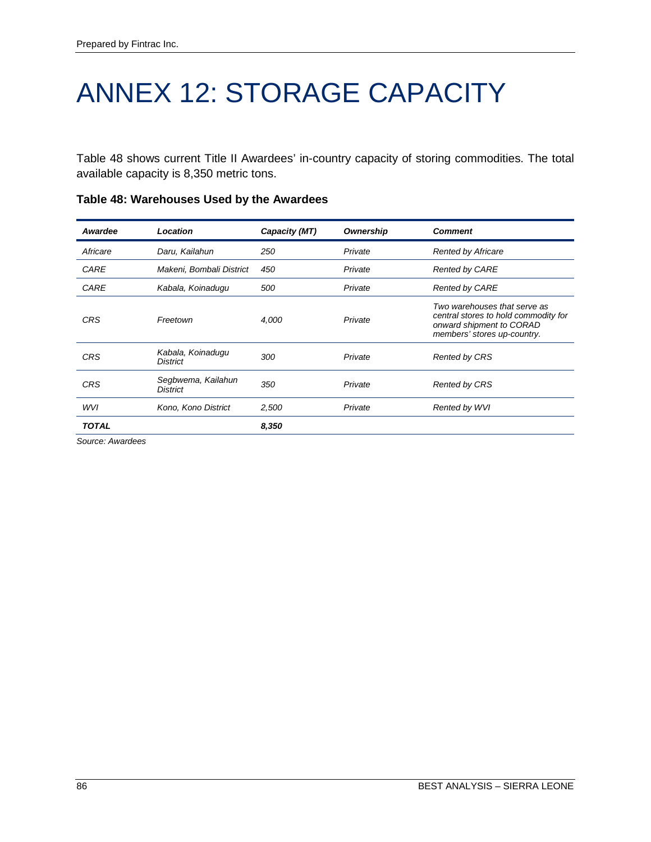# ANNEX 12: STORAGE CAPACITY

Table 48 shows current Title II Awardees' in-country capacity of storing commodities. The total available capacity is 8,350 metric tons.

| Awardee      | Location                              | Capacity (MT) | <b>Ownership</b> | <b>Comment</b>                                                                                                                  |
|--------------|---------------------------------------|---------------|------------------|---------------------------------------------------------------------------------------------------------------------------------|
| Africare     | Daru, Kailahun                        | 250           | Private          | <b>Rented by Africare</b>                                                                                                       |
| CARE         | Makeni, Bombali District              | 450           | Private          | <b>Rented by CARE</b>                                                                                                           |
| CARE         | Kabala, Koinadugu                     | 500           | Private          | <b>Rented by CARE</b>                                                                                                           |
| <b>CRS</b>   | Freetown                              | 4,000         | Private          | Two warehouses that serve as<br>central stores to hold commodity for<br>onward shipment to CORAD<br>members' stores up-country. |
| <b>CRS</b>   | Kabala, Koinadugu<br><b>District</b>  | 300           | Private          | <b>Rented by CRS</b>                                                                                                            |
| <b>CRS</b>   | Segbwema, Kailahun<br><b>District</b> | 350           | Private          | <b>Rented by CRS</b>                                                                                                            |
| WVI          | Kono, Kono District                   | 2,500         | Private          | Rented by WVI                                                                                                                   |
| <b>TOTAL</b> |                                       | 8,350         |                  |                                                                                                                                 |

### **Table 48: Warehouses Used by the Awardees**

*Source: Awardees*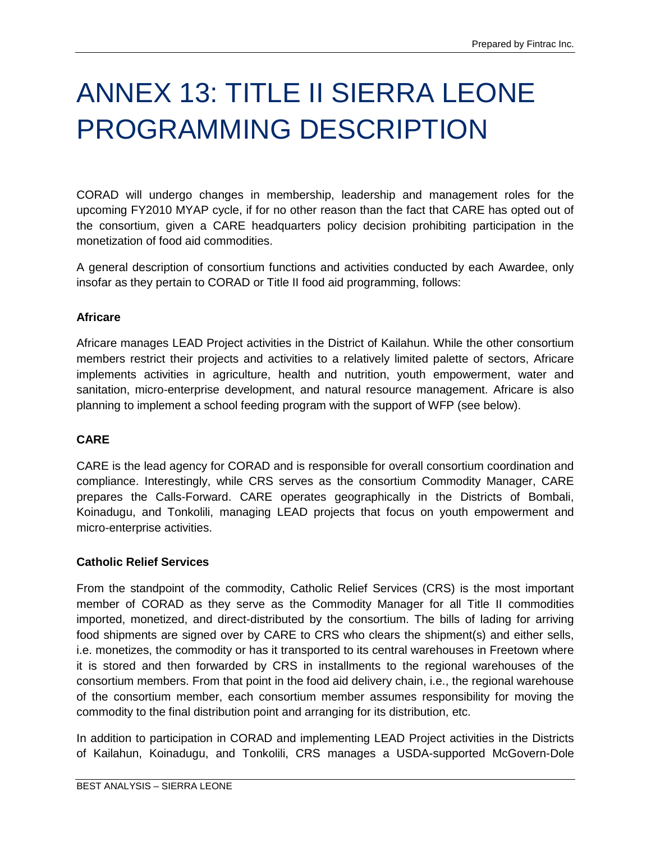# ANNEX 13: TITLE II SIERRA LEONE PROGRAMMING DESCRIPTION

CORAD will undergo changes in membership, leadership and management roles for the upcoming FY2010 MYAP cycle, if for no other reason than the fact that CARE has opted out of the consortium, given a CARE headquarters policy decision prohibiting participation in the monetization of food aid commodities.

A general description of consortium functions and activities conducted by each Awardee, only insofar as they pertain to CORAD or Title II food aid programming, follows:

## **Africare**

Africare manages LEAD Project activities in the District of Kailahun. While the other consortium members restrict their projects and activities to a relatively limited palette of sectors, Africare implements activities in agriculture, health and nutrition, youth empowerment, water and sanitation, micro-enterprise development, and natural resource management. Africare is also planning to implement a school feeding program with the support of WFP (see below).

## **CARE**

CARE is the lead agency for CORAD and is responsible for overall consortium coordination and compliance. Interestingly, while CRS serves as the consortium Commodity Manager, CARE prepares the Calls-Forward. CARE operates geographically in the Districts of Bombali, Koinadugu, and Tonkolili, managing LEAD projects that focus on youth empowerment and micro-enterprise activities.

### **Catholic Relief Services**

From the standpoint of the commodity, Catholic Relief Services (CRS) is the most important member of CORAD as they serve as the Commodity Manager for all Title II commodities imported, monetized, and direct-distributed by the consortium. The bills of lading for arriving food shipments are signed over by CARE to CRS who clears the shipment(s) and either sells, i.e. monetizes, the commodity or has it transported to its central warehouses in Freetown where it is stored and then forwarded by CRS in installments to the regional warehouses of the consortium members. From that point in the food aid delivery chain, i.e., the regional warehouse of the consortium member, each consortium member assumes responsibility for moving the commodity to the final distribution point and arranging for its distribution, etc.

In addition to participation in CORAD and implementing LEAD Project activities in the Districts of Kailahun, Koinadugu, and Tonkolili, CRS manages a USDA-supported McGovern-Dole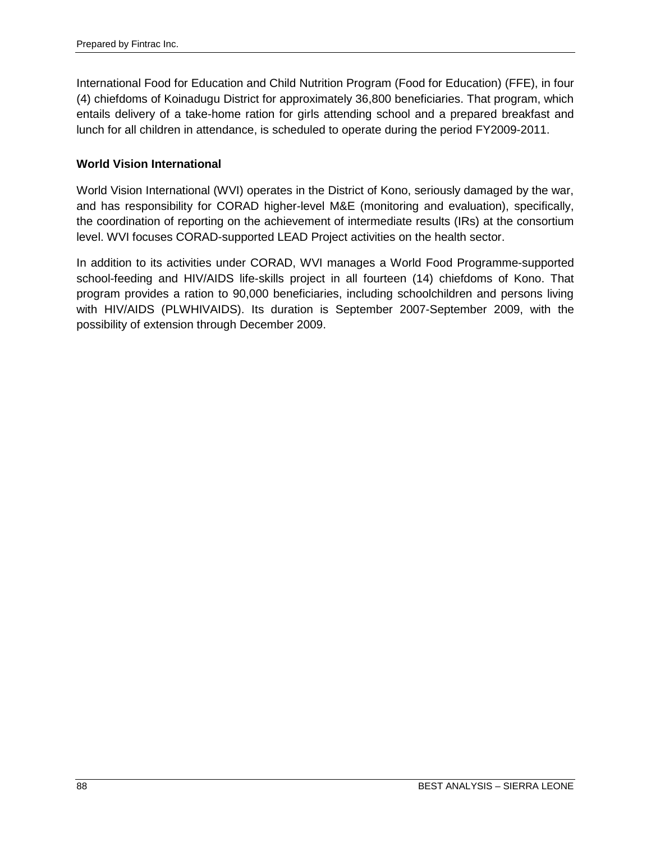International Food for Education and Child Nutrition Program (Food for Education) (FFE), in four (4) chiefdoms of Koinadugu District for approximately 36,800 beneficiaries. That program, which entails delivery of a take-home ration for girls attending school and a prepared breakfast and lunch for all children in attendance, is scheduled to operate during the period FY2009-2011.

### **World Vision International**

World Vision International (WVI) operates in the District of Kono, seriously damaged by the war, and has responsibility for CORAD higher-level M&E (monitoring and evaluation), specifically, the coordination of reporting on the achievement of intermediate results (IRs) at the consortium level. WVI focuses CORAD-supported LEAD Project activities on the health sector.

In addition to its activities under CORAD, WVI manages a World Food Programme-supported school-feeding and HIV/AIDS life-skills project in all fourteen (14) chiefdoms of Kono. That program provides a ration to 90,000 beneficiaries, including schoolchildren and persons living with HIV/AIDS (PLWHIVAIDS). Its duration is September 2007-September 2009, with the possibility of extension through December 2009.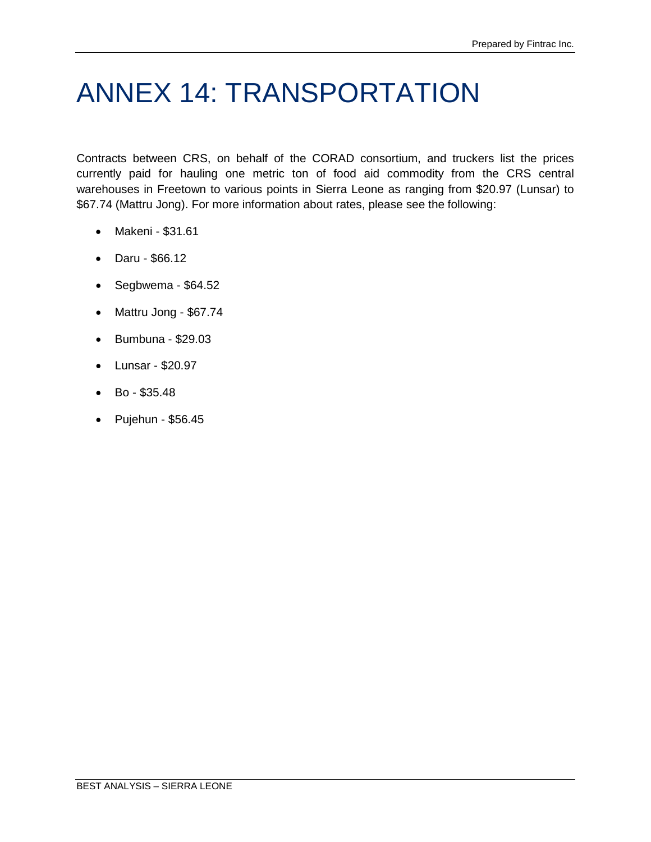# ANNEX 14: TRANSPORTATION

Contracts between CRS, on behalf of the CORAD consortium, and truckers list the prices currently paid for hauling one metric ton of food aid commodity from the CRS central warehouses in Freetown to various points in Sierra Leone as ranging from \$20.97 (Lunsar) to \$67.74 (Mattru Jong). For more information about rates, please see the following:

- Makeni \$31.61
- Daru \$66.12
- Segbwema \$64.52
- Mattru Jong \$67.74
- Bumbuna \$29.03
- Lunsar \$20.97
- Bo \$35.48
- Pujehun \$56.45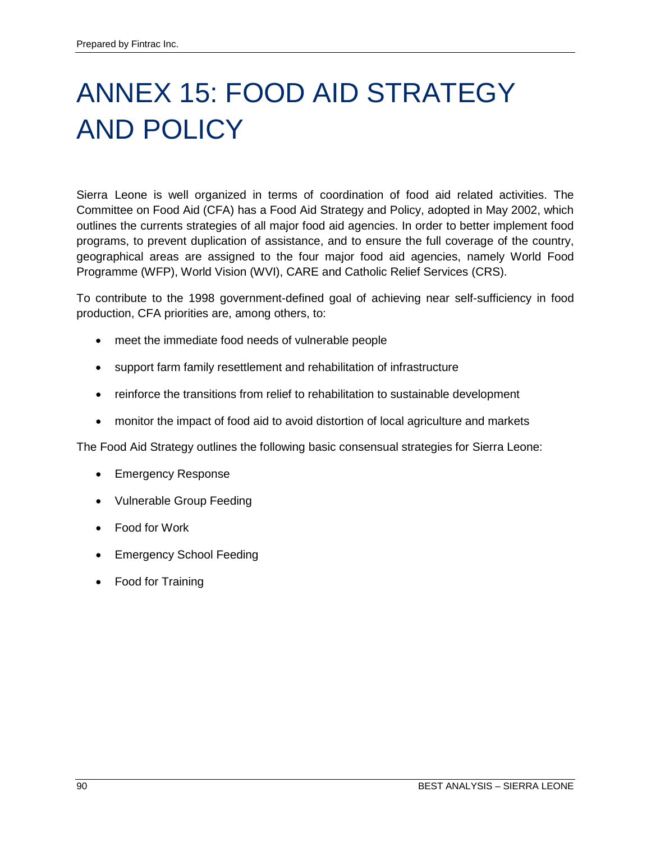# ANNEX 15: FOOD AID STRATEGY AND POLICY

Sierra Leone is well organized in terms of coordination of food aid related activities. The Committee on Food Aid (CFA) has a Food Aid Strategy and Policy, adopted in May 2002, which outlines the currents strategies of all major food aid agencies. In order to better implement food programs, to prevent duplication of assistance, and to ensure the full coverage of the country, geographical areas are assigned to the four major food aid agencies, namely World Food Programme (WFP), World Vision (WVI), CARE and Catholic Relief Services (CRS).

To contribute to the 1998 government-defined goal of achieving near self-sufficiency in food production, CFA priorities are, among others, to:

- meet the immediate food needs of vulnerable people
- support farm family resettlement and rehabilitation of infrastructure
- reinforce the transitions from relief to rehabilitation to sustainable development
- monitor the impact of food aid to avoid distortion of local agriculture and markets

The Food Aid Strategy outlines the following basic consensual strategies for Sierra Leone:

- Emergency Response
- Vulnerable Group Feeding
- Food for Work
- Emergency School Feeding
- Food for Training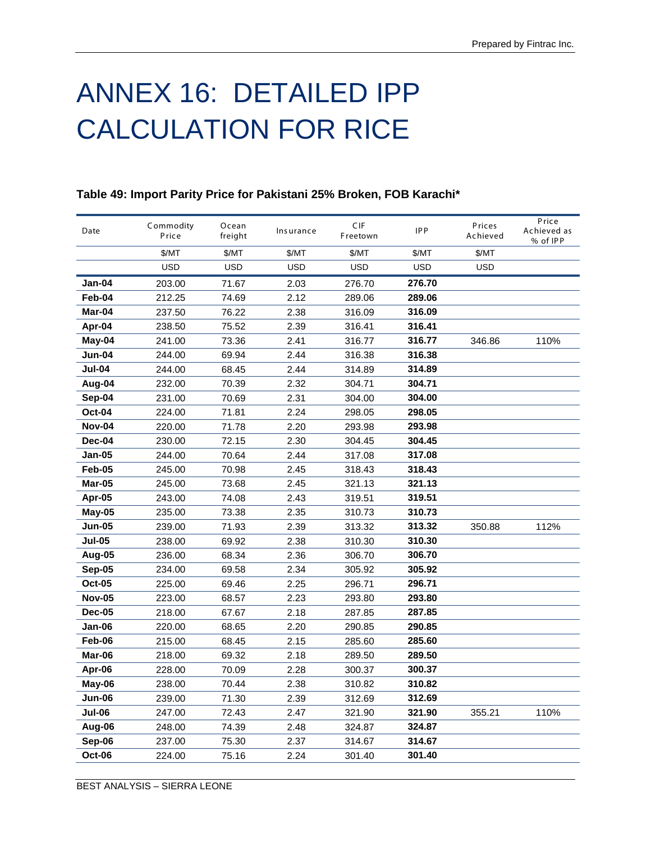# ANNEX 16: DETAILED IPP CALCULATION FOR RICE

| Date          | Commodity<br>Price | Ocean<br>freight | Insurance  | CIF<br>Freetown | <b>IPP</b> | Prices<br>Achieved | Price<br>Achieved as<br>% of IPP |
|---------------|--------------------|------------------|------------|-----------------|------------|--------------------|----------------------------------|
|               | \$/MT              | \$/MT            | \$/MT      | \$/MT           | \$/MT      | \$/MT              |                                  |
|               | <b>USD</b>         | <b>USD</b>       | <b>USD</b> | <b>USD</b>      | <b>USD</b> | <b>USD</b>         |                                  |
| Jan-04        | 203.00             | 71.67            | 2.03       | 276.70          | 276.70     |                    |                                  |
| Feb-04        | 212.25             | 74.69            | 2.12       | 289.06          | 289.06     |                    |                                  |
| Mar-04        | 237.50             | 76.22            | 2.38       | 316.09          | 316.09     |                    |                                  |
| Apr-04        | 238.50             | 75.52            | 2.39       | 316.41          | 316.41     |                    |                                  |
| May-04        | 241.00             | 73.36            | 2.41       | 316.77          | 316.77     | 346.86             | 110%                             |
| Jun-04        | 244.00             | 69.94            | 2.44       | 316.38          | 316.38     |                    |                                  |
| Jul-04        | 244.00             | 68.45            | 2.44       | 314.89          | 314.89     |                    |                                  |
| Aug-04        | 232.00             | 70.39            | 2.32       | 304.71          | 304.71     |                    |                                  |
| Sep-04        | 231.00             | 70.69            | 2.31       | 304.00          | 304.00     |                    |                                  |
| <b>Oct-04</b> | 224.00             | 71.81            | 2.24       | 298.05          | 298.05     |                    |                                  |
| <b>Nov-04</b> | 220.00             | 71.78            | 2.20       | 293.98          | 293.98     |                    |                                  |
| Dec-04        | 230.00             | 72.15            | 2.30       | 304.45          | 304.45     |                    |                                  |
| Jan-05        | 244.00             | 70.64            | 2.44       | 317.08          | 317.08     |                    |                                  |
| Feb-05        | 245.00             | 70.98            | 2.45       | 318.43          | 318.43     |                    |                                  |
| Mar-05        | 245.00             | 73.68            | 2.45       | 321.13          | 321.13     |                    |                                  |
| Apr-05        | 243.00             | 74.08            | 2.43       | 319.51          | 319.51     |                    |                                  |
| May-05        | 235.00             | 73.38            | 2.35       | 310.73          | 310.73     |                    |                                  |
| <b>Jun-05</b> | 239.00             | 71.93            | 2.39       | 313.32          | 313.32     | 350.88             | 112%                             |
| <b>Jul-05</b> | 238.00             | 69.92            | 2.38       | 310.30          | 310.30     |                    |                                  |
| Aug-05        | 236.00             | 68.34            | 2.36       | 306.70          | 306.70     |                    |                                  |
| <b>Sep-05</b> | 234.00             | 69.58            | 2.34       | 305.92          | 305.92     |                    |                                  |
| <b>Oct-05</b> | 225.00             | 69.46            | 2.25       | 296.71          | 296.71     |                    |                                  |
| <b>Nov-05</b> | 223.00             | 68.57            | 2.23       | 293.80          | 293.80     |                    |                                  |
| <b>Dec-05</b> | 218.00             | 67.67            | 2.18       | 287.85          | 287.85     |                    |                                  |
| Jan-06        | 220.00             | 68.65            | 2.20       | 290.85          | 290.85     |                    |                                  |
| Feb-06        | 215.00             | 68.45            | 2.15       | 285.60          | 285.60     |                    |                                  |
| Mar-06        | 218.00             | 69.32            | 2.18       | 289.50          | 289.50     |                    |                                  |
| Apr-06        | 228.00             | 70.09            | 2.28       | 300.37          | 300.37     |                    |                                  |
| May-06        | 238.00             | 70.44            | 2.38       | 310.82          | 310.82     |                    |                                  |
| Jun-06        | 239.00             | 71.30            | 2.39       | 312.69          | 312.69     |                    |                                  |
| Jul-06        | 247.00             | 72.43            | 2.47       | 321.90          | 321.90     | 355.21             | 110%                             |
| Aug-06        | 248.00             | 74.39            | 2.48       | 324.87          | 324.87     |                    |                                  |
| Sep-06        | 237.00             | 75.30            | 2.37       | 314.67          | 314.67     |                    |                                  |
| <b>Oct-06</b> | 224.00             | 75.16            | 2.24       | 301.40          | 301.40     |                    |                                  |

## **Table 49: Import Parity Price for Pakistani 25% Broken, FOB Karachi\***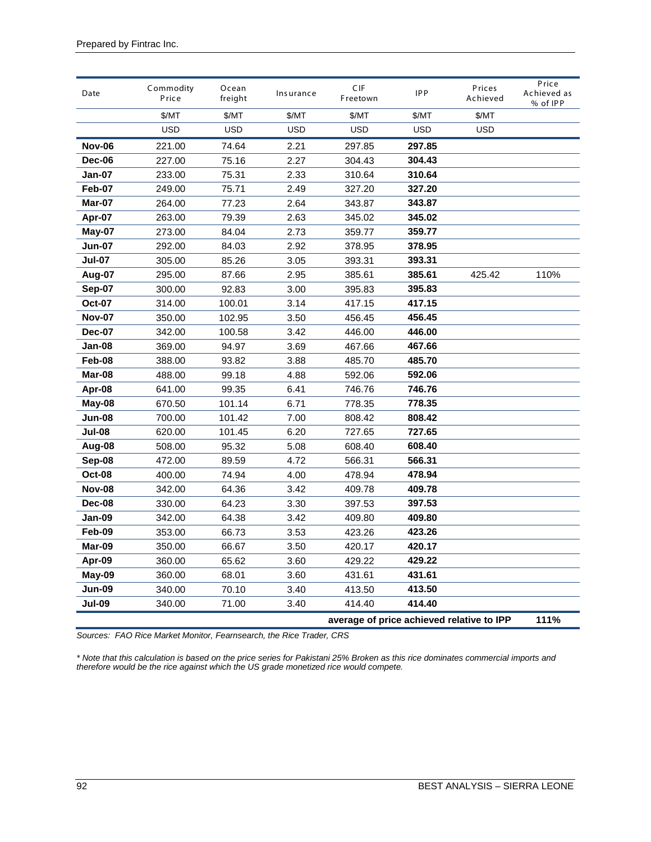| Date          | Commodity<br>Price | Ocean<br>freight | Insurance  | CIF<br>Freetown                           | <b>IPP</b> | Prices<br>Achieved | Price<br>Achieved as<br>% of IPP |
|---------------|--------------------|------------------|------------|-------------------------------------------|------------|--------------------|----------------------------------|
|               | \$/MT              | \$/MT            | \$/MT      | \$/MT                                     | \$/MT      | \$/MT              |                                  |
|               | USD                | <b>USD</b>       | <b>USD</b> | <b>USD</b>                                | <b>USD</b> | <b>USD</b>         |                                  |
| <b>Nov-06</b> | 221.00             | 74.64            | 2.21       | 297.85                                    | 297.85     |                    |                                  |
| Dec-06        | 227.00             | 75.16            | 2.27       | 304.43                                    | 304.43     |                    |                                  |
| Jan-07        | 233.00             | 75.31            | 2.33       | 310.64                                    | 310.64     |                    |                                  |
| Feb-07        | 249.00             | 75.71            | 2.49       | 327.20                                    | 327.20     |                    |                                  |
| Mar-07        | 264.00             | 77.23            | 2.64       | 343.87                                    | 343.87     |                    |                                  |
| Apr-07        | 263.00             | 79.39            | 2.63       | 345.02                                    | 345.02     |                    |                                  |
| $May-07$      | 273.00             | 84.04            | 2.73       | 359.77                                    | 359.77     |                    |                                  |
| Jun-07        | 292.00             | 84.03            | 2.92       | 378.95                                    | 378.95     |                    |                                  |
| <b>Jul-07</b> | 305.00             | 85.26            | 3.05       | 393.31                                    | 393.31     |                    |                                  |
| Aug-07        | 295.00             | 87.66            | 2.95       | 385.61                                    | 385.61     | 425.42             | 110%                             |
| Sep-07        | 300.00             | 92.83            | 3.00       | 395.83                                    | 395.83     |                    |                                  |
| <b>Oct-07</b> | 314.00             | 100.01           | 3.14       | 417.15                                    | 417.15     |                    |                                  |
| <b>Nov-07</b> | 350.00             | 102.95           | 3.50       | 456.45                                    | 456.45     |                    |                                  |
| <b>Dec-07</b> | 342.00             | 100.58           | 3.42       | 446.00                                    | 446.00     |                    |                                  |
| Jan-08        | 369.00             | 94.97            | 3.69       | 467.66                                    | 467.66     |                    |                                  |
| Feb-08        | 388.00             | 93.82            | 3.88       | 485.70                                    | 485.70     |                    |                                  |
| Mar-08        | 488.00             | 99.18            | 4.88       | 592.06                                    | 592.06     |                    |                                  |
| Apr-08        | 641.00             | 99.35            | 6.41       | 746.76                                    | 746.76     |                    |                                  |
| May-08        | 670.50             | 101.14           | 6.71       | 778.35                                    | 778.35     |                    |                                  |
| Jun-08        | 700.00             | 101.42           | 7.00       | 808.42                                    | 808.42     |                    |                                  |
| <b>Jul-08</b> | 620.00             | 101.45           | 6.20       | 727.65                                    | 727.65     |                    |                                  |
| Aug-08        | 508.00             | 95.32            | 5.08       | 608.40                                    | 608.40     |                    |                                  |
| Sep-08        | 472.00             | 89.59            | 4.72       | 566.31                                    | 566.31     |                    |                                  |
| <b>Oct-08</b> | 400.00             | 74.94            | 4.00       | 478.94                                    | 478.94     |                    |                                  |
| <b>Nov-08</b> | 342.00             | 64.36            | 3.42       | 409.78                                    | 409.78     |                    |                                  |
| Dec-08        | 330.00             | 64.23            | 3.30       | 397.53                                    | 397.53     |                    |                                  |
| Jan-09        | 342.00             | 64.38            | 3.42       | 409.80                                    | 409.80     |                    |                                  |
| Feb-09        | 353.00             | 66.73            | 3.53       | 423.26                                    | 423.26     |                    |                                  |
| Mar-09        | 350.00             | 66.67            | 3.50       | 420.17                                    | 420.17     |                    |                                  |
| Apr-09        | 360.00             | 65.62            | 3.60       | 429.22                                    | 429.22     |                    |                                  |
| May-09        | 360.00             | 68.01            | 3.60       | 431.61                                    | 431.61     |                    |                                  |
| Jun-09        | 340.00             | 70.10            | 3.40       | 413.50                                    | 413.50     |                    |                                  |
| Jul-09        | 340.00             | 71.00            | 3.40       | 414.40                                    | 414.40     |                    |                                  |
|               |                    |                  |            | average of price achieved relative to IPP |            |                    | 111%                             |

*Sources: FAO Rice Market Monitor, Fearnsearch, the Rice Trader, CRS*

*\* Note that this calculation is based on the price series for Pakistani 25% Broken as this rice dominates commercial imports and therefore would be the rice against which the US grade monetized rice would compete.*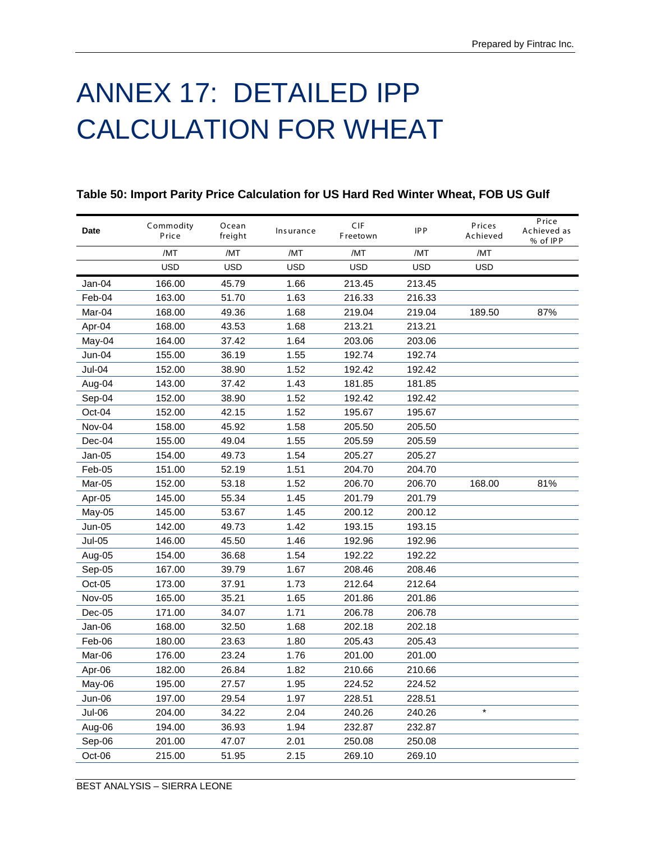# ANNEX 17: DETAILED IPP CALCULATION FOR WHEAT

| Date   | Commodity<br>Price | Ocean<br>freight | Insurance  | CIF<br>Freetown | <b>IPP</b> | Prices<br>Achieved | Price<br>Achieved as<br>% of IPP |
|--------|--------------------|------------------|------------|-----------------|------------|--------------------|----------------------------------|
|        | /MT                | /MT              | /MT        | /MT             | /MT        | /MT                |                                  |
|        | <b>USD</b>         | <b>USD</b>       | <b>USD</b> | <b>USD</b>      | <b>USD</b> | <b>USD</b>         |                                  |
| Jan-04 | 166.00             | 45.79            | 1.66       | 213.45          | 213.45     |                    |                                  |
| Feb-04 | 163.00             | 51.70            | 1.63       | 216.33          | 216.33     |                    |                                  |
| Mar-04 | 168.00             | 49.36            | 1.68       | 219.04          | 219.04     | 189.50             | 87%                              |
| Apr-04 | 168.00             | 43.53            | 1.68       | 213.21          | 213.21     |                    |                                  |
| May-04 | 164.00             | 37.42            | 1.64       | 203.06          | 203.06     |                    |                                  |
| Jun-04 | 155.00             | 36.19            | 1.55       | 192.74          | 192.74     |                    |                                  |
| Jul-04 | 152.00             | 38.90            | 1.52       | 192.42          | 192.42     |                    |                                  |
| Aug-04 | 143.00             | 37.42            | 1.43       | 181.85          | 181.85     |                    |                                  |
| Sep-04 | 152.00             | 38.90            | 1.52       | 192.42          | 192.42     |                    |                                  |
| Oct-04 | 152.00             | 42.15            | 1.52       | 195.67          | 195.67     |                    |                                  |
| Nov-04 | 158.00             | 45.92            | 1.58       | 205.50          | 205.50     |                    |                                  |
| Dec-04 | 155.00             | 49.04            | 1.55       | 205.59          | 205.59     |                    |                                  |
| Jan-05 | 154.00             | 49.73            | 1.54       | 205.27          | 205.27     |                    |                                  |
| Feb-05 | 151.00             | 52.19            | 1.51       | 204.70          | 204.70     |                    |                                  |
| Mar-05 | 152.00             | 53.18            | 1.52       | 206.70          | 206.70     | 168.00             | 81%                              |
| Apr-05 | 145.00             | 55.34            | 1.45       | 201.79          | 201.79     |                    |                                  |
| May-05 | 145.00             | 53.67            | 1.45       | 200.12          | 200.12     |                    |                                  |
| Jun-05 | 142.00             | 49.73            | 1.42       | 193.15          | 193.15     |                    |                                  |
| Jul-05 | 146.00             | 45.50            | 1.46       | 192.96          | 192.96     |                    |                                  |
| Aug-05 | 154.00             | 36.68            | 1.54       | 192.22          | 192.22     |                    |                                  |
| Sep-05 | 167.00             | 39.79            | 1.67       | 208.46          | 208.46     |                    |                                  |
| Oct-05 | 173.00             | 37.91            | 1.73       | 212.64          | 212.64     |                    |                                  |
| Nov-05 | 165.00             | 35.21            | 1.65       | 201.86          | 201.86     |                    |                                  |
| Dec-05 | 171.00             | 34.07            | 1.71       | 206.78          | 206.78     |                    |                                  |
| Jan-06 | 168.00             | 32.50            | 1.68       | 202.18          | 202.18     |                    |                                  |
| Feb-06 | 180.00             | 23.63            | 1.80       | 205.43          | 205.43     |                    |                                  |
| Mar-06 | 176.00             | 23.24            | 1.76       | 201.00          | 201.00     |                    |                                  |
| Apr-06 | 182.00             | 26.84            | 1.82       | 210.66          | 210.66     |                    |                                  |
| May-06 | 195.00             | 27.57            | 1.95       | 224.52          | 224.52     |                    |                                  |
| Jun-06 | 197.00             | 29.54            | 1.97       | 228.51          | 228.51     |                    |                                  |
| Jul-06 | 204.00             | 34.22            | 2.04       | 240.26          | 240.26     | $\star$            |                                  |
| Aug-06 | 194.00             | 36.93            | 1.94       | 232.87          | 232.87     |                    |                                  |
| Sep-06 | 201.00             | 47.07            | 2.01       | 250.08          | 250.08     |                    |                                  |
| Oct-06 | 215.00             | 51.95            | 2.15       | 269.10          | 269.10     |                    |                                  |

## **Table 50: Import Parity Price Calculation for US Hard Red Winter Wheat, FOB US Gulf**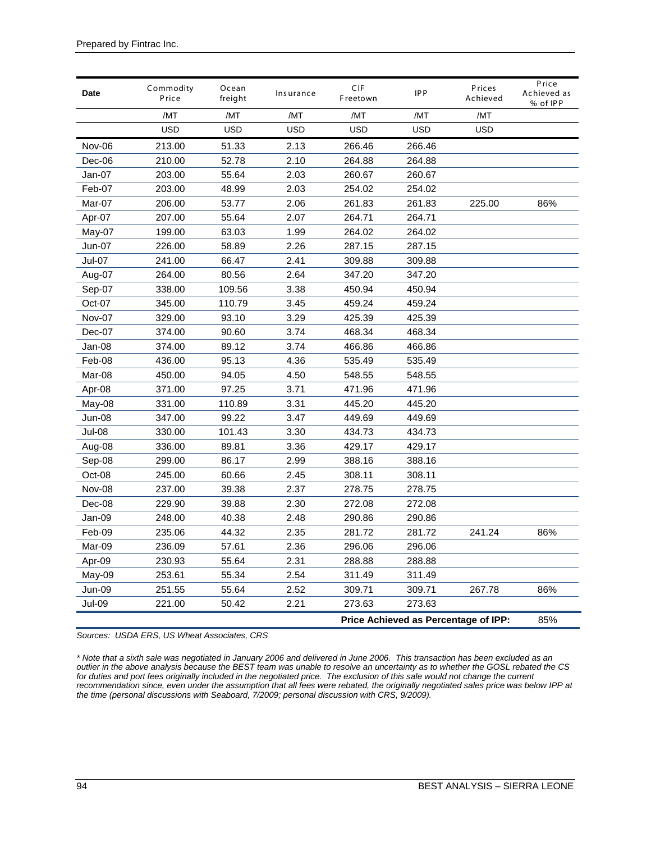| Date   | Commodity<br>Price | Ocean<br>freight | Insurance  | CIF<br>Freetown | <b>IPP</b>                           | Prices<br>Achieved | Price<br>Achieved as<br>% of IPP |
|--------|--------------------|------------------|------------|-----------------|--------------------------------------|--------------------|----------------------------------|
|        | /MT                | /MT              | /MT        | /MT             | /MT                                  | /MT                |                                  |
|        | <b>USD</b>         | <b>USD</b>       | <b>USD</b> | <b>USD</b>      | <b>USD</b>                           | <b>USD</b>         |                                  |
| Nov-06 | 213.00             | 51.33            | 2.13       | 266.46          | 266.46                               |                    |                                  |
| Dec-06 | 210.00             | 52.78            | 2.10       | 264.88          | 264.88                               |                    |                                  |
| Jan-07 | 203.00             | 55.64            | 2.03       | 260.67          | 260.67                               |                    |                                  |
| Feb-07 | 203.00             | 48.99            | 2.03       | 254.02          | 254.02                               |                    |                                  |
| Mar-07 | 206.00             | 53.77            | 2.06       | 261.83          | 261.83                               | 225.00             | 86%                              |
| Apr-07 | 207.00             | 55.64            | 2.07       | 264.71          | 264.71                               |                    |                                  |
| May-07 | 199.00             | 63.03            | 1.99       | 264.02          | 264.02                               |                    |                                  |
| Jun-07 | 226.00             | 58.89            | 2.26       | 287.15          | 287.15                               |                    |                                  |
| Jul-07 | 241.00             | 66.47            | 2.41       | 309.88          | 309.88                               |                    |                                  |
| Aug-07 | 264.00             | 80.56            | 2.64       | 347.20          | 347.20                               |                    |                                  |
| Sep-07 | 338.00             | 109.56           | 3.38       | 450.94          | 450.94                               |                    |                                  |
| Oct-07 | 345.00             | 110.79           | 3.45       | 459.24          | 459.24                               |                    |                                  |
| Nov-07 | 329.00             | 93.10            | 3.29       | 425.39          | 425.39                               |                    |                                  |
| Dec-07 | 374.00             | 90.60            | 3.74       | 468.34          | 468.34                               |                    |                                  |
| Jan-08 | 374.00             | 89.12            | 3.74       | 466.86          | 466.86                               |                    |                                  |
| Feb-08 | 436.00             | 95.13            | 4.36       | 535.49          | 535.49                               |                    |                                  |
| Mar-08 | 450.00             | 94.05            | 4.50       | 548.55          | 548.55                               |                    |                                  |
| Apr-08 | 371.00             | 97.25            | 3.71       | 471.96          | 471.96                               |                    |                                  |
| May-08 | 331.00             | 110.89           | 3.31       | 445.20          | 445.20                               |                    |                                  |
| Jun-08 | 347.00             | 99.22            | 3.47       | 449.69          | 449.69                               |                    |                                  |
| Jul-08 | 330.00             | 101.43           | 3.30       | 434.73          | 434.73                               |                    |                                  |
| Aug-08 | 336.00             | 89.81            | 3.36       | 429.17          | 429.17                               |                    |                                  |
| Sep-08 | 299.00             | 86.17            | 2.99       | 388.16          | 388.16                               |                    |                                  |
| Oct-08 | 245.00             | 60.66            | 2.45       | 308.11          | 308.11                               |                    |                                  |
| Nov-08 | 237.00             | 39.38            | 2.37       | 278.75          | 278.75                               |                    |                                  |
| Dec-08 | 229.90             | 39.88            | 2.30       | 272.08          | 272.08                               |                    |                                  |
| Jan-09 | 248.00             | 40.38            | 2.48       | 290.86          | 290.86                               |                    |                                  |
| Feb-09 | 235.06             | 44.32            | 2.35       | 281.72          | 281.72                               | 241.24             | 86%                              |
| Mar-09 | 236.09             | 57.61            | 2.36       | 296.06          | 296.06                               |                    |                                  |
| Apr-09 | 230.93             | 55.64            | 2.31       | 288.88          | 288.88                               |                    |                                  |
| May-09 | 253.61             | 55.34            | 2.54       | 311.49          | 311.49                               |                    |                                  |
| Jun-09 | 251.55             | 55.64            | 2.52       | 309.71          | 309.71                               | 267.78             | 86%                              |
| Jul-09 | 221.00             | 50.42            | 2.21       | 273.63          | 273.63                               |                    |                                  |
|        |                    |                  |            |                 | Price Achieved as Percentage of IPP: |                    | 85%                              |

*Sources: USDA ERS, US Wheat Associates, CRS*

*\* Note that a sixth sale was negotiated in January 2006 and delivered in June 2006. This transaction has been excluded as an outlier in the above analysis because the BEST team was unable to resolve an uncertainty as to whether the GOSL rebated the CS for duties and port fees originally included in the negotiated price. The exclusion of this sale would not change the current recommendation since, even under the assumption that all fees were rebated, the originally negotiated sales price was below IPP at the time (personal discussions with Seaboard, 7/2009; personal discussion with CRS, 9/2009).*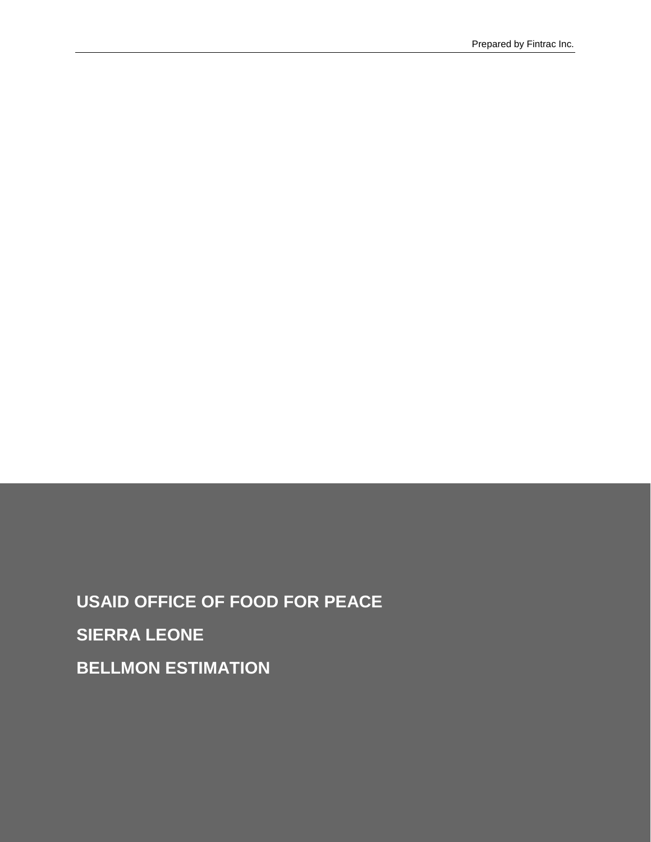**USAID OFFICE OF FOOD FOR PEACE SIERRA LEONE BELLMON ESTIMATION**